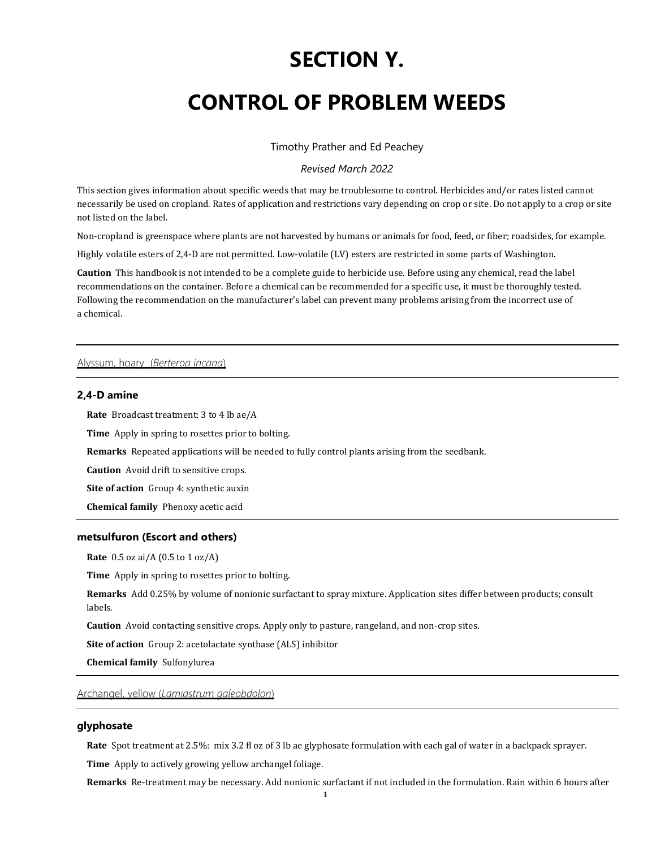# **SECTION Y.**

# **CONTROL OF PROBLEM WEEDS**

Timothy Prather and Ed Peachey

*Revised March 2022*

This section gives information about specific weeds that may be troublesome to control. Herbicides and/or rates listed cannot necessarily be used on cropland. Rates of application and restrictions vary depending on crop or site. Do not apply to a crop or site not listed on the label.

Non-cropland is greenspace where plants are not harvested by humans or animals for food, feed, or fiber; roadsides, for example.

Highly volatile esters of 2,4-D are not permitted. Low-volatile (LV) esters are restricted in some parts of Washington.

**Caution** This handbook is not intended to be a complete guide to herbicide use. Before using any chemical, read the label recommendations on the container. Before a chemical can be recommended for a specific use, it must be thoroughly tested. Following the recommendation on the manufacturer's label can prevent many problems arising from the incorrect use of a chemical.

# Alyssum, hoary (*Berteroa incana*)

# **2,4-D amine**

**Rate** Broadcast treatment: 3 to 4 lb ae/A

**Time** Apply in spring to rosettes prior to bolting.

**Remarks** Repeated applications will be needed to fully control plants arising from the seedbank.

**Caution** Avoid drift to sensitive crops.

**Site of action** Group 4: synthetic auxin

**Chemical family** Phenoxy acetic acid

## **metsulfuron (Escort and others)**

**Rate** 0.5 oz ai/A (0.5 to 1 oz/A)

**Time** Apply in spring to rosettes prior to bolting.

**Remarks** Add 0.25% by volume of nonionic surfactant to spray mixture. Application sites differ between products; consult labels.

**Caution** Avoid contacting sensitive crops. Apply only to pasture, rangeland, and non-crop sites.

**Site of action** Group 2: acetolactate synthase (ALS) inhibitor

**Chemical family** Sulfonylurea

Archangel, yellow (*Lamiastrum galeobdolon*)

# **glyphosate**

**Rate** Spot treatment at 2.5%: mix 3.2 fl oz of 3 lb ae glyphosate formulation with each gal of water in a backpack sprayer.

**Time** Apply to actively growing yellow archangel foliage.

**Remarks** Re-treatment may be necessary. Add nonionic surfactant if not included in the formulation. Rain within 6 hours after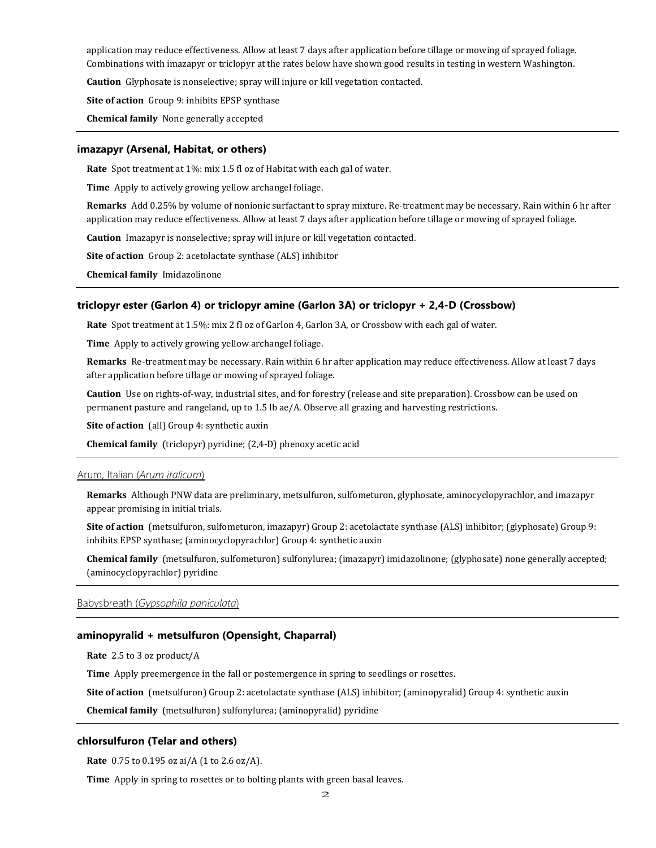application may reduce effectiveness. Allow at least 7 days after application before tillage or mowing of sprayed foliage. Combinations with imazapyr or triclopyr at the rates below have shown good results in testing in western Washington.

**Caution** Glyphosate is nonselective; spray will injure or kill vegetation contacted.

**Site of action** Group 9: inhibits EPSP synthase

**Chemical family** None generally accepted

#### **imazapyr (Arsenal, Habitat, or others)**

**Rate** Spot treatment at 1%: mix 1.5 fl oz of Habitat with each gal of water.

**Time** Apply to actively growing yellow archangel foliage.

**Remarks** Add 0.25% by volume of nonionic surfactant to spray mixture. Re-treatment may be necessary. Rain within 6 hr after application may reduce effectiveness. Allow at least 7 days after application before tillage or mowing of sprayed foliage.

**Caution** Imazapyr is nonselective; spray will injure or kill vegetation contacted.

**Site of action** Group 2: acetolactate synthase (ALS) inhibitor

**Chemical family** Imidazolinone

## **triclopyr ester (Garlon 4) or triclopyr amine (Garlon 3A) or triclopyr + 2,4-D (Crossbow)**

**Rate** Spot treatment at 1.5%: mix 2 fl oz of Garlon 4, Garlon 3A, or Crossbow with each gal of water.

**Time** Apply to actively growing yellow archangel foliage.

**Remarks** Re-treatment may be necessary. Rain within 6 hr after application may reduce effectiveness. Allow at least 7 days after application before tillage or mowing of sprayed foliage.

**Caution** Use on rights-of-way, industrial sites, and for forestry (release and site preparation). Crossbow can be used on permanent pasture and rangeland, up to 1.5 lb ae/A. Observe all grazing and harvesting restrictions.

**Site of action** (all) Group 4: synthetic auxin

**Chemical family** (triclopyr) pyridine; (2,4-D) phenoxy acetic acid

#### Arum, Italian (*Arum italicum*)

**Remarks** Although PNW data are preliminary, metsulfuron, sulfometuron, glyphosate, aminocyclopyrachlor, and imazapyr appear promising in initial trials.

**Site of action** (metsulfuron, sulfometuron, imazapyr) Group 2: acetolactate synthase (ALS) inhibitor; (glyphosate) Group 9: inhibits EPSP synthase; (aminocyclopyrachlor) Group 4: synthetic auxin

**Chemical family** (metsulfuron, sulfometuron) sulfonylurea; (imazapyr) imidazolinone; (glyphosate) none generally accepted; (aminocyclopyrachlor) pyridine

Babysbreath (*Gypsophila paniculata*)

#### **aminopyralid + metsulfuron (Opensight, Chaparral)**

**Rate** 2.5 to 3 oz product/A

**Time** Apply preemergence in the fall or postemergence in spring to seedlings or rosettes.

**Site of action** (metsulfuron) Group 2: acetolactate synthase (ALS) inhibitor; (aminopyralid) Group 4: synthetic auxin

**Chemical family** (metsulfuron) sulfonylurea; (aminopyralid) pyridine

# **chlorsulfuron (Telar and others)**

**Rate** 0.75 to 0.195 oz ai/A (1 to 2.6 oz/A).

**Time** Apply in spring to rosettes or to bolting plants with green basal leaves.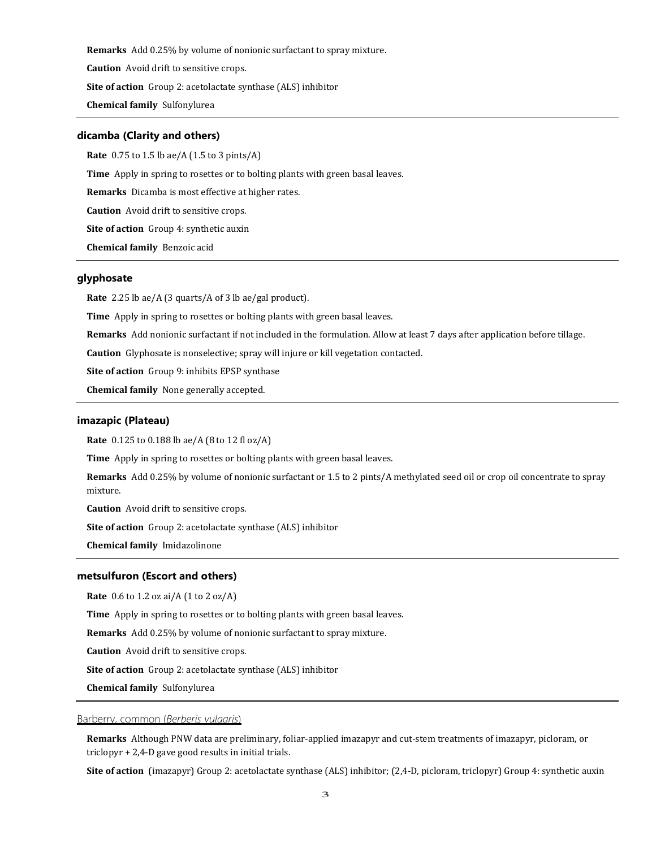**Remarks** Add 0.25% by volume of nonionic surfactant to spray mixture.

**Caution** Avoid drift to sensitive crops.

**Site of action** Group 2: acetolactate synthase (ALS) inhibitor

**Chemical family** Sulfonylurea

#### **dicamba (Clarity and others)**

**Rate** 0.75 to 1.5 lb ae/A (1.5 to 3 pints/A)

**Time** Apply in spring to rosettes or to bolting plants with green basal leaves.

**Remarks** Dicamba is most effective at higher rates.

**Caution** Avoid drift to sensitive crops.

**Site of action** Group 4: synthetic auxin

**Chemical family** Benzoic acid

# **glyphosate**

**Rate** 2.25 lb ae/A (3 quarts/A of 3 lb ae/gal product).

**Time** Apply in spring to rosettes or bolting plants with green basal leaves.

**Remarks** Add nonionic surfactant if not included in the formulation. Allow at least 7 days after application before tillage.

**Caution** Glyphosate is nonselective; spray will injure or kill vegetation contacted.

**Site of action** Group 9: inhibits EPSP synthase

**Chemical family** None generally accepted.

## **imazapic (Plateau)**

**Rate** 0.125 to 0.188 lb ae/A (8 to 12 fl oz/A)

**Time** Apply in spring to rosettes or bolting plants with green basal leaves.

**Remarks** Add 0.25% by volume of nonionic surfactant or 1.5 to 2 pints/A methylated seed oil or crop oil concentrate to spray mixture.

**Caution** Avoid drift to sensitive crops.

**Site of action** Group 2: acetolactate synthase (ALS) inhibitor

**Chemical family** Imidazolinone

#### **metsulfuron (Escort and others)**

**Rate** 0.6 to 1.2 oz ai/A (1 to 2 oz/A)

**Time** Apply in spring to rosettes or to bolting plants with green basal leaves.

**Remarks** Add 0.25% by volume of nonionic surfactant to spray mixture.

**Caution** Avoid drift to sensitive crops.

**Site of action** Group 2: acetolactate synthase (ALS) inhibitor

**Chemical family** Sulfonylurea

# Barberry, common (*Berberis vulgaris*)

**Remarks** Although PNW data are preliminary, foliar-applied imazapyr and cut-stem treatments of imazapyr, picloram, or triclopyr + 2,4-D gave good results in initial trials.

**Site of action** (imazapyr) Group 2: acetolactate synthase (ALS) inhibitor; (2,4-D, picloram, triclopyr) Group 4: synthetic auxin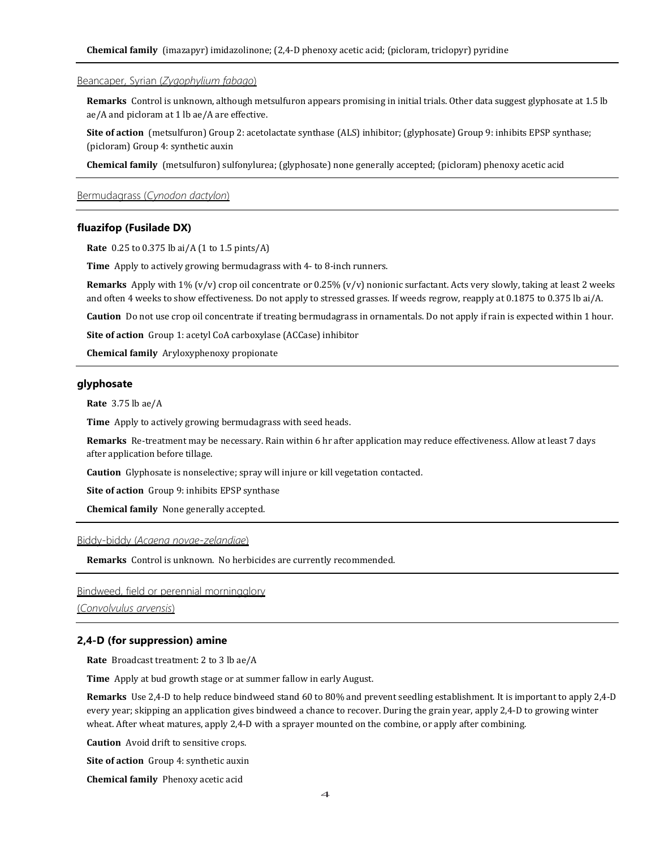## Beancaper, Syrian (*Zygophylium fabago*)

**Remarks** Control is unknown, although metsulfuron appears promising in initial trials. Other data suggest glyphosate at 1.5 lb ae/A and picloram at 1 lb ae/A are effective.

**Site of action** (metsulfuron) Group 2: acetolactate synthase (ALS) inhibitor; (glyphosate) Group 9: inhibits EPSP synthase; (picloram) Group 4: synthetic auxin

**Chemical family** (metsulfuron) sulfonylurea; (glyphosate) none generally accepted; (picloram) phenoxy acetic acid

# Bermudagrass (*Cynodon dactylon*)

#### **fluazifop (Fusilade DX)**

**Rate** 0.25 to 0.375 lb ai/A (1 to 1.5 pints/A)

**Time** Apply to actively growing bermudagrass with 4- to 8-inch runners.

**Remarks** Apply with 1% (v/v) crop oil concentrate or 0.25% (v/v) nonionic surfactant. Acts very slowly, taking at least 2 weeks and often 4 weeks to show effectiveness. Do not apply to stressed grasses. If weeds regrow, reapply at 0.1875 to 0.375 lb ai/A.

**Caution** Do not use crop oil concentrate if treating bermudagrass in ornamentals. Do not apply if rain is expected within 1 hour.

**Site of action** Group 1: acetyl CoA carboxylase (ACCase) inhibitor

**Chemical family** Aryloxyphenoxy propionate

## **glyphosate**

**Rate** 3.75 lb ae/A

**Time** Apply to actively growing bermudagrass with seed heads.

**Remarks** Re-treatment may be necessary. Rain within 6 hr after application may reduce effectiveness. Allow at least 7 days after application before tillage.

**Caution** Glyphosate is nonselective; spray will injure or kill vegetation contacted.

**Site of action** Group 9: inhibits EPSP synthase

**Chemical family** None generally accepted.

#### Biddy-biddy (*Acaena novae-zelandiae*)

**Remarks** Control is unknown. No herbicides are currently recommended.

# Bindweed, field or perennial morningglory

(*Convolvulus arvensis*)

#### **2,4-D (for suppression) amine**

**Rate** Broadcast treatment: 2 to 3 lb ae/A

**Time** Apply at bud growth stage or at summer fallow in early August.

**Remarks** Use 2,4-D to help reduce bindweed stand 60 to 80% and prevent seedling establishment. It is important to apply 2,4-D every year; skipping an application gives bindweed a chance to recover. During the grain year, apply 2,4-D to growing winter wheat. After wheat matures, apply 2,4-D with a sprayer mounted on the combine, or apply after combining.

**Caution** Avoid drift to sensitive crops.

**Site of action** Group 4: synthetic auxin

**Chemical family** Phenoxy acetic acid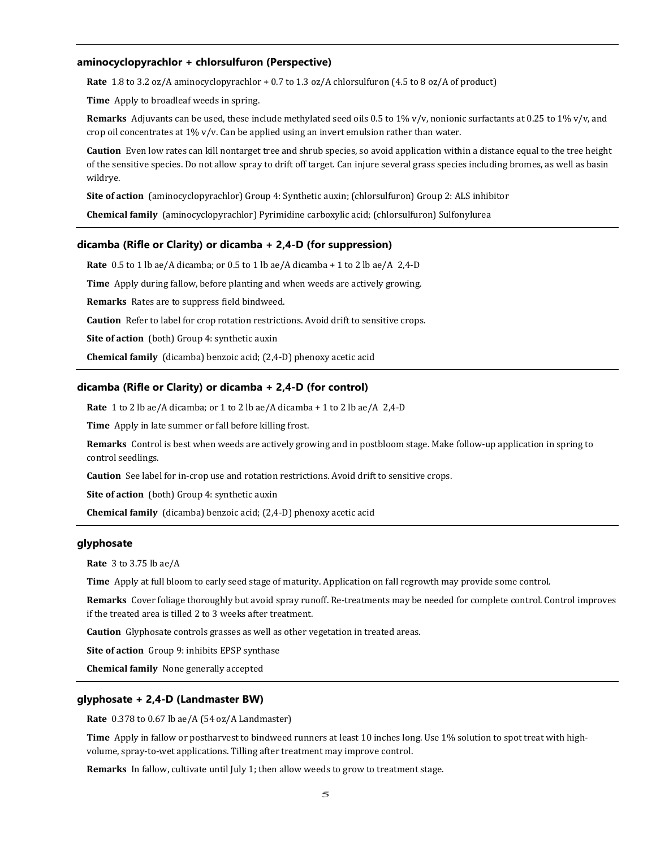## **aminocyclopyrachlor + chlorsulfuron (Perspective)**

**Rate** 1.8 to 3.2 oz/A aminocyclopyrachlor + 0.7 to 1.3 oz/A chlorsulfuron (4.5 to 8 oz/A of product)

**Time** Apply to broadleaf weeds in spring.

**Remarks** Adjuvants can be used, these include methylated seed oils 0.5 to 1% v/v, nonionic surfactants at 0.25 to 1% v/v, and crop oil concentrates at 1% v/v. Can be applied using an invert emulsion rather than water.

**Caution** Even low rates can kill nontarget tree and shrub species, so avoid application within a distance equal to the tree height of the sensitive species. Do not allow spray to drift off target. Can injure several grass species including bromes, as well as basin wildrye.

**Site of action** (aminocyclopyrachlor) Group 4: Synthetic auxin; (chlorsulfuron) Group 2: ALS inhibitor

**Chemical family** (aminocyclopyrachlor) Pyrimidine carboxylic acid; (chlorsulfuron) Sulfonylurea

#### **dicamba (Rifle or Clarity) or dicamba + 2,4-D (for suppression)**

**Rate** 0.5 to 1 lb ae/A dicamba; or 0.5 to 1 lb ae/A dicamba + 1 to 2 lb ae/A 2,4-D

**Time** Apply during fallow, before planting and when weeds are actively growing.

**Remarks** Rates are to suppress field bindweed.

**Caution** Refer to label for crop rotation restrictions. Avoid drift to sensitive crops.

**Site of action** (both) Group 4: synthetic auxin

**Chemical family** (dicamba) benzoic acid; (2,4-D) phenoxy acetic acid

# **dicamba (Rifle or Clarity) or dicamba + 2,4-D (for control)**

**Rate** 1 to 2 lb ae/A dicamba; or 1 to 2 lb ae/A dicamba + 1 to 2 lb ae/A 2,4-D

**Time** Apply in late summer or fall before killing frost.

**Remarks** Control is best when weeds are actively growing and in postbloom stage. Make follow-up application in spring to control seedlings.

**Caution** See label for in-crop use and rotation restrictions. Avoid drift to sensitive crops.

**Site of action** (both) Group 4: synthetic auxin

**Chemical family** (dicamba) benzoic acid; (2,4-D) phenoxy acetic acid

## **glyphosate**

**Rate** 3 to 3.75 lb ae/A

**Time** Apply at full bloom to early seed stage of maturity. Application on fall regrowth may provide some control.

**Remarks** Cover foliage thoroughly but avoid spray runoff. Re-treatments may be needed for complete control. Control improves if the treated area is tilled 2 to 3 weeks after treatment.

**Caution** Glyphosate controls grasses as well as other vegetation in treated areas.

**Site of action** Group 9: inhibits EPSP synthase

**Chemical family** None generally accepted

#### **glyphosate + 2,4-D (Landmaster BW)**

**Rate** 0.378 to 0.67 lb ae/A (54 oz/A Landmaster)

**Time** Apply in fallow or postharvest to bindweed runners at least 10 inches long. Use 1% solution to spot treat with highvolume, spray-to-wet applications. Tilling after treatment may improve control.

**Remarks** In fallow, cultivate until July 1; then allow weeds to grow to treatment stage.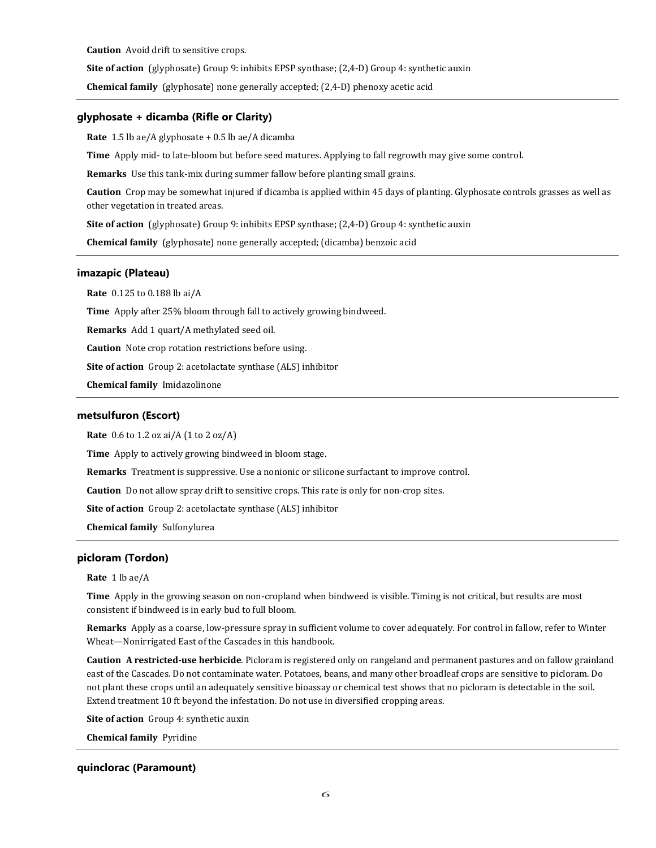**Caution** Avoid drift to sensitive crops.

**Site of action** (glyphosate) Group 9: inhibits EPSP synthase; (2,4-D) Group 4: synthetic auxin

**Chemical family** (glyphosate) none generally accepted; (2,4-D) phenoxy acetic acid

#### **glyphosate + dicamba (Rifle or Clarity)**

**Rate** 1.5 lb ae/A glyphosate + 0.5 lb ae/A dicamba

**Time** Apply mid- to late-bloom but before seed matures. Applying to fall regrowth may give some control.

**Remarks** Use this tank-mix during summer fallow before planting small grains.

**Caution** Crop may be somewhat injured if dicamba is applied within 45 days of planting. Glyphosate controls grasses as well as other vegetation in treated areas.

**Site of action** (glyphosate) Group 9: inhibits EPSP synthase; (2,4-D) Group 4: synthetic auxin

**Chemical family** (glyphosate) none generally accepted; (dicamba) benzoic acid

## **imazapic (Plateau)**

**Rate** 0.125 to 0.188 lb ai/A

**Time** Apply after 25% bloom through fall to actively growing bindweed.

**Remarks** Add 1 quart/A methylated seed oil.

**Caution** Note crop rotation restrictions before using.

**Site of action** Group 2: acetolactate synthase (ALS) inhibitor

**Chemical family** Imidazolinone

## **metsulfuron (Escort)**

**Rate** 0.6 to 1.2 oz ai/A (1 to 2 oz/A)

**Time** Apply to actively growing bindweed in bloom stage.

**Remarks** Treatment is suppressive. Use a nonionic or silicone surfactant to improve control.

**Caution** Do not allow spray drift to sensitive crops. This rate is only for non-crop sites.

**Site of action** Group 2: acetolactate synthase (ALS) inhibitor

**Chemical family** Sulfonylurea

# **picloram (Tordon)**

#### **Rate** 1 lb ae/A

**Time** Apply in the growing season on non-cropland when bindweed is visible. Timing is not critical, but results are most consistent if bindweed is in early bud to full bloom.

**Remarks** Apply as a coarse, low-pressure spray in sufficient volume to cover adequately. For control in fallow, refer to Winter Wheat—Nonirrigated East of the Cascades in this handbook.

**Caution A restricted-use herbicide**. Picloram is registered only on rangeland and permanent pastures and on fallow grainland east of the Cascades. Do not contaminate water. Potatoes, beans, and many other broadleaf crops are sensitive to picloram. Do not plant these crops until an adequately sensitive bioassay or chemical test shows that no picloram is detectable in the soil. Extend treatment 10 ft beyond the infestation. Do not use in diversified cropping areas.

**Site of action** Group 4: synthetic auxin

**Chemical family** Pyridine

## **quinclorac (Paramount)**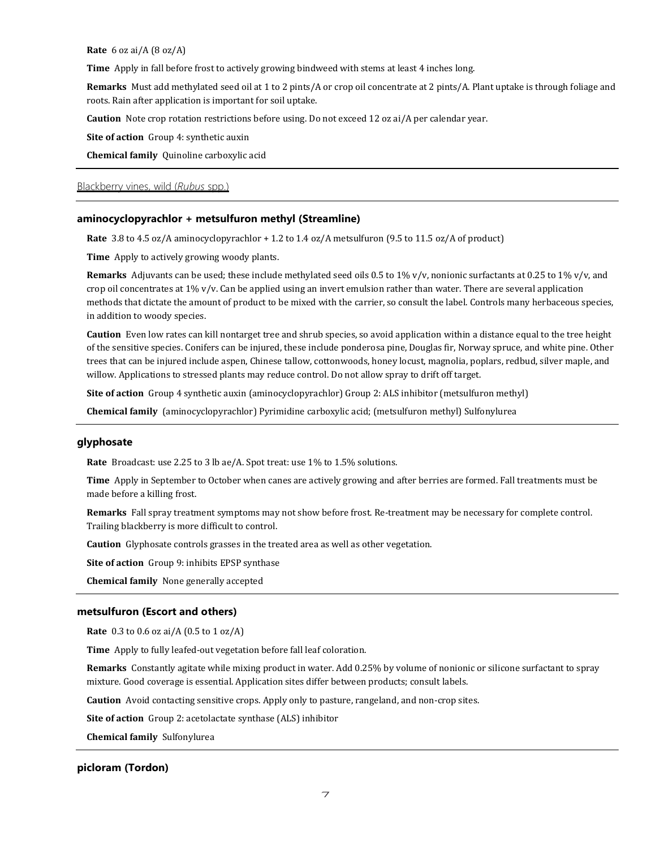**Rate** 6 oz ai/A (8 oz/A)

**Time** Apply in fall before frost to actively growing bindweed with stems at least 4 inches long.

**Remarks** Must add methylated seed oil at 1 to 2 pints/A or crop oil concentrate at 2 pints/A. Plant uptake is through foliage and roots. Rain after application is important for soil uptake.

**Caution** Note crop rotation restrictions before using. Do not exceed 12 oz ai/A per calendar year.

**Site of action** Group 4: synthetic auxin

**Chemical family** Quinoline carboxylic acid

# Blackberry vines, wild (*Rubus* spp.)

### **aminocyclopyrachlor + metsulfuron methyl (Streamline)**

**Rate** 3.8 to 4.5 oz/A aminocyclopyrachlor + 1.2 to 1.4 oz/A metsulfuron (9.5 to 11.5 oz/A of product)

**Time** Apply to actively growing woody plants.

**Remarks** Adjuvants can be used; these include methylated seed oils 0.5 to 1% v/v, nonionic surfactants at 0.25 to 1% v/v, and crop oil concentrates at  $1\%$  v/v. Can be applied using an invert emulsion rather than water. There are several application methods that dictate the amount of product to be mixed with the carrier, so consult the label. Controls many herbaceous species, in addition to woody species.

**Caution** Even low rates can kill nontarget tree and shrub species, so avoid application within a distance equal to the tree height of the sensitive species. Conifers can be injured, these include ponderosa pine, Douglas fir, Norway spruce, and white pine. Other trees that can be injured include aspen, Chinese tallow, cottonwoods, honey locust, magnolia, poplars, redbud, silver maple, and willow. Applications to stressed plants may reduce control. Do not allow spray to drift off target.

**Site of action** Group 4 synthetic auxin (aminocyclopyrachlor) Group 2: ALS inhibitor (metsulfuron methyl)

**Chemical family** (aminocyclopyrachlor) Pyrimidine carboxylic acid; (metsulfuron methyl) Sulfonylurea

# **glyphosate**

**Rate** Broadcast: use 2.25 to 3 lb ae/A. Spot treat: use 1% to 1.5% solutions.

**Time** Apply in September to October when canes are actively growing and after berries are formed. Fall treatments must be made before a killing frost.

**Remarks** Fall spray treatment symptoms may not show before frost. Re-treatment may be necessary for complete control. Trailing blackberry is more difficult to control.

**Caution** Glyphosate controls grasses in the treated area as well as other vegetation.

**Site of action** Group 9: inhibits EPSP synthase

**Chemical family** None generally accepted

# **metsulfuron (Escort and others)**

**Rate** 0.3 to 0.6 oz ai/A (0.5 to 1 oz/A)

**Time** Apply to fully leafed-out vegetation before fall leaf coloration.

**Remarks** Constantly agitate while mixing product in water. Add 0.25% by volume of nonionic or silicone surfactant to spray mixture. Good coverage is essential. Application sites differ between products; consult labels.

**Caution** Avoid contacting sensitive crops. Apply only to pasture, rangeland, and non-crop sites.

**Site of action** Group 2: acetolactate synthase (ALS) inhibitor

**Chemical family** Sulfonylurea

## **picloram (Tordon)**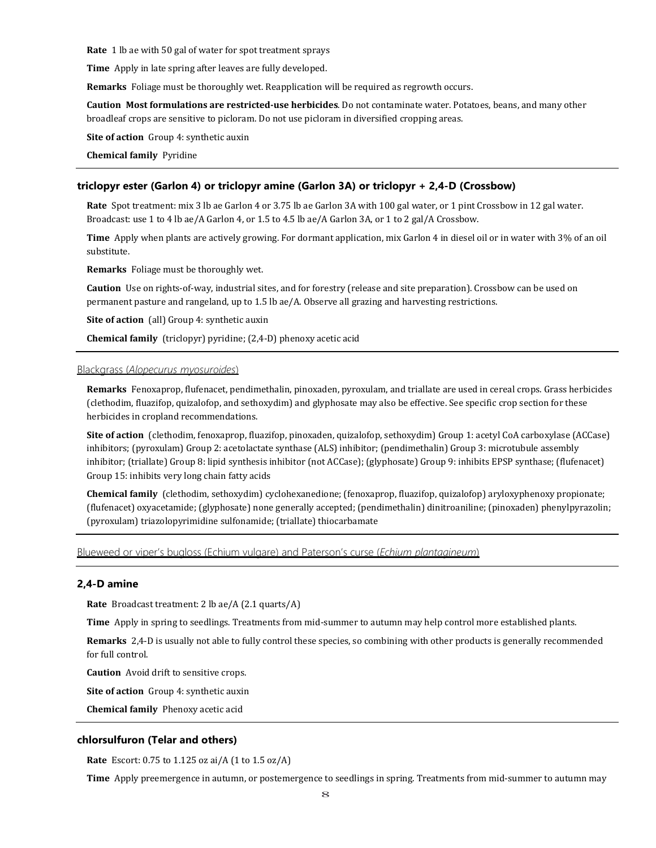**Rate** 1 lb ae with 50 gal of water for spot treatment sprays

**Time** Apply in late spring after leaves are fully developed.

**Remarks** Foliage must be thoroughly wet. Reapplication will be required as regrowth occurs.

**Caution Most formulations are restricted-use herbicides**. Do not contaminate water. Potatoes, beans, and many other broadleaf crops are sensitive to picloram. Do not use picloram in diversified cropping areas.

**Site of action** Group 4: synthetic auxin

**Chemical family** Pyridine

#### **triclopyr ester (Garlon 4) or triclopyr amine (Garlon 3A) or triclopyr + 2,4-D (Crossbow)**

**Rate** Spot treatment: mix 3 lb ae Garlon 4 or 3.75 lb ae Garlon 3A with 100 gal water, or 1 pint Crossbow in 12 gal water. Broadcast: use 1 to 4 lb ae/A Garlon 4, or 1.5 to 4.5 lb ae/A Garlon 3A, or 1 to 2 gal/A Crossbow.

**Time** Apply when plants are actively growing. For dormant application, mix Garlon 4 in diesel oil or in water with 3% of an oil substitute.

**Remarks** Foliage must be thoroughly wet.

**Caution** Use on rights-of-way, industrial sites, and for forestry (release and site preparation). Crossbow can be used on permanent pasture and rangeland, up to 1.5 lb ae/A. Observe all grazing and harvesting restrictions.

**Site of action** (all) Group 4: synthetic auxin

**Chemical family** (triclopyr) pyridine; (2,4-D) phenoxy acetic acid

# Blackgrass (*Alopecurus myosuroides*)

**Remarks** Fenoxaprop, flufenacet, pendimethalin, pinoxaden, pyroxulam, and triallate are used in cereal crops. Grass herbicides (clethodim, fluazifop, quizalofop, and sethoxydim) and glyphosate may also be effective. See specific crop section for these herbicides in cropland recommendations.

**Site of action** (clethodim, fenoxaprop, fluazifop, pinoxaden, quizalofop, sethoxydim) Group 1: acetyl CoA carboxylase (ACCase) inhibitors; (pyroxulam) Group 2: acetolactate synthase (ALS) inhibitor; (pendimethalin) Group 3: microtubule assembly inhibitor; (triallate) Group 8: lipid synthesis inhibitor (not ACCase); (glyphosate) Group 9: inhibits EPSP synthase; (flufenacet) Group 15: inhibits very long chain fatty acids

**Chemical family** (clethodim, sethoxydim) cyclohexanedione; (fenoxaprop, fluazifop, quizalofop) aryloxyphenoxy propionate; (flufenacet) oxyacetamide; (glyphosate) none generally accepted; (pendimethalin) dinitroaniline; (pinoxaden) phenylpyrazolin; (pyroxulam) triazolopyrimidine sulfonamide; (triallate) thiocarbamate

Blueweed or viper's bugloss (Echium vulgare) and Paterson's curse (*Echium plantagineum*)

## **2,4-D amine**

**Rate** Broadcast treatment: 2 lb ae/A (2.1 quarts/A)

**Time** Apply in spring to seedlings. Treatments from mid-summer to autumn may help control more established plants.

**Remarks** 2,4-D is usually not able to fully control these species, so combining with other products is generally recommended for full control.

**Caution** Avoid drift to sensitive crops.

**Site of action** Group 4: synthetic auxin

**Chemical family** Phenoxy acetic acid

#### **chlorsulfuron (Telar and others)**

**Rate** Escort: 0.75 to 1.125 oz ai/A (1 to 1.5 oz/A)

**Time** Apply preemergence in autumn, or postemergence to seedlings in spring. Treatments from mid-summer to autumn may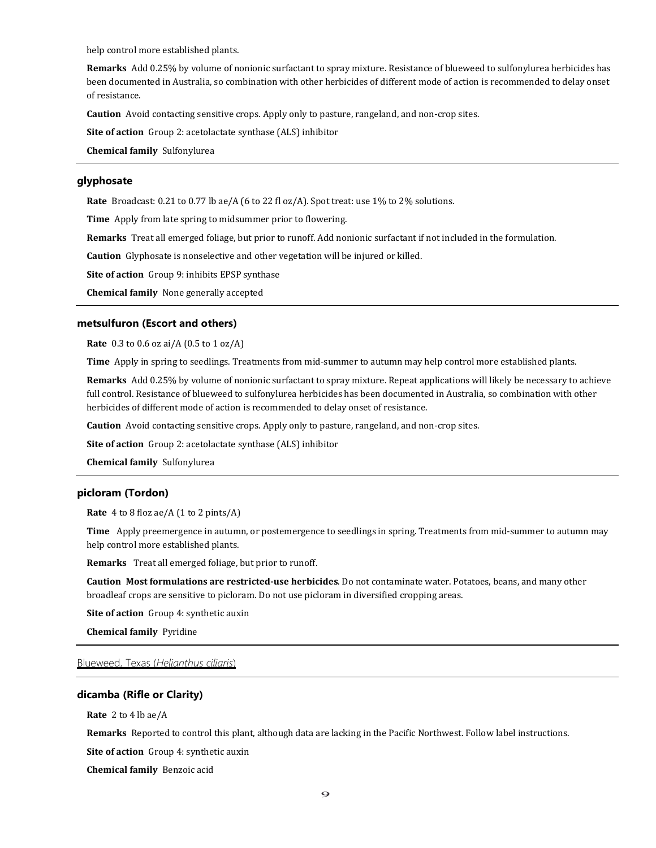help control more established plants.

**Remarks** Add 0.25% by volume of nonionic surfactant to spray mixture. Resistance of blueweed to sulfonylurea herbicides has been documented in Australia, so combination with other herbicides of different mode of action is recommended to delay onset of resistance.

**Caution** Avoid contacting sensitive crops. Apply only to pasture, rangeland, and non-crop sites.

**Site of action** Group 2: acetolactate synthase (ALS) inhibitor

**Chemical family** Sulfonylurea

# **glyphosate**

**Rate** Broadcast: 0.21 to 0.77 lb ae/A (6 to 22 fl oz/A). Spot treat: use 1% to 2% solutions.

**Time** Apply from late spring to midsummer prior to flowering.

**Remarks** Treat all emerged foliage, but prior to runoff. Add nonionic surfactant if not included in the formulation.

**Caution** Glyphosate is nonselective and other vegetation will be injured or killed.

**Site of action** Group 9: inhibits EPSP synthase

**Chemical family** None generally accepted

# **metsulfuron (Escort and others)**

**Rate** 0.3 to 0.6 oz ai/A (0.5 to 1 oz/A)

**Time** Apply in spring to seedlings. Treatments from mid-summer to autumn may help control more established plants.

**Remarks** Add 0.25% by volume of nonionic surfactant to spray mixture. Repeat applications will likely be necessary to achieve full control. Resistance of blueweed to sulfonylurea herbicides has been documented in Australia, so combination with other herbicides of different mode of action is recommended to delay onset of resistance.

**Caution** Avoid contacting sensitive crops. Apply only to pasture, rangeland, and non-crop sites.

**Site of action** Group 2: acetolactate synthase (ALS) inhibitor

**Chemical family** Sulfonylurea

## **picloram (Tordon)**

**Rate** 4 to 8 floz ae/A (1 to 2 pints/A)

**Time** Apply preemergence in autumn, or postemergence to seedlings in spring. Treatments from mid-summer to autumn may help control more established plants.

**Remarks** Treat all emerged foliage, but prior to runoff.

**Caution Most formulations are restricted-use herbicides**. Do not contaminate water. Potatoes, beans, and many other broadleaf crops are sensitive to picloram. Do not use picloram in diversified cropping areas.

**Site of action** Group 4: synthetic auxin

**Chemical family** Pyridine

Blueweed, Texas (*Helianthus ciliaris*)

# **dicamba (Rifle or Clarity)**

**Rate** 2 to 4 lb ae/A

**Remarks** Reported to control this plant, although data are lacking in the Pacific Northwest. Follow label instructions.

**Site of action** Group 4: synthetic auxin

**Chemical family** Benzoic acid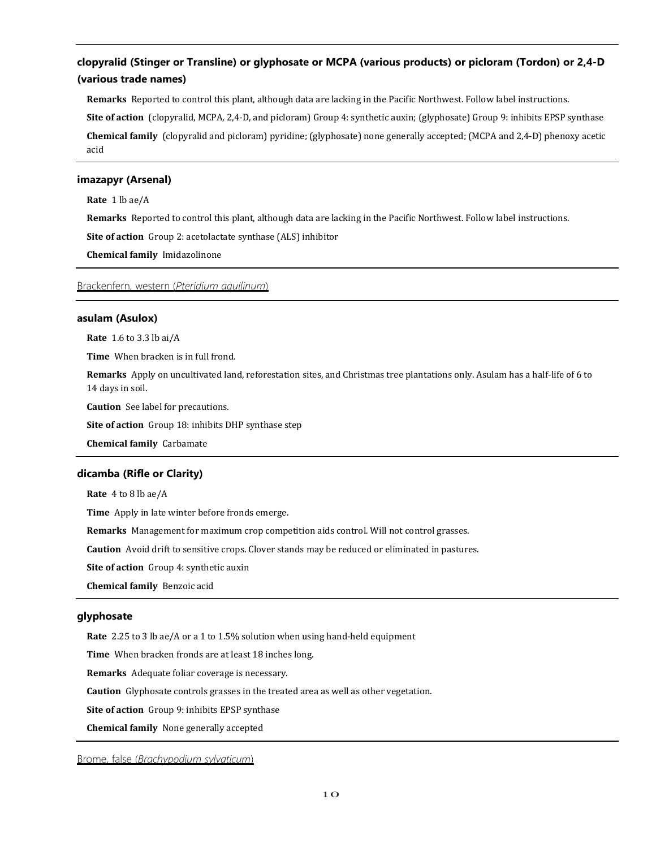# **clopyralid (Stinger or Transline) or glyphosate or MCPA (various products) or picloram (Tordon) or 2,4-D (various trade names)**

**Remarks** Reported to control this plant, although data are lacking in the Pacific Northwest. Follow label instructions. **Site of action** (clopyralid, MCPA, 2,4-D, and picloram) Group 4: synthetic auxin; (glyphosate) Group 9: inhibits EPSP synthase **Chemical family** (clopyralid and picloram) pyridine; (glyphosate) none generally accepted; (MCPA and 2,4-D) phenoxy acetic acid

# **imazapyr (Arsenal)**

**Rate** 1 lb ae/A

**Remarks** Reported to control this plant, although data are lacking in the Pacific Northwest. Follow label instructions.

**Site of action** Group 2: acetolactate synthase (ALS) inhibitor

**Chemical family** Imidazolinone

# Brackenfern, western (*Pteridium aquilinum*)

## **asulam (Asulox)**

**Rate** 1.6 to 3.3 lb ai/A

**Time** When bracken is in full frond.

**Remarks** Apply on uncultivated land, reforestation sites, and Christmas tree plantations only. Asulam has a half-life of 6 to 14 days in soil.

**Caution** See label for precautions.

**Site of action** Group 18: inhibits DHP synthase step

**Chemical family** Carbamate

## **dicamba (Rifle or Clarity)**

**Rate** 4 to 8 lb ae/A

**Time** Apply in late winter before fronds emerge.

**Remarks** Management for maximum crop competition aids control. Will not control grasses.

**Caution** Avoid drift to sensitive crops. Clover stands may be reduced or eliminated in pastures.

**Site of action** Group 4: synthetic auxin

**Chemical family** Benzoic acid

# **glyphosate**

**Rate** 2.25 to 3 lb ae/A or a 1 to 1.5% solution when using hand-held equipment

**Time** When bracken fronds are at least 18 inches long.

**Remarks** Adequate foliar coverage is necessary.

**Caution** Glyphosate controls grasses in the treated area as well as other vegetation.

**Site of action** Group 9: inhibits EPSP synthase

**Chemical family** None generally accepted

Brome, false (*Brachypodium sylvaticum*)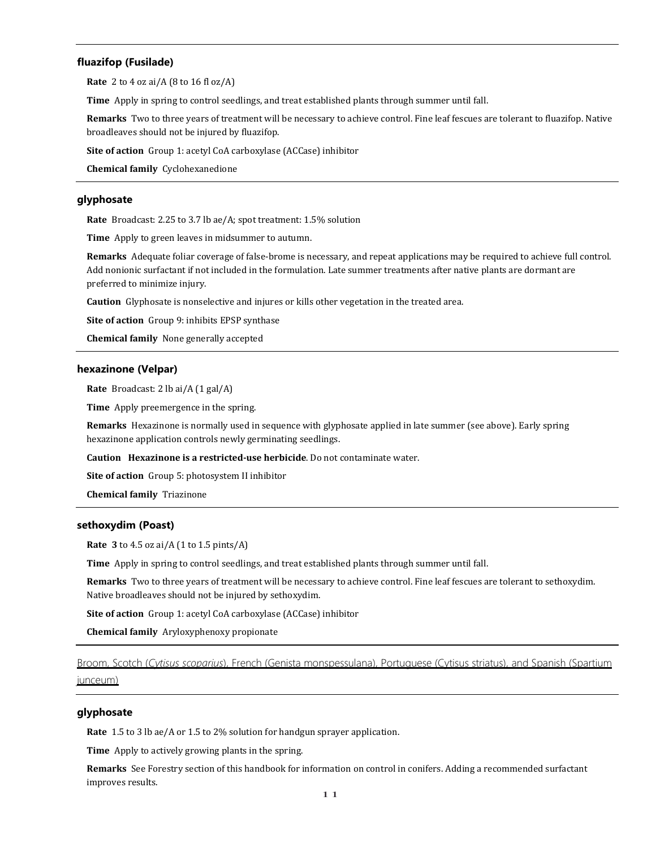# **fluazifop (Fusilade)**

**Rate** 2 to 4 oz ai/A (8 to 16 fl oz/A)

**Time** Apply in spring to control seedlings, and treat established plants through summer until fall.

**Remarks** Two to three years of treatment will be necessary to achieve control. Fine leaf fescues are tolerant to fluazifop. Native broadleaves should not be injured by fluazifop.

**Site of action** Group 1: acetyl CoA carboxylase (ACCase) inhibitor

**Chemical family** Cyclohexanedione

# **glyphosate**

**Rate** Broadcast: 2.25 to 3.7 lb ae/A; spot treatment: 1.5% solution

**Time** Apply to green leaves in midsummer to autumn.

**Remarks** Adequate foliar coverage of false-brome is necessary, and repeat applications may be required to achieve full control. Add nonionic surfactant if not included in the formulation. Late summer treatments after native plants are dormant are preferred to minimize injury.

**Caution** Glyphosate is nonselective and injures or kills other vegetation in the treated area.

**Site of action** Group 9: inhibits EPSP synthase

**Chemical family** None generally accepted

## **hexazinone (Velpar)**

**Rate** Broadcast: 2 lb ai/A (1 gal/A)

**Time** Apply preemergence in the spring.

**Remarks** Hexazinone is normally used in sequence with glyphosate applied in late summer (see above). Early spring hexazinone application controls newly germinating seedlings.

**Caution Hexazinone is a restricted-use herbicide**. Do not contaminate water.

**Site of action** Group 5: photosystem II inhibitor

**Chemical family** Triazinone

## **sethoxydim (Poast)**

**Rate 3** to 4.5 oz ai/A (1 to 1.5 pints/A)

**Time** Apply in spring to control seedlings, and treat established plants through summer until fall.

**Remarks** Two to three years of treatment will be necessary to achieve control. Fine leaf fescues are tolerant to sethoxydim. Native broadleaves should not be injured by sethoxydim.

**Site of action** Group 1: acetyl CoA carboxylase (ACCase) inhibitor

**Chemical family** Aryloxyphenoxy propionate

Broom, Scotch (*Cytisus scoparius*), French (Genista monspessulana), Portuguese (Cytisus striatus), and Spanish (Spartium

#### junceum)

# **glyphosate**

**Rate** 1.5 to 3 lb ae/A or 1.5 to 2% solution for handgun sprayer application.

**Time** Apply to actively growing plants in the spring.

**Remarks** See Forestry section of this handbook for information on control in conifers. Adding a recommended surfactant improves results.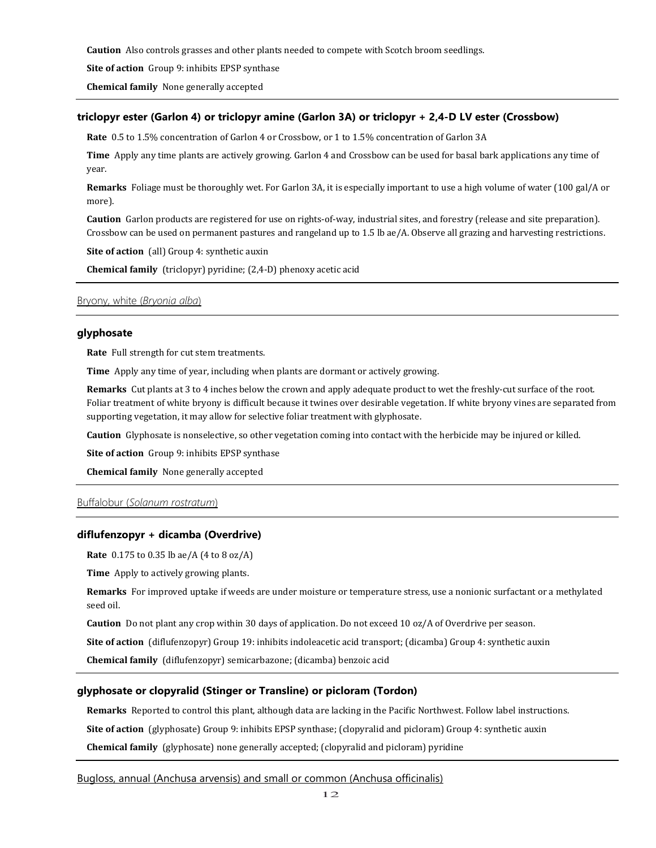**Caution** Also controls grasses and other plants needed to compete with Scotch broom seedlings.

**Site of action** Group 9: inhibits EPSP synthase

**Chemical family** None generally accepted

# **triclopyr ester (Garlon 4) or triclopyr amine (Garlon 3A) or triclopyr + 2,4-D LV ester (Crossbow)**

**Rate** 0.5 to 1.5% concentration of Garlon 4 or Crossbow, or 1 to 1.5% concentration of Garlon 3A

**Time** Apply any time plants are actively growing. Garlon 4 and Crossbow can be used for basal bark applications any time of year.

**Remarks** Foliage must be thoroughly wet. For Garlon 3A, it is especially important to use a high volume of water (100 gal/A or more).

**Caution** Garlon products are registered for use on rights-of-way, industrial sites, and forestry (release and site preparation). Crossbow can be used on permanent pastures and rangeland up to 1.5 lb ae/A. Observe all grazing and harvesting restrictions.

**Site of action** (all) Group 4: synthetic auxin

**Chemical family** (triclopyr) pyridine; (2,4-D) phenoxy acetic acid

# Bryony, white (*Bryonia alba*)

# **glyphosate**

**Rate** Full strength for cut stem treatments.

**Time** Apply any time of year, including when plants are dormant or actively growing.

**Remarks** Cut plants at 3 to 4 inches below the crown and apply adequate product to wet the freshly-cut surface of the root. Foliar treatment of white bryony is difficult because it twines over desirable vegetation. If white bryony vines are separated from supporting vegetation, it may allow for selective foliar treatment with glyphosate.

**Caution** Glyphosate is nonselective, so other vegetation coming into contact with the herbicide may be injured or killed.

**Site of action** Group 9: inhibits EPSP synthase

**Chemical family** None generally accepted

# Buffalobur (*Solanum rostratum*)

#### **diflufenzopyr + dicamba (Overdrive)**

**Rate** 0.175 to 0.35 lb ae/A (4 to 8 oz/A)

**Time** Apply to actively growing plants.

**Remarks** For improved uptake if weeds are under moisture or temperature stress, use a nonionic surfactant or a methylated seed oil.

**Caution** Do not plant any crop within 30 days of application. Do not exceed 10 oz/A of Overdrive per season.

**Site of action** (diflufenzopyr) Group 19: inhibits indoleacetic acid transport; (dicamba) Group 4: synthetic auxin

**Chemical family** (diflufenzopyr) semicarbazone; (dicamba) benzoic acid

## **glyphosate or clopyralid (Stinger or Transline) or picloram (Tordon)**

**Remarks** Reported to control this plant, although data are lacking in the Pacific Northwest. Follow label instructions.

**Site of action** (glyphosate) Group 9: inhibits EPSP synthase; (clopyralid and picloram) Group 4: synthetic auxin

**Chemical family** (glyphosate) none generally accepted; (clopyralid and picloram) pyridine

Bugloss, annual (Anchusa arvensis) and small or common (Anchusa officinalis)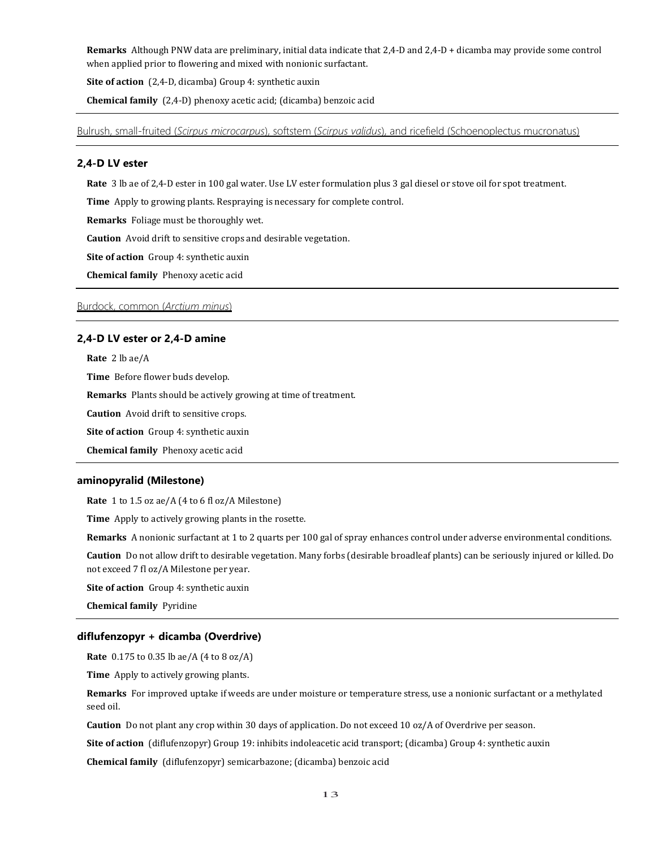**Remarks** Although PNW data are preliminary, initial data indicate that 2,4-D and 2,4-D + dicamba may provide some control when applied prior to flowering and mixed with nonionic surfactant.

**Site of action** (2,4-D, dicamba) Group 4: synthetic auxin

**Chemical family** (2,4-D) phenoxy acetic acid; (dicamba) benzoic acid

Bulrush, small-fruited (*Scirpus microcarpus*), softstem (*Scirpus validus*), and ricefield (Schoenoplectus mucronatus)

# **2,4-D LV ester**

**Rate** 3 lb ae of 2,4-D ester in 100 gal water. Use LV ester formulation plus 3 gal diesel or stove oil for spot treatment.

**Time** Apply to growing plants. Respraying is necessary for complete control.

**Remarks** Foliage must be thoroughly wet.

**Caution** Avoid drift to sensitive crops and desirable vegetation.

**Site of action** Group 4: synthetic auxin

**Chemical family** Phenoxy acetic acid

# Burdock, common (*Arctium minus*)

#### **2,4-D LV ester or 2,4-D amine**

**Rate** 2 lb ae/A

**Time** Before flower buds develop.

**Remarks** Plants should be actively growing at time of treatment.

**Caution** Avoid drift to sensitive crops.

**Site of action** Group 4: synthetic auxin

**Chemical family** Phenoxy acetic acid

#### **aminopyralid (Milestone)**

**Rate** 1 to 1.5 oz ae/A (4 to 6 fl oz/A Milestone)

**Time** Apply to actively growing plants in the rosette.

**Remarks** A nonionic surfactant at 1 to 2 quarts per 100 gal of spray enhances control under adverse environmental conditions.

**Caution** Do not allow drift to desirable vegetation. Many forbs (desirable broadleaf plants) can be seriously injured or killed. Do not exceed 7 fl oz/A Milestone per year.

**Site of action** Group 4: synthetic auxin

**Chemical family** Pyridine

#### **diflufenzopyr + dicamba (Overdrive)**

**Rate** 0.175 to 0.35 lb ae/A (4 to 8 oz/A)

**Time** Apply to actively growing plants.

**Remarks** For improved uptake if weeds are under moisture or temperature stress, use a nonionic surfactant or a methylated seed oil.

**Caution** Do not plant any crop within 30 days of application. Do not exceed 10 oz/A of Overdrive per season.

**Site of action** (diflufenzopyr) Group 19: inhibits indoleacetic acid transport; (dicamba) Group 4: synthetic auxin

**Chemical family** (diflufenzopyr) semicarbazone; (dicamba) benzoic acid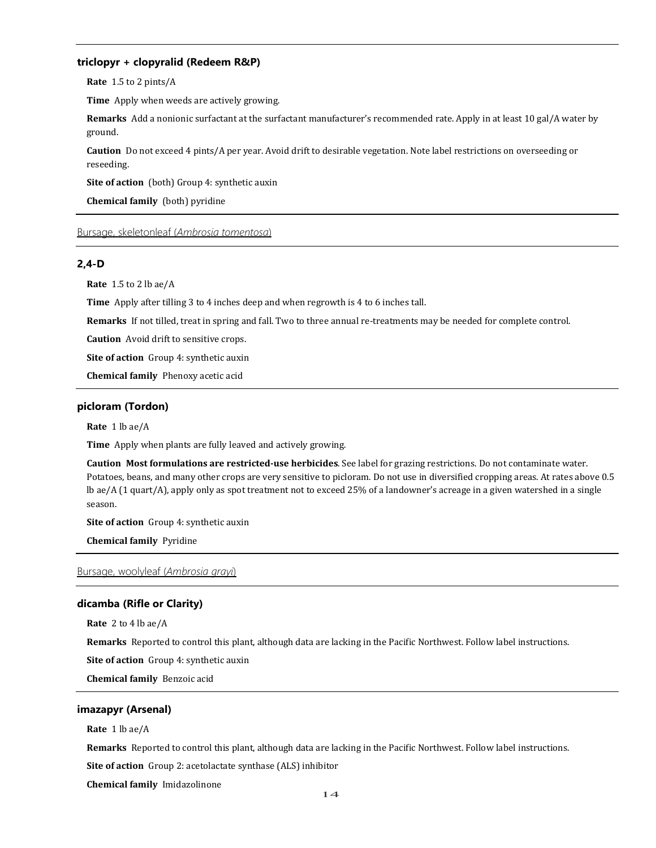# **triclopyr + clopyralid (Redeem R&P)**

**Rate** 1.5 to 2 pints/A

**Time** Apply when weeds are actively growing.

**Remarks** Add a nonionic surfactant at the surfactant manufacturer's recommended rate. Apply in at least 10 gal/A water by ground.

**Caution** Do not exceed 4 pints/A per year. Avoid drift to desirable vegetation. Note label restrictions on overseeding or reseeding.

**Site of action** (both) Group 4: synthetic auxin

**Chemical family** (both) pyridine

# Bursage, skeletonleaf (*Ambrosia tomentosa*)

# **2,4-D**

**Rate** 1.5 to 2 lb ae/A

**Time** Apply after tilling 3 to 4 inches deep and when regrowth is 4 to 6 inches tall.

**Remarks** If not tilled, treat in spring and fall. Two to three annual re-treatments may be needed for complete control.

**Caution** Avoid drift to sensitive crops.

**Site of action** Group 4: synthetic auxin

**Chemical family** Phenoxy acetic acid

# **picloram (Tordon)**

**Rate** 1 lb ae/A

**Time** Apply when plants are fully leaved and actively growing.

**Caution Most formulations are restricted-use herbicides**. See label for grazing restrictions. Do not contaminate water. Potatoes, beans, and many other crops are very sensitive to picloram. Do not use in diversified cropping areas. At rates above 0.5 lb ae/A (1 quart/A), apply only as spot treatment not to exceed 25% of a landowner's acreage in a given watershed in a single season.

**Site of action** Group 4: synthetic auxin

**Chemical family** Pyridine

# Bursage, woolyleaf (*Ambrosia grayi*)

#### **dicamba (Rifle or Clarity)**

**Rate** 2 to 4 lb ae/A

**Remarks** Reported to control this plant, although data are lacking in the Pacific Northwest. Follow label instructions.

**Site of action** Group 4: synthetic auxin

**Chemical family** Benzoic acid

## **imazapyr (Arsenal)**

**Rate** 1 lb ae/A

**Remarks** Reported to control this plant, although data are lacking in the Pacific Northwest. Follow label instructions.

**Site of action** Group 2: acetolactate synthase (ALS) inhibitor

**Chemical family** Imidazolinone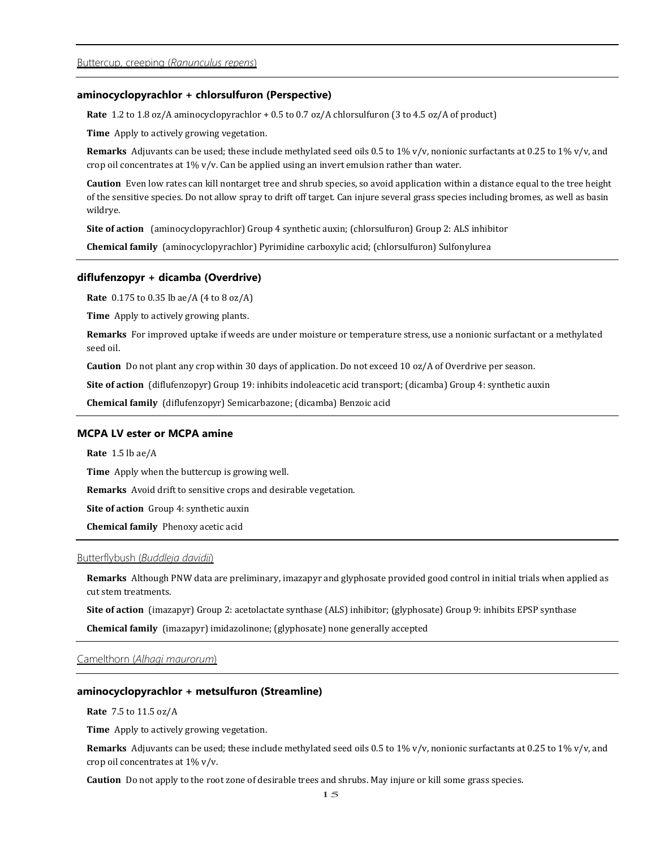# **aminocyclopyrachlor + chlorsulfuron (Perspective)**

**Rate** 1.2 to 1.8 oz/A aminocyclopyrachlor + 0.5 to 0.7 oz/A chlorsulfuron (3 to 4.5 oz/A of product)

**Time** Apply to actively growing vegetation.

**Remarks** Adjuvants can be used; these include methylated seed oils 0.5 to 1% v/v, nonionic surfactants at 0.25 to 1% v/v, and crop oil concentrates at 1% v/v. Can be applied using an invert emulsion rather than water.

**Caution** Even low rates can kill nontarget tree and shrub species, so avoid application within a distance equal to the tree height of the sensitive species. Do not allow spray to drift off target. Can injure several grass species including bromes, as well as basin wildrye.

**Site of action** (aminocyclopyrachlor) Group 4 synthetic auxin; (chlorsulfuron) Group 2: ALS inhibitor

**Chemical family** (aminocyclopyrachlor) Pyrimidine carboxylic acid; (chlorsulfuron) Sulfonylurea

#### **diflufenzopyr + dicamba (Overdrive)**

**Rate** 0.175 to 0.35 lb ae/A (4 to 8 oz/A)

**Time** Apply to actively growing plants.

**Remarks** For improved uptake if weeds are under moisture or temperature stress, use a nonionic surfactant or a methylated seed oil.

**Caution** Do not plant any crop within 30 days of application. Do not exceed 10 oz/A of Overdrive per season.

**Site of action** (diflufenzopyr) Group 19: inhibits indoleacetic acid transport; (dicamba) Group 4: synthetic auxin

**Chemical family** (diflufenzopyr) Semicarbazone; (dicamba) Benzoic acid

# **MCPA LV ester or MCPA amine**

**Rate** 1.5 lb ae/A

**Time** Apply when the buttercup is growing well.

**Remarks** Avoid drift to sensitive crops and desirable vegetation.

**Site of action** Group 4: synthetic auxin

**Chemical family** Phenoxy acetic acid

## Butterflybush (*Buddleja davidii*)

**Remarks** Although PNW data are preliminary, imazapyr and glyphosate provided good control in initial trials when applied as cut stem treatments.

**Site of action** (imazapyr) Group 2: acetolactate synthase (ALS) inhibitor; (glyphosate) Group 9: inhibits EPSP synthase

**Chemical family** (imazapyr) imidazolinone; (glyphosate) none generally accepted

Camelthorn (*Alhagi maurorum*)

#### **aminocyclopyrachlor + metsulfuron (Streamline)**

**Rate** 7.5 to 11.5 oz/A

**Time** Apply to actively growing vegetation.

**Remarks** Adjuvants can be used; these include methylated seed oils 0.5 to 1% v/v, nonionic surfactants at 0.25 to 1% v/v, and crop oil concentrates at 1% v/v.

**Caution** Do not apply to the root zone of desirable trees and shrubs. May injure or kill some grass species.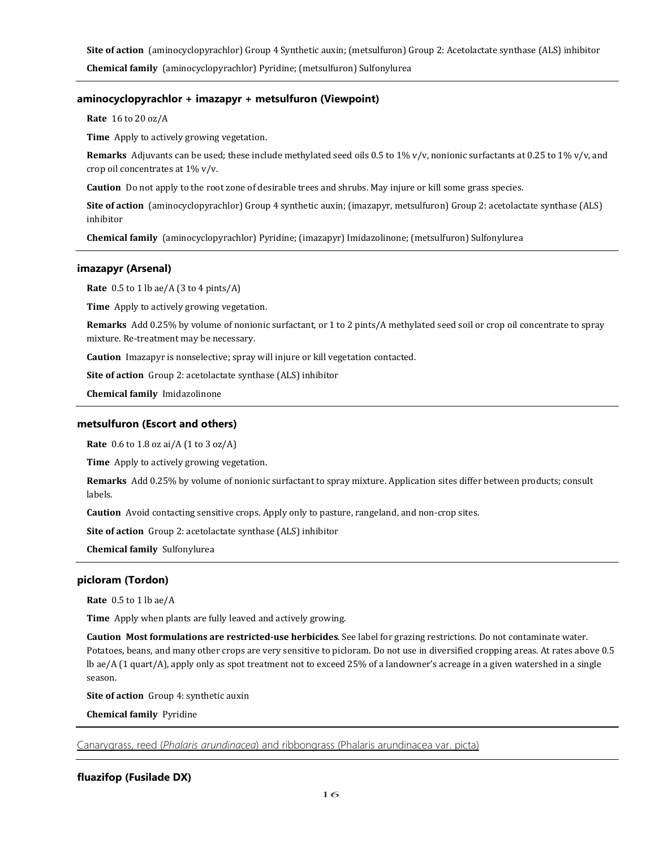**Site of action** (aminocyclopyrachlor) Group 4 Synthetic auxin; (metsulfuron) Group 2: Acetolactate synthase (ALS) inhibitor **Chemical family** (aminocyclopyrachlor) Pyridine; (metsulfuron) Sulfonylurea

# **aminocyclopyrachlor + imazapyr + metsulfuron (Viewpoint)**

**Rate** 16 to 20 oz/A

**Time** Apply to actively growing vegetation.

**Remarks** Adjuvants can be used; these include methylated seed oils 0.5 to 1% v/v, nonionic surfactants at 0.25 to 1% v/v, and crop oil concentrates at 1% v/v.

**Caution** Do not apply to the root zone of desirable trees and shrubs. May injure or kill some grass species.

**Site of action** (aminocyclopyrachlor) Group 4 synthetic auxin; (imazapyr, metsulfuron) Group 2: acetolactate synthase (ALS) inhibitor

**Chemical family** (aminocyclopyrachlor) Pyridine; (imazapyr) Imidazolinone; (metsulfuron) Sulfonylurea

# **imazapyr (Arsenal)**

**Rate** 0.5 to 1 lb ae/A (3 to 4 pints/A)

**Time** Apply to actively growing vegetation.

**Remarks** Add 0.25% by volume of nonionic surfactant, or 1 to 2 pints/A methylated seed soil or crop oil concentrate to spray mixture. Re-treatment may be necessary.

**Caution** Imazapyr is nonselective; spray will injure or kill vegetation contacted.

**Site of action** Group 2: acetolactate synthase (ALS) inhibitor

**Chemical family** Imidazolinone

# **metsulfuron (Escort and others)**

**Rate** 0.6 to 1.8 oz ai/A (1 to 3 oz/A)

**Time** Apply to actively growing vegetation.

**Remarks** Add 0.25% by volume of nonionic surfactant to spray mixture. Application sites differ between products; consult labels.

**Caution** Avoid contacting sensitive crops. Apply only to pasture, rangeland, and non-crop sites.

**Site of action** Group 2: acetolactate synthase (ALS) inhibitor

**Chemical family** Sulfonylurea

# **picloram (Tordon)**

**Rate** 0.5 to 1 lb ae/A

**Time** Apply when plants are fully leaved and actively growing.

**Caution Most formulations are restricted-use herbicides**. See label for grazing restrictions. Do not contaminate water. Potatoes, beans, and many other crops are very sensitive to picloram. Do not use in diversified cropping areas. At rates above 0.5 lb ae/A (1 quart/A), apply only as spot treatment not to exceed 25% of a landowner's acreage in a given watershed in a single season.

**Site of action** Group 4: synthetic auxin

**Chemical family** Pyridine

Canarygrass, reed (*Phalaris arundinacea*) and ribbongrass (Phalaris arundinacea var. picta)

# **fluazifop (Fusilade DX)**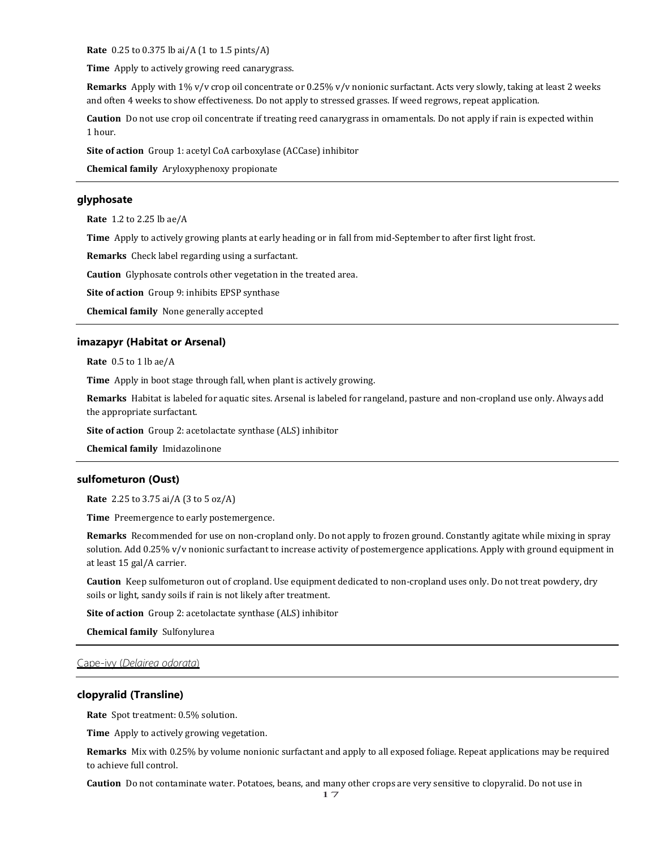**Rate** 0.25 to 0.375 lb ai/A (1 to 1.5 pints/A)

**Time** Apply to actively growing reed canarygrass.

**Remarks** Apply with 1% v/v crop oil concentrate or 0.25% v/v nonionic surfactant. Acts very slowly, taking at least 2 weeks and often 4 weeks to show effectiveness. Do not apply to stressed grasses. If weed regrows, repeat application.

**Caution** Do not use crop oil concentrate if treating reed canarygrass in ornamentals. Do not apply if rain is expected within 1 hour.

**Site of action** Group 1: acetyl CoA carboxylase (ACCase) inhibitor

**Chemical family** Aryloxyphenoxy propionate

# **glyphosate**

**Rate** 1.2 to 2.25 lb ae/A

**Time** Apply to actively growing plants at early heading or in fall from mid-September to after first light frost.

**Remarks** Check label regarding using a surfactant.

**Caution** Glyphosate controls other vegetation in the treated area.

**Site of action** Group 9: inhibits EPSP synthase

**Chemical family** None generally accepted

#### **imazapyr (Habitat or Arsenal)**

**Rate** 0.5 to 1 lb ae/A

**Time** Apply in boot stage through fall, when plant is actively growing.

**Remarks** Habitat is labeled for aquatic sites. Arsenal is labeled for rangeland, pasture and non-cropland use only. Always add the appropriate surfactant.

**Site of action** Group 2: acetolactate synthase (ALS) inhibitor

**Chemical family** Imidazolinone

## **sulfometuron (Oust)**

**Rate** 2.25 to 3.75 ai/A (3 to 5 oz/A)

**Time** Preemergence to early postemergence.

**Remarks** Recommended for use on non-cropland only. Do not apply to frozen ground. Constantly agitate while mixing in spray solution. Add 0.25% v/v nonionic surfactant to increase activity of postemergence applications. Apply with ground equipment in at least 15 gal/A carrier.

**Caution** Keep sulfometuron out of cropland. Use equipment dedicated to non-cropland uses only. Do not treat powdery, dry soils or light, sandy soils if rain is not likely after treatment.

**Site of action** Group 2: acetolactate synthase (ALS) inhibitor

**Chemical family** Sulfonylurea

# Cape-ivy (*Delairea odorata*)

# **clopyralid (Transline)**

**Rate** Spot treatment: 0.5% solution.

**Time** Apply to actively growing vegetation.

**Remarks** Mix with 0.25% by volume nonionic surfactant and apply to all exposed foliage. Repeat applications may be required to achieve full control.

**Caution** Do not contaminate water. Potatoes, beans, and many other crops are very sensitive to clopyralid. Do not use in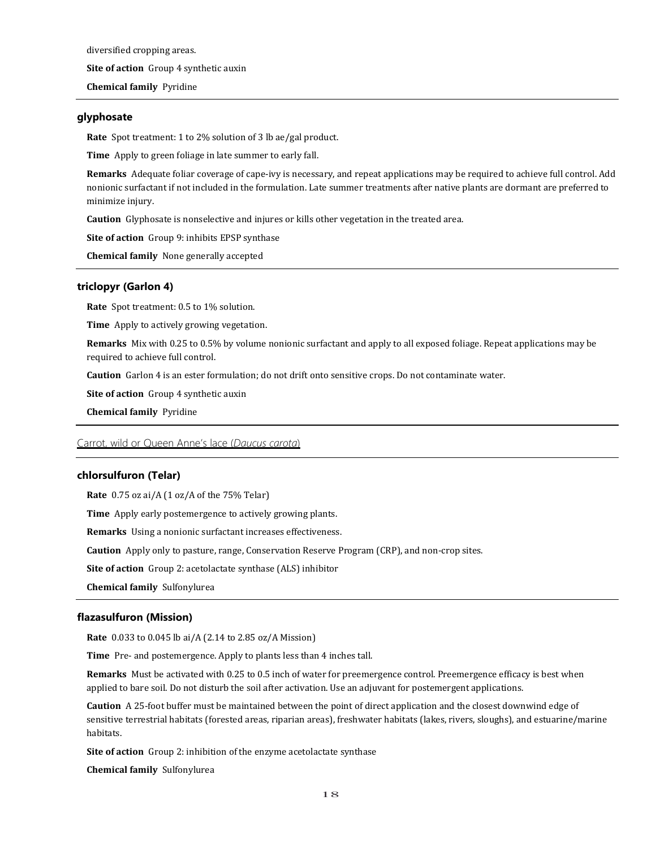diversified cropping areas. **Site of action** Group 4 synthetic auxin **Chemical family** Pyridine

# **glyphosate**

**Rate** Spot treatment: 1 to 2% solution of 3 lb ae/gal product.

**Time** Apply to green foliage in late summer to early fall.

**Remarks** Adequate foliar coverage of cape-ivy is necessary, and repeat applications may be required to achieve full control. Add nonionic surfactant if not included in the formulation. Late summer treatments after native plants are dormant are preferred to minimize injury.

**Caution** Glyphosate is nonselective and injures or kills other vegetation in the treated area.

**Site of action** Group 9: inhibits EPSP synthase

**Chemical family** None generally accepted

# **triclopyr (Garlon 4)**

**Rate** Spot treatment: 0.5 to 1% solution.

**Time** Apply to actively growing vegetation.

**Remarks** Mix with 0.25 to 0.5% by volume nonionic surfactant and apply to all exposed foliage. Repeat applications may be required to achieve full control.

**Caution** Garlon 4 is an ester formulation; do not drift onto sensitive crops. Do not contaminate water.

**Site of action** Group 4 synthetic auxin

**Chemical family** Pyridine

Carrot, wild or Queen Anne's lace (*Daucus carota*)

## **chlorsulfuron (Telar)**

**Rate** 0.75 oz ai/A (1 oz/A of the 75% Telar)

**Time** Apply early postemergence to actively growing plants.

**Remarks** Using a nonionic surfactant increases effectiveness.

**Caution** Apply only to pasture, range, Conservation Reserve Program (CRP), and non-crop sites.

**Site of action** Group 2: acetolactate synthase (ALS) inhibitor

**Chemical family** Sulfonylurea

#### **flazasulfuron (Mission)**

**Rate** 0.033 to 0.045 lb ai/A (2.14 to 2.85 oz/A Mission)

**Time** Pre- and postemergence. Apply to plants less than 4 inches tall.

**Remarks** Must be activated with 0.25 to 0.5 inch of water for preemergence control. Preemergence efficacy is best when applied to bare soil. Do not disturb the soil after activation. Use an adjuvant for postemergent applications.

**Caution** A 25-foot buffer must be maintained between the point of direct application and the closest downwind edge of sensitive terrestrial habitats (forested areas, riparian areas), freshwater habitats (lakes, rivers, sloughs), and estuarine/marine habitats.

**Site of action** Group 2: inhibition of the enzyme acetolactate synthase

**Chemical family** Sulfonylurea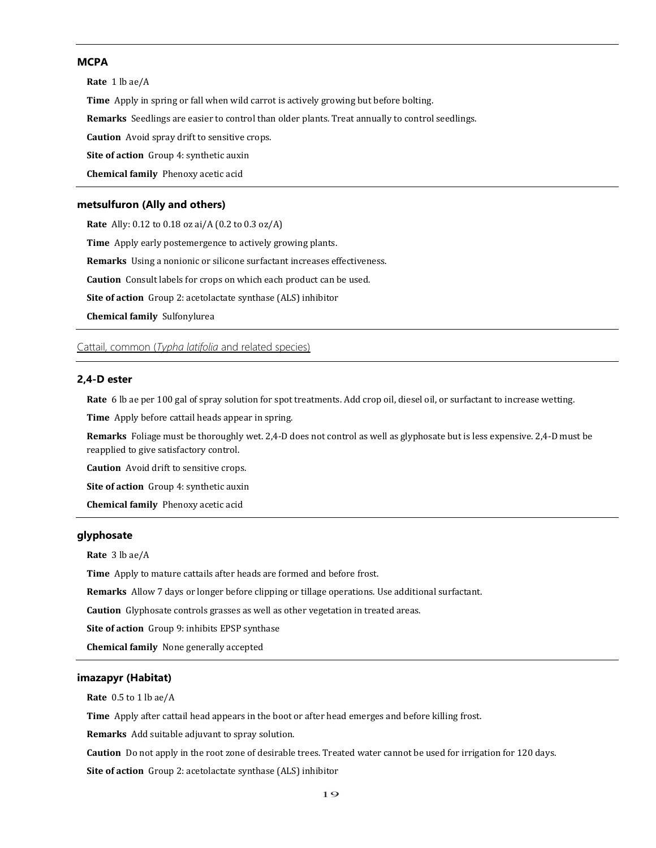# **MCPA**

**Rate** 1 lb ae/A

**Time** Apply in spring or fall when wild carrot is actively growing but before bolting.

**Remarks** Seedlings are easier to control than older plants. Treat annually to control seedlings.

**Caution** Avoid spray drift to sensitive crops.

**Site of action** Group 4: synthetic auxin

**Chemical family** Phenoxy acetic acid

## **metsulfuron (Ally and others)**

**Rate** Ally: 0.12 to 0.18 oz ai/A (0.2 to 0.3 oz/A) **Time** Apply early postemergence to actively growing plants. **Remarks** Using a nonionic or silicone surfactant increases effectiveness. **Caution** Consult labels for crops on which each product can be used. **Site of action** Group 2: acetolactate synthase (ALS) inhibitor **Chemical family** Sulfonylurea

Cattail, common (*Typha latifolia* and related species)

# **2,4-D ester**

**Rate** 6 lb ae per 100 gal of spray solution for spot treatments. Add crop oil, diesel oil, or surfactant to increase wetting.

**Time** Apply before cattail heads appear in spring.

**Remarks** Foliage must be thoroughly wet. 2,4-D does not control as well as glyphosate but is less expensive. 2,4-D must be reapplied to give satisfactory control.

**Caution** Avoid drift to sensitive crops.

**Site of action** Group 4: synthetic auxin

**Chemical family** Phenoxy acetic acid

# **glyphosate**

**Rate** 3 lb ae/A

**Time** Apply to mature cattails after heads are formed and before frost.

**Remarks** Allow 7 days or longer before clipping or tillage operations. Use additional surfactant.

**Caution** Glyphosate controls grasses as well as other vegetation in treated areas.

**Site of action** Group 9: inhibits EPSP synthase

**Chemical family** None generally accepted

## **imazapyr (Habitat)**

**Rate** 0.5 to 1 lb ae/A

**Time** Apply after cattail head appears in the boot or after head emerges and before killing frost.

**Remarks** Add suitable adjuvant to spray solution.

**Caution** Do not apply in the root zone of desirable trees. Treated water cannot be used for irrigation for 120 days.

**Site of action** Group 2: acetolactate synthase (ALS) inhibitor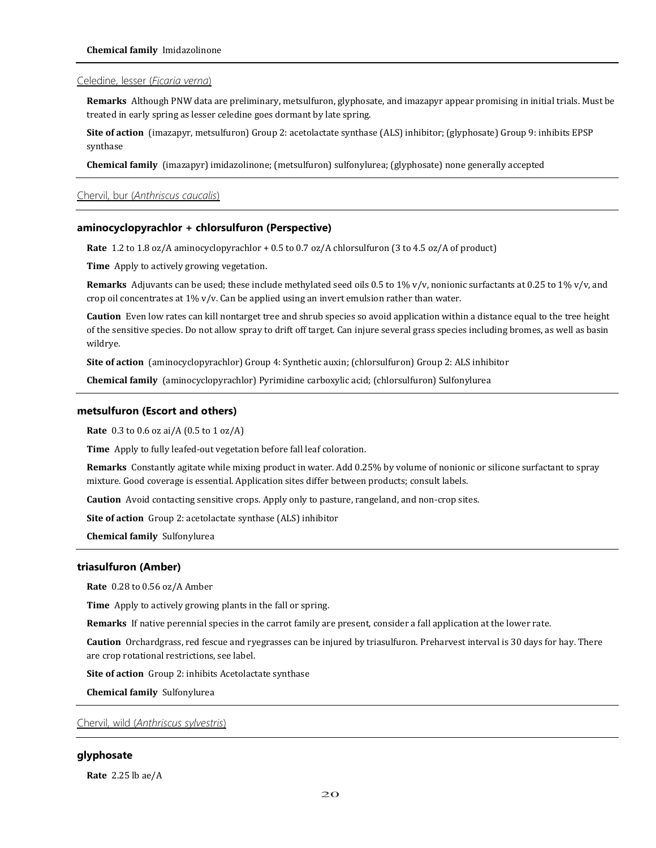## Celedine, lesser (*Ficaria verna*)

**Remarks** Although PNW data are preliminary, metsulfuron, glyphosate, and imazapyr appear promising in initial trials. Must be treated in early spring as lesser celedine goes dormant by late spring.

**Site of action** (imazapyr, metsulfuron) Group 2: acetolactate synthase (ALS) inhibitor; (glyphosate) Group 9: inhibits EPSP synthase

**Chemical family** (imazapyr) imidazolinone; (metsulfuron) sulfonylurea; (glyphosate) none generally accepted

# Chervil, bur (*Anthriscus caucalis*)

## **aminocyclopyrachlor + chlorsulfuron (Perspective)**

**Rate** 1.2 to 1.8 oz/A aminocyclopyrachlor + 0.5 to 0.7 oz/A chlorsulfuron (3 to 4.5 oz/A of product)

**Time** Apply to actively growing vegetation.

**Remarks** Adjuvants can be used; these include methylated seed oils 0.5 to 1% v/v, nonionic surfactants at 0.25 to 1% v/v, and crop oil concentrates at  $1\%$  v/v. Can be applied using an invert emulsion rather than water.

**Caution** Even low rates can kill nontarget tree and shrub species so avoid application within a distance equal to the tree height of the sensitive species. Do not allow spray to drift off target. Can injure several grass species including bromes, as well as basin wildrye.

**Site of action** (aminocyclopyrachlor) Group 4: Synthetic auxin; (chlorsulfuron) Group 2: ALS inhibitor

**Chemical family** (aminocyclopyrachlor) Pyrimidine carboxylic acid; (chlorsulfuron) Sulfonylurea

#### **metsulfuron (Escort and others)**

**Rate** 0.3 to 0.6 oz ai/A (0.5 to 1 oz/A)

**Time** Apply to fully leafed-out vegetation before fall leaf coloration.

**Remarks** Constantly agitate while mixing product in water. Add 0.25% by volume of nonionic or silicone surfactant to spray mixture. Good coverage is essential. Application sites differ between products; consult labels.

**Caution** Avoid contacting sensitive crops. Apply only to pasture, rangeland, and non-crop sites.

**Site of action** Group 2: acetolactate synthase (ALS) inhibitor

**Chemical family** Sulfonylurea

#### **triasulfuron (Amber)**

**Rate** 0.28 to 0.56 oz/A Amber

**Time** Apply to actively growing plants in the fall or spring.

**Remarks** If native perennial species in the carrot family are present, consider a fall application at the lower rate.

**Caution** Orchardgrass, red fescue and ryegrasses can be injured by triasulfuron. Preharvest interval is 30 days for hay. There are crop rotational restrictions, see label.

**Site of action** Group 2: inhibits Acetolactate synthase

**Chemical family** Sulfonylurea

# Chervil, wild (*Anthriscus sylvestris*)

# **glyphosate**

**Rate** 2.25 lb ae/A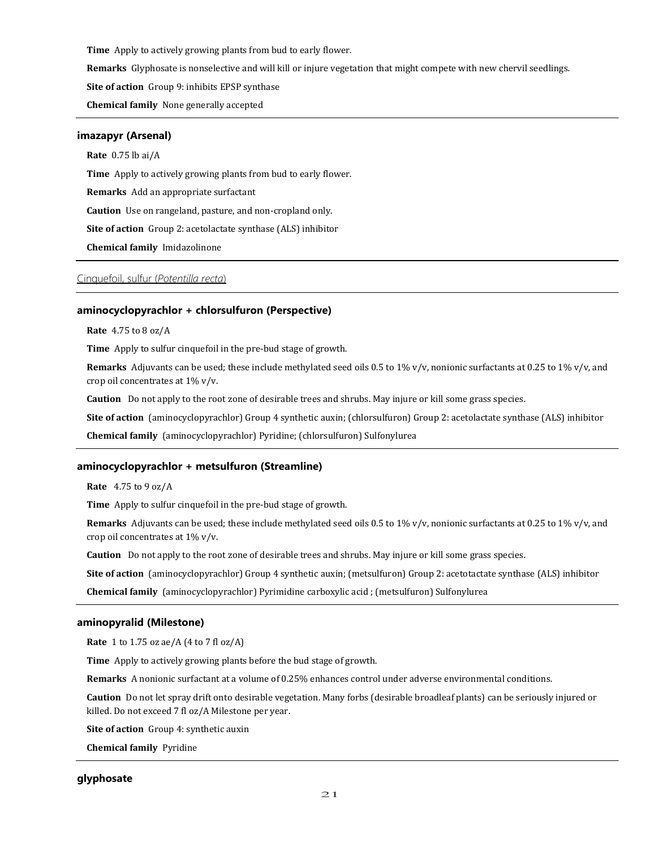**Time** Apply to actively growing plants from bud to early flower.

**Remarks** Glyphosate is nonselective and will kill or injure vegetation that might compete with new chervil seedlings.

**Site of action** Group 9: inhibits EPSP synthase

**Chemical family** None generally accepted

## **imazapyr (Arsenal)**

**Rate** 0.75 lb ai/A

**Time** Apply to actively growing plants from bud to early flower.

**Remarks** Add an appropriate surfactant

**Caution** Use on rangeland, pasture, and non-cropland only.

**Site of action** Group 2: acetolactate synthase (ALS) inhibitor

**Chemical family** Imidazolinone

# Cinquefoil, sulfur (*Potentilla recta*)

#### **aminocyclopyrachlor + chlorsulfuron (Perspective)**

**Rate** 4.75 to 8 oz/A

**Time** Apply to sulfur cinquefoil in the pre-bud stage of growth.

**Remarks** Adjuvants can be used; these include methylated seed oils 0.5 to 1% v/v, nonionic surfactants at 0.25 to 1% v/v, and crop oil concentrates at 1% v/v.

**Caution** Do not apply to the root zone of desirable trees and shrubs. May injure or kill some grass species.

**Site of action** (aminocyclopyrachlor) Group 4 synthetic auxin; (chlorsulfuron) Group 2: acetolactate synthase (ALS) inhibitor

**Chemical family** (aminocyclopyrachlor) Pyridine; (chlorsulfuron) Sulfonylurea

#### **aminocyclopyrachlor + metsulfuron (Streamline)**

**Rate** 4.75 to 9 oz/A

**Time** Apply to sulfur cinquefoil in the pre-bud stage of growth.

**Remarks** Adjuvants can be used; these include methylated seed oils 0.5 to 1% v/v, nonionic surfactants at 0.25 to 1% v/v, and crop oil concentrates at 1% v/v.

**Caution** Do not apply to the root zone of desirable trees and shrubs. May injure or kill some grass species.

**Site of action** (aminocyclopyrachlor) Group 4 synthetic auxin; (metsulfuron) Group 2: acetotactate synthase (ALS) inhibitor

**Chemical family** (aminocyclopyrachlor) Pyrimidine carboxylic acid ; (metsulfuron) Sulfonylurea

#### **aminopyralid (Milestone)**

**Rate** 1 to 1.75 oz ae/A (4 to 7 fl oz/A)

**Time** Apply to actively growing plants before the bud stage of growth.

**Remarks** A nonionic surfactant at a volume of 0.25% enhances control under adverse environmental conditions.

**Caution** Do not let spray drift onto desirable vegetation. Many forbs (desirable broadleaf plants) can be seriously injured or killed. Do not exceed 7 fl oz/A Milestone per year.

**Site of action** Group 4: synthetic auxin

**Chemical family** Pyridine

# **glyphosate**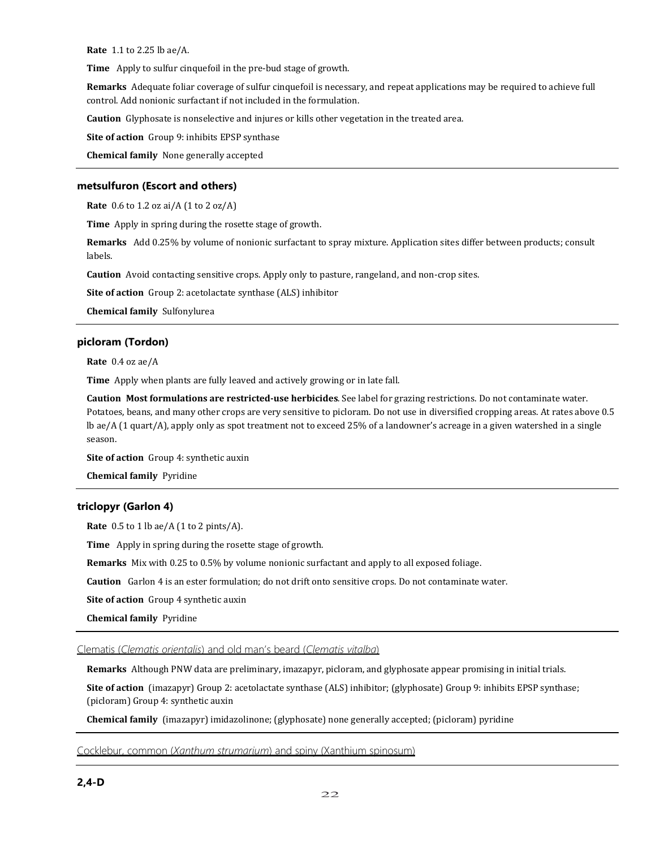**Rate** 1.1 to 2.25 lb ae/A.

**Time** Apply to sulfur cinquefoil in the pre-bud stage of growth.

**Remarks** Adequate foliar coverage of sulfur cinquefoil is necessary, and repeat applications may be required to achieve full control. Add nonionic surfactant if not included in the formulation.

**Caution** Glyphosate is nonselective and injures or kills other vegetation in the treated area.

**Site of action** Group 9: inhibits EPSP synthase

**Chemical family** None generally accepted

# **metsulfuron (Escort and others)**

**Rate** 0.6 to 1.2 oz ai/A (1 to 2 oz/A)

**Time** Apply in spring during the rosette stage of growth.

**Remarks** Add 0.25% by volume of nonionic surfactant to spray mixture. Application sites differ between products; consult labels.

**Caution** Avoid contacting sensitive crops. Apply only to pasture, rangeland, and non-crop sites.

**Site of action** Group 2: acetolactate synthase (ALS) inhibitor

**Chemical family** Sulfonylurea

# **picloram (Tordon)**

**Rate** 0.4 oz ae/A

**Time** Apply when plants are fully leaved and actively growing or in late fall.

**Caution Most formulations are restricted-use herbicides**. See label for grazing restrictions. Do not contaminate water. Potatoes, beans, and many other crops are very sensitive to picloram. Do not use in diversified cropping areas. At rates above 0.5 lb ae/A (1 quart/A), apply only as spot treatment not to exceed 25% of a landowner's acreage in a given watershed in a single season.

**Site of action** Group 4: synthetic auxin

**Chemical family** Pyridine

# **triclopyr (Garlon 4)**

**Rate** 0.5 to 1 lb ae/A (1 to 2 pints/A).

**Time** Apply in spring during the rosette stage of growth.

**Remarks** Mix with 0.25 to 0.5% by volume nonionic surfactant and apply to all exposed foliage.

**Caution** Garlon 4 is an ester formulation; do not drift onto sensitive crops. Do not contaminate water.

**Site of action** Group 4 synthetic auxin

**Chemical family** Pyridine

Clematis (*Clematis orientalis*) and old man's beard (*Clematis vitalba*)

**Remarks** Although PNW data are preliminary, imazapyr, picloram, and glyphosate appear promising in initial trials.

**Site of action** (imazapyr) Group 2: acetolactate synthase (ALS) inhibitor; (glyphosate) Group 9: inhibits EPSP synthase; (picloram) Group 4: synthetic auxin

**Chemical family** (imazapyr) imidazolinone; (glyphosate) none generally accepted; (picloram) pyridine

Cocklebur, common (*Xanthum strumarium*) and spiny (Xanthium spinosum)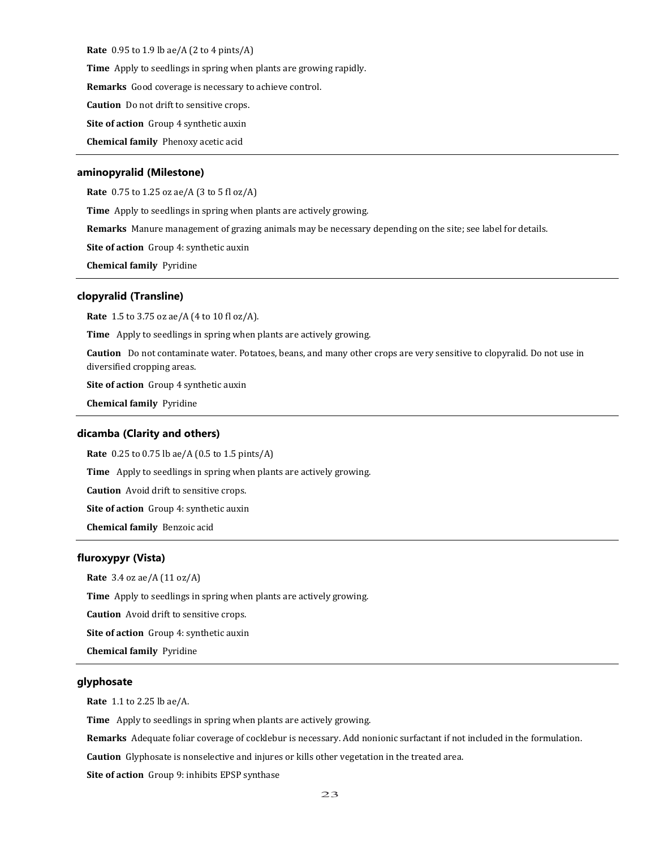**Rate** 0.95 to 1.9 lb ae/A (2 to 4 pints/A)

**Time** Apply to seedlings in spring when plants are growing rapidly.

**Remarks** Good coverage is necessary to achieve control.

**Caution** Do not drift to sensitive crops.

**Site of action** Group 4 synthetic auxin

**Chemical family** Phenoxy acetic acid

#### **aminopyralid (Milestone)**

**Rate** 0.75 to 1.25 oz ae/A (3 to 5 fl oz/A)

**Time** Apply to seedlings in spring when plants are actively growing.

**Remarks** Manure management of grazing animals may be necessary depending on the site; see label for details.

**Site of action** Group 4: synthetic auxin

**Chemical family** Pyridine

#### **clopyralid (Transline)**

**Rate** 1.5 to 3.75 oz ae/A (4 to 10 fl oz/A).

**Time** Apply to seedlings in spring when plants are actively growing.

**Caution** Do not contaminate water. Potatoes, beans, and many other crops are very sensitive to clopyralid. Do not use in diversified cropping areas.

**Site of action** Group 4 synthetic auxin

**Chemical family** Pyridine

#### **dicamba (Clarity and others)**

**Rate** 0.25 to 0.75 lb ae/A (0.5 to 1.5 pints/A)

**Time** Apply to seedlings in spring when plants are actively growing.

**Caution** Avoid drift to sensitive crops.

**Site of action** Group 4: synthetic auxin

**Chemical family** Benzoic acid

# **fluroxypyr (Vista)**

**Rate** 3.4 oz ae/A (11 oz/A)

**Time** Apply to seedlings in spring when plants are actively growing.

**Caution** Avoid drift to sensitive crops.

**Site of action** Group 4: synthetic auxin

**Chemical family** Pyridine

# **glyphosate**

**Rate** 1.1 to 2.25 lb ae/A.

**Time** Apply to seedlings in spring when plants are actively growing.

**Remarks** Adequate foliar coverage of cocklebur is necessary. Add nonionic surfactant if not included in the formulation.

**Caution** Glyphosate is nonselective and injures or kills other vegetation in the treated area.

**Site of action** Group 9: inhibits EPSP synthase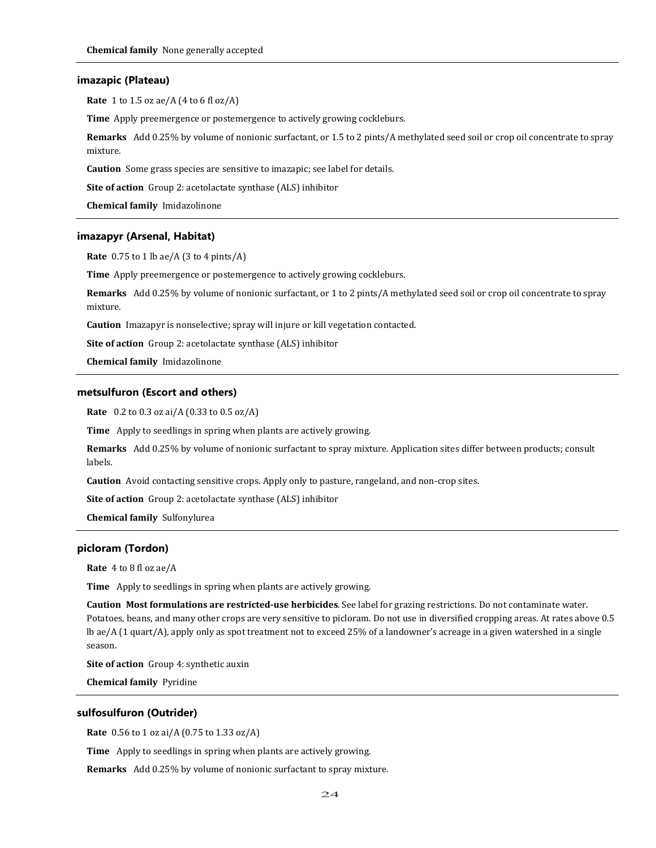## **imazapic (Plateau)**

**Rate** 1 to 1.5 oz ae/A (4 to 6 fl oz/A)

**Time** Apply preemergence or postemergence to actively growing cockleburs.

**Remarks** Add 0.25% by volume of nonionic surfactant, or 1.5 to 2 pints/A methylated seed soil or crop oil concentrate to spray mixture.

**Caution** Some grass species are sensitive to imazapic; see label for details.

**Site of action** Group 2: acetolactate synthase (ALS) inhibitor

**Chemical family** Imidazolinone

## **imazapyr (Arsenal, Habitat)**

**Rate** 0.75 to 1 lb ae/A (3 to 4 pints/A)

**Time** Apply preemergence or postemergence to actively growing cockleburs.

**Remarks** Add 0.25% by volume of nonionic surfactant, or 1 to 2 pints/A methylated seed soil or crop oil concentrate to spray mixture.

**Caution** Imazapyr is nonselective; spray will injure or kill vegetation contacted.

**Site of action** Group 2: acetolactate synthase (ALS) inhibitor

**Chemical family** Imidazolinone

## **metsulfuron (Escort and others)**

**Rate** 0.2 to 0.3 oz ai/A (0.33 to 0.5 oz/A)

**Time** Apply to seedlings in spring when plants are actively growing.

**Remarks** Add 0.25% by volume of nonionic surfactant to spray mixture. Application sites differ between products; consult labels.

**Caution** Avoid contacting sensitive crops. Apply only to pasture, rangeland, and non-crop sites.

**Site of action** Group 2: acetolactate synthase (ALS) inhibitor

**Chemical family** Sulfonylurea

# **picloram (Tordon)**

**Rate** 4 to 8 fl oz ae/A

**Time** Apply to seedlings in spring when plants are actively growing.

**Caution Most formulations are restricted-use herbicides**. See label for grazing restrictions. Do not contaminate water. Potatoes, beans, and many other crops are very sensitive to picloram. Do not use in diversified cropping areas. At rates above 0.5 lb ae/A (1 quart/A), apply only as spot treatment not to exceed 25% of a landowner's acreage in a given watershed in a single season.

**Site of action** Group 4: synthetic auxin

**Chemical family** Pyridine

# **sulfosulfuron (Outrider)**

**Rate** 0.56 to 1 oz ai/A (0.75 to 1.33 oz/A)

**Time** Apply to seedlings in spring when plants are actively growing.

**Remarks** Add 0.25% by volume of nonionic surfactant to spray mixture.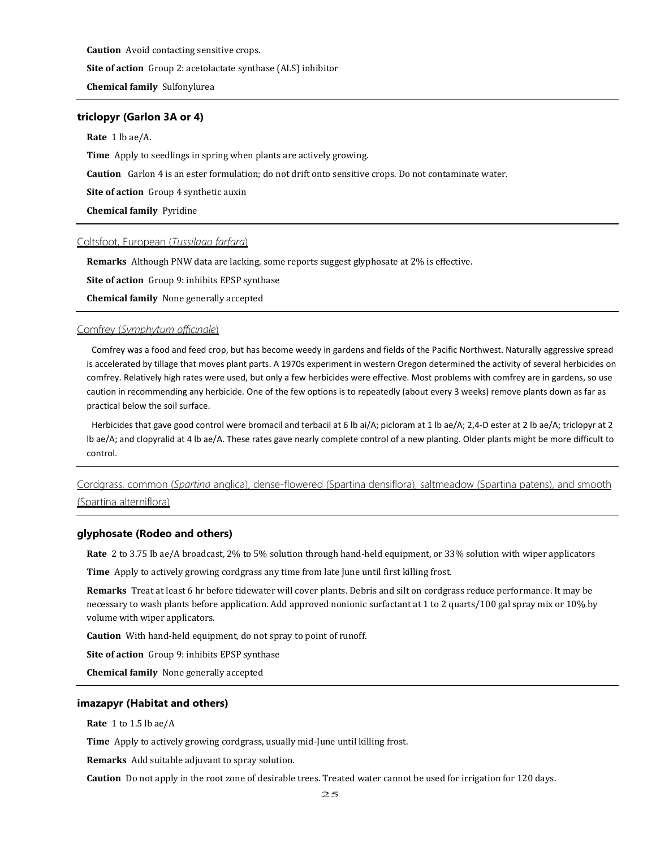**Caution** Avoid contacting sensitive crops.

**Site of action** Group 2: acetolactate synthase (ALS) inhibitor

**Chemical family** Sulfonylurea

# **triclopyr (Garlon 3A or 4)**

## **Rate** 1 lb ae/A.

**Time** Apply to seedlings in spring when plants are actively growing.

**Caution** Garlon 4 is an ester formulation; do not drift onto sensitive crops. Do not contaminate water.

**Site of action** Group 4 synthetic auxin

**Chemical family** Pyridine

Coltsfoot, European (*Tussilago farfara*)

**Remarks** Although PNW data are lacking, some reports suggest glyphosate at 2% is effective.

**Site of action** Group 9: inhibits EPSP synthase

**Chemical family** None generally accepted

# Comfrey (*Symphytum officinale*)

Comfrey was a food and feed crop, but has become weedy in gardens and fields of the Pacific Northwest. Naturally aggressive spread is accelerated by tillage that moves plant parts. A 1970s experiment in western Oregon determined the activity of several herbicides on comfrey. Relatively high rates were used, but only a few herbicides were effective. Most problems with comfrey are in gardens, so use caution in recommending any herbicide. One of the few options is to repeatedly (about every 3 weeks) remove plants down as far as practical below the soil surface.

Herbicides that gave good control were bromacil and terbacil at 6 lb ai/A; picloram at 1 lb ae/A; 2,4-D ester at 2 lb ae/A; triclopyr at 2 lb ae/A; and clopyralid at 4 lb ae/A. These rates gave nearly complete control of a new planting. Older plants might be more difficult to control.

# Cordgrass, common (*Spartina* anglica), dense-flowered (Spartina densiflora), saltmeadow (Spartina patens), and smooth (Spartina alterniflora)

#### **glyphosate (Rodeo and others)**

**Rate** 2 to 3.75 lb ae/A broadcast, 2% to 5% solution through hand-held equipment, or 33% solution with wiper applicators

**Time** Apply to actively growing cordgrass any time from late June until first killing frost.

**Remarks** Treat at least 6 hr before tidewater will cover plants. Debris and silt on cordgrass reduce performance. It may be necessary to wash plants before application. Add approved nonionic surfactant at 1 to 2 quarts/100 gal spray mix or 10% by volume with wiper applicators.

**Caution** With hand-held equipment, do not spray to point of runoff.

**Site of action** Group 9: inhibits EPSP synthase

**Chemical family** None generally accepted

#### **imazapyr (Habitat and others)**

**Rate** 1 to 1.5 lb ae/A

**Time** Apply to actively growing cordgrass, usually mid-June until killing frost.

**Remarks** Add suitable adjuvant to spray solution.

**Caution** Do not apply in the root zone of desirable trees. Treated water cannot be used for irrigation for 120 days.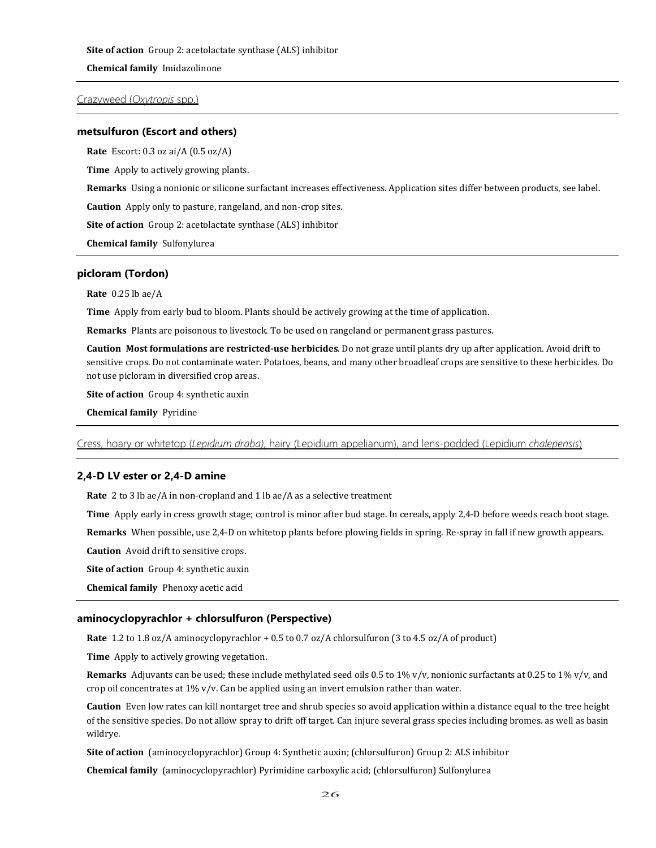**Site of action** Group 2: acetolactate synthase (ALS) inhibitor

**Chemical family** Imidazolinone

Crazyweed (*Oxytropis* spp.)

#### **metsulfuron (Escort and others)**

**Rate** Escort: 0.3 oz ai/A (0.5 oz/A)

**Time** Apply to actively growing plants.

**Remarks** Using a nonionic or silicone surfactant increases effectiveness. Application sites differ between products, see label.

**Caution** Apply only to pasture, rangeland, and non-crop sites.

**Site of action** Group 2: acetolactate synthase (ALS) inhibitor

**Chemical family** Sulfonylurea

## **picloram (Tordon)**

**Rate** 0.25 lb ae/A

**Time** Apply from early bud to bloom. Plants should be actively growing at the time of application.

**Remarks** Plants are poisonous to livestock. To be used on rangeland or permanent grass pastures.

**Caution Most formulations are restricted-use herbicides**. Do not graze until plants dry up after application. Avoid drift to sensitive crops. Do not contaminate water. Potatoes, beans, and many other broadleaf crops are sensitive to these herbicides. Do not use picloram in diversified crop areas.

**Site of action** Group 4: synthetic auxin

**Chemical family** Pyridine

Cress, hoary or whitetop (*Lepidium draba)*, hairy (Lepidium appelianum), and lens-podded (Lepidium *chalepensis*)

# **2,4-D LV ester or 2,4-D amine**

**Rate** 2 to 3 lb ae/A in non-cropland and 1 lb ae/A as a selective treatment

**Time** Apply early in cress growth stage; control is minor after bud stage. In cereals, apply 2,4-D before weeds reach boot stage.

**Remarks** When possible, use 2,4-D on whitetop plants before plowing fields in spring. Re-spray in fall if new growth appears.

**Caution** Avoid drift to sensitive crops.

**Site of action** Group 4: synthetic auxin

**Chemical family** Phenoxy acetic acid

# **aminocyclopyrachlor + chlorsulfuron (Perspective)**

**Rate** 1.2 to 1.8 oz/A aminocyclopyrachlor + 0.5 to 0.7 oz/A chlorsulfuron (3 to 4.5 oz/A of product)

**Time** Apply to actively growing vegetation.

**Remarks** Adjuvants can be used; these include methylated seed oils 0.5 to 1% v/v, nonionic surfactants at 0.25 to 1% v/v, and crop oil concentrates at 1% v/v. Can be applied using an invert emulsion rather than water.

**Caution** Even low rates can kill nontarget tree and shrub species so avoid application within a distance equal to the tree height of the sensitive species. Do not allow spray to drift off target. Can injure several grass species including bromes. as well as basin wildrye.

**Site of action** (aminocyclopyrachlor) Group 4: Synthetic auxin; (chlorsulfuron) Group 2: ALS inhibitor

**Chemical family** (aminocyclopyrachlor) Pyrimidine carboxylic acid; (chlorsulfuron) Sulfonylurea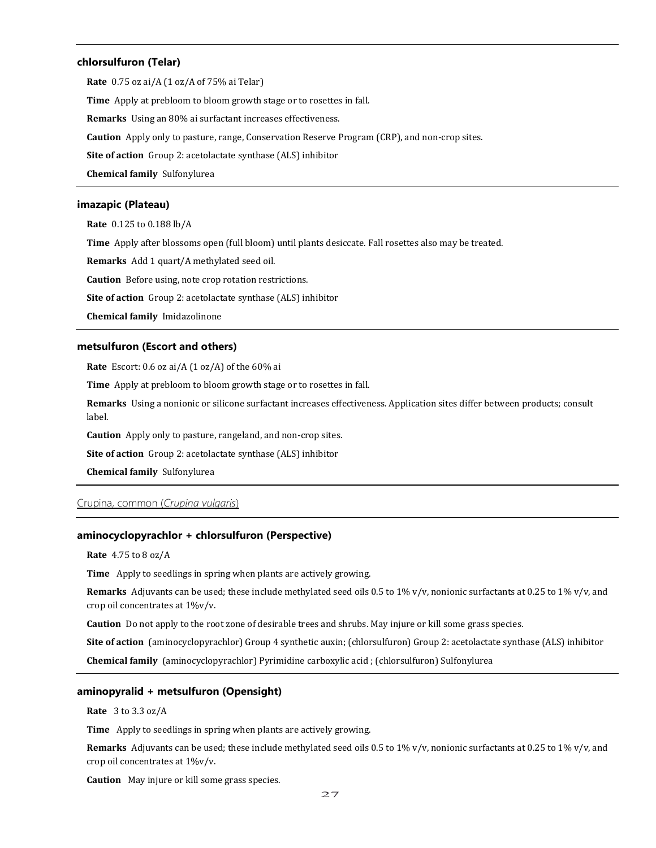## **chlorsulfuron (Telar)**

**Rate** 0.75 oz ai/A (1 oz/A of 75% ai Telar) **Time** Apply at prebloom to bloom growth stage or to rosettes in fall. **Remarks** Using an 80% ai surfactant increases effectiveness. **Caution** Apply only to pasture, range, Conservation Reserve Program (CRP), and non-crop sites. **Site of action** Group 2: acetolactate synthase (ALS) inhibitor **Chemical family** Sulfonylurea

# **imazapic (Plateau)**

**Rate** 0.125 to 0.188 lb/A **Time** Apply after blossoms open (full bloom) until plants desiccate. Fall rosettes also may be treated. **Remarks** Add 1 quart/A methylated seed oil. **Caution** Before using, note crop rotation restrictions. **Site of action** Group 2: acetolactate synthase (ALS) inhibitor

**Chemical family** Imidazolinone

# **metsulfuron (Escort and others)**

**Rate** Escort: 0.6 oz ai/A (1 oz/A) of the 60% ai

**Time** Apply at prebloom to bloom growth stage or to rosettes in fall.

**Remarks** Using a nonionic or silicone surfactant increases effectiveness. Application sites differ between products; consult label.

**Caution** Apply only to pasture, rangeland, and non-crop sites.

**Site of action** Group 2: acetolactate synthase (ALS) inhibitor

**Chemical family** Sulfonylurea

# Crupina, common (*Crupina vulgaris*)

# **aminocyclopyrachlor + chlorsulfuron (Perspective)**

**Rate** 4.75 to 8 oz/A

**Time** Apply to seedlings in spring when plants are actively growing.

**Remarks** Adjuvants can be used; these include methylated seed oils 0.5 to 1% v/v, nonionic surfactants at 0.25 to 1% v/v, and crop oil concentrates at 1%v/v.

**Caution** Do not apply to the root zone of desirable trees and shrubs. May injure or kill some grass species.

**Site of action** (aminocyclopyrachlor) Group 4 synthetic auxin; (chlorsulfuron) Group 2: acetolactate synthase (ALS) inhibitor

**Chemical family** (aminocyclopyrachlor) Pyrimidine carboxylic acid ; (chlorsulfuron) Sulfonylurea

# **aminopyralid + metsulfuron (Opensight)**

**Rate** 3 to 3.3 oz/A

**Time** Apply to seedlings in spring when plants are actively growing.

**Remarks** Adjuvants can be used; these include methylated seed oils 0.5 to 1% v/v, nonionic surfactants at 0.25 to 1% v/v, and crop oil concentrates at 1%v/v.

**Caution** May injure or kill some grass species.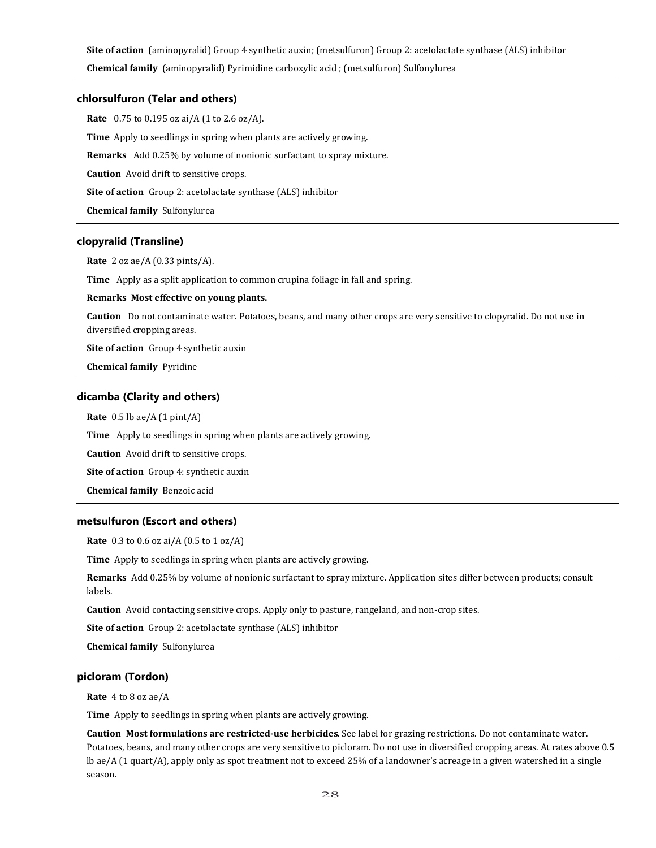**Site of action** (aminopyralid) Group 4 synthetic auxin; (metsulfuron) Group 2: acetolactate synthase (ALS) inhibitor

**Chemical family** (aminopyralid) Pyrimidine carboxylic acid ; (metsulfuron) Sulfonylurea

# **chlorsulfuron (Telar and others)**

**Rate** 0.75 to 0.195 oz ai/A (1 to 2.6 oz/A). **Time** Apply to seedlings in spring when plants are actively growing. **Remarks** Add 0.25% by volume of nonionic surfactant to spray mixture. **Caution** Avoid drift to sensitive crops. **Site of action** Group 2: acetolactate synthase (ALS) inhibitor **Chemical family** Sulfonylurea

# **clopyralid (Transline)**

**Rate** 2 oz ae/A (0.33 pints/A).

**Time** Apply as a split application to common crupina foliage in fall and spring.

## **Remarks Most effective on young plants.**

**Caution** Do not contaminate water. Potatoes, beans, and many other crops are very sensitive to clopyralid. Do not use in diversified cropping areas.

**Site of action** Group 4 synthetic auxin

**Chemical family** Pyridine

## **dicamba (Clarity and others)**

**Rate** 0.5 lb ae/A (1 pint/A)

**Time** Apply to seedlings in spring when plants are actively growing.

**Caution** Avoid drift to sensitive crops.

**Site of action** Group 4: synthetic auxin

**Chemical family** Benzoic acid

# **metsulfuron (Escort and others)**

**Rate** 0.3 to 0.6 oz ai/A (0.5 to 1 oz/A)

**Time** Apply to seedlings in spring when plants are actively growing.

**Remarks** Add 0.25% by volume of nonionic surfactant to spray mixture. Application sites differ between products; consult labels.

**Caution** Avoid contacting sensitive crops. Apply only to pasture, rangeland, and non-crop sites.

**Site of action** Group 2: acetolactate synthase (ALS) inhibitor

**Chemical family** Sulfonylurea

# **picloram (Tordon)**

**Rate** 4 to 8 oz ae/A

**Time** Apply to seedlings in spring when plants are actively growing.

**Caution Most formulations are restricted-use herbicides**. See label for grazing restrictions. Do not contaminate water. Potatoes, beans, and many other crops are very sensitive to picloram. Do not use in diversified cropping areas. At rates above 0.5 lb ae/A (1 quart/A), apply only as spot treatment not to exceed 25% of a landowner's acreage in a given watershed in a single season.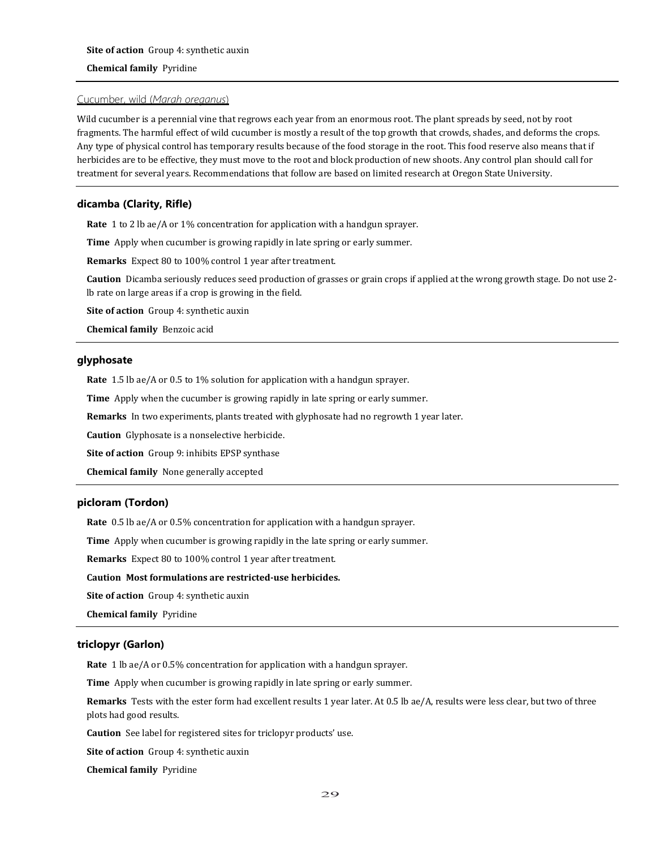# Cucumber, wild (*Marah oreganus*)

Wild cucumber is a perennial vine that regrows each year from an enormous root. The plant spreads by seed, not by root fragments. The harmful effect of wild cucumber is mostly a result of the top growth that crowds, shades, and deforms the crops. Any type of physical control has temporary results because of the food storage in the root. This food reserve also means that if herbicides are to be effective, they must move to the root and block production of new shoots. Any control plan should call for treatment for several years. Recommendations that follow are based on limited research at Oregon State University.

# **dicamba (Clarity, Rifle)**

**Rate** 1 to 2 lb ae/A or 1% concentration for application with a handgun sprayer.

**Time** Apply when cucumber is growing rapidly in late spring or early summer.

**Remarks** Expect 80 to 100% control 1 year after treatment.

**Caution** Dicamba seriously reduces seed production of grasses or grain crops if applied at the wrong growth stage. Do not use 2 lb rate on large areas if a crop is growing in the field.

**Site of action** Group 4: synthetic auxin

**Chemical family** Benzoic acid

# **glyphosate**

**Rate** 1.5 lb ae/A or 0.5 to 1% solution for application with a handgun sprayer.

**Time** Apply when the cucumber is growing rapidly in late spring or early summer.

**Remarks** In two experiments, plants treated with glyphosate had no regrowth 1 year later.

**Caution** Glyphosate is a nonselective herbicide.

**Site of action** Group 9: inhibits EPSP synthase

**Chemical family** None generally accepted

# **picloram (Tordon)**

**Rate** 0.5 lb ae/A or 0.5% concentration for application with a handgun sprayer.

**Time** Apply when cucumber is growing rapidly in the late spring or early summer.

**Remarks** Expect 80 to 100% control 1 year after treatment.

## **Caution Most formulations are restricted-use herbicides.**

**Site of action** Group 4: synthetic auxin

**Chemical family** Pyridine

# **triclopyr (Garlon)**

**Rate** 1 lb ae/A or 0.5% concentration for application with a handgun sprayer.

**Time** Apply when cucumber is growing rapidly in late spring or early summer.

**Remarks** Tests with the ester form had excellent results 1 year later. At 0.5 lb ae/A, results were less clear, but two of three plots had good results.

**Caution** See label for registered sites for triclopyr products' use.

**Site of action** Group 4: synthetic auxin

**Chemical family** Pyridine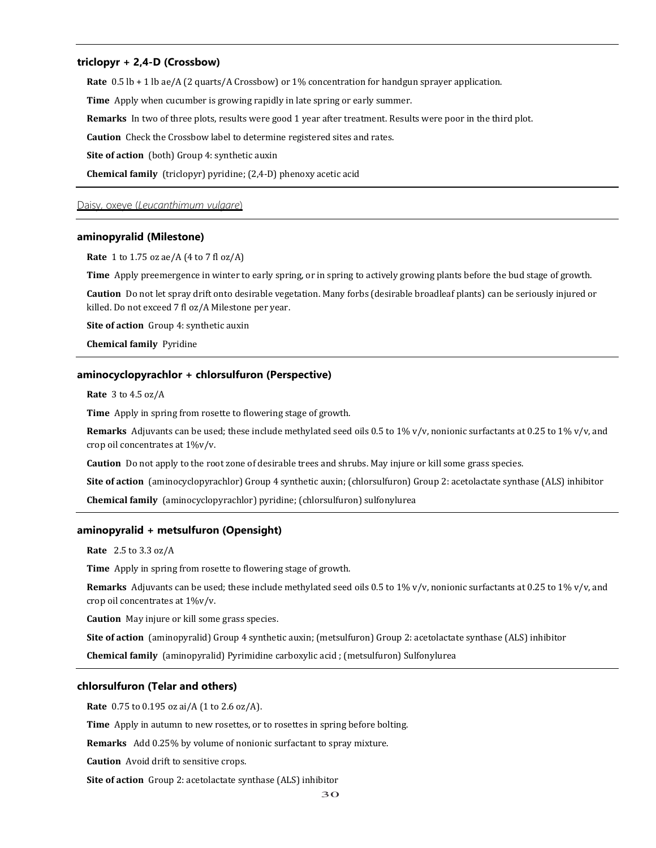## **triclopyr + 2,4-D (Crossbow)**

**Rate** 0.5 lb + 1 lb ae/A (2 quarts/A Crossbow) or 1% concentration for handgun sprayer application.

**Time** Apply when cucumber is growing rapidly in late spring or early summer.

**Remarks** In two of three plots, results were good 1 year after treatment. Results were poor in the third plot.

**Caution** Check the Crossbow label to determine registered sites and rates.

**Site of action** (both) Group 4: synthetic auxin

**Chemical family** (triclopyr) pyridine; (2,4-D) phenoxy acetic acid

#### Daisy, oxeye (*Leucanthimum vulgare*)

#### **aminopyralid (Milestone)**

**Rate** 1 to 1.75 oz ae/A (4 to 7 fl oz/A)

**Time** Apply preemergence in winter to early spring, or in spring to actively growing plants before the bud stage of growth.

**Caution** Do not let spray drift onto desirable vegetation. Many forbs (desirable broadleaf plants) can be seriously injured or killed. Do not exceed 7 fl oz/A Milestone per year.

**Site of action** Group 4: synthetic auxin

**Chemical family** Pyridine

# **aminocyclopyrachlor + chlorsulfuron (Perspective)**

**Rate** 3 to 4.5 oz/A

**Time** Apply in spring from rosette to flowering stage of growth.

**Remarks** Adjuvants can be used; these include methylated seed oils 0.5 to 1% v/v, nonionic surfactants at 0.25 to 1% v/v, and crop oil concentrates at 1%v/v.

**Caution** Do not apply to the root zone of desirable trees and shrubs. May injure or kill some grass species.

**Site of action** (aminocyclopyrachlor) Group 4 synthetic auxin; (chlorsulfuron) Group 2: acetolactate synthase (ALS) inhibitor

**Chemical family** (aminocyclopyrachlor) pyridine; (chlorsulfuron) sulfonylurea

## **aminopyralid + metsulfuron (Opensight)**

**Rate** 2.5 to 3.3 oz/A

**Time** Apply in spring from rosette to flowering stage of growth.

**Remarks** Adjuvants can be used; these include methylated seed oils 0.5 to 1% v/v, nonionic surfactants at 0.25 to 1% v/v, and crop oil concentrates at 1%v/v.

**Caution** May injure or kill some grass species.

**Site of action** (aminopyralid) Group 4 synthetic auxin; (metsulfuron) Group 2: acetolactate synthase (ALS) inhibitor

**Chemical family** (aminopyralid) Pyrimidine carboxylic acid ; (metsulfuron) Sulfonylurea

## **chlorsulfuron (Telar and others)**

**Rate** 0.75 to 0.195 oz ai/A (1 to 2.6 oz/A).

**Time** Apply in autumn to new rosettes, or to rosettes in spring before bolting.

**Remarks** Add 0.25% by volume of nonionic surfactant to spray mixture.

**Caution** Avoid drift to sensitive crops.

**Site of action** Group 2: acetolactate synthase (ALS) inhibitor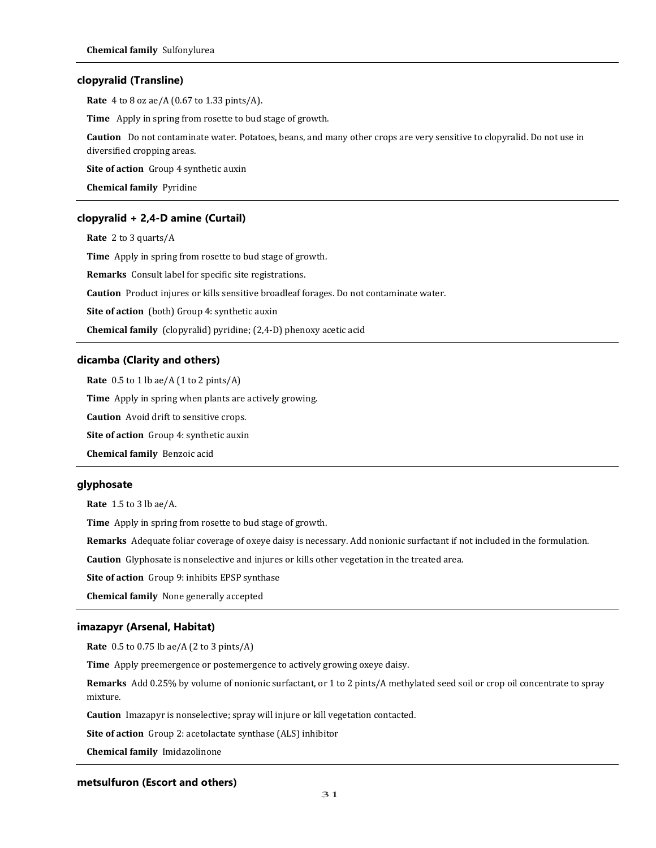## **clopyralid (Transline)**

**Rate** 4 to 8 oz ae/A (0.67 to 1.33 pints/A).

**Time** Apply in spring from rosette to bud stage of growth.

**Caution** Do not contaminate water. Potatoes, beans, and many other crops are very sensitive to clopyralid. Do not use in diversified cropping areas.

**Site of action** Group 4 synthetic auxin

**Chemical family** Pyridine

# **clopyralid + 2,4-D amine (Curtail)**

**Rate** 2 to 3 quarts/A

**Time** Apply in spring from rosette to bud stage of growth.

**Remarks** Consult label for specific site registrations.

**Caution** Product injures or kills sensitive broadleaf forages. Do not contaminate water.

**Site of action** (both) Group 4: synthetic auxin

**Chemical family** (clopyralid) pyridine; (2,4-D) phenoxy acetic acid

## **dicamba (Clarity and others)**

**Rate** 0.5 to 1 lb ae/A (1 to 2 pints/A)

**Time** Apply in spring when plants are actively growing.

**Caution** Avoid drift to sensitive crops.

**Site of action** Group 4: synthetic auxin

**Chemical family** Benzoic acid

# **glyphosate**

**Rate** 1.5 to 3 lb ae/A.

**Time** Apply in spring from rosette to bud stage of growth.

**Remarks** Adequate foliar coverage of oxeye daisy is necessary. Add nonionic surfactant if not included in the formulation.

**Caution** Glyphosate is nonselective and injures or kills other vegetation in the treated area.

**Site of action** Group 9: inhibits EPSP synthase

**Chemical family** None generally accepted

# **imazapyr (Arsenal, Habitat)**

**Rate** 0.5 to 0.75 lb ae/A (2 to 3 pints/A)

**Time** Apply preemergence or postemergence to actively growing oxeye daisy.

**Remarks** Add 0.25% by volume of nonionic surfactant, or 1 to 2 pints/A methylated seed soil or crop oil concentrate to spray mixture.

**Caution** Imazapyr is nonselective; spray will injure or kill vegetation contacted.

**Site of action** Group 2: acetolactate synthase (ALS) inhibitor

**Chemical family** Imidazolinone

# **metsulfuron (Escort and others)**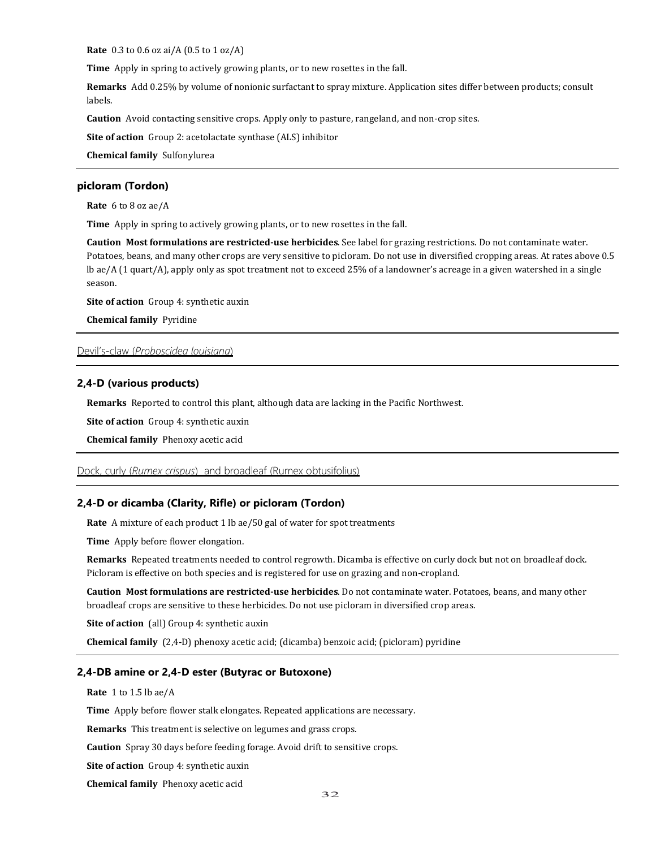**Rate** 0.3 to 0.6 oz ai/A (0.5 to 1 oz/A)

**Time** Apply in spring to actively growing plants, or to new rosettes in the fall.

**Remarks** Add 0.25% by volume of nonionic surfactant to spray mixture. Application sites differ between products; consult labels.

**Caution** Avoid contacting sensitive crops. Apply only to pasture, rangeland, and non-crop sites.

**Site of action** Group 2: acetolactate synthase (ALS) inhibitor

**Chemical family** Sulfonylurea

# **picloram (Tordon)**

**Rate** 6 to 8 oz ae/A

**Time** Apply in spring to actively growing plants, or to new rosettes in the fall.

**Caution Most formulations are restricted-use herbicides**. See label for grazing restrictions. Do not contaminate water. Potatoes, beans, and many other crops are very sensitive to picloram. Do not use in diversified cropping areas. At rates above 0.5 lb ae/A (1 quart/A), apply only as spot treatment not to exceed 25% of a landowner's acreage in a given watershed in a single season.

**Site of action** Group 4: synthetic auxin

**Chemical family** Pyridine

### Devil's-claw (*Proboscidea louisiana*)

#### **2,4-D (various products)**

**Remarks** Reported to control this plant, although data are lacking in the Pacific Northwest.

**Site of action** Group 4: synthetic auxin

**Chemical family** Phenoxy acetic acid

# Dock, curly (*Rumex crispus*) and broadleaf (Rumex obtusifolius)

## **2,4-D or dicamba (Clarity, Rifle) or picloram (Tordon)**

**Rate** A mixture of each product 1 lb ae/50 gal of water for spot treatments

**Time** Apply before flower elongation.

**Remarks** Repeated treatments needed to control regrowth. Dicamba is effective on curly dock but not on broadleaf dock. Picloram is effective on both species and is registered for use on grazing and non-cropland.

**Caution Most formulations are restricted-use herbicides**. Do not contaminate water. Potatoes, beans, and many other broadleaf crops are sensitive to these herbicides. Do not use picloram in diversified crop areas.

**Site of action** (all) Group 4: synthetic auxin

**Chemical family** (2,4-D) phenoxy acetic acid; (dicamba) benzoic acid; (picloram) pyridine

#### **2,4-DB amine or 2,4-D ester (Butyrac or Butoxone)**

**Rate** 1 to 1.5 lb ae/A

**Time** Apply before flower stalk elongates. Repeated applications are necessary.

**Remarks** This treatment is selective on legumes and grass crops.

**Caution** Spray 30 days before feeding forage. Avoid drift to sensitive crops.

**Site of action** Group 4: synthetic auxin

**Chemical family** Phenoxy acetic acid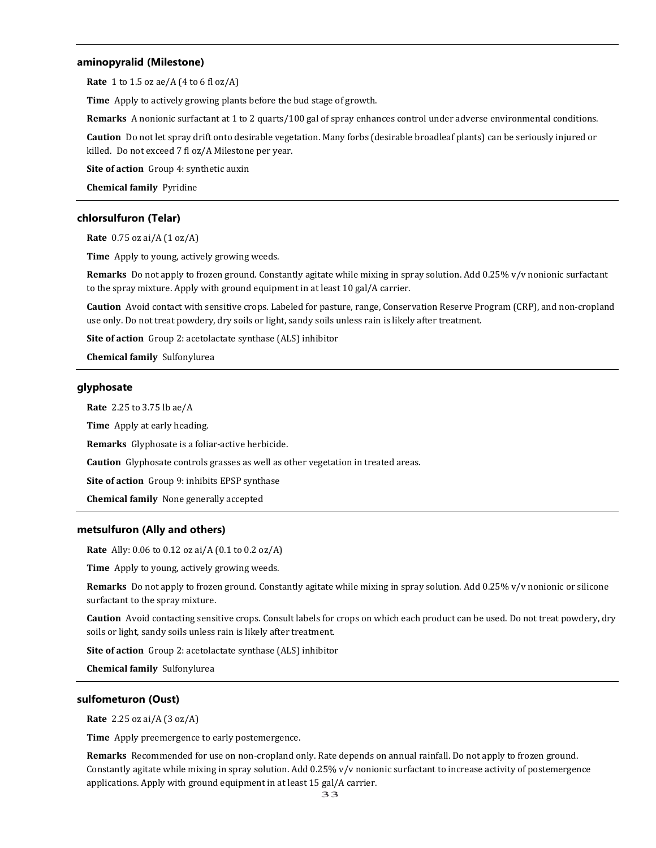## **aminopyralid (Milestone)**

**Rate** 1 to 1.5 oz ae/A (4 to 6 fl oz/A)

**Time** Apply to actively growing plants before the bud stage of growth.

**Remarks** A nonionic surfactant at 1 to 2 quarts/100 gal of spray enhances control under adverse environmental conditions.

**Caution** Do not let spray drift onto desirable vegetation. Many forbs (desirable broadleaf plants) can be seriously injured or killed. Do not exceed 7 fl oz/A Milestone per year.

**Site of action** Group 4: synthetic auxin

**Chemical family** Pyridine

# **chlorsulfuron (Telar)**

**Rate** 0.75 oz ai/A (1 oz/A)

**Time** Apply to young, actively growing weeds.

**Remarks** Do not apply to frozen ground. Constantly agitate while mixing in spray solution. Add 0.25% v/v nonionic surfactant to the spray mixture. Apply with ground equipment in at least 10 gal/A carrier.

**Caution** Avoid contact with sensitive crops. Labeled for pasture, range, Conservation Reserve Program (CRP), and non-cropland use only. Do not treat powdery, dry soils or light, sandy soils unless rain is likely after treatment.

**Site of action** Group 2: acetolactate synthase (ALS) inhibitor

**Chemical family** Sulfonylurea

# **glyphosate**

**Rate** 2.25 to 3.75 lb ae/A

**Time** Apply at early heading.

**Remarks** Glyphosate is a foliar-active herbicide.

**Caution** Glyphosate controls grasses as well as other vegetation in treated areas.

**Site of action** Group 9: inhibits EPSP synthase

**Chemical family** None generally accepted

# **metsulfuron (Ally and others)**

**Rate** Ally: 0.06 to 0.12 oz ai/A (0.1 to 0.2 oz/A)

**Time** Apply to young, actively growing weeds.

**Remarks** Do not apply to frozen ground. Constantly agitate while mixing in spray solution. Add 0.25% v/v nonionic or silicone surfactant to the spray mixture.

**Caution** Avoid contacting sensitive crops. Consult labels for crops on which each product can be used. Do not treat powdery, dry soils or light, sandy soils unless rain is likely after treatment.

**Site of action** Group 2: acetolactate synthase (ALS) inhibitor

**Chemical family** Sulfonylurea

#### **sulfometuron (Oust)**

**Rate** 2.25 oz ai/A (3 oz/A)

**Time** Apply preemergence to early postemergence.

**Remarks** Recommended for use on non-cropland only. Rate depends on annual rainfall. Do not apply to frozen ground. Constantly agitate while mixing in spray solution. Add 0.25% v/v nonionic surfactant to increase activity of postemergence applications. Apply with ground equipment in at least 15 gal/A carrier.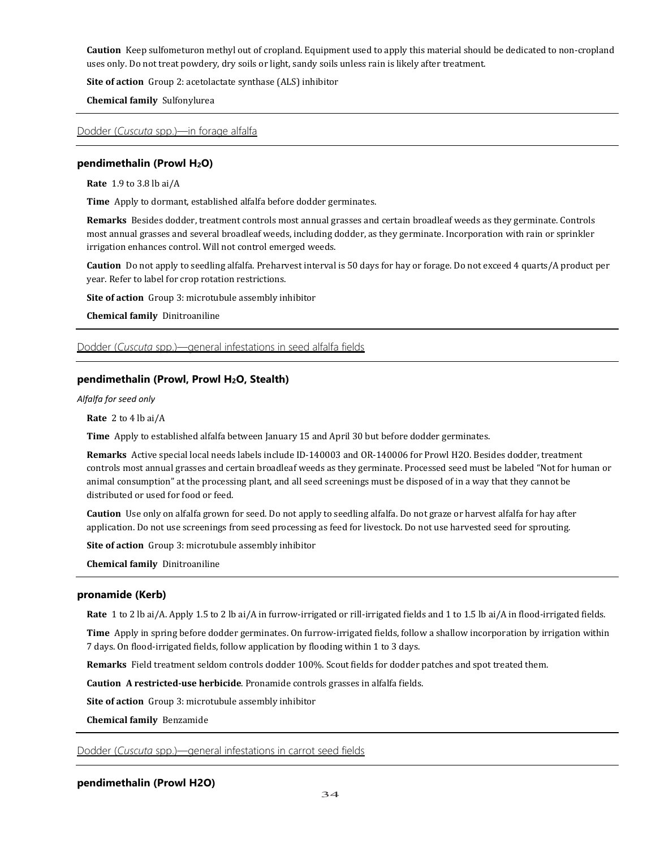**Caution** Keep sulfometuron methyl out of cropland. Equipment used to apply this material should be dedicated to non-cropland uses only. Do not treat powdery, dry soils or light, sandy soils unless rain is likely after treatment.

**Site of action** Group 2: acetolactate synthase (ALS) inhibitor

**Chemical family** Sulfonylurea

Dodder (*Cuscuta* spp.)—in forage alfalfa

# **pendimethalin (Prowl H2O)**

**Rate** 1.9 to 3.8 lb ai/A

**Time** Apply to dormant, established alfalfa before dodder germinates.

**Remarks** Besides dodder, treatment controls most annual grasses and certain broadleaf weeds as they germinate. Controls most annual grasses and several broadleaf weeds, including dodder, as they germinate. Incorporation with rain or sprinkler irrigation enhances control. Will not control emerged weeds.

**Caution** Do not apply to seedling alfalfa. Preharvest interval is 50 days for hay or forage. Do not exceed 4 quarts/A product per year. Refer to label for crop rotation restrictions.

**Site of action** Group 3: microtubule assembly inhibitor

**Chemical family** Dinitroaniline

## Dodder (*Cuscuta* spp.)—general infestations in seed alfalfa fields

# **pendimethalin (Prowl, Prowl H2O, Stealth)**

*Alfalfa for seed only*

**Rate** 2 to 4 lb ai/A

**Time** Apply to established alfalfa between January 15 and April 30 but before dodder germinates.

**Remarks** Active special local needs labels include ID-140003 and OR-140006 for Prowl H2O. Besides dodder, treatment controls most annual grasses and certain broadleaf weeds as they germinate. Processed seed must be labeled "Not for human or animal consumption" at the processing plant, and all seed screenings must be disposed of in a way that they cannot be distributed or used for food or feed.

**Caution** Use only on alfalfa grown for seed. Do not apply to seedling alfalfa. Do not graze or harvest alfalfa for hay after application. Do not use screenings from seed processing as feed for livestock. Do not use harvested seed for sprouting.

**Site of action** Group 3: microtubule assembly inhibitor

**Chemical family** Dinitroaniline

# **pronamide (Kerb)**

**Rate** 1 to 2 lb ai/A. Apply 1.5 to 2 lb ai/A in furrow-irrigated or rill-irrigated fields and 1 to 1.5 lb ai/A in flood-irrigated fields.

**Time** Apply in spring before dodder germinates. On furrow-irrigated fields, follow a shallow incorporation by irrigation within 7 days. On flood-irrigated fields, follow application by flooding within 1 to 3 days.

**Remarks** Field treatment seldom controls dodder 100%. Scout fields for dodder patches and spot treated them.

**Caution A restricted-use herbicide**. Pronamide controls grasses in alfalfa fields.

**Site of action** Group 3: microtubule assembly inhibitor

**Chemical family** Benzamide

Dodder (*Cuscuta* spp.)—general infestations in carrot seed fields

# **pendimethalin (Prowl H2O)**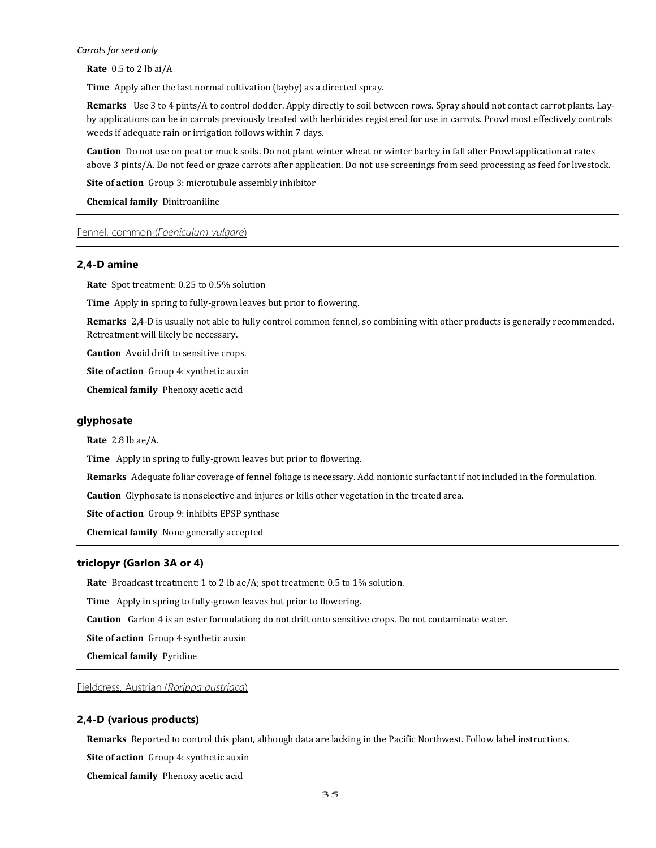#### *Carrots for seed only*

**Rate** 0.5 to 2 lb ai/A

**Time** Apply after the last normal cultivation (layby) as a directed spray.

**Remarks** Use 3 to 4 pints/A to control dodder. Apply directly to soil between rows. Spray should not contact carrot plants. Layby applications can be in carrots previously treated with herbicides registered for use in carrots. Prowl most effectively controls weeds if adequate rain or irrigation follows within 7 days.

**Caution** Do not use on peat or muck soils. Do not plant winter wheat or winter barley in fall after Prowl application at rates above 3 pints/A. Do not feed or graze carrots after application. Do not use screenings from seed processing as feed for livestock.

**Site of action** Group 3: microtubule assembly inhibitor

**Chemical family** Dinitroaniline

# Fennel, common (*Foeniculum vulgare*)

# **2,4-D amine**

**Rate** Spot treatment: 0.25 to 0.5% solution

**Time** Apply in spring to fully-grown leaves but prior to flowering.

**Remarks** 2,4-D is usually not able to fully control common fennel, so combining with other products is generally recommended. Retreatment will likely be necessary.

**Caution** Avoid drift to sensitive crops.

**Site of action** Group 4: synthetic auxin

**Chemical family** Phenoxy acetic acid

#### **glyphosate**

**Rate** 2.8 lb ae/A.

**Time** Apply in spring to fully-grown leaves but prior to flowering.

**Remarks** Adequate foliar coverage of fennel foliage is necessary. Add nonionic surfactant if not included in the formulation.

**Caution** Glyphosate is nonselective and injures or kills other vegetation in the treated area.

**Site of action** Group 9: inhibits EPSP synthase

**Chemical family** None generally accepted

# **triclopyr (Garlon 3A or 4)**

**Rate** Broadcast treatment: 1 to 2 lb ae/A; spot treatment: 0.5 to 1% solution.

**Time** Apply in spring to fully-grown leaves but prior to flowering.

**Caution** Garlon 4 is an ester formulation; do not drift onto sensitive crops. Do not contaminate water.

**Site of action** Group 4 synthetic auxin

**Chemical family** Pyridine

Fieldcress, Austrian (*Rorippa austriaca*)

# **2,4-D (various products)**

**Remarks** Reported to control this plant, although data are lacking in the Pacific Northwest. Follow label instructions.

**Site of action** Group 4: synthetic auxin

**Chemical family** Phenoxy acetic acid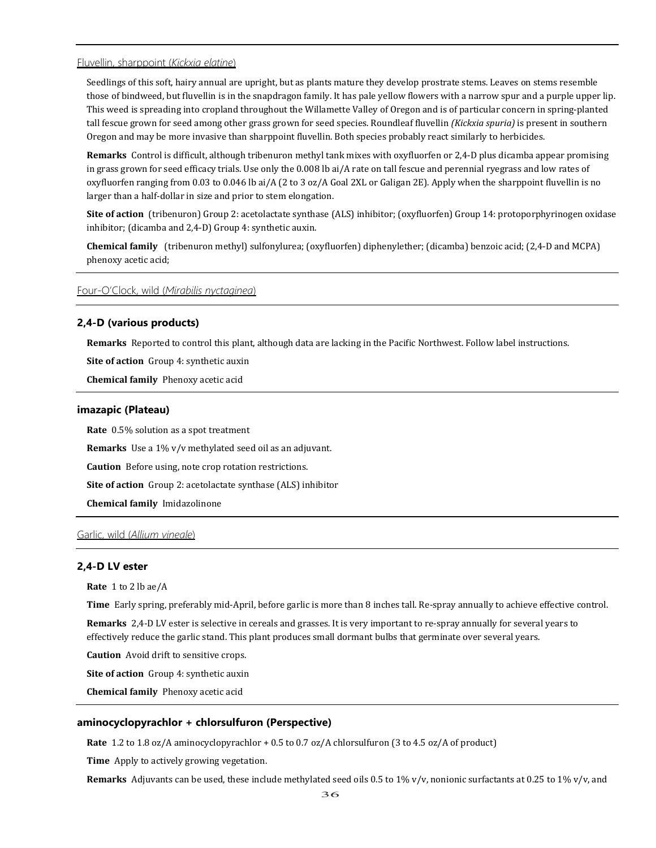# Fluvellin, sharppoint (*Kickxia elatine*)

Seedlings of this soft, hairy annual are upright, but as plants mature they develop prostrate stems. Leaves on stems resemble those of bindweed, but fluvellin is in the snapdragon family. It has pale yellow flowers with a narrow spur and a purple upper lip. This weed is spreading into cropland throughout the Willamette Valley of Oregon and is of particular concern in spring-planted tall fescue grown for seed among other grass grown for seed species. Roundleaf fluvellin *(Kickxia spuria)* is present in southern Oregon and may be more invasive than sharppoint fluvellin. Both species probably react similarly to herbicides.

**Remarks** Control is difficult, although tribenuron methyl tank mixes with oxyfluorfen or 2,4-D plus dicamba appear promising in grass grown for seed efficacy trials. Use only the 0.008 lb ai/A rate on tall fescue and perennial ryegrass and low rates of oxyfluorfen ranging from 0.03 to 0.046 lb ai/A (2 to 3 oz/A Goal 2XL or Galigan 2E). Apply when the sharppoint fluvellin is no larger than a half-dollar in size and prior to stem elongation.

**Site of action** (tribenuron) Group 2: acetolactate synthase (ALS) inhibitor; (oxyfluorfen) Group 14: protoporphyrinogen oxidase inhibitor; (dicamba and 2,4-D) Group 4: synthetic auxin.

**Chemical family** (tribenuron methyl) sulfonylurea; (oxyfluorfen) diphenylether; (dicamba) benzoic acid; (2,4-D and MCPA) phenoxy acetic acid;

# Four-O'Clock, wild (*Mirabilis nyctaginea*)

# **2,4-D (various products)**

**Remarks** Reported to control this plant, although data are lacking in the Pacific Northwest. Follow label instructions.

**Site of action** Group 4: synthetic auxin

**Chemical family** Phenoxy acetic acid

#### **imazapic (Plateau)**

**Rate** 0.5% solution as a spot treatment

**Remarks** Use a 1% v/v methylated seed oil as an adjuvant.

**Caution** Before using, note crop rotation restrictions.

**Site of action** Group 2: acetolactate synthase (ALS) inhibitor

**Chemical family** Imidazolinone

# Garlic, wild (*Allium vineale*)

# **2,4-D LV ester**

**Rate** 1 to 2 lb ae/A

**Time** Early spring, preferably mid-April, before garlic is more than 8 inches tall. Re-spray annually to achieve effective control.

**Remarks** 2,4-D LV ester is selective in cereals and grasses. It is very important to re-spray annually for several years to effectively reduce the garlic stand. This plant produces small dormant bulbs that germinate over several years.

**Caution** Avoid drift to sensitive crops.

**Site of action** Group 4: synthetic auxin

**Chemical family** Phenoxy acetic acid

### **aminocyclopyrachlor + chlorsulfuron (Perspective)**

**Rate** 1.2 to 1.8 oz/A aminocyclopyrachlor + 0.5 to 0.7 oz/A chlorsulfuron (3 to 4.5 oz/A of product)

**Time** Apply to actively growing vegetation.

**Remarks** Adjuvants can be used, these include methylated seed oils 0.5 to 1% v/v, nonionic surfactants at 0.25 to 1% v/v, and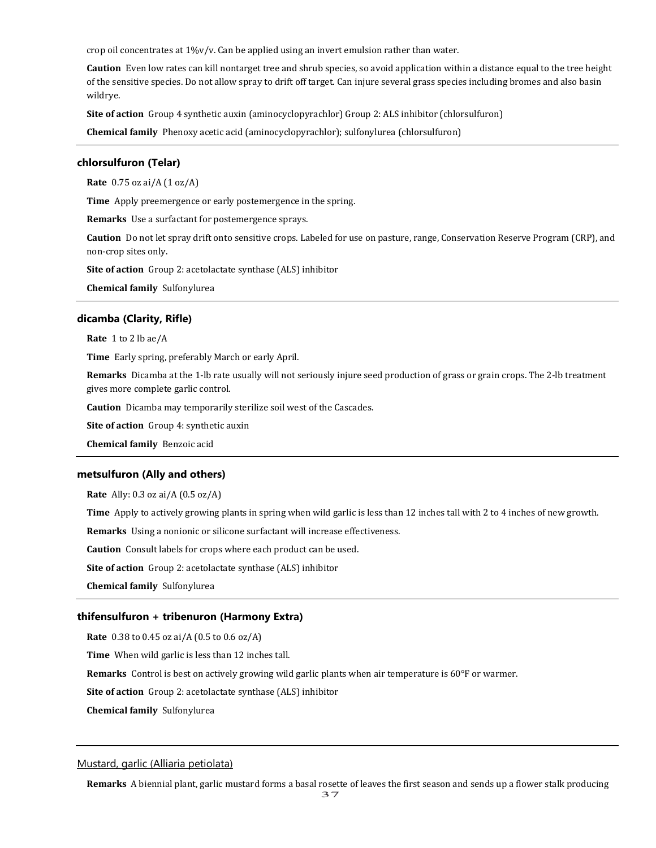crop oil concentrates at 1%v/v. Can be applied using an invert emulsion rather than water.

**Caution** Even low rates can kill nontarget tree and shrub species, so avoid application within a distance equal to the tree height of the sensitive species. Do not allow spray to drift off target. Can injure several grass species including bromes and also basin wildrye.

**Site of action** Group 4 synthetic auxin (aminocyclopyrachlor) Group 2: ALS inhibitor (chlorsulfuron)

**Chemical family** Phenoxy acetic acid (aminocyclopyrachlor); sulfonylurea (chlorsulfuron)

# **chlorsulfuron (Telar)**

**Rate** 0.75 oz ai/A (1 oz/A)

**Time** Apply preemergence or early postemergence in the spring.

**Remarks** Use a surfactant for postemergence sprays.

**Caution** Do not let spray drift onto sensitive crops. Labeled for use on pasture, range, Conservation Reserve Program (CRP), and non-crop sites only.

**Site of action** Group 2: acetolactate synthase (ALS) inhibitor

**Chemical family** Sulfonylurea

## **dicamba (Clarity, Rifle)**

**Rate** 1 to 2 lb ae/A

**Time** Early spring, preferably March or early April.

**Remarks** Dicamba at the 1-lb rate usually will not seriously injure seed production of grass or grain crops. The 2-lb treatment gives more complete garlic control.

**Caution** Dicamba may temporarily sterilize soil west of the Cascades.

**Site of action** Group 4: synthetic auxin

**Chemical family** Benzoic acid

#### **metsulfuron (Ally and others)**

**Rate** Ally: 0.3 oz ai/A (0.5 oz/A)

**Time** Apply to actively growing plants in spring when wild garlic is less than 12 inches tall with 2 to 4 inches of new growth.

**Remarks** Using a nonionic or silicone surfactant will increase effectiveness.

**Caution** Consult labels for crops where each product can be used.

**Site of action** Group 2: acetolactate synthase (ALS) inhibitor

**Chemical family** Sulfonylurea

# **thifensulfuron + tribenuron (Harmony Extra)**

**Rate** 0.38 to 0.45 oz ai/A (0.5 to 0.6 oz/A)

**Time** When wild garlic is less than 12 inches tall.

**Remarks** Control is best on actively growing wild garlic plants when air temperature is 60°F or warmer.

**Site of action** Group 2: acetolactate synthase (ALS) inhibitor

**Chemical family** Sulfonylurea

### Mustard, garlic (Alliaria petiolata)

**Remarks** A biennial plant, garlic mustard forms a basal rosette of leaves the first season and sends up a flower stalk producing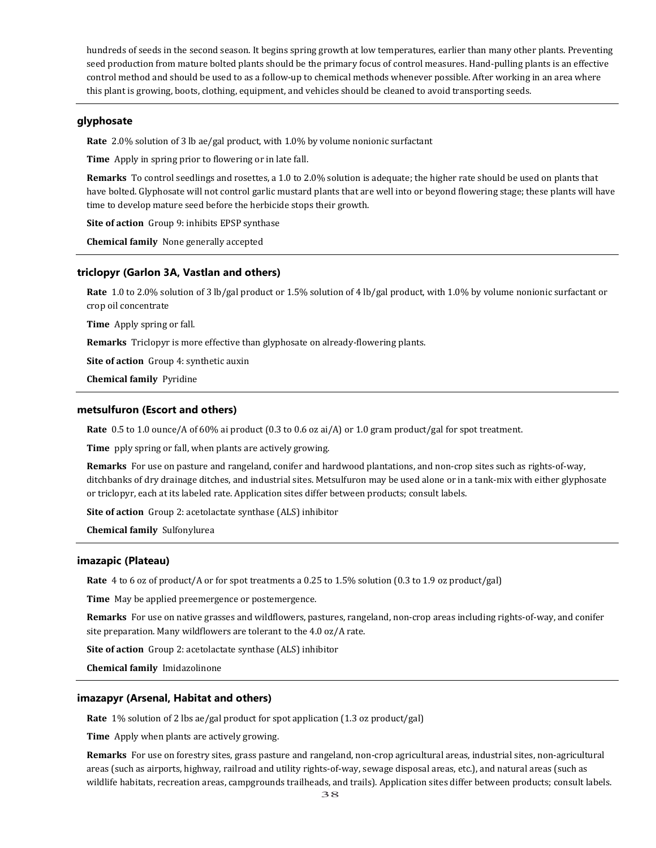hundreds of seeds in the second season. It begins spring growth at low temperatures, earlier than many other plants. Preventing seed production from mature bolted plants should be the primary focus of control measures. Hand-pulling plants is an effective control method and should be used to as a follow-up to chemical methods whenever possible. After working in an area where this plant is growing, boots, clothing, equipment, and vehicles should be cleaned to avoid transporting seeds.

# **glyphosate**

**Rate** 2.0% solution of 3 lb ae/gal product, with 1.0% by volume nonionic surfactant

**Time** Apply in spring prior to flowering or in late fall.

**Remarks** To control seedlings and rosettes, a 1.0 to 2.0% solution is adequate; the higher rate should be used on plants that have bolted. Glyphosate will not control garlic mustard plants that are well into or beyond flowering stage; these plants will have time to develop mature seed before the herbicide stops their growth.

**Site of action** Group 9: inhibits EPSP synthase

**Chemical family** None generally accepted

#### **triclopyr (Garlon 3A, Vastlan and others)**

**Rate** 1.0 to 2.0% solution of 3 lb/gal product or 1.5% solution of 4 lb/gal product, with 1.0% by volume nonionic surfactant or crop oil concentrate

**Time** Apply spring or fall.

**Remarks** Triclopyr is more effective than glyphosate on already-flowering plants.

**Site of action** Group 4: synthetic auxin

**Chemical family** Pyridine

### **metsulfuron (Escort and others)**

**Rate** 0.5 to 1.0 ounce/A of 60% ai product (0.3 to 0.6 oz ai/A) or 1.0 gram product/gal for spot treatment.

**Time** pply spring or fall, when plants are actively growing.

**Remarks** For use on pasture and rangeland, conifer and hardwood plantations, and non-crop sites such as rights-of-way, ditchbanks of dry drainage ditches, and industrial sites. Metsulfuron may be used alone or in a tank-mix with either glyphosate or triclopyr, each at its labeled rate. Application sites differ between products; consult labels.

**Site of action** Group 2: acetolactate synthase (ALS) inhibitor

**Chemical family** Sulfonylurea

#### **imazapic (Plateau)**

**Rate** 4 to 6 oz of product/A or for spot treatments a 0.25 to 1.5% solution (0.3 to 1.9 oz product/gal)

**Time** May be applied preemergence or postemergence.

**Remarks** For use on native grasses and wildflowers, pastures, rangeland, non-crop areas including rights-of-way, and conifer site preparation. Many wildflowers are tolerant to the 4.0 oz/A rate.

**Site of action** Group 2: acetolactate synthase (ALS) inhibitor

**Chemical family** Imidazolinone

#### **imazapyr (Arsenal, Habitat and others)**

**Rate** 1% solution of 2 lbs ae/gal product for spot application (1.3 oz product/gal)

**Time** Apply when plants are actively growing.

**Remarks** For use on forestry sites, grass pasture and rangeland, non-crop agricultural areas, industrial sites, non-agricultural areas (such as airports, highway, railroad and utility rights-of-way, sewage disposal areas, etc.), and natural areas (such as wildlife habitats, recreation areas, campgrounds trailheads, and trails). Application sites differ between products; consult labels.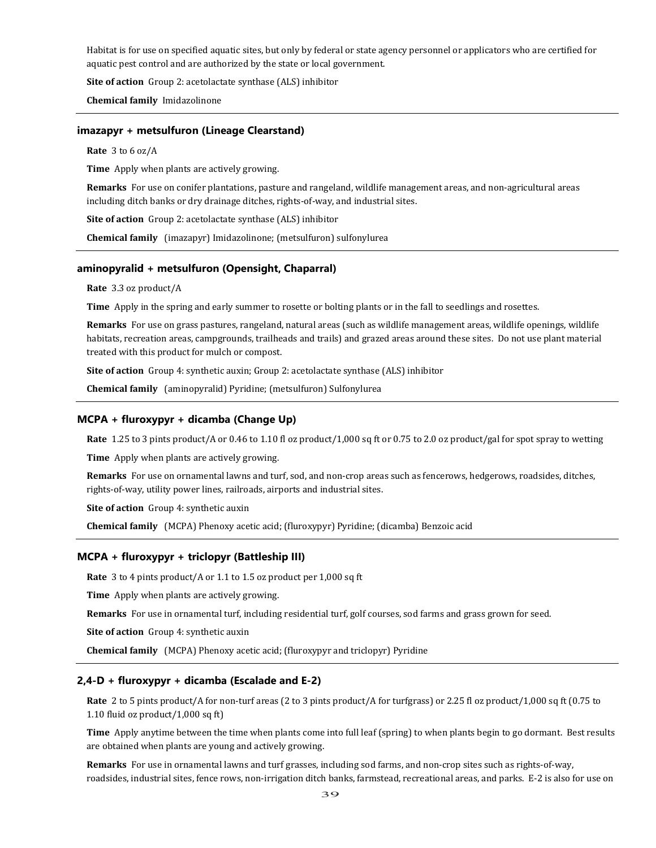Habitat is for use on specified aquatic sites, but only by federal or state agency personnel or applicators who are certified for aquatic pest control and are authorized by the state or local government.

**Site of action** Group 2: acetolactate synthase (ALS) inhibitor

**Chemical family** Imidazolinone

## **imazapyr + metsulfuron (Lineage Clearstand)**

**Rate** 3 to 6 oz/A

**Time** Apply when plants are actively growing.

**Remarks** For use on conifer plantations, pasture and rangeland, wildlife management areas, and non-agricultural areas including ditch banks or dry drainage ditches, rights-of-way, and industrial sites.

**Site of action** Group 2: acetolactate synthase (ALS) inhibitor

**Chemical family** (imazapyr) Imidazolinone; (metsulfuron) sulfonylurea

#### **aminopyralid + metsulfuron (Opensight, Chaparral)**

**Rate** 3.3 oz product/A

**Time** Apply in the spring and early summer to rosette or bolting plants or in the fall to seedlings and rosettes.

**Remarks** For use on grass pastures, rangeland, natural areas (such as wildlife management areas, wildlife openings, wildlife habitats, recreation areas, campgrounds, trailheads and trails) and grazed areas around these sites. Do not use plant material treated with this product for mulch or compost.

**Site of action** Group 4: synthetic auxin; Group 2: acetolactate synthase (ALS) inhibitor

**Chemical family** (aminopyralid) Pyridine; (metsulfuron) Sulfonylurea

# **MCPA + fluroxypyr + dicamba (Change Up)**

**Rate** 1.25 to 3 pints product/A or 0.46 to 1.10 fl oz product/1,000 sq ft or 0.75 to 2.0 oz product/gal for spot spray to wetting

**Time** Apply when plants are actively growing.

**Remarks** For use on ornamental lawns and turf, sod, and non-crop areas such as fencerows, hedgerows, roadsides, ditches, rights-of-way, utility power lines, railroads, airports and industrial sites.

**Site of action** Group 4: synthetic auxin

**Chemical family** (MCPA) Phenoxy acetic acid; (fluroxypyr) Pyridine; (dicamba) Benzoic acid

#### **MCPA + fluroxypyr + triclopyr (Battleship III)**

**Rate** 3 to 4 pints product/A or 1.1 to 1.5 oz product per 1,000 sq ft

**Time** Apply when plants are actively growing.

**Remarks** For use in ornamental turf, including residential turf, golf courses, sod farms and grass grown for seed.

**Site of action** Group 4: synthetic auxin

**Chemical family** (MCPA) Phenoxy acetic acid; (fluroxypyr and triclopyr) Pyridine

#### **2,4-D + fluroxypyr + dicamba (Escalade and E-2)**

**Rate** 2 to 5 pints product/A for non-turf areas (2 to 3 pints product/A for turfgrass) or 2.25 fl oz product/1,000 sq ft (0.75 to 1.10 fluid oz product/1,000 sq ft)

**Time** Apply anytime between the time when plants come into full leaf (spring) to when plants begin to go dormant. Best results are obtained when plants are young and actively growing.

**Remarks** For use in ornamental lawns and turf grasses, including sod farms, and non-crop sites such as rights-of-way, roadsides, industrial sites, fence rows, non-irrigation ditch banks, farmstead, recreational areas, and parks. E-2 is also for use on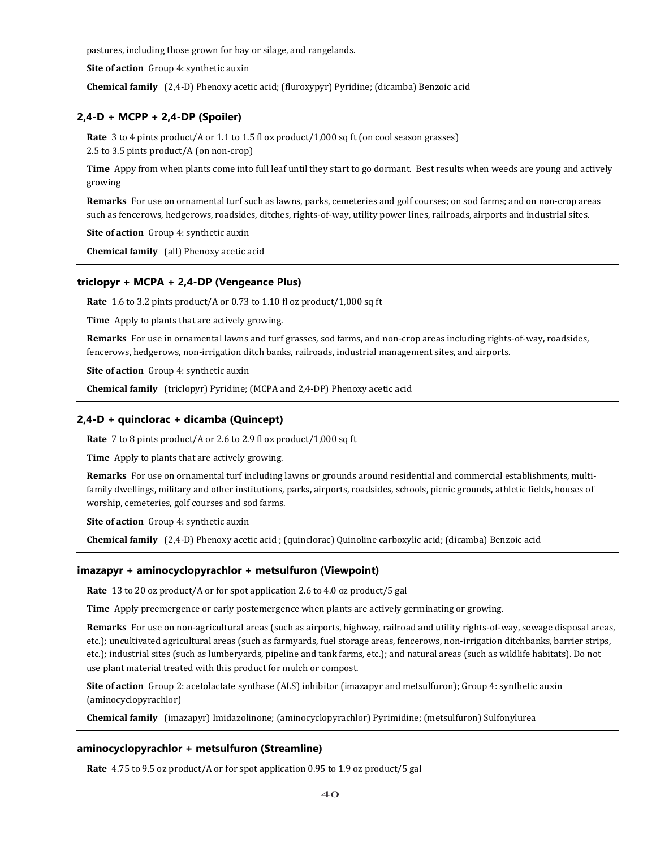pastures, including those grown for hay or silage, and rangelands.

**Site of action** Group 4: synthetic auxin

**Chemical family** (2,4-D) Phenoxy acetic acid; (fluroxypyr) Pyridine; (dicamba) Benzoic acid

# **2,4-D + MCPP + 2,4-DP (Spoiler)**

**Rate** 3 to 4 pints product/A or 1.1 to 1.5 fl oz product/1,000 sq ft (on cool season grasses) 2.5 to 3.5 pints product/A (on non-crop)

**Time** Appy from when plants come into full leaf until they start to go dormant. Best results when weeds are young and actively growing

**Remarks** For use on ornamental turf such as lawns, parks, cemeteries and golf courses; on sod farms; and on non-crop areas such as fencerows, hedgerows, roadsides, ditches, rights-of-way, utility power lines, railroads, airports and industrial sites.

**Site of action** Group 4: synthetic auxin

**Chemical family** (all) Phenoxy acetic acid

# **triclopyr + MCPA + 2,4-DP (Vengeance Plus)**

**Rate** 1.6 to 3.2 pints product/A or 0.73 to 1.10 fl oz product/1,000 sq ft

**Time** Apply to plants that are actively growing.

**Remarks** For use in ornamental lawns and turf grasses, sod farms, and non-crop areas including rights-of-way, roadsides, fencerows, hedgerows, non-irrigation ditch banks, railroads, industrial management sites, and airports.

**Site of action** Group 4: synthetic auxin

**Chemical family** (triclopyr) Pyridine; (MCPA and 2,4-DP) Phenoxy acetic acid

# **2,4-D + quinclorac + dicamba (Quincept)**

**Rate** 7 to 8 pints product/A or 2.6 to 2.9 fl oz product/1,000 sq ft

**Time** Apply to plants that are actively growing.

**Remarks** For use on ornamental turf including lawns or grounds around residential and commercial establishments, multifamily dwellings, military and other institutions, parks, airports, roadsides, schools, picnic grounds, athletic fields, houses of worship, cemeteries, golf courses and sod farms.

**Site of action** Group 4: synthetic auxin

**Chemical family** (2,4-D) Phenoxy acetic acid ; (quinclorac) Quinoline carboxylic acid; (dicamba) Benzoic acid

# **imazapyr + aminocyclopyrachlor + metsulfuron (Viewpoint)**

**Rate** 13 to 20 oz product/A or for spot application 2.6 to 4.0 oz product/5 gal

**Time** Apply preemergence or early postemergence when plants are actively germinating or growing.

**Remarks** For use on non-agricultural areas (such as airports, highway, railroad and utility rights-of-way, sewage disposal areas, etc.); uncultivated agricultural areas (such as farmyards, fuel storage areas, fencerows, non-irrigation ditchbanks, barrier strips, etc.); industrial sites (such as lumberyards, pipeline and tank farms, etc.); and natural areas (such as wildlife habitats). Do not use plant material treated with this product for mulch or compost.

**Site of action** Group 2: acetolactate synthase (ALS) inhibitor (imazapyr and metsulfuron); Group 4: synthetic auxin (aminocyclopyrachlor)

**Chemical family** (imazapyr) Imidazolinone; (aminocyclopyrachlor) Pyrimidine; (metsulfuron) Sulfonylurea

# **aminocyclopyrachlor + metsulfuron (Streamline)**

**Rate** 4.75 to 9.5 oz product/A or for spot application 0.95 to 1.9 oz product/5 gal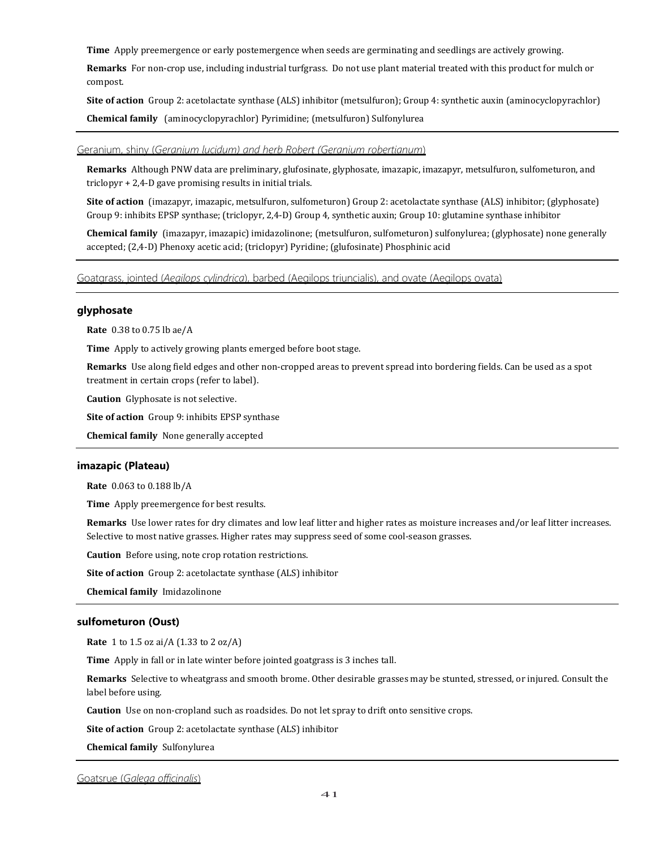**Time** Apply preemergence or early postemergence when seeds are germinating and seedlings are actively growing.

**Remarks** For non-crop use, including industrial turfgrass. Do not use plant material treated with this product for mulch or compost.

**Site of action** Group 2: acetolactate synthase (ALS) inhibitor (metsulfuron); Group 4: synthetic auxin (aminocyclopyrachlor) **Chemical family** (aminocyclopyrachlor) Pyrimidine; (metsulfuron) Sulfonylurea

# Geranium, shiny (*Geranium lucidum) and herb Robert (Geranium robertianum*)

**Remarks** Although PNW data are preliminary, glufosinate, glyphosate, imazapic, imazapyr, metsulfuron, sulfometuron, and triclopyr + 2,4-D gave promising results in initial trials.

**Site of action** (imazapyr, imazapic, metsulfuron, sulfometuron) Group 2: acetolactate synthase (ALS) inhibitor; (glyphosate) Group 9: inhibits EPSP synthase; (triclopyr, 2,4-D) Group 4, synthetic auxin; Group 10: glutamine synthase inhibitor

**Chemical family** (imazapyr, imazapic) imidazolinone; (metsulfuron, sulfometuron) sulfonylurea; (glyphosate) none generally accepted; (2,4-D) Phenoxy acetic acid; (triclopyr) Pyridine; (glufosinate) Phosphinic acid

Goatgrass, jointed (*Aegilops cylindrica*), barbed (Aegilops triuncialis), and ovate (Aegilops ovata)

## **glyphosate**

**Rate** 0.38 to 0.75 lb ae/A

**Time** Apply to actively growing plants emerged before boot stage.

**Remarks** Use along field edges and other non-cropped areas to prevent spread into bordering fields. Can be used as a spot treatment in certain crops (refer to label).

**Caution** Glyphosate is not selective.

**Site of action** Group 9: inhibits EPSP synthase

**Chemical family** None generally accepted

## **imazapic (Plateau)**

**Rate** 0.063 to 0.188 lb/A

**Time** Apply preemergence for best results.

**Remarks** Use lower rates for dry climates and low leaf litter and higher rates as moisture increases and/or leaf litter increases. Selective to most native grasses. Higher rates may suppress seed of some cool-season grasses.

**Caution** Before using, note crop rotation restrictions.

**Site of action** Group 2: acetolactate synthase (ALS) inhibitor

**Chemical family** Imidazolinone

### **sulfometuron (Oust)**

**Rate** 1 to 1.5 oz ai/A (1.33 to 2 oz/A)

**Time** Apply in fall or in late winter before jointed goatgrass is 3 inches tall.

**Remarks** Selective to wheatgrass and smooth brome. Other desirable grasses may be stunted, stressed, or injured. Consult the label before using.

**Caution** Use on non-cropland such as roadsides. Do not let spray to drift onto sensitive crops.

**Site of action** Group 2: acetolactate synthase (ALS) inhibitor

**Chemical family** Sulfonylurea

Goatsrue (*Galega officinalis*)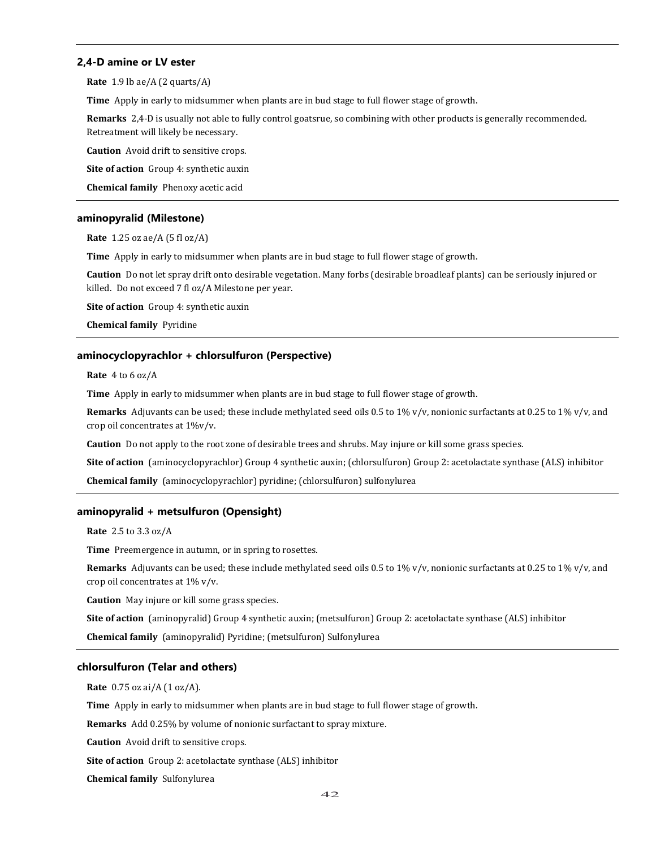# **2,4-D amine or LV ester**

**Rate** 1.9 lb ae/A (2 quarts/A)

**Time** Apply in early to midsummer when plants are in bud stage to full flower stage of growth.

**Remarks** 2,4-D is usually not able to fully control goatsrue, so combining with other products is generally recommended. Retreatment will likely be necessary.

**Caution** Avoid drift to sensitive crops.

**Site of action** Group 4: synthetic auxin

**Chemical family** Phenoxy acetic acid

### **aminopyralid (Milestone)**

**Rate** 1.25 oz ae/A (5 fl oz/A)

**Time** Apply in early to midsummer when plants are in bud stage to full flower stage of growth.

**Caution** Do not let spray drift onto desirable vegetation. Many forbs (desirable broadleaf plants) can be seriously injured or killed. Do not exceed 7 fl oz/A Milestone per year.

**Site of action** Group 4: synthetic auxin

**Chemical family** Pyridine

#### **aminocyclopyrachlor + chlorsulfuron (Perspective)**

**Rate** 4 to 6 oz/A

**Time** Apply in early to midsummer when plants are in bud stage to full flower stage of growth.

**Remarks** Adjuvants can be used; these include methylated seed oils 0.5 to 1% v/v, nonionic surfactants at 0.25 to 1% v/v, and crop oil concentrates at 1%v/v.

**Caution** Do not apply to the root zone of desirable trees and shrubs. May injure or kill some grass species.

**Site of action** (aminocyclopyrachlor) Group 4 synthetic auxin; (chlorsulfuron) Group 2: acetolactate synthase (ALS) inhibitor

**Chemical family** (aminocyclopyrachlor) pyridine; (chlorsulfuron) sulfonylurea

### **aminopyralid + metsulfuron (Opensight)**

**Rate** 2.5 to 3.3 oz/A

**Time** Preemergence in autumn, or in spring to rosettes.

**Remarks** Adjuvants can be used; these include methylated seed oils 0.5 to 1% v/v, nonionic surfactants at 0.25 to 1% v/v, and crop oil concentrates at 1% v/v.

**Caution** May injure or kill some grass species.

**Site of action** (aminopyralid) Group 4 synthetic auxin; (metsulfuron) Group 2: acetolactate synthase (ALS) inhibitor

**Chemical family** (aminopyralid) Pyridine; (metsulfuron) Sulfonylurea

#### **chlorsulfuron (Telar and others)**

**Rate** 0.75 oz ai/A (1 oz/A).

**Time** Apply in early to midsummer when plants are in bud stage to full flower stage of growth.

**Remarks** Add 0.25% by volume of nonionic surfactant to spray mixture.

**Caution** Avoid drift to sensitive crops.

**Site of action** Group 2: acetolactate synthase (ALS) inhibitor

**Chemical family** Sulfonylurea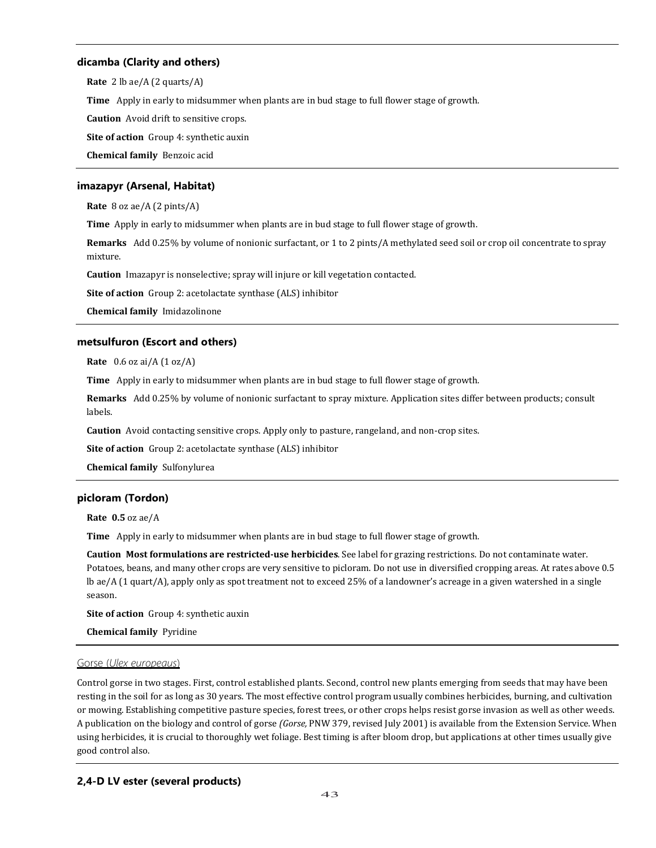# **dicamba (Clarity and others)**

**Rate** 2 lb ae/A (2 quarts/A) **Time** Apply in early to midsummer when plants are in bud stage to full flower stage of growth. **Caution** Avoid drift to sensitive crops. **Site of action** Group 4: synthetic auxin

**Chemical family** Benzoic acid

# **imazapyr (Arsenal, Habitat)**

**Rate** 8 oz ae/A (2 pints/A)

**Time** Apply in early to midsummer when plants are in bud stage to full flower stage of growth.

**Remarks** Add 0.25% by volume of nonionic surfactant, or 1 to 2 pints/A methylated seed soil or crop oil concentrate to spray mixture.

**Caution** Imazapyr is nonselective; spray will injure or kill vegetation contacted.

**Site of action** Group 2: acetolactate synthase (ALS) inhibitor

**Chemical family** Imidazolinone

# **metsulfuron (Escort and others)**

**Rate** 0.6 oz ai/A (1 oz/A)

**Time** Apply in early to midsummer when plants are in bud stage to full flower stage of growth.

**Remarks** Add 0.25% by volume of nonionic surfactant to spray mixture. Application sites differ between products; consult labels.

**Caution** Avoid contacting sensitive crops. Apply only to pasture, rangeland, and non-crop sites.

**Site of action** Group 2: acetolactate synthase (ALS) inhibitor

**Chemical family** Sulfonylurea

# **picloram (Tordon)**

**Rate 0.5** oz ae/A

**Time** Apply in early to midsummer when plants are in bud stage to full flower stage of growth.

**Caution Most formulations are restricted-use herbicides**. See label for grazing restrictions. Do not contaminate water. Potatoes, beans, and many other crops are very sensitive to picloram. Do not use in diversified cropping areas. At rates above 0.5 lb ae/A (1 quart/A), apply only as spot treatment not to exceed 25% of a landowner's acreage in a given watershed in a single season.

**Site of action** Group 4: synthetic auxin

**Chemical family** Pyridine

# Gorse (*Ulex europeaus*)

Control gorse in two stages. First, control established plants. Second, control new plants emerging from seeds that may have been resting in the soil for as long as 30 years. The most effective control program usually combines herbicides, burning, and cultivation or mowing. Establishing competitive pasture species, forest trees, or other crops helps resist gorse invasion as well as other weeds. A publication on the biology and control of gorse *(Gorse,* PNW 379, revised July 2001) is available from the Extension Service. When using herbicides, it is crucial to thoroughly wet foliage. Best timing is after bloom drop, but applications at other times usually give good control also.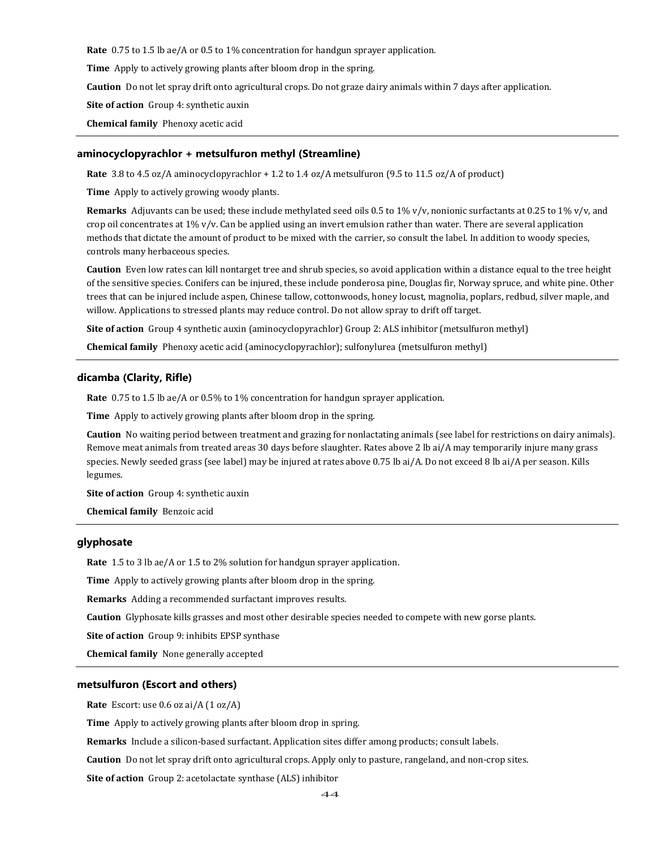**Rate** 0.75 to 1.5 lb ae/A or 0.5 to 1% concentration for handgun sprayer application.

**Time** Apply to actively growing plants after bloom drop in the spring.

**Caution** Do not let spray drift onto agricultural crops. Do not graze dairy animals within 7 days after application.

# **Site of action** Group 4: synthetic auxin

**Chemical family** Phenoxy acetic acid

#### **aminocyclopyrachlor + metsulfuron methyl (Streamline)**

**Rate** 3.8 to 4.5 oz/A aminocyclopyrachlor + 1.2 to 1.4 oz/A metsulfuron (9.5 to 11.5 oz/A of product)

**Time** Apply to actively growing woody plants.

**Remarks** Adjuvants can be used; these include methylated seed oils 0.5 to 1% v/v, nonionic surfactants at 0.25 to 1% v/v, and crop oil concentrates at  $1\%$  v/v. Can be applied using an invert emulsion rather than water. There are several application methods that dictate the amount of product to be mixed with the carrier, so consult the label. In addition to woody species, controls many herbaceous species.

**Caution** Even low rates can kill nontarget tree and shrub species, so avoid application within a distance equal to the tree height of the sensitive species. Conifers can be injured, these include ponderosa pine, Douglas fir, Norway spruce, and white pine. Other trees that can be injured include aspen, Chinese tallow, cottonwoods, honey locust, magnolia, poplars, redbud, silver maple, and willow. Applications to stressed plants may reduce control. Do not allow spray to drift off target.

**Site of action** Group 4 synthetic auxin (aminocyclopyrachlor) Group 2: ALS inhibitor (metsulfuron methyl)

**Chemical family** Phenoxy acetic acid (aminocyclopyrachlor); sulfonylurea (metsulfuron methyl)

## **dicamba (Clarity, Rifle)**

**Rate** 0.75 to 1.5 lb ae/A or 0.5% to 1% concentration for handgun sprayer application.

**Time** Apply to actively growing plants after bloom drop in the spring.

**Caution** No waiting period between treatment and grazing for nonlactating animals (see label for restrictions on dairy animals). Remove meat animals from treated areas 30 days before slaughter. Rates above 2 lb ai/A may temporarily injure many grass species. Newly seeded grass (see label) may be injured at rates above 0.75 lb ai/A. Do not exceed 8 lb ai/A per season. Kills legumes.

**Site of action** Group 4: synthetic auxin

**Chemical family** Benzoic acid

# **glyphosate**

**Rate** 1.5 to 3 lb ae/A or 1.5 to 2% solution for handgun sprayer application.

**Time** Apply to actively growing plants after bloom drop in the spring.

**Remarks** Adding a recommended surfactant improves results.

**Caution** Glyphosate kills grasses and most other desirable species needed to compete with new gorse plants.

**Site of action** Group 9: inhibits EPSP synthase

**Chemical family** None generally accepted

#### **metsulfuron (Escort and others)**

**Rate** Escort: use 0.6 oz ai/A (1 oz/A)

**Time** Apply to actively growing plants after bloom drop in spring.

**Remarks** Include a silicon-based surfactant. Application sites differ among products; consult labels.

**Caution** Do not let spray drift onto agricultural crops. Apply only to pasture, rangeland, and non-crop sites.

**Site of action** Group 2: acetolactate synthase (ALS) inhibitor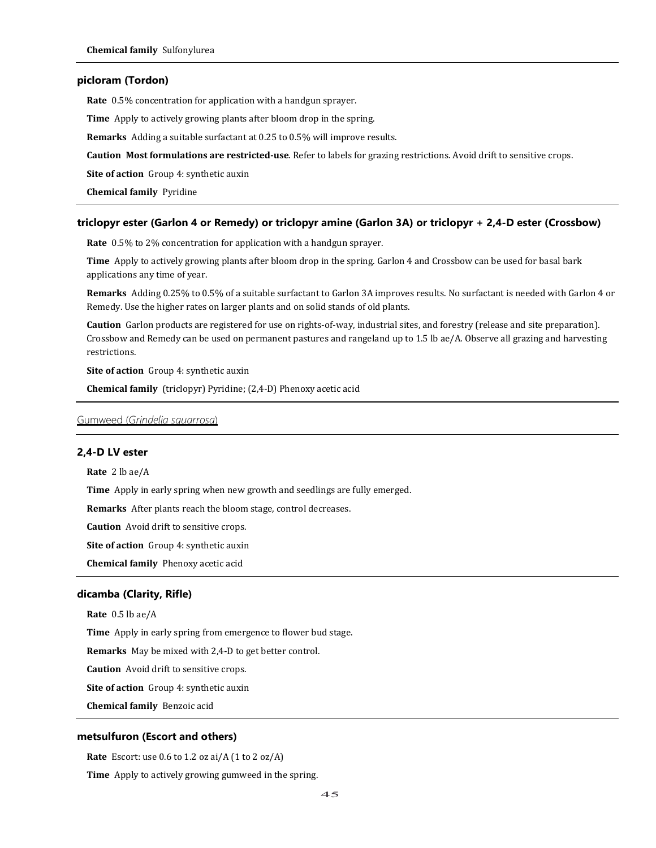## **picloram (Tordon)**

**Rate** 0.5% concentration for application with a handgun sprayer.

**Time** Apply to actively growing plants after bloom drop in the spring.

**Remarks** Adding a suitable surfactant at 0.25 to 0.5% will improve results.

**Caution Most formulations are restricted-use**. Refer to labels for grazing restrictions. Avoid drift to sensitive crops.

**Site of action** Group 4: synthetic auxin

**Chemical family** Pyridine

# **triclopyr ester (Garlon 4 or Remedy) or triclopyr amine (Garlon 3A) or triclopyr + 2,4-D ester (Crossbow)**

**Rate** 0.5% to 2% concentration for application with a handgun sprayer.

**Time** Apply to actively growing plants after bloom drop in the spring. Garlon 4 and Crossbow can be used for basal bark applications any time of year.

**Remarks** Adding 0.25% to 0.5% of a suitable surfactant to Garlon 3A improves results. No surfactant is needed with Garlon 4 or Remedy. Use the higher rates on larger plants and on solid stands of old plants.

**Caution** Garlon products are registered for use on rights-of-way, industrial sites, and forestry (release and site preparation). Crossbow and Remedy can be used on permanent pastures and rangeland up to 1.5 lb ae/A. Observe all grazing and harvesting restrictions.

**Site of action** Group 4: synthetic auxin

**Chemical family** (triclopyr) Pyridine; (2,4-D) Phenoxy acetic acid

#### Gumweed (*Grindelia squarrosa*)

# **2,4-D LV ester**

**Rate** 2 lb ae/A

**Time** Apply in early spring when new growth and seedlings are fully emerged.

**Remarks** After plants reach the bloom stage, control decreases.

**Caution** Avoid drift to sensitive crops.

**Site of action** Group 4: synthetic auxin

**Chemical family** Phenoxy acetic acid

# **dicamba (Clarity, Rifle)**

**Rate** 0.5 lb ae/A

**Time** Apply in early spring from emergence to flower bud stage.

**Remarks** May be mixed with 2,4-D to get better control.

**Caution** Avoid drift to sensitive crops.

**Site of action** Group 4: synthetic auxin

**Chemical family** Benzoic acid

#### **metsulfuron (Escort and others)**

**Rate** Escort: use 0.6 to 1.2 oz ai/A (1 to 2 oz/A)

**Time** Apply to actively growing gumweed in the spring.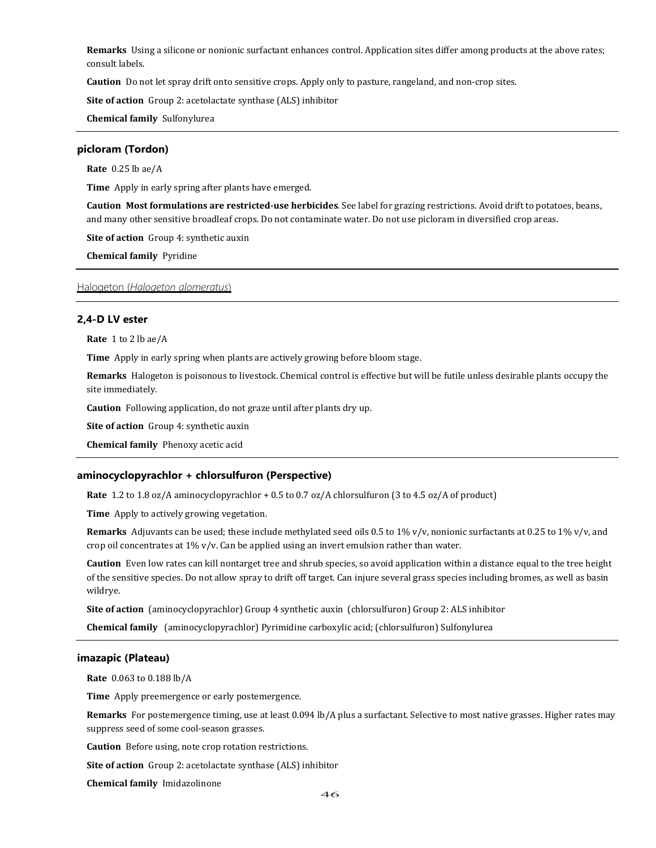**Remarks** Using a silicone or nonionic surfactant enhances control. Application sites differ among products at the above rates; consult labels.

**Caution** Do not let spray drift onto sensitive crops. Apply only to pasture, rangeland, and non-crop sites.

**Site of action** Group 2: acetolactate synthase (ALS) inhibitor

**Chemical family** Sulfonylurea

### **picloram (Tordon)**

**Rate** 0.25 lb ae/A

**Time** Apply in early spring after plants have emerged.

**Caution Most formulations are restricted-use herbicides**. See label for grazing restrictions. Avoid drift to potatoes, beans, and many other sensitive broadleaf crops. Do not contaminate water. Do not use picloram in diversified crop areas.

**Site of action** Group 4: synthetic auxin

**Chemical family** Pyridine

Halogeton (*Halogeton glomeratus*)

### **2,4-D LV ester**

**Rate** 1 to 2 lb ae/A

**Time** Apply in early spring when plants are actively growing before bloom stage.

**Remarks** Halogeton is poisonous to livestock. Chemical control is effective but will be futile unless desirable plants occupy the site immediately.

**Caution** Following application, do not graze until after plants dry up.

**Site of action** Group 4: synthetic auxin

**Chemical family** Phenoxy acetic acid

## **aminocyclopyrachlor + chlorsulfuron (Perspective)**

**Rate** 1.2 to 1.8 oz/A aminocyclopyrachlor + 0.5 to 0.7 oz/A chlorsulfuron (3 to 4.5 oz/A of product)

**Time** Apply to actively growing vegetation.

**Remarks** Adjuvants can be used; these include methylated seed oils 0.5 to 1% v/v, nonionic surfactants at 0.25 to 1% v/v, and crop oil concentrates at 1% v/v. Can be applied using an invert emulsion rather than water.

**Caution** Even low rates can kill nontarget tree and shrub species, so avoid application within a distance equal to the tree height of the sensitive species. Do not allow spray to drift off target. Can injure several grass species including bromes, as well as basin wildrye.

**Site of action** (aminocyclopyrachlor) Group 4 synthetic auxin (chlorsulfuron) Group 2: ALS inhibitor

**Chemical family** (aminocyclopyrachlor) Pyrimidine carboxylic acid; (chlorsulfuron) Sulfonylurea

### **imazapic (Plateau)**

**Rate** 0.063 to 0.188 lb/A

**Time** Apply preemergence or early postemergence.

**Remarks** For postemergence timing, use at least 0.094 lb/A plus a surfactant. Selective to most native grasses. Higher rates may suppress seed of some cool-season grasses.

**Caution** Before using, note crop rotation restrictions.

**Site of action** Group 2: acetolactate synthase (ALS) inhibitor

**Chemical family** Imidazolinone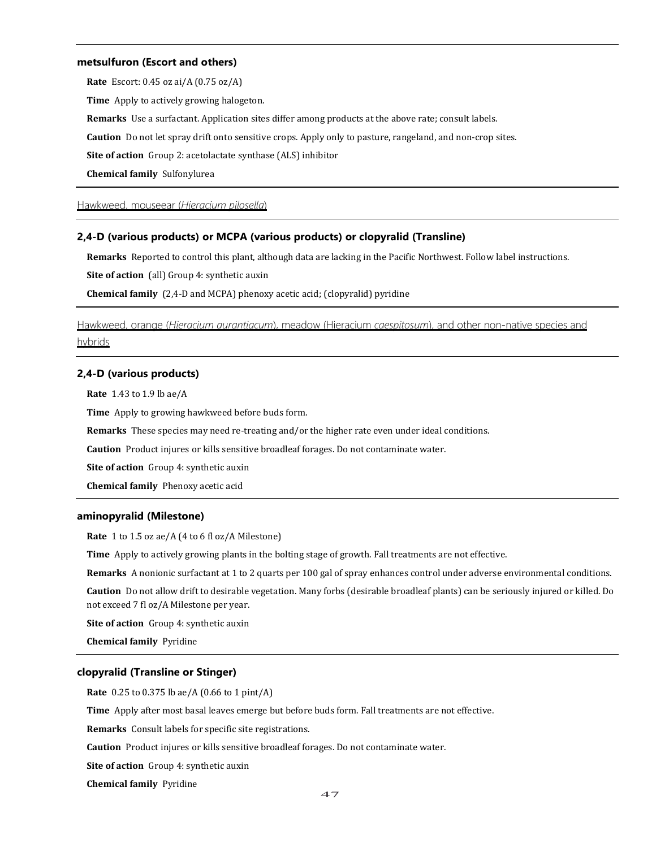### **metsulfuron (Escort and others)**

**Rate** Escort: 0.45 oz ai/A (0.75 oz/A)

**Time** Apply to actively growing halogeton.

**Remarks** Use a surfactant. Application sites differ among products at the above rate; consult labels.

**Caution** Do not let spray drift onto sensitive crops. Apply only to pasture, rangeland, and non-crop sites.

**Site of action** Group 2: acetolactate synthase (ALS) inhibitor

**Chemical family** Sulfonylurea

Hawkweed, mouseear (*Hieracium pilosella*)

### **2,4-D (various products) or MCPA (various products) or clopyralid (Transline)**

**Remarks** Reported to control this plant, although data are lacking in the Pacific Northwest. Follow label instructions.

**Site of action** (all) Group 4: synthetic auxin

**Chemical family** (2,4-D and MCPA) phenoxy acetic acid; (clopyralid) pyridine

Hawkweed, orange (*Hieracium aurantiacum*), meadow (Hieracium *caespitosum*), and other non-native species and hybrids

# **2,4-D (various products)**

**Rate** 1.43 to 1.9 lb ae/A

**Time** Apply to growing hawkweed before buds form.

**Remarks** These species may need re-treating and/or the higher rate even under ideal conditions.

**Caution** Product injures or kills sensitive broadleaf forages. Do not contaminate water.

**Site of action** Group 4: synthetic auxin

**Chemical family** Phenoxy acetic acid

## **aminopyralid (Milestone)**

**Rate** 1 to 1.5 oz ae/A (4 to 6 fl oz/A Milestone)

**Time** Apply to actively growing plants in the bolting stage of growth. Fall treatments are not effective.

**Remarks** A nonionic surfactant at 1 to 2 quarts per 100 gal of spray enhances control under adverse environmental conditions.

**Caution** Do not allow drift to desirable vegetation. Many forbs (desirable broadleaf plants) can be seriously injured or killed. Do not exceed 7 fl oz/A Milestone per year.

**Site of action** Group 4: synthetic auxin

**Chemical family** Pyridine

### **clopyralid (Transline or Stinger)**

**Rate** 0.25 to 0.375 lb ae/A (0.66 to 1 pint/A)

**Time** Apply after most basal leaves emerge but before buds form. Fall treatments are not effective.

**Remarks** Consult labels for specific site registrations.

**Caution** Product injures or kills sensitive broadleaf forages. Do not contaminate water.

**Site of action** Group 4: synthetic auxin

**Chemical family** Pyridine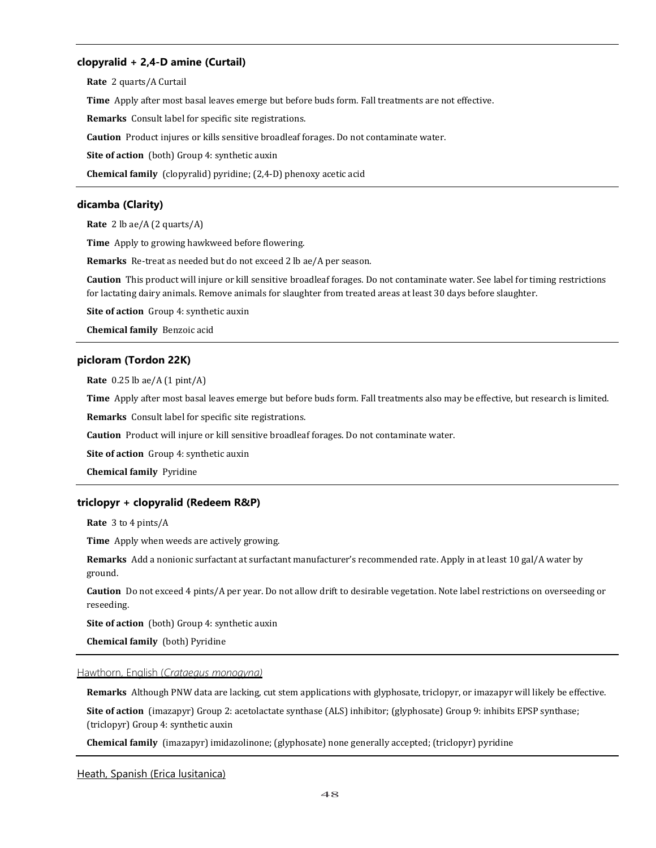# **clopyralid + 2,4-D amine (Curtail)**

**Rate** 2 quarts/A Curtail **Time** Apply after most basal leaves emerge but before buds form. Fall treatments are not effective. **Remarks** Consult label for specific site registrations. **Caution** Product injures or kills sensitive broadleaf forages. Do not contaminate water. **Site of action** (both) Group 4: synthetic auxin **Chemical family** (clopyralid) pyridine; (2,4-D) phenoxy acetic acid

# **dicamba (Clarity)**

**Rate** 2 lb ae/A (2 quarts/A)

**Time** Apply to growing hawkweed before flowering.

**Remarks** Re-treat as needed but do not exceed 2 lb ae/A per season.

**Caution** This product will injure or kill sensitive broadleaf forages. Do not contaminate water. See label for timing restrictions for lactating dairy animals. Remove animals for slaughter from treated areas at least 30 days before slaughter.

**Site of action** Group 4: synthetic auxin

**Chemical family** Benzoic acid

## **picloram (Tordon 22K)**

**Rate** 0.25 lb ae/A (1 pint/A)

**Time** Apply after most basal leaves emerge but before buds form. Fall treatments also may be effective, but research is limited.

**Remarks** Consult label for specific site registrations.

**Caution** Product will injure or kill sensitive broadleaf forages. Do not contaminate water.

**Site of action** Group 4: synthetic auxin

**Chemical family** Pyridine

## **triclopyr + clopyralid (Redeem R&P)**

**Rate** 3 to 4 pints/A

**Time** Apply when weeds are actively growing.

**Remarks** Add a nonionic surfactant at surfactant manufacturer's recommended rate. Apply in at least 10 gal/A water by ground.

**Caution** Do not exceed 4 pints/A per year. Do not allow drift to desirable vegetation. Note label restrictions on overseeding or reseeding.

**Site of action** (both) Group 4: synthetic auxin

**Chemical family** (both) Pyridine

#### Hawthorn, English (*Crataegus monogyna)*

**Remarks** Although PNW data are lacking, cut stem applications with glyphosate, triclopyr, or imazapyr will likely be effective.

**Site of action** (imazapyr) Group 2: acetolactate synthase (ALS) inhibitor; (glyphosate) Group 9: inhibits EPSP synthase; (triclopyr) Group 4: synthetic auxin

**Chemical family** (imazapyr) imidazolinone; (glyphosate) none generally accepted; (triclopyr) pyridine

### Heath, Spanish (Erica lusitanica)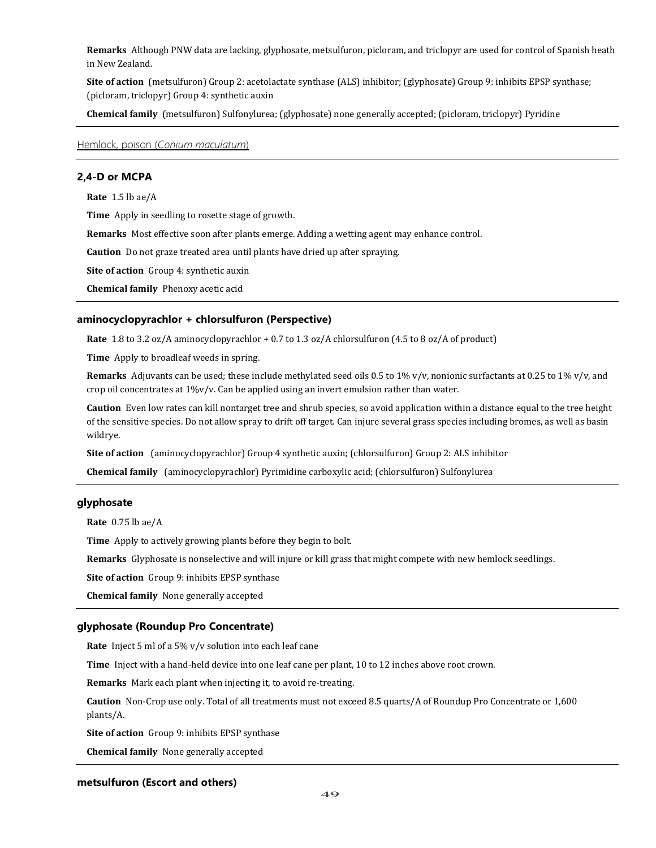**Remarks** Although PNW data are lacking, glyphosate, metsulfuron, picloram, and triclopyr are used for control of Spanish heath in New Zealand.

**Site of action** (metsulfuron) Group 2: acetolactate synthase (ALS) inhibitor; (glyphosate) Group 9: inhibits EPSP synthase; (picloram, triclopyr) Group 4: synthetic auxin

**Chemical family** (metsulfuron) Sulfonylurea; (glyphosate) none generally accepted; (picloram, triclopyr) Pyridine

Hemlock, poison (*Conium maculatum*)

# **2,4-D or MCPA**

**Rate** 1.5 lb ae/A

**Time** Apply in seedling to rosette stage of growth.

**Remarks** Most effective soon after plants emerge. Adding a wetting agent may enhance control.

**Caution** Do not graze treated area until plants have dried up after spraying.

**Site of action** Group 4: synthetic auxin

**Chemical family** Phenoxy acetic acid

## **aminocyclopyrachlor + chlorsulfuron (Perspective)**

**Rate** 1.8 to 3.2 oz/A aminocyclopyrachlor + 0.7 to 1.3 oz/A chlorsulfuron (4.5 to 8 oz/A of product)

**Time** Apply to broadleaf weeds in spring.

**Remarks** Adjuvants can be used; these include methylated seed oils 0.5 to 1% v/v, nonionic surfactants at 0.25 to 1% v/v, and crop oil concentrates at 1%v/v. Can be applied using an invert emulsion rather than water.

**Caution** Even low rates can kill nontarget tree and shrub species, so avoid application within a distance equal to the tree height of the sensitive species. Do not allow spray to drift off target. Can injure several grass species including bromes, as well as basin wildrye.

**Site of action** (aminocyclopyrachlor) Group 4 synthetic auxin; (chlorsulfuron) Group 2: ALS inhibitor

**Chemical family** (aminocyclopyrachlor) Pyrimidine carboxylic acid; (chlorsulfuron) Sulfonylurea

## **glyphosate**

**Rate** 0.75 lb ae/A

**Time** Apply to actively growing plants before they begin to bolt.

**Remarks** Glyphosate is nonselective and will injure or kill grass that might compete with new hemlock seedlings.

**Site of action** Group 9: inhibits EPSP synthase

**Chemical family** None generally accepted

### **glyphosate (Roundup Pro Concentrate)**

**Rate** Inject 5 ml of a 5% v/v solution into each leaf cane

**Time** Inject with a hand-held device into one leaf cane per plant, 10 to 12 inches above root crown.

**Remarks** Mark each plant when injecting it, to avoid re-treating.

**Caution** Non-Crop use only. Total of all treatments must not exceed 8.5 quarts/A of Roundup Pro Concentrate or 1,600 plants/A.

**Site of action** Group 9: inhibits EPSP synthase

**Chemical family** None generally accepted

## **metsulfuron (Escort and others)**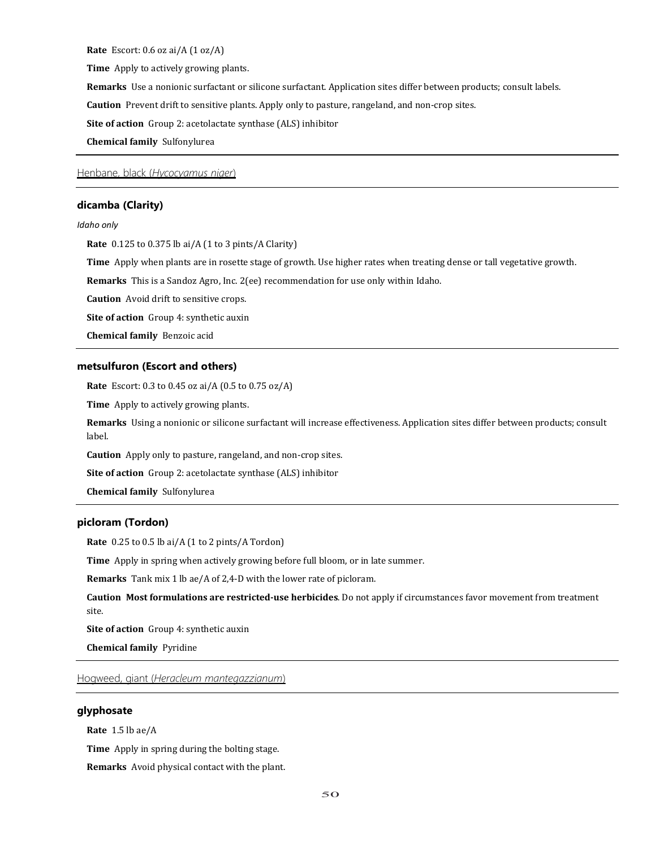**Rate** Escort: 0.6 oz ai/A (1 oz/A)

**Time** Apply to actively growing plants.

**Remarks** Use a nonionic surfactant or silicone surfactant. Application sites differ between products; consult labels.

**Caution** Prevent drift to sensitive plants. Apply only to pasture, rangeland, and non-crop sites.

**Site of action** Group 2: acetolactate synthase (ALS) inhibitor

**Chemical family** Sulfonylurea

Henbane, black (*Hycocyamus niger*)

### **dicamba (Clarity)**

### *Idaho only*

**Rate** 0.125 to 0.375 lb ai/A (1 to 3 pints/A Clarity)

**Time** Apply when plants are in rosette stage of growth. Use higher rates when treating dense or tall vegetative growth.

**Remarks** This is a Sandoz Agro, Inc. 2(ee) recommendation for use only within Idaho.

**Caution** Avoid drift to sensitive crops.

**Site of action** Group 4: synthetic auxin

**Chemical family** Benzoic acid

### **metsulfuron (Escort and others)**

**Rate** Escort: 0.3 to 0.45 oz ai/A (0.5 to 0.75 oz/A)

**Time** Apply to actively growing plants.

**Remarks** Using a nonionic or silicone surfactant will increase effectiveness. Application sites differ between products; consult label.

**Caution** Apply only to pasture, rangeland, and non-crop sites.

**Site of action** Group 2: acetolactate synthase (ALS) inhibitor

**Chemical family** Sulfonylurea

# **picloram (Tordon)**

**Rate** 0.25 to 0.5 lb ai/A (1 to 2 pints/A Tordon)

**Time** Apply in spring when actively growing before full bloom, or in late summer.

**Remarks** Tank mix 1 lb ae/A of 2,4-D with the lower rate of picloram.

**Caution Most formulations are restricted-use herbicides**. Do not apply if circumstances favor movement from treatment site.

**Site of action** Group 4: synthetic auxin

**Chemical family** Pyridine

Hogweed, giant (*Heracleum mantegazzianum*)

# **glyphosate**

**Rate** 1.5 lb ae/A

**Time** Apply in spring during the bolting stage.

**Remarks** Avoid physical contact with the plant.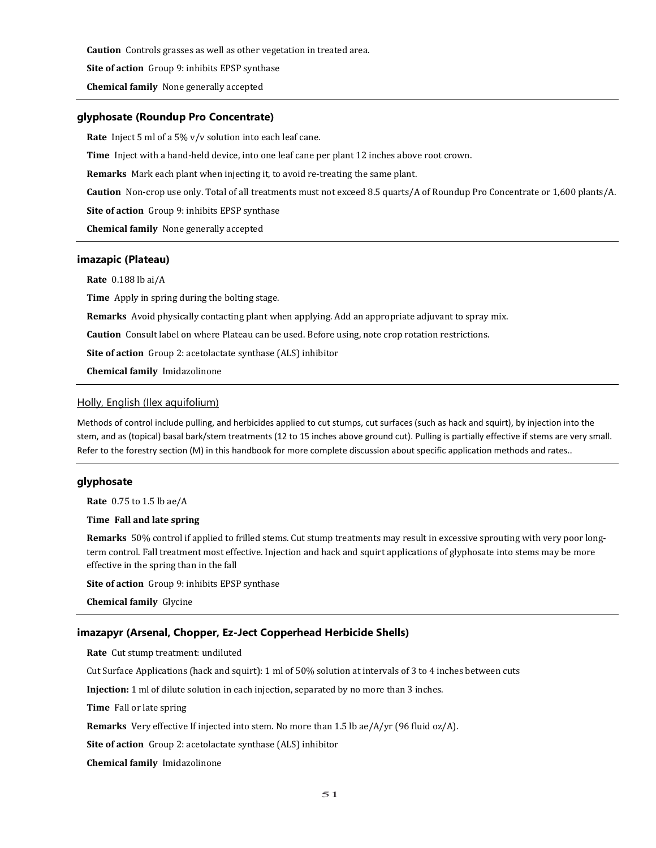**Caution** Controls grasses as well as other vegetation in treated area.

**Site of action** Group 9: inhibits EPSP synthase

**Chemical family** None generally accepted

## **glyphosate (Roundup Pro Concentrate)**

**Rate** Inject 5 ml of a 5% v/v solution into each leaf cane.

**Time** Inject with a hand-held device, into one leaf cane per plant 12 inches above root crown.

**Remarks** Mark each plant when injecting it, to avoid re-treating the same plant.

**Caution** Non-crop use only. Total of all treatments must not exceed 8.5 quarts/A of Roundup Pro Concentrate or 1,600 plants/A.

**Site of action** Group 9: inhibits EPSP synthase

**Chemical family** None generally accepted

#### **imazapic (Plateau)**

**Rate** 0.188 lb ai/A

**Time** Apply in spring during the bolting stage.

**Remarks** Avoid physically contacting plant when applying. Add an appropriate adjuvant to spray mix.

**Caution** Consult label on where Plateau can be used. Before using, note crop rotation restrictions.

**Site of action** Group 2: acetolactate synthase (ALS) inhibitor

**Chemical family** Imidazolinone

# Holly, English (Ilex aquifolium)

Methods of control include pulling, and herbicides applied to cut stumps, cut surfaces (such as hack and squirt), by injection into the stem, and as (topical) basal bark/stem treatments (12 to 15 inches above ground cut). Pulling is partially effective if stems are very small. Refer to the forestry section (M) in this handbook for more complete discussion about specific application methods and rates..

# **glyphosate**

**Rate** 0.75 to 1.5 lb ae/A

# **Time Fall and late spring**

**Remarks** 50% control if applied to frilled stems. Cut stump treatments may result in excessive sprouting with very poor longterm control. Fall treatment most effective. Injection and hack and squirt applications of glyphosate into stems may be more effective in the spring than in the fall

**Site of action** Group 9: inhibits EPSP synthase

**Chemical family** Glycine

### **imazapyr (Arsenal, Chopper, Ez-Ject Copperhead Herbicide Shells)**

**Rate** Cut stump treatment: undiluted

Cut Surface Applications (hack and squirt): 1 ml of 50% solution at intervals of 3 to 4 inches between cuts

**Injection:** 1 ml of dilute solution in each injection, separated by no more than 3 inches.

**Time** Fall or late spring

**Remarks** Very effective If injected into stem. No more than 1.5 lb ae/A/yr (96 fluid oz/A).

**Site of action** Group 2: acetolactate synthase (ALS) inhibitor

**Chemical family** Imidazolinone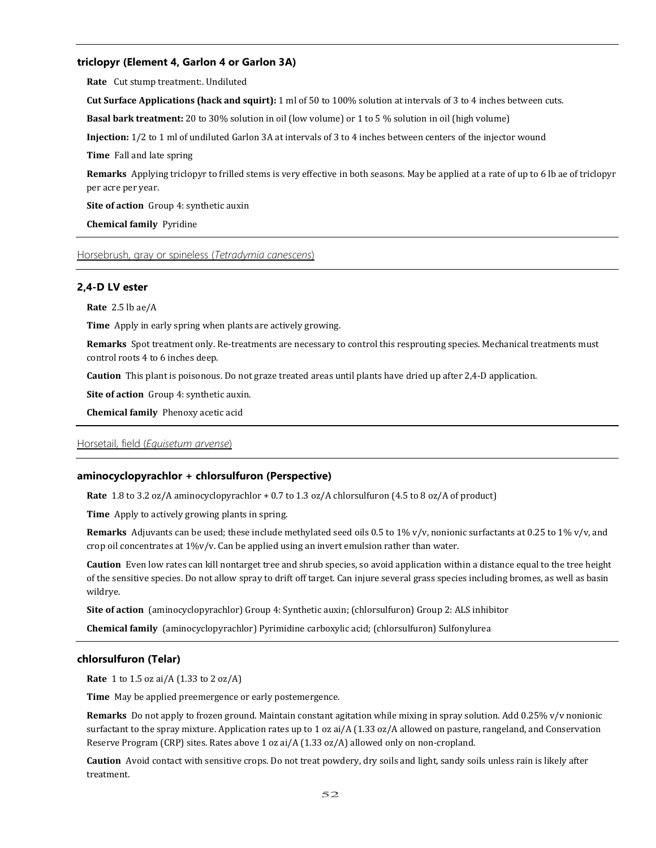## **triclopyr (Element 4, Garlon 4 or Garlon 3A)**

**Rate** Cut stump treatment:. Undiluted

**Cut Surface Applications (hack and squirt):** 1 ml of 50 to 100% solution at intervals of 3 to 4 inches between cuts.

**Basal bark treatment:** 20 to 30% solution in oil (low volume) or 1 to 5 % solution in oil (high volume)

**Injection:** 1/2 to 1 ml of undiluted Garlon 3A at intervals of 3 to 4 inches between centers of the injector wound

**Time** Fall and late spring

**Remarks** Applying triclopyr to frilled stems is very effective in both seasons. May be applied at a rate of up to 6 lb ae of triclopyr per acre per year.

**Site of action** Group 4: synthetic auxin

**Chemical family** Pyridine

Horsebrush, gray or spineless (*Tetradymia canescens*)

# **2,4-D LV ester**

**Rate** 2.5 lb ae/A

**Time** Apply in early spring when plants are actively growing.

**Remarks** Spot treatment only. Re-treatments are necessary to control this resprouting species. Mechanical treatments must control roots 4 to 6 inches deep.

**Caution** This plant is poisonous. Do not graze treated areas until plants have dried up after 2,4-D application.

**Site of action** Group 4: synthetic auxin.

**Chemical family** Phenoxy acetic acid

### Horsetail, field (*Equisetum arvense*)

# **aminocyclopyrachlor + chlorsulfuron (Perspective)**

**Rate** 1.8 to 3.2 oz/A aminocyclopyrachlor + 0.7 to 1.3 oz/A chlorsulfuron (4.5 to 8 oz/A of product)

**Time** Apply to actively growing plants in spring.

**Remarks** Adjuvants can be used; these include methylated seed oils 0.5 to 1% v/v, nonionic surfactants at 0.25 to 1% v/v, and crop oil concentrates at 1%v/v. Can be applied using an invert emulsion rather than water.

**Caution** Even low rates can kill nontarget tree and shrub species, so avoid application within a distance equal to the tree height of the sensitive species. Do not allow spray to drift off target. Can injure several grass species including bromes, as well as basin wildrye.

**Site of action** (aminocyclopyrachlor) Group 4: Synthetic auxin; (chlorsulfuron) Group 2: ALS inhibitor

**Chemical family** (aminocyclopyrachlor) Pyrimidine carboxylic acid; (chlorsulfuron) Sulfonylurea

# **chlorsulfuron (Telar)**

**Rate** 1 to 1.5 oz ai/A (1.33 to 2 oz/A)

**Time** May be applied preemergence or early postemergence.

**Remarks** Do not apply to frozen ground. Maintain constant agitation while mixing in spray solution. Add 0.25% v/v nonionic surfactant to the spray mixture. Application rates up to 1 oz ai/A (1.33 oz/A allowed on pasture, rangeland, and Conservation Reserve Program (CRP) sites. Rates above 1 oz ai/A (1.33 oz/A) allowed only on non-cropland.

**Caution** Avoid contact with sensitive crops. Do not treat powdery, dry soils and light, sandy soils unless rain is likely after treatment.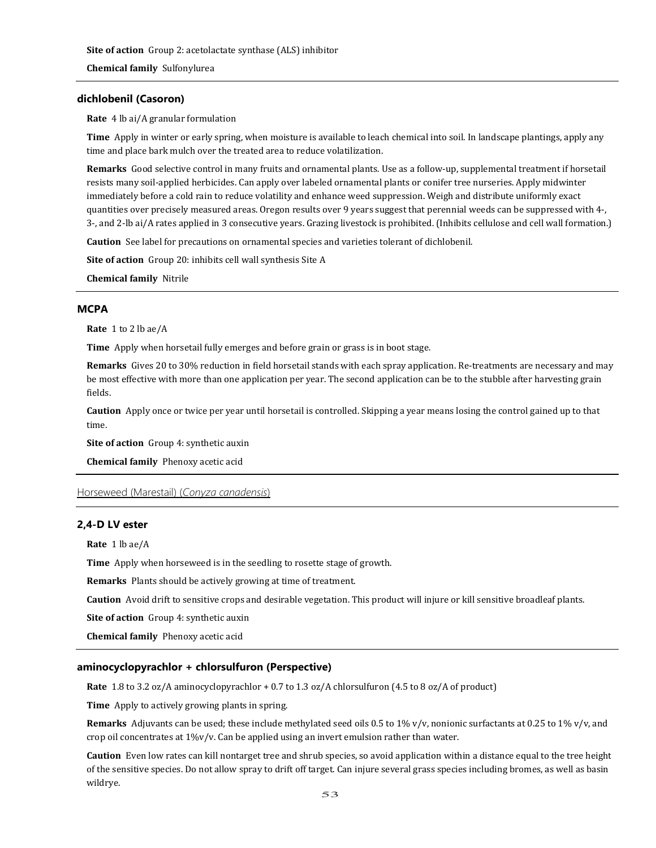**Chemical family** Sulfonylurea

# **dichlobenil (Casoron)**

**Rate** 4 lb ai/A granular formulation

**Time** Apply in winter or early spring, when moisture is available to leach chemical into soil. In landscape plantings, apply any time and place bark mulch over the treated area to reduce volatilization.

**Remarks** Good selective control in many fruits and ornamental plants. Use as a follow-up, supplemental treatment if horsetail resists many soil-applied herbicides. Can apply over labeled ornamental plants or conifer tree nurseries. Apply midwinter immediately before a cold rain to reduce volatility and enhance weed suppression. Weigh and distribute uniformly exact quantities over precisely measured areas. Oregon results over 9 years suggest that perennial weeds can be suppressed with 4-, 3-, and 2-lb ai/A rates applied in 3 consecutive years. Grazing livestock is prohibited. (Inhibits cellulose and cell wall formation.)

**Caution** See label for precautions on ornamental species and varieties tolerant of dichlobenil.

**Site of action** Group 20: inhibits cell wall synthesis Site A

**Chemical family** Nitrile

# **MCPA**

**Rate** 1 to 2 lb ae/A

**Time** Apply when horsetail fully emerges and before grain or grass is in boot stage.

**Remarks** Gives 20 to 30% reduction in field horsetail stands with each spray application. Re-treatments are necessary and may be most effective with more than one application per year. The second application can be to the stubble after harvesting grain fields.

**Caution** Apply once or twice per year until horsetail is controlled. Skipping a year means losing the control gained up to that time.

**Site of action** Group 4: synthetic auxin

**Chemical family** Phenoxy acetic acid

# Horseweed (Marestail) (*Conyza canadensis*)

# **2,4-D LV ester**

**Rate** 1 lb ae/A

**Time** Apply when horseweed is in the seedling to rosette stage of growth.

**Remarks** Plants should be actively growing at time of treatment.

**Caution** Avoid drift to sensitive crops and desirable vegetation. This product will injure or kill sensitive broadleaf plants.

**Site of action** Group 4: synthetic auxin

**Chemical family** Phenoxy acetic acid

### **aminocyclopyrachlor + chlorsulfuron (Perspective)**

**Rate** 1.8 to 3.2 oz/A aminocyclopyrachlor + 0.7 to 1.3 oz/A chlorsulfuron (4.5 to 8 oz/A of product)

**Time** Apply to actively growing plants in spring.

**Remarks** Adjuvants can be used; these include methylated seed oils 0.5 to 1% v/v, nonionic surfactants at 0.25 to 1% v/v, and crop oil concentrates at 1%v/v. Can be applied using an invert emulsion rather than water.

**Caution** Even low rates can kill nontarget tree and shrub species, so avoid application within a distance equal to the tree height of the sensitive species. Do not allow spray to drift off target. Can injure several grass species including bromes, as well as basin wildrye.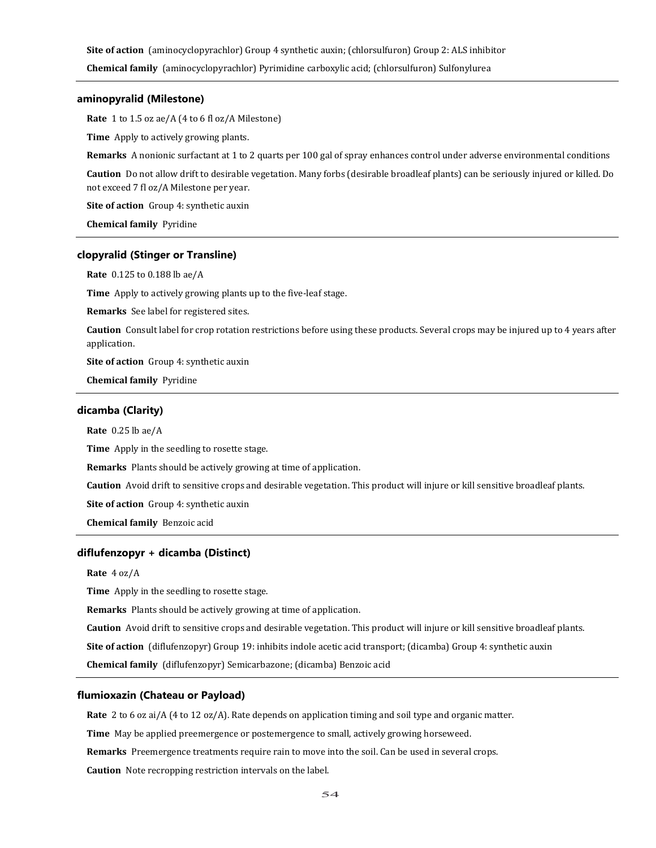**Site of action** (aminocyclopyrachlor) Group 4 synthetic auxin; (chlorsulfuron) Group 2: ALS inhibitor

**Chemical family** (aminocyclopyrachlor) Pyrimidine carboxylic acid; (chlorsulfuron) Sulfonylurea

# **aminopyralid (Milestone)**

**Rate** 1 to 1.5 oz ae/A (4 to 6 fl oz/A Milestone)

**Time** Apply to actively growing plants.

**Remarks** A nonionic surfactant at 1 to 2 quarts per 100 gal of spray enhances control under adverse environmental conditions

**Caution** Do not allow drift to desirable vegetation. Many forbs (desirable broadleaf plants) can be seriously injured or killed. Do not exceed 7 fl oz/A Milestone per year.

**Site of action** Group 4: synthetic auxin

**Chemical family** Pyridine

#### **clopyralid (Stinger or Transline)**

**Rate** 0.125 to 0.188 lb ae/A

**Time** Apply to actively growing plants up to the five-leaf stage.

**Remarks** See label for registered sites.

**Caution** Consult label for crop rotation restrictions before using these products. Several crops may be injured up to 4 years after application.

**Site of action** Group 4: synthetic auxin

**Chemical family** Pyridine

# **dicamba (Clarity)**

**Rate** 0.25 lb ae/A

**Time** Apply in the seedling to rosette stage.

**Remarks** Plants should be actively growing at time of application.

**Caution** Avoid drift to sensitive crops and desirable vegetation. This product will injure or kill sensitive broadleaf plants.

**Site of action** Group 4: synthetic auxin

**Chemical family** Benzoic acid

#### **diflufenzopyr + dicamba (Distinct)**

**Rate** 4 oz/A

**Time** Apply in the seedling to rosette stage.

**Remarks** Plants should be actively growing at time of application.

**Caution** Avoid drift to sensitive crops and desirable vegetation. This product will injure or kill sensitive broadleaf plants.

**Site of action** (diflufenzopyr) Group 19: inhibits indole acetic acid transport; (dicamba) Group 4: synthetic auxin

**Chemical family** (diflufenzopyr) Semicarbazone; (dicamba) Benzoic acid

# **flumioxazin (Chateau or Payload)**

**Rate** 2 to 6 oz ai/A (4 to 12 oz/A). Rate depends on application timing and soil type and organic matter.

**Time** May be applied preemergence or postemergence to small, actively growing horseweed.

**Remarks** Preemergence treatments require rain to move into the soil. Can be used in several crops.

**Caution** Note recropping restriction intervals on the label.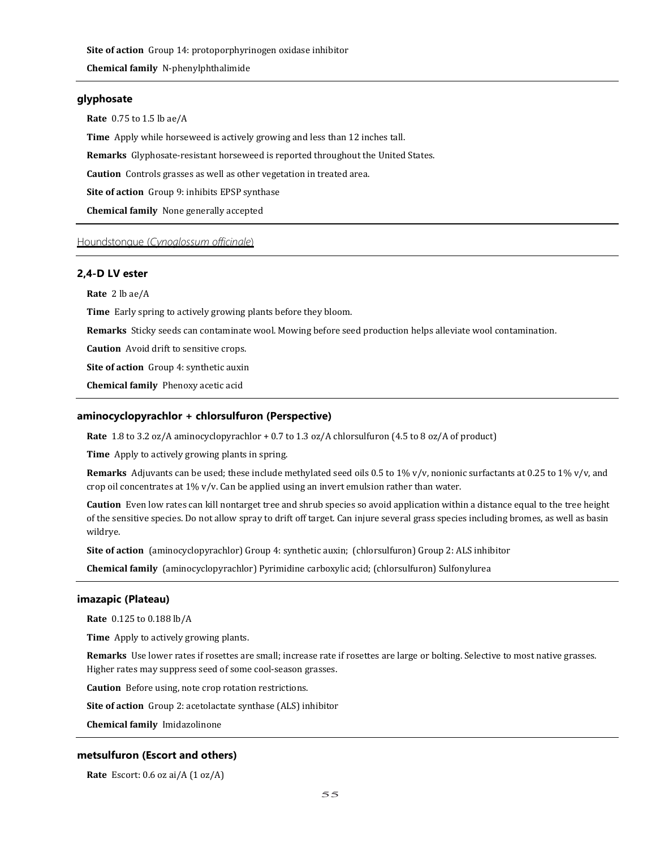**Site of action** Group 14: protoporphyrinogen oxidase inhibitor

**Chemical family** N-phenylphthalimide

# **glyphosate**

**Rate** 0.75 to 1.5 lb ae/A

**Time** Apply while horseweed is actively growing and less than 12 inches tall.

**Remarks** Glyphosate-resistant horseweed is reported throughout the United States.

**Caution** Controls grasses as well as other vegetation in treated area.

**Site of action** Group 9: inhibits EPSP synthase

**Chemical family** None generally accepted

# Houndstongue (*Cynoglossum officinale*)

# **2,4-D LV ester**

**Rate** 2 lb ae/A

**Time** Early spring to actively growing plants before they bloom.

**Remarks** Sticky seeds can contaminate wool. Mowing before seed production helps alleviate wool contamination.

**Caution** Avoid drift to sensitive crops.

**Site of action** Group 4: synthetic auxin

**Chemical family** Phenoxy acetic acid

#### **aminocyclopyrachlor + chlorsulfuron (Perspective)**

**Rate** 1.8 to 3.2 oz/A aminocyclopyrachlor + 0.7 to 1.3 oz/A chlorsulfuron (4.5 to 8 oz/A of product)

**Time** Apply to actively growing plants in spring.

**Remarks** Adjuvants can be used; these include methylated seed oils 0.5 to 1% v/v, nonionic surfactants at 0.25 to 1% v/v, and crop oil concentrates at 1% v/v. Can be applied using an invert emulsion rather than water.

**Caution** Even low rates can kill nontarget tree and shrub species so avoid application within a distance equal to the tree height of the sensitive species. Do not allow spray to drift off target. Can injure several grass species including bromes, as well as basin wildrye.

**Site of action** (aminocyclopyrachlor) Group 4: synthetic auxin; (chlorsulfuron) Group 2: ALS inhibitor

**Chemical family** (aminocyclopyrachlor) Pyrimidine carboxylic acid; (chlorsulfuron) Sulfonylurea

# **imazapic (Plateau)**

**Rate** 0.125 to 0.188 lb/A

**Time** Apply to actively growing plants.

**Remarks** Use lower rates if rosettes are small; increase rate if rosettes are large or bolting. Selective to most native grasses. Higher rates may suppress seed of some cool-season grasses.

**Caution** Before using, note crop rotation restrictions.

**Site of action** Group 2: acetolactate synthase (ALS) inhibitor

**Chemical family** Imidazolinone

## **metsulfuron (Escort and others)**

**Rate** Escort: 0.6 oz ai/A (1 oz/A)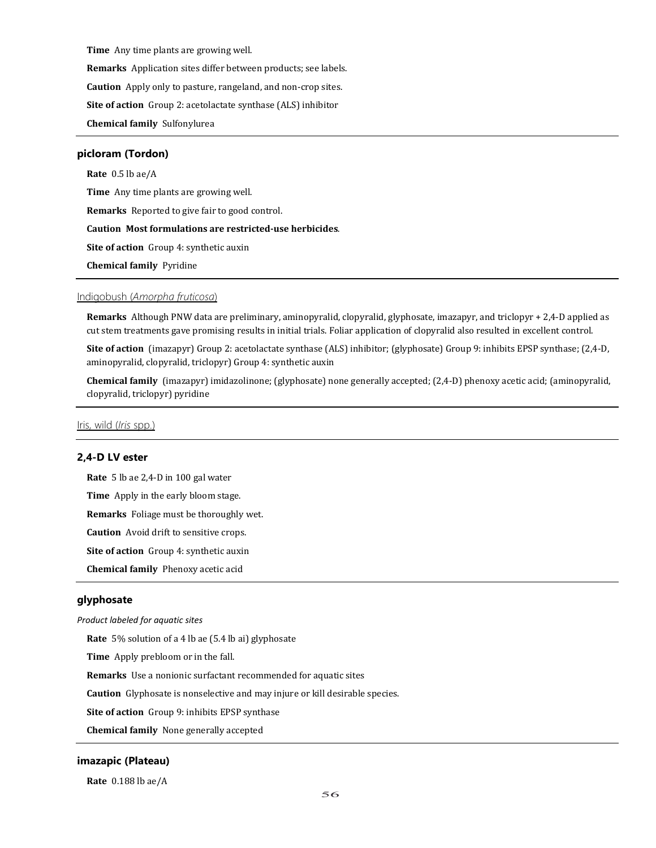**Time** Any time plants are growing well.

**Remarks** Application sites differ between products; see labels.

**Caution** Apply only to pasture, rangeland, and non-crop sites.

**Site of action** Group 2: acetolactate synthase (ALS) inhibitor

**Chemical family** Sulfonylurea

# **picloram (Tordon)**

**Rate** 0.5 lb ae/A **Time** Any time plants are growing well. **Remarks** Reported to give fair to good control.

**Caution Most formulations are restricted-use herbicides**.

**Site of action** Group 4: synthetic auxin

**Chemical family** Pyridine

## Indigobush (*Amorpha fruticosa*)

**Remarks** Although PNW data are preliminary, aminopyralid, clopyralid, glyphosate, imazapyr, and triclopyr + 2,4-D applied as cut stem treatments gave promising results in initial trials. Foliar application of clopyralid also resulted in excellent control.

**Site of action** (imazapyr) Group 2: acetolactate synthase (ALS) inhibitor; (glyphosate) Group 9: inhibits EPSP synthase; (2,4-D, aminopyralid, clopyralid, triclopyr) Group 4: synthetic auxin

**Chemical family** (imazapyr) imidazolinone; (glyphosate) none generally accepted; (2,4-D) phenoxy acetic acid; (aminopyralid, clopyralid, triclopyr) pyridine

Iris, wild (*Iris* spp.)

### **2,4-D LV ester**

**Rate** 5 lb ae 2,4-D in 100 gal water

**Time** Apply in the early bloom stage.

**Remarks** Foliage must be thoroughly wet.

**Caution** Avoid drift to sensitive crops.

**Site of action** Group 4: synthetic auxin

**Chemical family** Phenoxy acetic acid

## **glyphosate**

### *Product labeled for aquatic sites*

**Rate** 5% solution of a 4 lb ae (5.4 lb ai) glyphosate

**Time** Apply prebloom or in the fall.

**Remarks** Use a nonionic surfactant recommended for aquatic sites

**Caution** Glyphosate is nonselective and may injure or kill desirable species.

**Site of action** Group 9: inhibits EPSP synthase

**Chemical family** None generally accepted

### **imazapic (Plateau)**

**Rate** 0.188 lb ae/A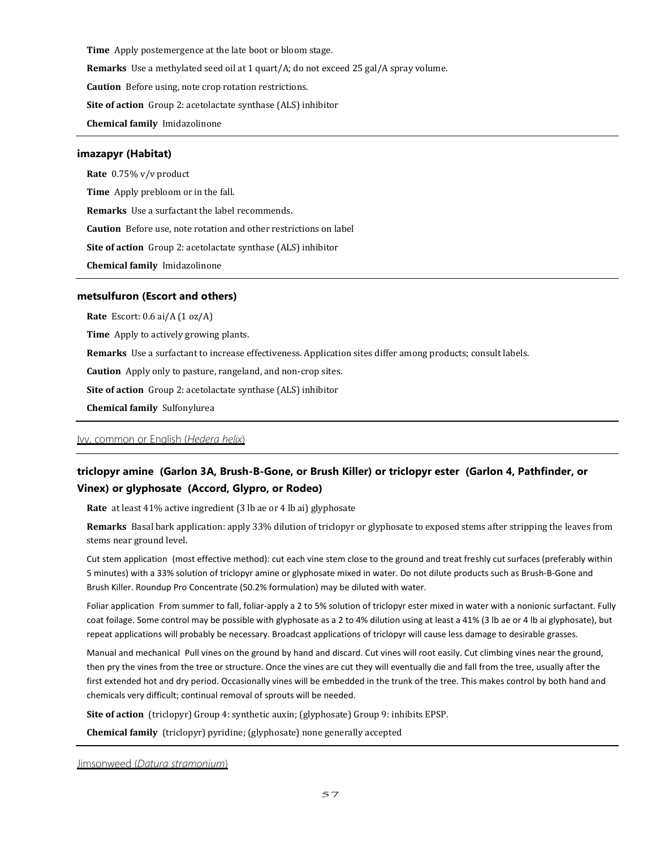**Time** Apply postemergence at the late boot or bloom stage.

**Remarks** Use a methylated seed oil at 1 quart/A; do not exceed 25 gal/A spray volume.

**Caution** Before using, note crop rotation restrictions.

**Site of action** Group 2: acetolactate synthase (ALS) inhibitor

**Chemical family** Imidazolinone

#### **imazapyr (Habitat)**

**Rate** 0.75% v/v product **Time** Apply prebloom or in the fall. **Remarks** Use a surfactant the label recommends. **Caution** Before use, note rotation and other restrictions on label

**Site of action** Group 2: acetolactate synthase (ALS) inhibitor

**Chemical family** Imidazolinone

#### **metsulfuron (Escort and others)**

**Rate** Escort: 0.6 ai/A (1 oz/A)

**Time** Apply to actively growing plants.

**Remarks** Use a surfactant to increase effectiveness. Application sites differ among products; consult labels.

**Caution** Apply only to pasture, rangeland, and non-crop sites.

**Site of action** Group 2: acetolactate synthase (ALS) inhibitor

**Chemical family** Sulfonylurea

# Ivy, common or English (*Hedera helix*)

# **triclopyr amine (Garlon 3A, Brush-B-Gone, or Brush Killer) or triclopyr ester (Garlon 4, Pathfinder, or Vinex) or glyphosate (Accord, Glypro, or Rodeo)**

**Rate** at least 41% active ingredient (3 lb ae or 4 lb ai) glyphosate

**Remarks** Basal bark application: apply 33% dilution of triclopyr or glyphosate to exposed stems after stripping the leaves from stems near ground level.

Cut stem application (most effective method): cut each vine stem close to the ground and treat freshly cut surfaces (preferably within 5 minutes) with a 33% solution of triclopyr amine or glyphosate mixed in water. Do not dilute products such as Brush-B-Gone and Brush Killer. Roundup Pro Concentrate (50.2% formulation) may be diluted with water.

Foliar application From summer to fall, foliar-apply a 2 to 5% solution of triclopyr ester mixed in water with a nonionic surfactant. Fully coat foilage. Some control may be possible with glyphosate as a 2 to 4% dilution using at least a 41% (3 lb ae or 4 lb ai glyphosate), but repeat applications will probably be necessary. Broadcast applications of triclopyr will cause less damage to desirable grasses.

Manual and mechanical Pull vines on the ground by hand and discard. Cut vines will root easily. Cut climbing vines near the ground, then pry the vines from the tree or structure. Once the vines are cut they will eventually die and fall from the tree, usually after the first extended hot and dry period. Occasionally vines will be embedded in the trunk of the tree. This makes control by both hand and chemicals very difficult; continual removal of sprouts will be needed.

**Site of action** (triclopyr) Group 4: synthetic auxin; (glyphosate) Group 9: inhibits EPSP.

**Chemical family** (triclopyr) pyridine; (glyphosate) none generally accepted

Jimsonweed (*Datura stramonium*)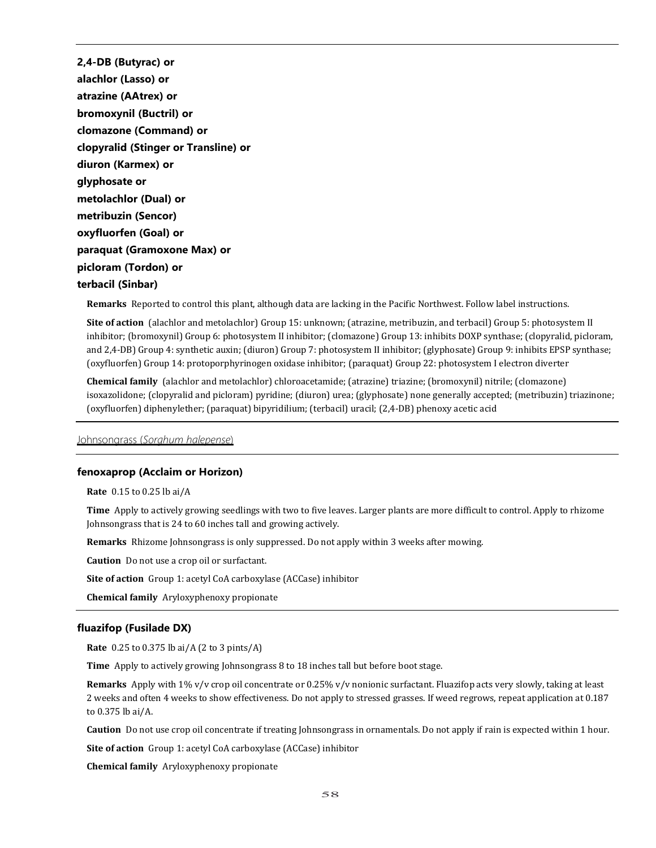**2,4-DB (Butyrac) or alachlor (Lasso) or atrazine (AAtrex) or bromoxynil (Buctril) or clomazone (Command) or clopyralid (Stinger or Transline) or diuron (Karmex) or glyphosate or metolachlor (Dual) or metribuzin (Sencor) oxyfluorfen (Goal) or paraquat (Gramoxone Max) or picloram (Tordon) or terbacil (Sinbar)**

**Remarks** Reported to control this plant, although data are lacking in the Pacific Northwest. Follow label instructions.

**Site of action** (alachlor and metolachlor) Group 15: unknown; (atrazine, metribuzin, and terbacil) Group 5: photosystem II inhibitor; (bromoxynil) Group 6: photosystem II inhibitor; (clomazone) Group 13: inhibits DOXP synthase; (clopyralid, picloram, and 2,4-DB) Group 4: synthetic auxin; (diuron) Group 7: photosystem II inhibitor; (glyphosate) Group 9: inhibits EPSP synthase; (oxyfluorfen) Group 14: protoporphyrinogen oxidase inhibitor; (paraquat) Group 22: photosystem I electron diverter

**Chemical family** (alachlor and metolachlor) chloroacetamide; (atrazine) triazine; (bromoxynil) nitrile; (clomazone) isoxazolidone; (clopyralid and picloram) pyridine; (diuron) urea; (glyphosate) none generally accepted; (metribuzin) triazinone; (oxyfluorfen) diphenylether; (paraquat) bipyridilium; (terbacil) uracil; (2,4-DB) phenoxy acetic acid

Johnsongrass (*Sorghum halepense*)

### **fenoxaprop (Acclaim or Horizon)**

**Rate** 0.15 to 0.25 lb ai/A

**Time** Apply to actively growing seedlings with two to five leaves. Larger plants are more difficult to control. Apply to rhizome Johnsongrass that is 24 to 60 inches tall and growing actively.

**Remarks** Rhizome Johnsongrass is only suppressed. Do not apply within 3 weeks after mowing.

**Caution** Do not use a crop oil or surfactant.

**Site of action** Group 1: acetyl CoA carboxylase (ACCase) inhibitor

**Chemical family** Aryloxyphenoxy propionate

## **fluazifop (Fusilade DX)**

**Rate** 0.25 to 0.375 lb ai/A (2 to 3 pints/A)

**Time** Apply to actively growing Johnsongrass 8 to 18 inches tall but before boot stage.

**Remarks** Apply with 1% v/v crop oil concentrate or 0.25% v/v nonionic surfactant. Fluazifop acts very slowly, taking at least 2 weeks and often 4 weeks to show effectiveness. Do not apply to stressed grasses. If weed regrows, repeat application at 0.187 to 0.375 lb ai/A.

**Caution** Do not use crop oil concentrate if treating Johnsongrass in ornamentals. Do not apply if rain is expected within 1 hour.

**Site of action** Group 1: acetyl CoA carboxylase (ACCase) inhibitor

**Chemical family** Aryloxyphenoxy propionate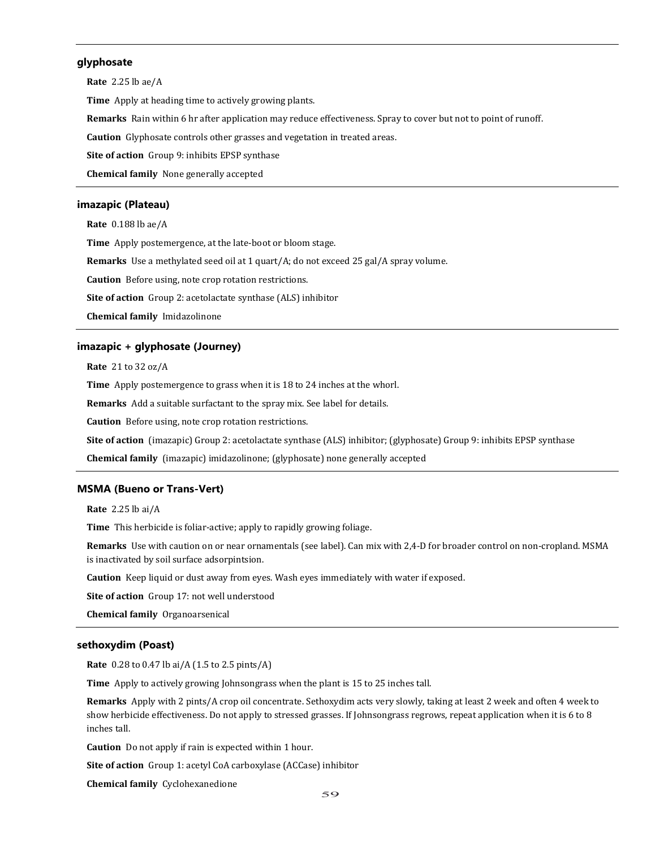# **glyphosate**

**Rate** 2.25 lb ae/A **Time** Apply at heading time to actively growing plants. **Remarks** Rain within 6 hr after application may reduce effectiveness. Spray to cover but not to point of runoff. **Caution** Glyphosate controls other grasses and vegetation in treated areas. **Site of action** Group 9: inhibits EPSP synthase **Chemical family** None generally accepted

# **imazapic (Plateau)**

**Rate** 0.188 lb ae/A **Time** Apply postemergence, at the late-boot or bloom stage. **Remarks** Use a methylated seed oil at 1 quart/A; do not exceed 25 gal/A spray volume. **Caution** Before using, note crop rotation restrictions. **Site of action** Group 2: acetolactate synthase (ALS) inhibitor **Chemical family** Imidazolinone

### **imazapic + glyphosate (Journey)**

**Rate** 21 to 32 oz/A

**Time** Apply postemergence to grass when it is 18 to 24 inches at the whorl.

**Remarks** Add a suitable surfactant to the spray mix. See label for details.

**Caution** Before using, note crop rotation restrictions.

**Site of action** (imazapic) Group 2: acetolactate synthase (ALS) inhibitor; (glyphosate) Group 9: inhibits EPSP synthase

**Chemical family** (imazapic) imidazolinone; (glyphosate) none generally accepted

## **MSMA (Bueno or Trans-Vert)**

**Rate** 2.25 lb ai/A

**Time** This herbicide is foliar-active; apply to rapidly growing foliage.

**Remarks** Use with caution on or near ornamentals (see label). Can mix with 2,4-D for broader control on non-cropland. MSMA is inactivated by soil surface adsorpintsion.

**Caution** Keep liquid or dust away from eyes. Wash eyes immediately with water if exposed.

**Site of action** Group 17: not well understood

**Chemical family** Organoarsenical

### **sethoxydim (Poast)**

**Rate** 0.28 to 0.47 lb ai/A (1.5 to 2.5 pints/A)

**Time** Apply to actively growing Johnsongrass when the plant is 15 to 25 inches tall.

**Remarks** Apply with 2 pints/A crop oil concentrate. Sethoxydim acts very slowly, taking at least 2 week and often 4 week to show herbicide effectiveness. Do not apply to stressed grasses. If Johnsongrass regrows, repeat application when it is 6 to 8 inches tall.

**Caution** Do not apply if rain is expected within 1 hour.

**Site of action** Group 1: acetyl CoA carboxylase (ACCase) inhibitor

**Chemical family** Cyclohexanedione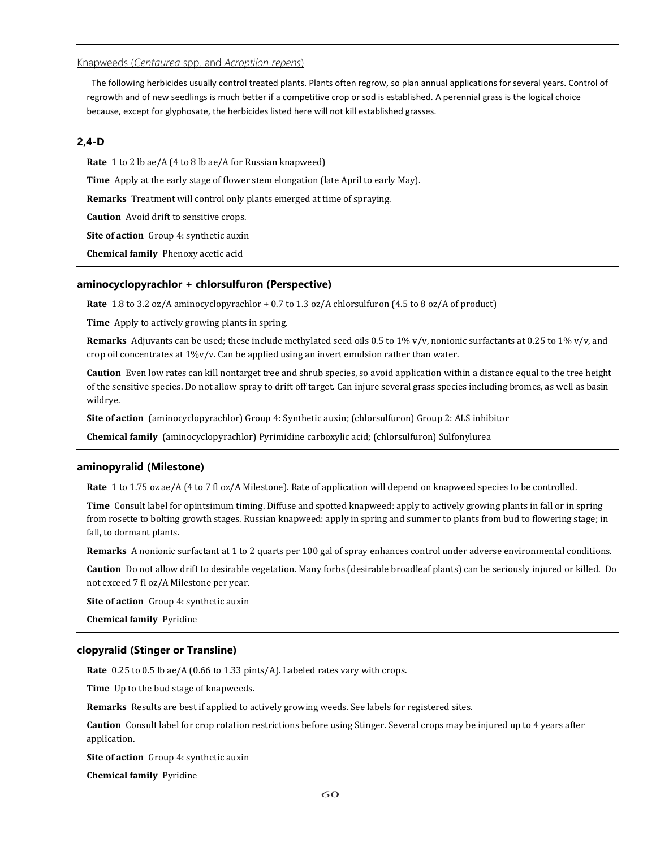# Knapweeds (*Centaurea* spp. and *Acroptilon repens*)

The following herbicides usually control treated plants. Plants often regrow, so plan annual applications for several years. Control of regrowth and of new seedlings is much better if a competitive crop or sod is established. A perennial grass is the logical choice because, except for glyphosate, the herbicides listed here will not kill established grasses.

# **2,4-D**

**Rate** 1 to 2 lb ae/A (4 to 8 lb ae/A for Russian knapweed) **Time** Apply at the early stage of flower stem elongation (late April to early May). **Remarks** Treatment will control only plants emerged at time of spraying. **Caution** Avoid drift to sensitive crops. **Site of action** Group 4: synthetic auxin **Chemical family** Phenoxy acetic acid

#### **aminocyclopyrachlor + chlorsulfuron (Perspective)**

**Rate** 1.8 to 3.2 oz/A aminocyclopyrachlor + 0.7 to 1.3 oz/A chlorsulfuron (4.5 to 8 oz/A of product)

**Time** Apply to actively growing plants in spring.

**Remarks** Adjuvants can be used; these include methylated seed oils 0.5 to 1% v/v, nonionic surfactants at 0.25 to 1% v/v, and crop oil concentrates at 1%v/v. Can be applied using an invert emulsion rather than water.

**Caution** Even low rates can kill nontarget tree and shrub species, so avoid application within a distance equal to the tree height of the sensitive species. Do not allow spray to drift off target. Can injure several grass species including bromes, as well as basin wildrye.

**Site of action** (aminocyclopyrachlor) Group 4: Synthetic auxin; (chlorsulfuron) Group 2: ALS inhibitor

**Chemical family** (aminocyclopyrachlor) Pyrimidine carboxylic acid; (chlorsulfuron) Sulfonylurea

#### **aminopyralid (Milestone)**

**Rate** 1 to 1.75 oz ae/A (4 to 7 fl oz/A Milestone). Rate of application will depend on knapweed species to be controlled.

**Time** Consult label for opintsimum timing. Diffuse and spotted knapweed: apply to actively growing plants in fall or in spring from rosette to bolting growth stages. Russian knapweed: apply in spring and summer to plants from bud to flowering stage; in fall, to dormant plants.

**Remarks** A nonionic surfactant at 1 to 2 quarts per 100 gal of spray enhances control under adverse environmental conditions.

**Caution** Do not allow drift to desirable vegetation. Many forbs (desirable broadleaf plants) can be seriously injured or killed. Do not exceed 7 fl oz/A Milestone per year.

**Site of action** Group 4: synthetic auxin

**Chemical family** Pyridine

#### **clopyralid (Stinger or Transline)**

**Rate** 0.25 to 0.5 lb ae/A (0.66 to 1.33 pints/A). Labeled rates vary with crops.

**Time** Up to the bud stage of knapweeds.

**Remarks** Results are best if applied to actively growing weeds. See labels for registered sites.

**Caution** Consult label for crop rotation restrictions before using Stinger. Several crops may be injured up to 4 years after application.

**Site of action** Group 4: synthetic auxin

**Chemical family** Pyridine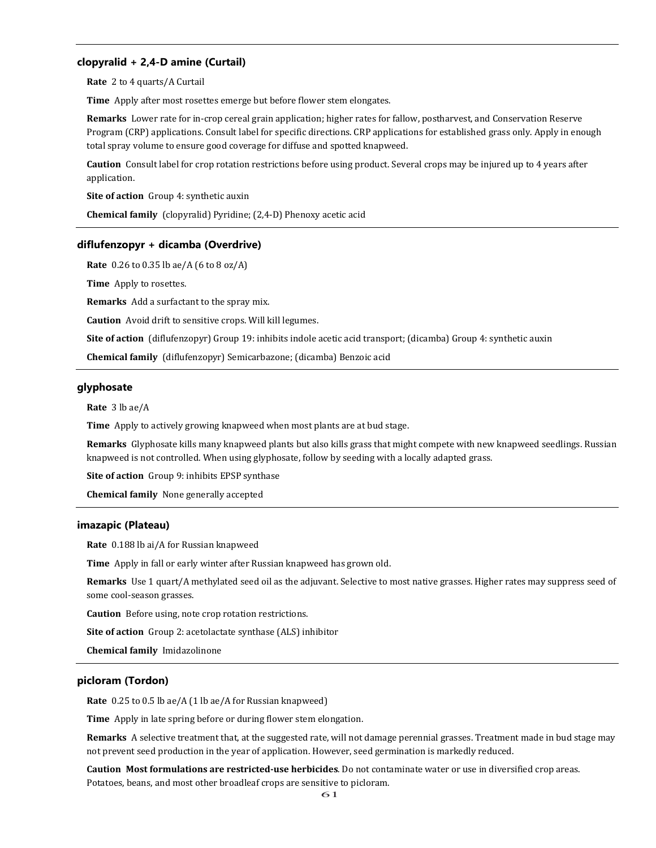# **clopyralid + 2,4-D amine (Curtail)**

**Rate** 2 to 4 quarts/A Curtail

**Time** Apply after most rosettes emerge but before flower stem elongates.

**Remarks** Lower rate for in-crop cereal grain application; higher rates for fallow, postharvest, and Conservation Reserve Program (CRP) applications. Consult label for specific directions. CRP applications for established grass only. Apply in enough total spray volume to ensure good coverage for diffuse and spotted knapweed.

**Caution** Consult label for crop rotation restrictions before using product. Several crops may be injured up to 4 years after application.

**Site of action** Group 4: synthetic auxin

**Chemical family** (clopyralid) Pyridine; (2,4-D) Phenoxy acetic acid

#### **diflufenzopyr + dicamba (Overdrive)**

**Rate** 0.26 to 0.35 lb ae/A (6 to 8 oz/A)

**Time** Apply to rosettes.

**Remarks** Add a surfactant to the spray mix.

**Caution** Avoid drift to sensitive crops. Will kill legumes.

**Site of action** (diflufenzopyr) Group 19: inhibits indole acetic acid transport; (dicamba) Group 4: synthetic auxin

**Chemical family** (diflufenzopyr) Semicarbazone; (dicamba) Benzoic acid

# **glyphosate**

**Rate** 3 lb ae/A

**Time** Apply to actively growing knapweed when most plants are at bud stage.

**Remarks** Glyphosate kills many knapweed plants but also kills grass that might compete with new knapweed seedlings. Russian knapweed is not controlled. When using glyphosate, follow by seeding with a locally adapted grass.

**Site of action** Group 9: inhibits EPSP synthase

**Chemical family** None generally accepted

### **imazapic (Plateau)**

**Rate** 0.188 lb ai/A for Russian knapweed

**Time** Apply in fall or early winter after Russian knapweed has grown old.

**Remarks** Use 1 quart/A methylated seed oil as the adjuvant. Selective to most native grasses. Higher rates may suppress seed of some cool-season grasses.

**Caution** Before using, note crop rotation restrictions.

**Site of action** Group 2: acetolactate synthase (ALS) inhibitor

**Chemical family** Imidazolinone

## **picloram (Tordon)**

**Rate** 0.25 to 0.5 lb ae/A (1 lb ae/A for Russian knapweed)

**Time** Apply in late spring before or during flower stem elongation.

**Remarks** A selective treatment that, at the suggested rate, will not damage perennial grasses. Treatment made in bud stage may not prevent seed production in the year of application. However, seed germination is markedly reduced.

**Caution Most formulations are restricted-use herbicides**. Do not contaminate water or use in diversified crop areas. Potatoes, beans, and most other broadleaf crops are sensitive to picloram.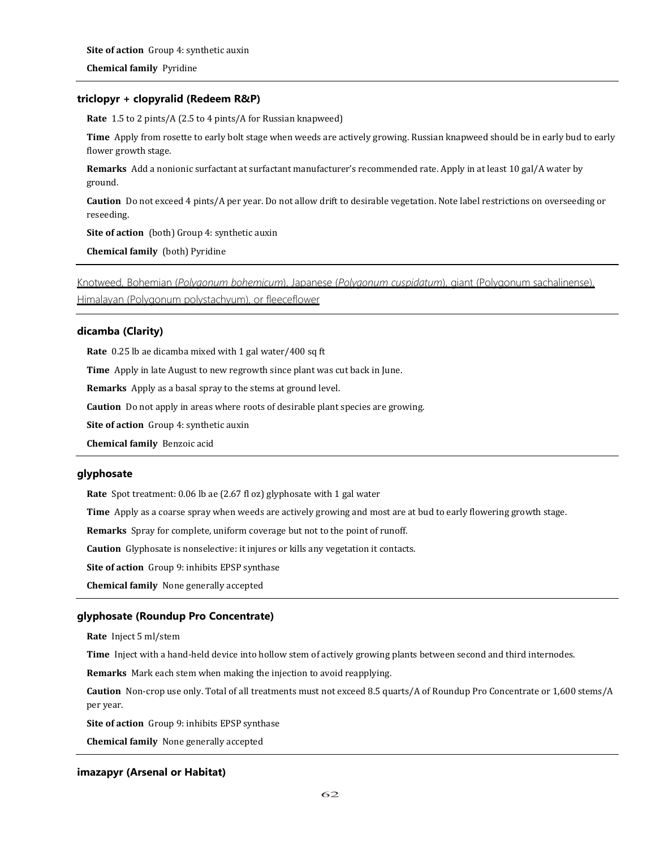# **triclopyr + clopyralid (Redeem R&P)**

**Rate** 1.5 to 2 pints/A (2.5 to 4 pints/A for Russian knapweed)

**Time** Apply from rosette to early bolt stage when weeds are actively growing. Russian knapweed should be in early bud to early flower growth stage.

**Remarks** Add a nonionic surfactant at surfactant manufacturer's recommended rate. Apply in at least 10 gal/A water by ground.

**Caution** Do not exceed 4 pints/A per year. Do not allow drift to desirable vegetation. Note label restrictions on overseeding or reseeding.

**Site of action** (both) Group 4: synthetic auxin

**Chemical family** (both) Pyridine

Knotweed, Bohemian (*Polygonum bohemicum*), Japanese (*Polygonum cuspidatum*), giant (Polygonum sachalinense), Himalayan (Polygonum polystachyum), or fleeceflower

# **dicamba (Clarity)**

**Rate** 0.25 lb ae dicamba mixed with 1 gal water/400 sq ft

**Time** Apply in late August to new regrowth since plant was cut back in June.

**Remarks** Apply as a basal spray to the stems at ground level.

**Caution** Do not apply in areas where roots of desirable plant species are growing.

**Site of action** Group 4: synthetic auxin

**Chemical family** Benzoic acid

### **glyphosate**

**Rate** Spot treatment: 0.06 lb ae (2.67 fl oz) glyphosate with 1 gal water

**Time** Apply as a coarse spray when weeds are actively growing and most are at bud to early flowering growth stage.

**Remarks** Spray for complete, uniform coverage but not to the point of runoff.

**Caution** Glyphosate is nonselective: it injures or kills any vegetation it contacts.

**Site of action** Group 9: inhibits EPSP synthase

**Chemical family** None generally accepted

# **glyphosate (Roundup Pro Concentrate)**

**Rate** Inject 5 ml/stem

**Time** Inject with a hand-held device into hollow stem of actively growing plants between second and third internodes.

**Remarks** Mark each stem when making the injection to avoid reapplying.

**Caution** Non-crop use only. Total of all treatments must not exceed 8.5 quarts/A of Roundup Pro Concentrate or 1,600 stems/A per year.

**Site of action** Group 9: inhibits EPSP synthase

**Chemical family** None generally accepted

# **imazapyr (Arsenal or Habitat)**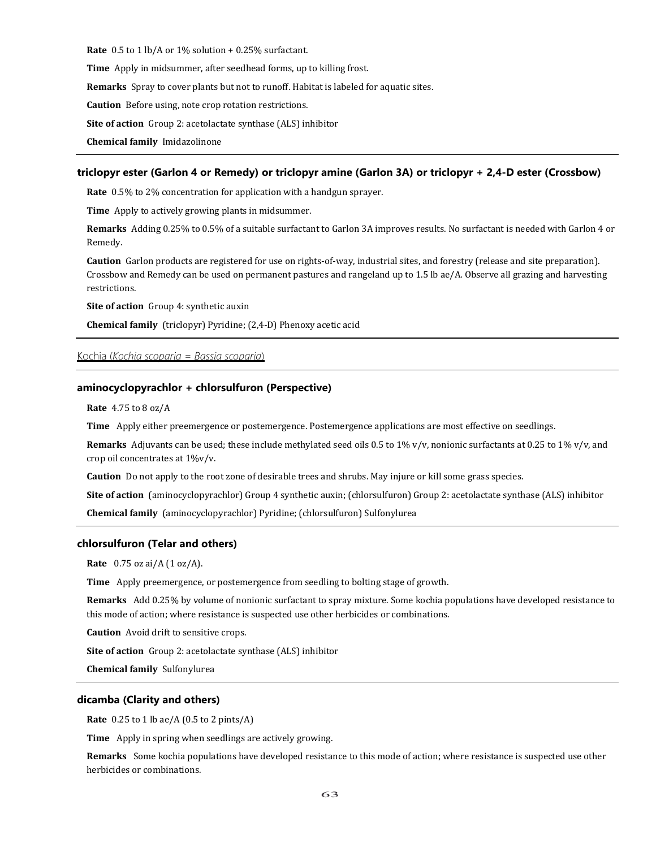**Rate** 0.5 to 1 lb/A or 1% solution + 0.25% surfactant.

**Time** Apply in midsummer, after seedhead forms, up to killing frost.

**Remarks** Spray to cover plants but not to runoff. Habitat is labeled for aquatic sites.

**Caution** Before using, note crop rotation restrictions.

**Site of action** Group 2: acetolactate synthase (ALS) inhibitor

**Chemical family** Imidazolinone

#### **triclopyr ester (Garlon 4 or Remedy) or triclopyr amine (Garlon 3A) or triclopyr + 2,4-D ester (Crossbow)**

**Rate** 0.5% to 2% concentration for application with a handgun sprayer.

**Time** Apply to actively growing plants in midsummer.

**Remarks** Adding 0.25% to 0.5% of a suitable surfactant to Garlon 3A improves results. No surfactant is needed with Garlon 4 or Remedy.

**Caution** Garlon products are registered for use on rights-of-way, industrial sites, and forestry (release and site preparation). Crossbow and Remedy can be used on permanent pastures and rangeland up to 1.5 lb ae/A. Observe all grazing and harvesting restrictions.

**Site of action** Group 4: synthetic auxin

**Chemical family** (triclopyr) Pyridine; (2,4-D) Phenoxy acetic acid

## Kochia (*Kochia scoparia = Bassia scoparia*)

# **aminocyclopyrachlor + chlorsulfuron (Perspective)**

**Rate** 4.75 to 8 oz/A

**Time** Apply either preemergence or postemergence. Postemergence applications are most effective on seedlings.

**Remarks** Adjuvants can be used; these include methylated seed oils 0.5 to 1% v/v, nonionic surfactants at 0.25 to 1% v/v, and crop oil concentrates at 1%v/v.

**Caution** Do not apply to the root zone of desirable trees and shrubs. May injure or kill some grass species.

**Site of action** (aminocyclopyrachlor) Group 4 synthetic auxin; (chlorsulfuron) Group 2: acetolactate synthase (ALS) inhibitor

**Chemical family** (aminocyclopyrachlor) Pyridine; (chlorsulfuron) Sulfonylurea

#### **chlorsulfuron (Telar and others)**

**Rate** 0.75 oz ai/A (1 oz/A).

**Time** Apply preemergence, or postemergence from seedling to bolting stage of growth.

**Remarks** Add 0.25% by volume of nonionic surfactant to spray mixture. Some kochia populations have developed resistance to this mode of action; where resistance is suspected use other herbicides or combinations.

**Caution** Avoid drift to sensitive crops.

**Site of action** Group 2: acetolactate synthase (ALS) inhibitor

**Chemical family** Sulfonylurea

#### **dicamba (Clarity and others)**

**Rate** 0.25 to 1 lb ae/A (0.5 to 2 pints/A)

**Time** Apply in spring when seedlings are actively growing.

**Remarks** Some kochia populations have developed resistance to this mode of action; where resistance is suspected use other herbicides or combinations.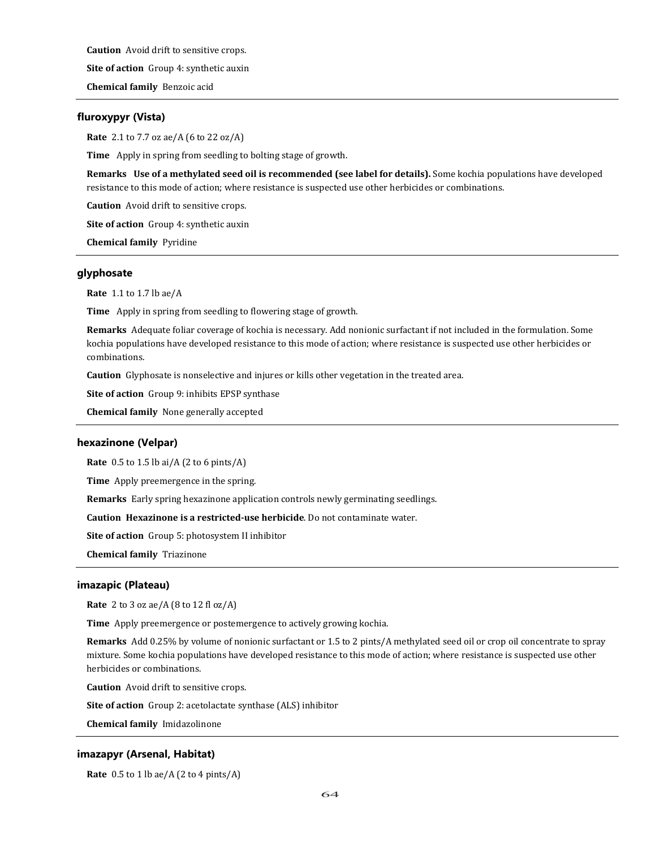**Caution** Avoid drift to sensitive crops.

**Site of action** Group 4: synthetic auxin

**Chemical family** Benzoic acid

# **fluroxypyr (Vista)**

**Rate** 2.1 to 7.7 oz ae/A (6 to 22 oz/A)

**Time** Apply in spring from seedling to bolting stage of growth.

**Remarks Use of a methylated seed oil is recommended (see label for details).** Some kochia populations have developed resistance to this mode of action; where resistance is suspected use other herbicides or combinations.

**Caution** Avoid drift to sensitive crops.

**Site of action** Group 4: synthetic auxin

**Chemical family** Pyridine

### **glyphosate**

**Rate** 1.1 to 1.7 lb ae/A

**Time** Apply in spring from seedling to flowering stage of growth.

**Remarks** Adequate foliar coverage of kochia is necessary. Add nonionic surfactant if not included in the formulation. Some kochia populations have developed resistance to this mode of action; where resistance is suspected use other herbicides or combinations.

**Caution** Glyphosate is nonselective and injures or kills other vegetation in the treated area.

**Site of action** Group 9: inhibits EPSP synthase

**Chemical family** None generally accepted

### **hexazinone (Velpar)**

**Rate** 0.5 to 1.5 lb ai/A (2 to 6 pints/A)

**Time** Apply preemergence in the spring.

**Remarks** Early spring hexazinone application controls newly germinating seedlings.

**Caution Hexazinone is a restricted-use herbicide**. Do not contaminate water.

**Site of action** Group 5: photosystem II inhibitor

**Chemical family** Triazinone

#### **imazapic (Plateau)**

**Rate** 2 to 3 oz ae/A (8 to 12 fl oz/A)

**Time** Apply preemergence or postemergence to actively growing kochia.

**Remarks** Add 0.25% by volume of nonionic surfactant or 1.5 to 2 pints/A methylated seed oil or crop oil concentrate to spray mixture. Some kochia populations have developed resistance to this mode of action; where resistance is suspected use other herbicides or combinations.

**Caution** Avoid drift to sensitive crops.

**Site of action** Group 2: acetolactate synthase (ALS) inhibitor

**Chemical family** Imidazolinone

# **imazapyr (Arsenal, Habitat)**

**Rate** 0.5 to 1 lb ae/A (2 to 4 pints/A)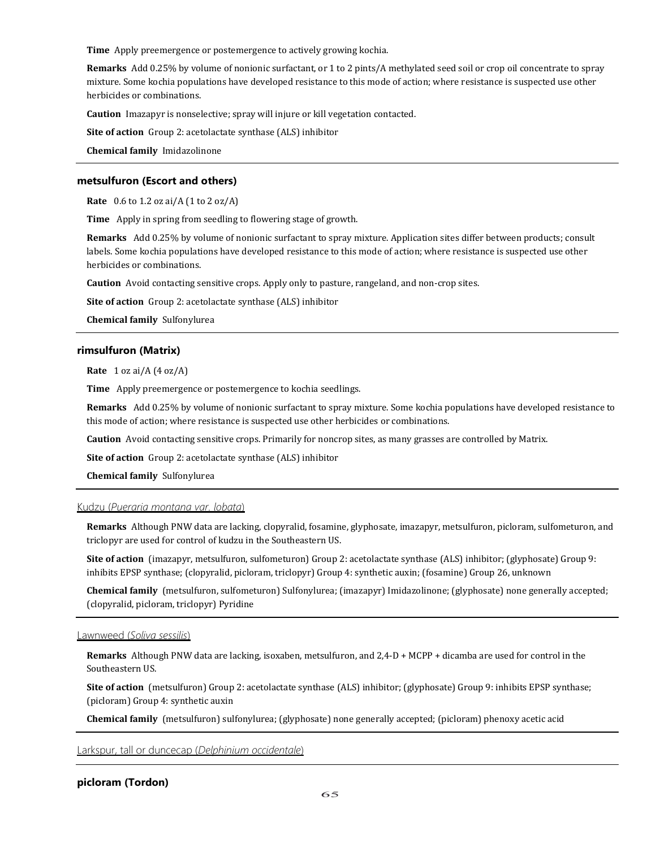**Time** Apply preemergence or postemergence to actively growing kochia.

**Remarks** Add 0.25% by volume of nonionic surfactant, or 1 to 2 pints/A methylated seed soil or crop oil concentrate to spray mixture. Some kochia populations have developed resistance to this mode of action; where resistance is suspected use other herbicides or combinations.

**Caution** Imazapyr is nonselective; spray will injure or kill vegetation contacted.

**Site of action** Group 2: acetolactate synthase (ALS) inhibitor

**Chemical family** Imidazolinone

## **metsulfuron (Escort and others)**

**Rate** 0.6 to 1.2 oz ai/A (1 to 2 oz/A)

**Time** Apply in spring from seedling to flowering stage of growth.

**Remarks** Add 0.25% by volume of nonionic surfactant to spray mixture. Application sites differ between products; consult labels. Some kochia populations have developed resistance to this mode of action; where resistance is suspected use other herbicides or combinations.

**Caution** Avoid contacting sensitive crops. Apply only to pasture, rangeland, and non-crop sites.

**Site of action** Group 2: acetolactate synthase (ALS) inhibitor

**Chemical family** Sulfonylurea

# **rimsulfuron (Matrix)**

**Rate** 1 oz ai/A (4 oz/A)

**Time** Apply preemergence or postemergence to kochia seedlings.

**Remarks** Add 0.25% by volume of nonionic surfactant to spray mixture. Some kochia populations have developed resistance to this mode of action; where resistance is suspected use other herbicides or combinations.

**Caution** Avoid contacting sensitive crops. Primarily for noncrop sites, as many grasses are controlled by Matrix.

**Site of action** Group 2: acetolactate synthase (ALS) inhibitor

**Chemical family** Sulfonylurea

## Kudzu (*Pueraria montana var. lobata*)

**Remarks** Although PNW data are lacking, clopyralid, fosamine, glyphosate, imazapyr, metsulfuron, picloram, sulfometuron, and triclopyr are used for control of kudzu in the Southeastern US.

**Site of action** (imazapyr, metsulfuron, sulfometuron) Group 2: acetolactate synthase (ALS) inhibitor; (glyphosate) Group 9: inhibits EPSP synthase; (clopyralid, picloram, triclopyr) Group 4: synthetic auxin; (fosamine) Group 26, unknown

**Chemical family** (metsulfuron, sulfometuron) Sulfonylurea; (imazapyr) Imidazolinone; (glyphosate) none generally accepted; (clopyralid, picloram, triclopyr) Pyridine

#### Lawnweed (*Soliva sessilis*)

**Remarks** Although PNW data are lacking, isoxaben, metsulfuron, and 2,4-D + MCPP + dicamba are used for control in the Southeastern US.

**Site of action** (metsulfuron) Group 2: acetolactate synthase (ALS) inhibitor; (glyphosate) Group 9: inhibits EPSP synthase; (picloram) Group 4: synthetic auxin

**Chemical family** (metsulfuron) sulfonylurea; (glyphosate) none generally accepted; (picloram) phenoxy acetic acid

Larkspur, tall or duncecap (*Delphinium occidentale*)

# **picloram (Tordon)**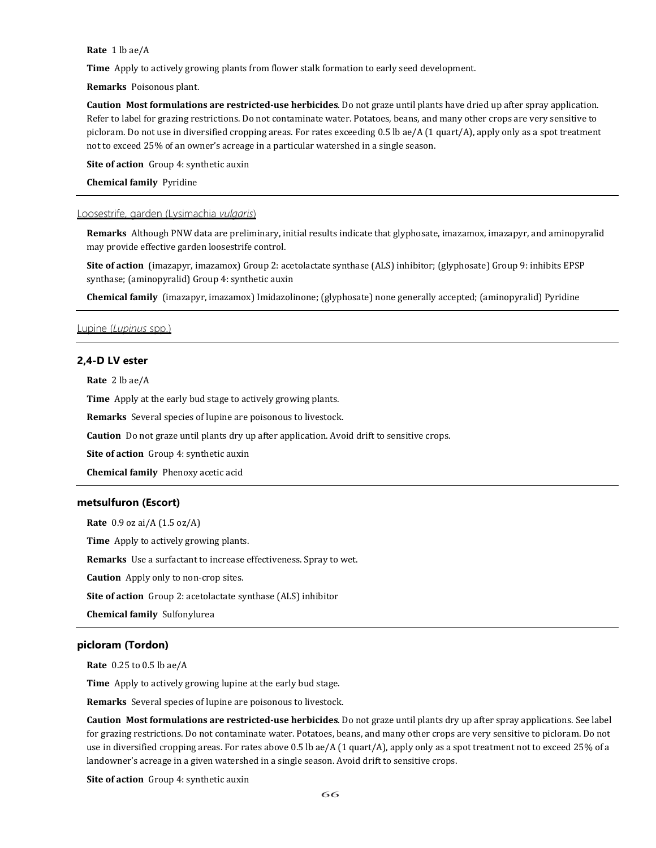**Rate** 1 lb ae/A

**Time** Apply to actively growing plants from flower stalk formation to early seed development.

**Remarks** Poisonous plant.

**Caution Most formulations are restricted-use herbicides**. Do not graze until plants have dried up after spray application. Refer to label for grazing restrictions. Do not contaminate water. Potatoes, beans, and many other crops are very sensitive to picloram. Do not use in diversified cropping areas. For rates exceeding 0.5 lb ae/A (1 quart/A), apply only as a spot treatment not to exceed 25% of an owner's acreage in a particular watershed in a single season.

**Site of action** Group 4: synthetic auxin

**Chemical family** Pyridine

### Loosestrife, garden (Lysimachia *vulgaris*)

**Remarks** Although PNW data are preliminary, initial results indicate that glyphosate, imazamox, imazapyr, and aminopyralid may provide effective garden loosestrife control.

**Site of action** (imazapyr, imazamox) Group 2: acetolactate synthase (ALS) inhibitor; (glyphosate) Group 9: inhibits EPSP synthase; (aminopyralid) Group 4: synthetic auxin

**Chemical family** (imazapyr, imazamox) Imidazolinone; (glyphosate) none generally accepted; (aminopyralid) Pyridine

# Lupine (*Lupinus* spp.)

# **2,4-D LV ester**

**Rate** 2 lb ae/A

**Time** Apply at the early bud stage to actively growing plants.

**Remarks** Several species of lupine are poisonous to livestock.

**Caution** Do not graze until plants dry up after application. Avoid drift to sensitive crops.

**Site of action** Group 4: synthetic auxin

**Chemical family** Phenoxy acetic acid

## **metsulfuron (Escort)**

**Rate** 0.9 oz ai/A (1.5 oz/A)

**Time** Apply to actively growing plants.

**Remarks** Use a surfactant to increase effectiveness. Spray to wet.

**Caution** Apply only to non-crop sites.

**Site of action** Group 2: acetolactate synthase (ALS) inhibitor

**Chemical family** Sulfonylurea

# **picloram (Tordon)**

**Rate** 0.25 to 0.5 lb ae/A

**Time** Apply to actively growing lupine at the early bud stage.

**Remarks** Several species of lupine are poisonous to livestock.

**Caution Most formulations are restricted-use herbicides**. Do not graze until plants dry up after spray applications. See label for grazing restrictions. Do not contaminate water. Potatoes, beans, and many other crops are very sensitive to picloram. Do not use in diversified cropping areas. For rates above 0.5 lb ae/A (1 quart/A), apply only as a spot treatment not to exceed 25% of a landowner's acreage in a given watershed in a single season. Avoid drift to sensitive crops.

**Site of action** Group 4: synthetic auxin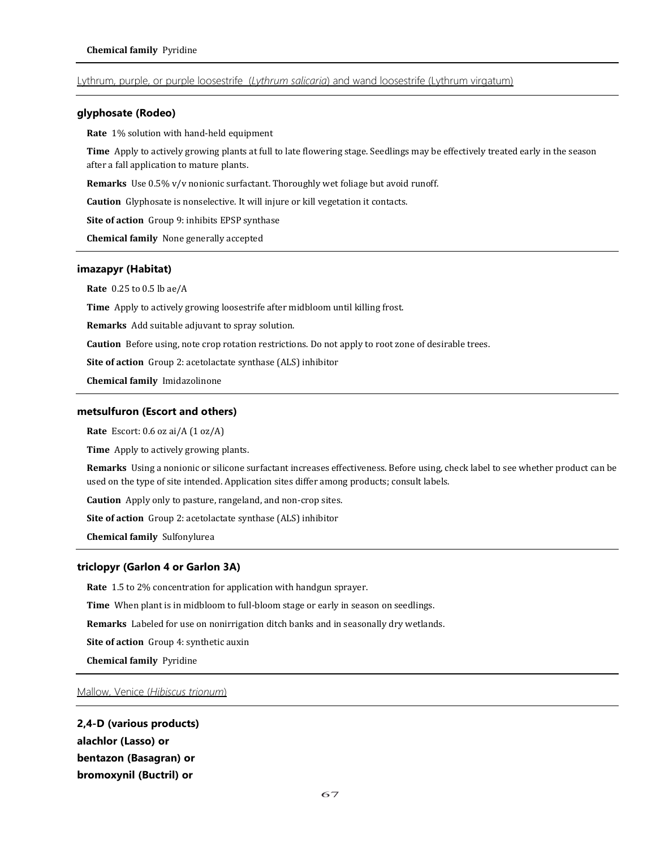# Lythrum, purple, or purple loosestrife (*Lythrum salicaria*) and wand loosestrife (Lythrum virgatum)

# **glyphosate (Rodeo)**

**Rate** 1% solution with hand-held equipment

**Time** Apply to actively growing plants at full to late flowering stage. Seedlings may be effectively treated early in the season after a fall application to mature plants.

**Remarks** Use 0.5% v/v nonionic surfactant. Thoroughly wet foliage but avoid runoff.

**Caution** Glyphosate is nonselective. It will injure or kill vegetation it contacts.

**Site of action** Group 9: inhibits EPSP synthase

**Chemical family** None generally accepted

# **imazapyr (Habitat)**

**Rate** 0.25 to 0.5 lb ae/A

**Time** Apply to actively growing loosestrife after midbloom until killing frost.

**Remarks** Add suitable adjuvant to spray solution.

**Caution** Before using, note crop rotation restrictions. Do not apply to root zone of desirable trees.

**Site of action** Group 2: acetolactate synthase (ALS) inhibitor

**Chemical family** Imidazolinone

#### **metsulfuron (Escort and others)**

**Rate** Escort: 0.6 oz ai/A (1 oz/A)

**Time** Apply to actively growing plants.

**Remarks** Using a nonionic or silicone surfactant increases effectiveness. Before using, check label to see whether product can be used on the type of site intended. Application sites differ among products; consult labels.

**Caution** Apply only to pasture, rangeland, and non-crop sites.

**Site of action** Group 2: acetolactate synthase (ALS) inhibitor

**Chemical family** Sulfonylurea

#### **triclopyr (Garlon 4 or Garlon 3A)**

**Rate** 1.5 to 2% concentration for application with handgun sprayer.

**Time** When plant is in midbloom to full-bloom stage or early in season on seedlings.

**Remarks** Labeled for use on nonirrigation ditch banks and in seasonally dry wetlands.

**Site of action** Group 4: synthetic auxin

**Chemical family** Pyridine

Mallow, Venice (*Hibiscus trionum*)

**2,4-D (various products) alachlor (Lasso) or bentazon (Basagran) or bromoxynil (Buctril) or**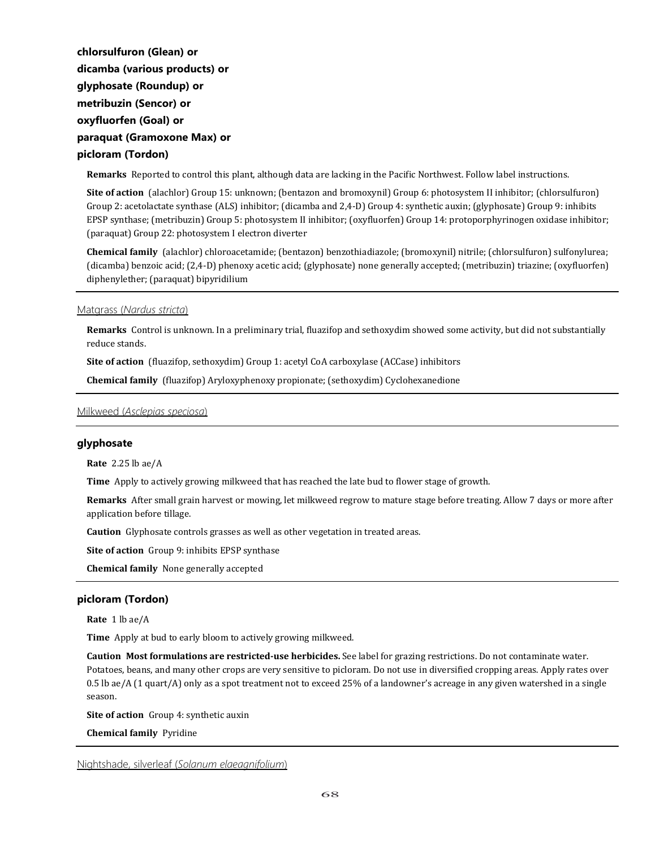**chlorsulfuron (Glean) or dicamba (various products) or glyphosate (Roundup) or metribuzin (Sencor) or oxyfluorfen (Goal) or paraquat (Gramoxone Max) or picloram (Tordon)** 

**Remarks** Reported to control this plant, although data are lacking in the Pacific Northwest. Follow label instructions.

**Site of action** (alachlor) Group 15: unknown; (bentazon and bromoxynil) Group 6: photosystem II inhibitor; (chlorsulfuron) Group 2: acetolactate synthase (ALS) inhibitor; (dicamba and 2,4-D) Group 4: synthetic auxin; (glyphosate) Group 9: inhibits EPSP synthase; (metribuzin) Group 5: photosystem II inhibitor; (oxyfluorfen) Group 14: protoporphyrinogen oxidase inhibitor; (paraquat) Group 22: photosystem I electron diverter

**Chemical family** (alachlor) chloroacetamide; (bentazon) benzothiadiazole; (bromoxynil) nitrile; (chlorsulfuron) sulfonylurea; (dicamba) benzoic acid; (2,4-D) phenoxy acetic acid; (glyphosate) none generally accepted; (metribuzin) triazine; (oxyfluorfen) diphenylether; (paraquat) bipyridilium

Matgrass (*Nardus stricta*)

**Remarks** Control is unknown. In a preliminary trial, fluazifop and sethoxydim showed some activity, but did not substantially reduce stands.

**Site of action** (fluazifop, sethoxydim) Group 1: acetyl CoA carboxylase (ACCase) inhibitors

**Chemical family** (fluazifop) Aryloxyphenoxy propionate; (sethoxydim) Cyclohexanedione

Milkweed (*Asclepias speciosa*)

### **glyphosate**

**Rate** 2.25 lb ae/A

**Time** Apply to actively growing milkweed that has reached the late bud to flower stage of growth.

**Remarks** After small grain harvest or mowing, let milkweed regrow to mature stage before treating. Allow 7 days or more after application before tillage.

**Caution** Glyphosate controls grasses as well as other vegetation in treated areas.

**Site of action** Group 9: inhibits EPSP synthase

**Chemical family** None generally accepted

# **picloram (Tordon)**

**Rate** 1 lb ae/A

**Time** Apply at bud to early bloom to actively growing milkweed.

**Caution Most formulations are restricted-use herbicides.** See label for grazing restrictions. Do not contaminate water. Potatoes, beans, and many other crops are very sensitive to picloram. Do not use in diversified cropping areas. Apply rates over 0.5 lb ae/A (1 quart/A) only as a spot treatment not to exceed 25% of a landowner's acreage in any given watershed in a single season.

**Site of action** Group 4: synthetic auxin

**Chemical family** Pyridine

Nightshade, silverleaf (*Solanum elaeagnifolium*)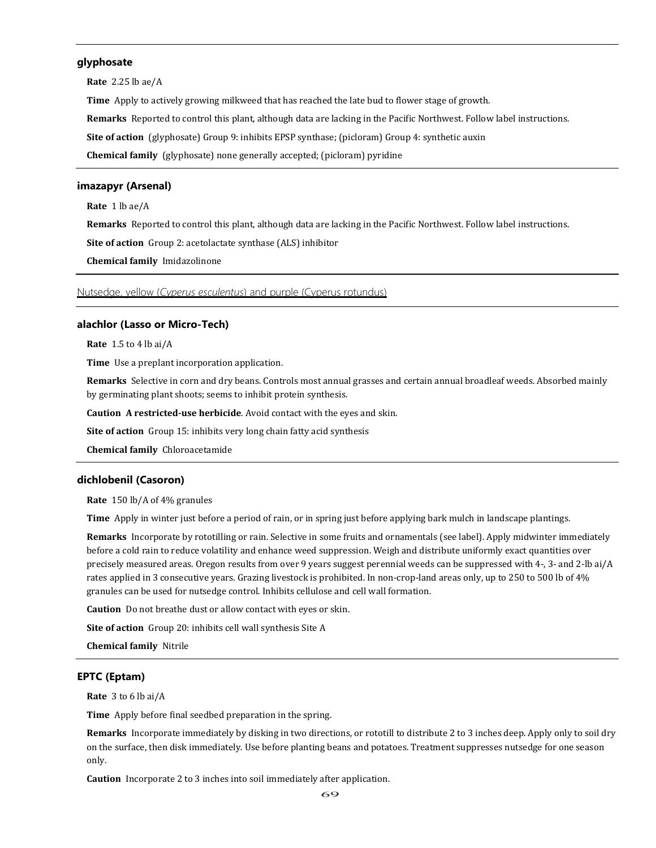# **glyphosate**

**Rate** 2.25 lb ae/A

**Time** Apply to actively growing milkweed that has reached the late bud to flower stage of growth.

**Remarks** Reported to control this plant, although data are lacking in the Pacific Northwest. Follow label instructions.

**Site of action** (glyphosate) Group 9: inhibits EPSP synthase; (picloram) Group 4: synthetic auxin

**Chemical family** (glyphosate) none generally accepted; (picloram) pyridine

# **imazapyr (Arsenal)**

**Rate** 1 lb ae/A

**Remarks** Reported to control this plant, although data are lacking in the Pacific Northwest. Follow label instructions.

**Site of action** Group 2: acetolactate synthase (ALS) inhibitor

**Chemical family** Imidazolinone

Nutsedge, yellow (*Cyperus esculentus*) and purple (Cyperus rotundus)

# **alachlor (Lasso or Micro-Tech)**

**Rate** 1.5 to 4 lb ai/A

**Time** Use a preplant incorporation application.

**Remarks** Selective in corn and dry beans. Controls most annual grasses and certain annual broadleaf weeds. Absorbed mainly by germinating plant shoots; seems to inhibit protein synthesis.

**Caution A restricted-use herbicide**. Avoid contact with the eyes and skin.

**Site of action** Group 15: inhibits very long chain fatty acid synthesis

**Chemical family** Chloroacetamide

#### **dichlobenil (Casoron)**

**Rate** 150 lb/A of 4% granules

**Time** Apply in winter just before a period of rain, or in spring just before applying bark mulch in landscape plantings.

**Remarks** Incorporate by rototilling or rain. Selective in some fruits and ornamentals (see label). Apply midwinter immediately before a cold rain to reduce volatility and enhance weed suppression. Weigh and distribute uniformly exact quantities over precisely measured areas. Oregon results from over 9 years suggest perennial weeds can be suppressed with 4-, 3- and 2-lb ai/A rates applied in 3 consecutive years. Grazing livestock is prohibited. In non-crop-land areas only, up to 250 to 500 lb of 4% granules can be used for nutsedge control. Inhibits cellulose and cell wall formation.

**Caution** Do not breathe dust or allow contact with eyes or skin.

**Site of action** Group 20: inhibits cell wall synthesis Site A

**Chemical family** Nitrile

# **EPTC (Eptam)**

**Rate** 3 to 6 lb ai/A

**Time** Apply before final seedbed preparation in the spring.

**Remarks** Incorporate immediately by disking in two directions, or rototill to distribute 2 to 3 inches deep. Apply only to soil dry on the surface, then disk immediately. Use before planting beans and potatoes. Treatment suppresses nutsedge for one season only.

**Caution** Incorporate 2 to 3 inches into soil immediately after application.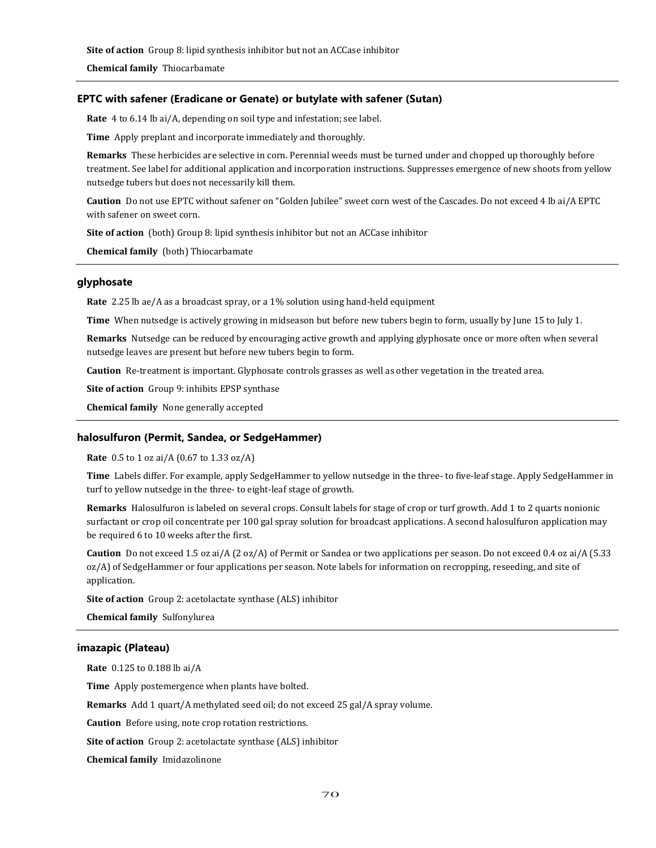**Site of action** Group 8: lipid synthesis inhibitor but not an ACCase inhibitor

**Chemical family** Thiocarbamate

# **EPTC with safener (Eradicane or Genate) or butylate with safener (Sutan)**

**Rate** 4 to 6.14 lb ai/A, depending on soil type and infestation; see label.

**Time** Apply preplant and incorporate immediately and thoroughly.

**Remarks** These herbicides are selective in corn. Perennial weeds must be turned under and chopped up thoroughly before treatment. See label for additional application and incorporation instructions. Suppresses emergence of new shoots from yellow nutsedge tubers but does not necessarily kill them.

**Caution** Do not use EPTC without safener on "Golden Jubilee" sweet corn west of the Cascades. Do not exceed 4 lb ai/A EPTC with safener on sweet corn.

**Site of action** (both) Group 8: lipid synthesis inhibitor but not an ACCase inhibitor

**Chemical family** (both) Thiocarbamate

## **glyphosate**

**Rate** 2.25 lb ae/A as a broadcast spray, or a 1% solution using hand-held equipment

**Time** When nutsedge is actively growing in midseason but before new tubers begin to form, usually by June 15 to July 1.

**Remarks** Nutsedge can be reduced by encouraging active growth and applying glyphosate once or more often when several nutsedge leaves are present but before new tubers begin to form.

**Caution** Re-treatment is important. Glyphosate controls grasses as well as other vegetation in the treated area.

**Site of action** Group 9: inhibits EPSP synthase

**Chemical family** None generally accepted

#### **halosulfuron (Permit, Sandea, or SedgeHammer)**

**Rate** 0.5 to 1 oz ai/A (0.67 to 1.33 oz/A)

**Time** Labels differ. For example, apply SedgeHammer to yellow nutsedge in the three- to five-leaf stage. Apply SedgeHammer in turf to yellow nutsedge in the three- to eight-leaf stage of growth.

**Remarks** Halosulfuron is labeled on several crops. Consult labels for stage of crop or turf growth. Add 1 to 2 quarts nonionic surfactant or crop oil concentrate per 100 gal spray solution for broadcast applications. A second halosulfuron application may be required 6 to 10 weeks after the first.

**Caution** Do not exceed 1.5 oz ai/A (2 oz/A) of Permit or Sandea or two applications per season. Do not exceed 0.4 oz ai/A (5.33 oz/A) of SedgeHammer or four applications per season. Note labels for information on recropping, reseeding, and site of application.

**Site of action** Group 2: acetolactate synthase (ALS) inhibitor

**Chemical family** Sulfonylurea

# **imazapic (Plateau)**

**Rate** 0.125 to 0.188 lb ai/A **Time** Apply postemergence when plants have bolted. **Remarks** Add 1 quart/A methylated seed oil; do not exceed 25 gal/A spray volume. **Caution** Before using, note crop rotation restrictions. **Site of action** Group 2: acetolactate synthase (ALS) inhibitor **Chemical family** Imidazolinone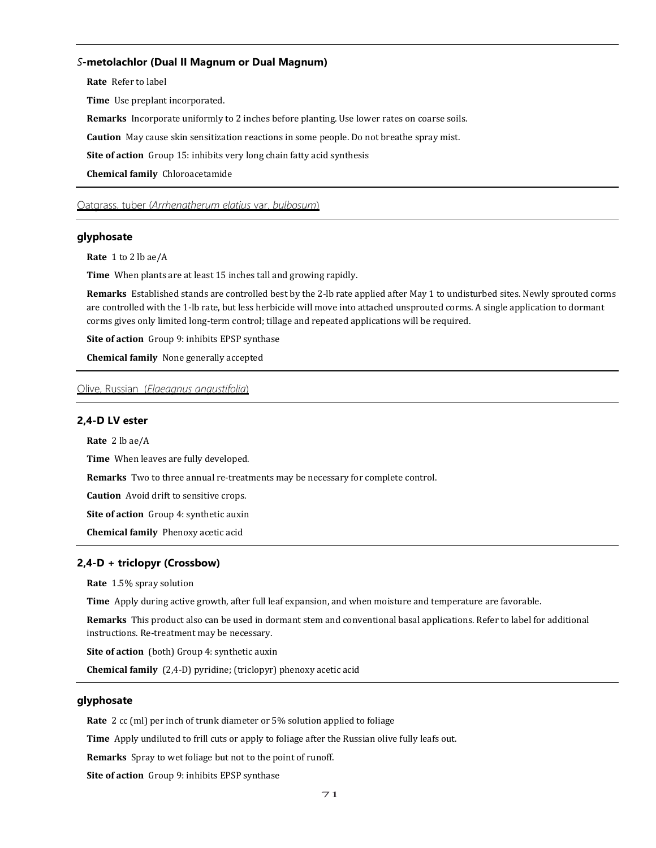## *S***-metolachlor (Dual II Magnum or Dual Magnum)**

**Rate** Refer to label

**Time** Use preplant incorporated.

**Remarks** Incorporate uniformly to 2 inches before planting. Use lower rates on coarse soils.

**Caution** May cause skin sensitization reactions in some people. Do not breathe spray mist.

**Site of action** Group 15: inhibits very long chain fatty acid synthesis

**Chemical family** Chloroacetamide

Oatgrass, tuber (*Arrhenatherum elatius* var. *bulbosum*)

# **glyphosate**

**Rate** 1 to 2 lb ae/A

**Time** When plants are at least 15 inches tall and growing rapidly.

**Remarks** Established stands are controlled best by the 2-lb rate applied after May 1 to undisturbed sites. Newly sprouted corms are controlled with the 1-lb rate, but less herbicide will move into attached unsprouted corms. A single application to dormant corms gives only limited long-term control; tillage and repeated applications will be required.

**Site of action** Group 9: inhibits EPSP synthase

**Chemical family** None generally accepted

# Olive, Russian (*Elaeagnus angustifolia*)

# **2,4-D LV ester**

**Rate** 2 lb ae/A

**Time** When leaves are fully developed.

**Remarks** Two to three annual re-treatments may be necessary for complete control.

**Caution** Avoid drift to sensitive crops.

**Site of action** Group 4: synthetic auxin

**Chemical family** Phenoxy acetic acid

### **2,4-D + triclopyr (Crossbow)**

**Rate** 1.5% spray solution

**Time** Apply during active growth, after full leaf expansion, and when moisture and temperature are favorable.

**Remarks** This product also can be used in dormant stem and conventional basal applications. Refer to label for additional instructions. Re-treatment may be necessary.

**Site of action** (both) Group 4: synthetic auxin

**Chemical family** (2,4-D) pyridine; (triclopyr) phenoxy acetic acid

# **glyphosate**

**Rate** 2 cc (ml) per inch of trunk diameter or 5% solution applied to foliage

**Time** Apply undiluted to frill cuts or apply to foliage after the Russian olive fully leafs out.

**Remarks** Spray to wet foliage but not to the point of runoff.

**Site of action** Group 9: inhibits EPSP synthase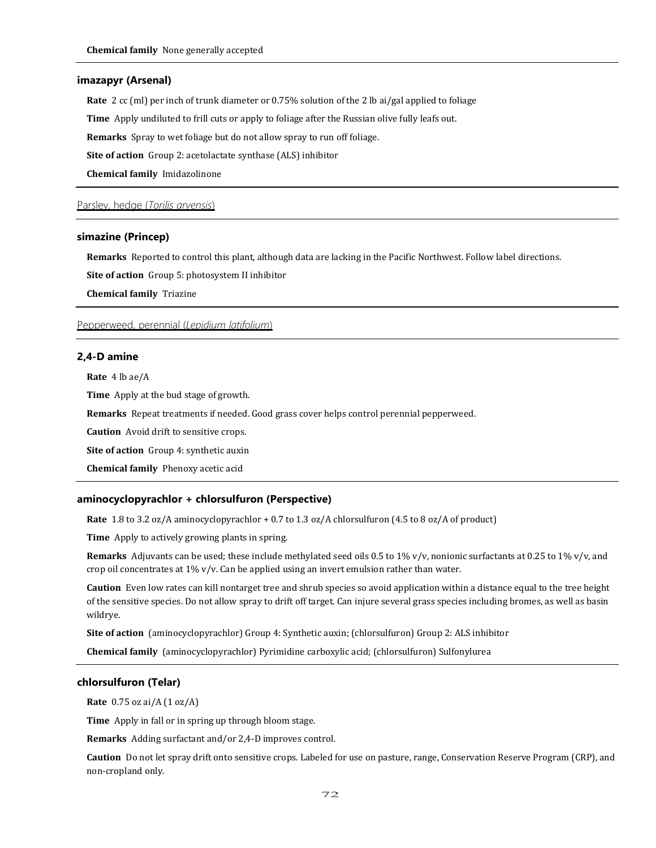#### **imazapyr (Arsenal)**

**Rate** 2 cc (ml) per inch of trunk diameter or 0.75% solution of the 2 lb ai/gal applied to foliage

**Time** Apply undiluted to frill cuts or apply to foliage after the Russian olive fully leafs out.

**Remarks** Spray to wet foliage but do not allow spray to run off foliage.

**Site of action** Group 2: acetolactate synthase (ALS) inhibitor

**Chemical family** Imidazolinone

Parsley, hedge (*Torilis arvensis*)

## **simazine (Princep)**

**Remarks** Reported to control this plant, although data are lacking in the Pacific Northwest. Follow label directions.

**Site of action** Group 5: photosystem II inhibitor

**Chemical family** Triazine

Pepperweed, perennial (*Lepidium latifolium*)

#### **2,4-D amine**

**Rate** 4 lb ae/A

**Time** Apply at the bud stage of growth.

**Remarks** Repeat treatments if needed. Good grass cover helps control perennial pepperweed.

**Caution** Avoid drift to sensitive crops.

**Site of action** Group 4: synthetic auxin

**Chemical family** Phenoxy acetic acid

### **aminocyclopyrachlor + chlorsulfuron (Perspective)**

**Rate** 1.8 to 3.2 oz/A aminocyclopyrachlor + 0.7 to 1.3 oz/A chlorsulfuron (4.5 to 8 oz/A of product)

**Time** Apply to actively growing plants in spring.

**Remarks** Adjuvants can be used; these include methylated seed oils 0.5 to 1% v/v, nonionic surfactants at 0.25 to 1% v/v, and crop oil concentrates at 1% v/v. Can be applied using an invert emulsion rather than water.

**Caution** Even low rates can kill nontarget tree and shrub species so avoid application within a distance equal to the tree height of the sensitive species. Do not allow spray to drift off target. Can injure several grass species including bromes, as well as basin wildrye.

**Site of action** (aminocyclopyrachlor) Group 4: Synthetic auxin; (chlorsulfuron) Group 2: ALS inhibitor

**Chemical family** (aminocyclopyrachlor) Pyrimidine carboxylic acid; (chlorsulfuron) Sulfonylurea

# **chlorsulfuron (Telar)**

**Rate** 0.75 oz ai/A (1 oz/A)

**Time** Apply in fall or in spring up through bloom stage.

**Remarks** Adding surfactant and/or 2,4-D improves control.

**Caution** Do not let spray drift onto sensitive crops. Labeled for use on pasture, range, Conservation Reserve Program (CRP), and non-cropland only.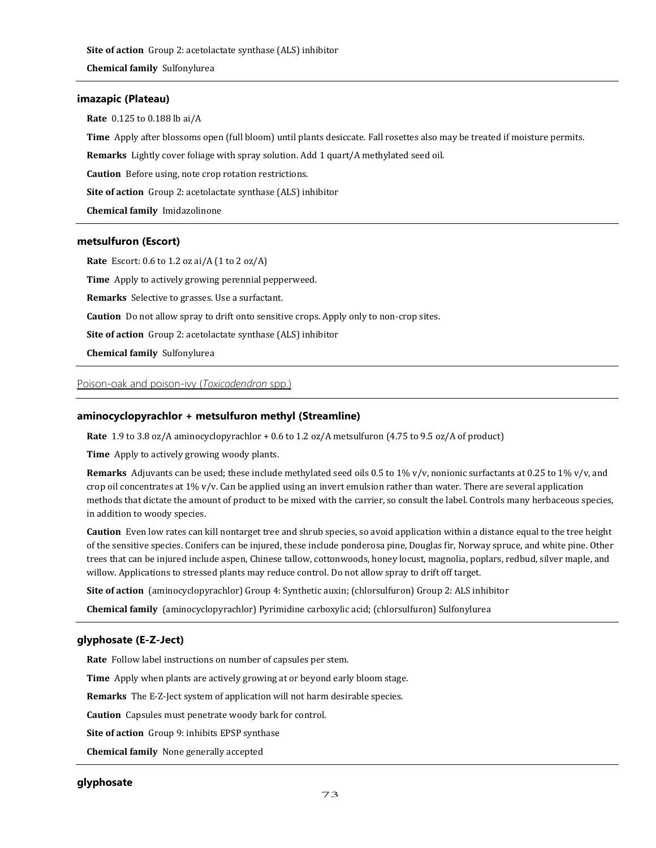# **imazapic (Plateau)**

**Rate** 0.125 to 0.188 lb ai/A

**Time** Apply after blossoms open (full bloom) until plants desiccate. Fall rosettes also may be treated if moisture permits.

**Remarks** Lightly cover foliage with spray solution. Add 1 quart/A methylated seed oil.

**Caution** Before using, note crop rotation restrictions.

**Site of action** Group 2: acetolactate synthase (ALS) inhibitor

**Chemical family** Imidazolinone

# **metsulfuron (Escort)**

**Rate** Escort: 0.6 to 1.2 oz ai/A (1 to 2 oz/A)

**Time** Apply to actively growing perennial pepperweed.

**Remarks** Selective to grasses. Use a surfactant.

**Caution** Do not allow spray to drift onto sensitive crops. Apply only to non-crop sites.

**Site of action** Group 2: acetolactate synthase (ALS) inhibitor

**Chemical family** Sulfonylurea

Poison-oak and poison-ivy (*Toxicodendron* spp.)

# **aminocyclopyrachlor + metsulfuron methyl (Streamline)**

**Rate** 1.9 to 3.8 oz/A aminocyclopyrachlor + 0.6 to 1.2 oz/A metsulfuron (4.75 to 9.5 oz/A of product)

**Time** Apply to actively growing woody plants.

**Remarks** Adjuvants can be used; these include methylated seed oils 0.5 to 1% v/v, nonionic surfactants at 0.25 to 1% v/v, and crop oil concentrates at  $1\%$  v/v. Can be applied using an invert emulsion rather than water. There are several application methods that dictate the amount of product to be mixed with the carrier, so consult the label. Controls many herbaceous species, in addition to woody species.

**Caution** Even low rates can kill nontarget tree and shrub species, so avoid application within a distance equal to the tree height of the sensitive species. Conifers can be injured, these include ponderosa pine, Douglas fir, Norway spruce, and white pine. Other trees that can be injured include aspen, Chinese tallow, cottonwoods, honey locust, magnolia, poplars, redbud, silver maple, and willow. Applications to stressed plants may reduce control. Do not allow spray to drift off target.

**Site of action** (aminocyclopyrachlor) Group 4: Synthetic auxin; (chlorsulfuron) Group 2: ALS inhibitor

**Chemical family** (aminocyclopyrachlor) Pyrimidine carboxylic acid; (chlorsulfuron) Sulfonylurea

# **glyphosate (E-Z-Ject)**

**Rate** Follow label instructions on number of capsules per stem.

**Time** Apply when plants are actively growing at or beyond early bloom stage.

**Remarks** The E-Z-Ject system of application will not harm desirable species.

**Caution** Capsules must penetrate woody bark for control.

**Site of action** Group 9: inhibits EPSP synthase

**Chemical family** None generally accepted

# **glyphosate**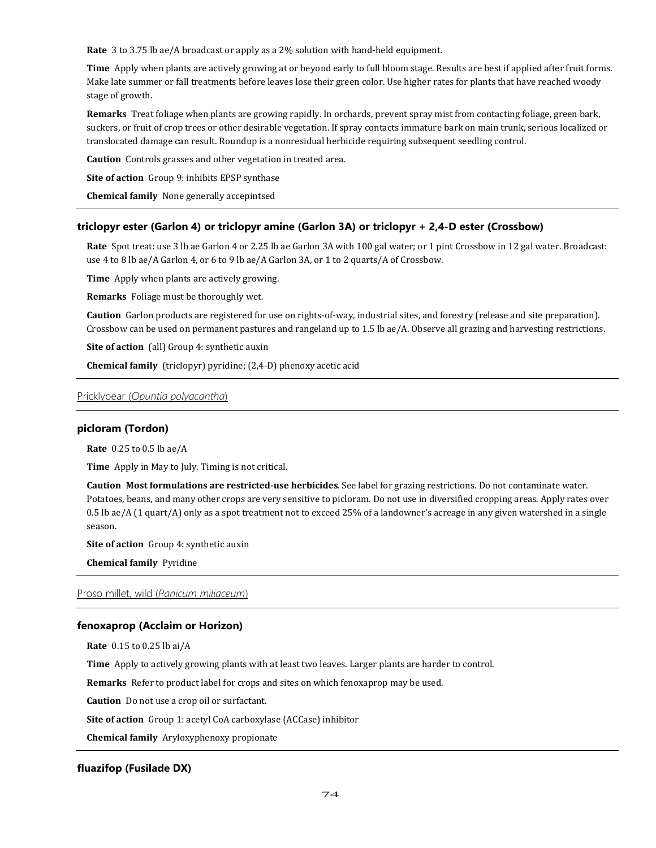**Rate** 3 to 3.75 lb ae/A broadcast or apply as a 2% solution with hand-held equipment.

**Time** Apply when plants are actively growing at or beyond early to full bloom stage. Results are best if applied after fruit forms. Make late summer or fall treatments before leaves lose their green color. Use higher rates for plants that have reached woody stage of growth.

**Remarks** Treat foliage when plants are growing rapidly. In orchards, prevent spray mist from contacting foliage, green bark, suckers, or fruit of crop trees or other desirable vegetation. If spray contacts immature bark on main trunk, serious localized or translocated damage can result. Roundup is a nonresidual herbicide requiring subsequent seedling control.

**Caution** Controls grasses and other vegetation in treated area.

**Site of action** Group 9: inhibits EPSP synthase

**Chemical family** None generally accepintsed

## **triclopyr ester (Garlon 4) or triclopyr amine (Garlon 3A) or triclopyr + 2,4-D ester (Crossbow)**

**Rate** Spot treat: use 3 lb ae Garlon 4 or 2.25 lb ae Garlon 3A with 100 gal water; or 1 pint Crossbow in 12 gal water. Broadcast: use 4 to 8 lb ae/A Garlon 4, or 6 to 9 lb ae/A Garlon 3A, or 1 to 2 quarts/A of Crossbow.

**Time** Apply when plants are actively growing.

**Remarks** Foliage must be thoroughly wet.

**Caution** Garlon products are registered for use on rights-of-way, industrial sites, and forestry (release and site preparation). Crossbow can be used on permanent pastures and rangeland up to 1.5 lb ae/A. Observe all grazing and harvesting restrictions.

**Site of action** (all) Group 4: synthetic auxin

**Chemical family** (triclopyr) pyridine; (2,4-D) phenoxy acetic acid

# Pricklypear (*Opuntia polyacantha*)

### **picloram (Tordon)**

**Rate** 0.25 to 0.5 lb ae/A

**Time** Apply in May to July. Timing is not critical.

**Caution Most formulations are restricted-use herbicides**. See label for grazing restrictions. Do not contaminate water. Potatoes, beans, and many other crops are very sensitive to picloram. Do not use in diversified cropping areas. Apply rates over 0.5 lb ae/A (1 quart/A) only as a spot treatment not to exceed 25% of a landowner's acreage in any given watershed in a single season.

**Site of action** Group 4: synthetic auxin

**Chemical family** Pyridine

Proso millet, wild (*Panicum miliaceum*)

### **fenoxaprop (Acclaim or Horizon)**

**Rate** 0.15 to 0.25 lb ai/A

**Time** Apply to actively growing plants with at least two leaves. Larger plants are harder to control.

**Remarks** Refer to product label for crops and sites on which fenoxaprop may be used.

**Caution** Do not use a crop oil or surfactant.

**Site of action** Group 1: acetyl CoA carboxylase (ACCase) inhibitor

**Chemical family** Aryloxyphenoxy propionate

### **fluazifop (Fusilade DX)**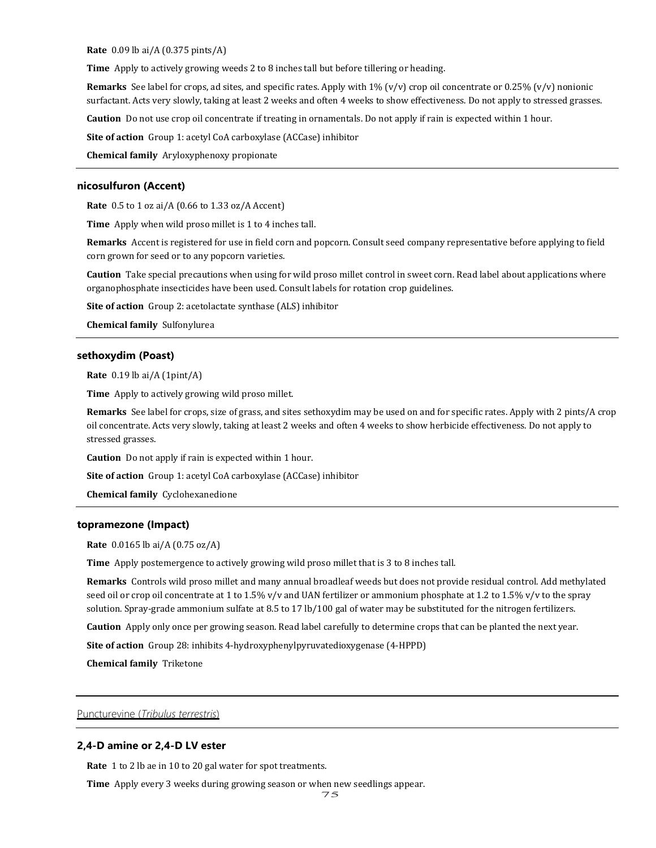**Rate** 0.09 lb ai/A (0.375 pints/A)

**Time** Apply to actively growing weeds 2 to 8 inches tall but before tillering or heading.

**Remarks** See label for crops, ad sites, and specific rates. Apply with 1% (v/v) crop oil concentrate or 0.25% (v/v) nonionic surfactant. Acts very slowly, taking at least 2 weeks and often 4 weeks to show effectiveness. Do not apply to stressed grasses.

**Caution** Do not use crop oil concentrate if treating in ornamentals. Do not apply if rain is expected within 1 hour.

**Site of action** Group 1: acetyl CoA carboxylase (ACCase) inhibitor

**Chemical family** Aryloxyphenoxy propionate

### **nicosulfuron (Accent)**

**Rate** 0.5 to 1 oz ai/A (0.66 to 1.33 oz/A Accent)

**Time** Apply when wild proso millet is 1 to 4 inches tall.

**Remarks** Accent is registered for use in field corn and popcorn. Consult seed company representative before applying to field corn grown for seed or to any popcorn varieties.

**Caution** Take special precautions when using for wild proso millet control in sweet corn. Read label about applications where organophosphate insecticides have been used. Consult labels for rotation crop guidelines.

**Site of action** Group 2: acetolactate synthase (ALS) inhibitor

**Chemical family** Sulfonylurea

### **sethoxydim (Poast)**

**Rate** 0.19 lb ai/A (1pint/A)

**Time** Apply to actively growing wild proso millet.

**Remarks** See label for crops, size of grass, and sites sethoxydim may be used on and for specific rates. Apply with 2 pints/A crop oil concentrate. Acts very slowly, taking at least 2 weeks and often 4 weeks to show herbicide effectiveness. Do not apply to stressed grasses.

**Caution** Do not apply if rain is expected within 1 hour.

**Site of action** Group 1: acetyl CoA carboxylase (ACCase) inhibitor

**Chemical family** Cyclohexanedione

## **topramezone (Impact)**

**Rate** 0.0165 lb ai/A (0.75 oz/A)

**Time** Apply postemergence to actively growing wild proso millet that is 3 to 8 inches tall.

**Remarks** Controls wild proso millet and many annual broadleaf weeds but does not provide residual control. Add methylated seed oil or crop oil concentrate at 1 to 1.5% v/v and UAN fertilizer or ammonium phosphate at 1.2 to 1.5% v/v to the spray solution. Spray-grade ammonium sulfate at 8.5 to 17 lb/100 gal of water may be substituted for the nitrogen fertilizers.

**Caution** Apply only once per growing season. Read label carefully to determine crops that can be planted the next year.

**Site of action** Group 28: inhibits 4-hydroxyphenylpyruvatedioxygenase (4-HPPD)

**Chemical family** Triketone

Puncturevine (*Tribulus terrestris*)

### **2,4-D amine or 2,4-D LV ester**

**Rate** 1 to 2 lb ae in 10 to 20 gal water for spot treatments.

**Time** Apply every 3 weeks during growing season or when new seedlings appear.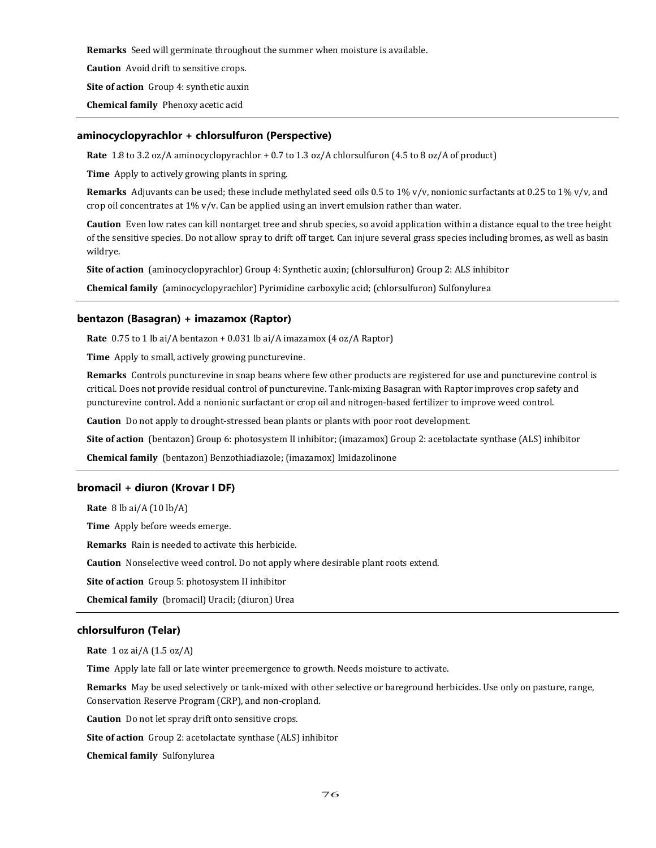**Remarks** Seed will germinate throughout the summer when moisture is available.

**Caution** Avoid drift to sensitive crops.

**Site of action** Group 4: synthetic auxin

**Chemical family** Phenoxy acetic acid

# **aminocyclopyrachlor + chlorsulfuron (Perspective)**

**Rate** 1.8 to 3.2 oz/A aminocyclopyrachlor + 0.7 to 1.3 oz/A chlorsulfuron (4.5 to 8 oz/A of product)

**Time** Apply to actively growing plants in spring.

**Remarks** Adjuvants can be used; these include methylated seed oils 0.5 to 1% v/v, nonionic surfactants at 0.25 to 1% v/v, and crop oil concentrates at  $1\%$  v/v. Can be applied using an invert emulsion rather than water.

**Caution** Even low rates can kill nontarget tree and shrub species, so avoid application within a distance equal to the tree height of the sensitive species. Do not allow spray to drift off target. Can injure several grass species including bromes, as well as basin wildrye.

**Site of action** (aminocyclopyrachlor) Group 4: Synthetic auxin; (chlorsulfuron) Group 2: ALS inhibitor

**Chemical family** (aminocyclopyrachlor) Pyrimidine carboxylic acid; (chlorsulfuron) Sulfonylurea

### **bentazon (Basagran) + imazamox (Raptor)**

**Rate** 0.75 to 1 lb ai/A bentazon + 0.031 lb ai/A imazamox (4 oz/A Raptor)

**Time** Apply to small, actively growing puncturevine.

**Remarks** Controls puncturevine in snap beans where few other products are registered for use and puncturevine control is critical. Does not provide residual control of puncturevine. Tank-mixing Basagran with Raptor improves crop safety and puncturevine control. Add a nonionic surfactant or crop oil and nitrogen-based fertilizer to improve weed control.

**Caution** Do not apply to drought-stressed bean plants or plants with poor root development.

**Site of action** (bentazon) Group 6: photosystem II inhibitor; (imazamox) Group 2: acetolactate synthase (ALS) inhibitor

**Chemical family** (bentazon) Benzothiadiazole; (imazamox) Imidazolinone

# **bromacil + diuron (Krovar I DF)**

**Rate** 8 lb ai/A (10 lb/A) **Time** Apply before weeds emerge. **Remarks** Rain is needed to activate this herbicide. **Caution** Nonselective weed control. Do not apply where desirable plant roots extend. **Site of action** Group 5: photosystem II inhibitor **Chemical family** (bromacil) Uracil; (diuron) Urea

# **chlorsulfuron (Telar)**

**Rate** 1 oz ai/A (1.5 oz/A)

**Time** Apply late fall or late winter preemergence to growth. Needs moisture to activate.

**Remarks** May be used selectively or tank-mixed with other selective or bareground herbicides. Use only on pasture, range, Conservation Reserve Program (CRP), and non-cropland.

**Caution** Do not let spray drift onto sensitive crops.

**Site of action** Group 2: acetolactate synthase (ALS) inhibitor

**Chemical family** Sulfonylurea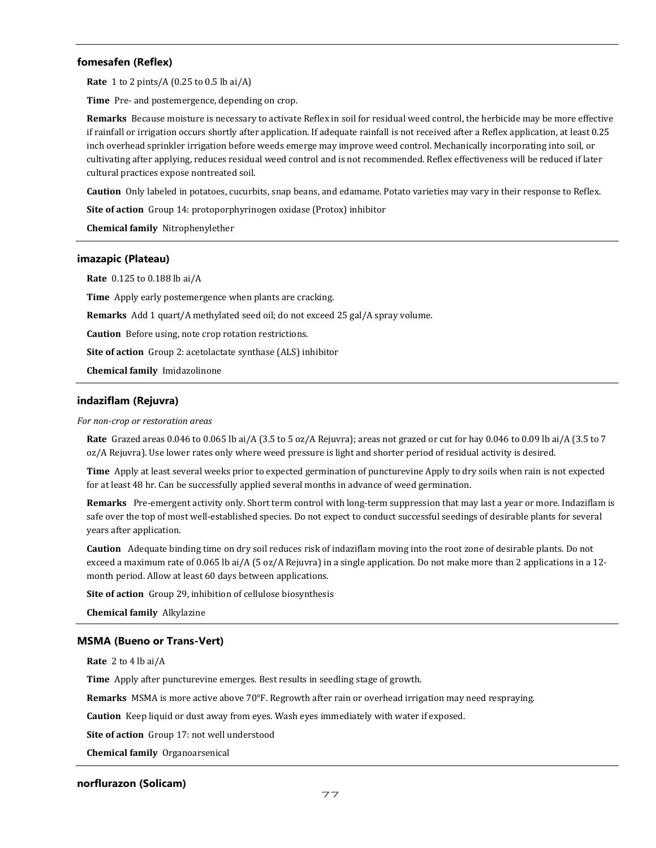# **fomesafen (Reflex)**

**Rate** 1 to 2 pints/A (0.25 to 0.5 lb ai/A)

**Time** Pre- and postemergence, depending on crop.

**Remarks** Because moisture is necessary to activate Reflex in soil for residual weed control, the herbicide may be more effective if rainfall or irrigation occurs shortly after application. If adequate rainfall is not received after a Reflex application, at least 0.25 inch overhead sprinkler irrigation before weeds emerge may improve weed control. Mechanically incorporating into soil, or cultivating after applying, reduces residual weed control and is not recommended. Reflex effectiveness will be reduced if later cultural practices expose nontreated soil.

**Caution** Only labeled in potatoes, cucurbits, snap beans, and edamame. Potato varieties may vary in their response to Reflex.

**Site of action** Group 14: protoporphyrinogen oxidase (Protox) inhibitor

**Chemical family** Nitrophenylether

### **imazapic (Plateau)**

**Rate** 0.125 to 0.188 lb ai/A

**Time** Apply early postemergence when plants are cracking.

**Remarks** Add 1 quart/A methylated seed oil; do not exceed 25 gal/A spray volume.

**Caution** Before using, note crop rotation restrictions.

**Site of action** Group 2: acetolactate synthase (ALS) inhibitor

**Chemical family** Imidazolinone

### **indaziflam (Rejuvra)**

#### *For non-crop or restoration areas*

**Rate** Grazed areas 0.046 to 0.065 lb ai/A (3.5 to 5 oz/A Rejuvra); areas not grazed or cut for hay 0.046 to 0.09 lb ai/A (3.5 to 7 oz/A Rejuvra). Use lower rates only where weed pressure is light and shorter period of residual activity is desired.

**Time** Apply at least several weeks prior to expected germination of puncturevine Apply to dry soils when rain is not expected for at least 48 hr. Can be successfully applied several months in advance of weed germination.

**Remarks** Pre-emergent activity only. Short term control with long-term suppression that may last a year or more. Indaziflam is safe over the top of most well-established species. Do not expect to conduct successful seedings of desirable plants for several years after application.

**Caution** Adequate binding time on dry soil reduces risk of indaziflam moving into the root zone of desirable plants. Do not exceed a maximum rate of 0.065 lb ai/A (5 oz/A Rejuvra) in a single application. Do not make more than 2 applications in a 12 month period. Allow at least 60 days between applications.

**Site of action** Group 29, inhibition of cellulose biosynthesis

**Chemical family** Alkylazine

### **MSMA (Bueno or Trans-Vert)**

**Rate** 2 to 4 lb ai/A

**Time** Apply after puncturevine emerges. Best results in seedling stage of growth.

**Remarks** MSMA is more active above 70°F. Regrowth after rain or overhead irrigation may need respraying.

**Caution** Keep liquid or dust away from eyes. Wash eyes immediately with water if exposed.

**Site of action** Group 17: not well understood

**Chemical family** Organoarsenical

### **norflurazon (Solicam)**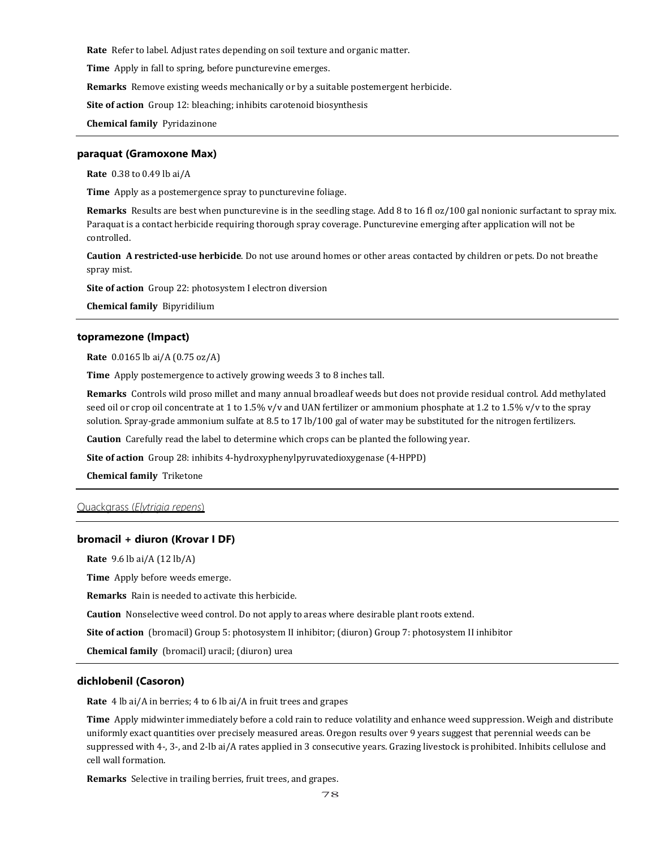**Rate** Refer to label. Adjust rates depending on soil texture and organic matter.

**Time** Apply in fall to spring, before puncturevine emerges.

**Remarks** Remove existing weeds mechanically or by a suitable postemergent herbicide.

**Site of action** Group 12: bleaching; inhibits carotenoid biosynthesis

**Chemical family** Pyridazinone

### **paraquat (Gramoxone Max)**

**Rate** 0.38 to 0.49 lb ai/A

**Time** Apply as a postemergence spray to puncturevine foliage.

**Remarks** Results are best when puncturevine is in the seedling stage. Add 8 to 16 fl oz/100 gal nonionic surfactant to spray mix. Paraquat is a contact herbicide requiring thorough spray coverage. Puncturevine emerging after application will not be controlled.

**Caution A restricted-use herbicide**. Do not use around homes or other areas contacted by children or pets. Do not breathe spray mist.

**Site of action** Group 22: photosystem I electron diversion

**Chemical family** Bipyridilium

#### **topramezone (Impact)**

**Rate** 0.0165 lb ai/A (0.75 oz/A)

**Time** Apply postemergence to actively growing weeds 3 to 8 inches tall.

**Remarks** Controls wild proso millet and many annual broadleaf weeds but does not provide residual control. Add methylated seed oil or crop oil concentrate at 1 to 1.5% v/v and UAN fertilizer or ammonium phosphate at 1.2 to 1.5% v/v to the spray solution. Spray-grade ammonium sulfate at 8.5 to 17 lb/100 gal of water may be substituted for the nitrogen fertilizers.

**Caution** Carefully read the label to determine which crops can be planted the following year.

**Site of action** Group 28: inhibits 4-hydroxyphenylpyruvatedioxygenase (4-HPPD)

**Chemical family** Triketone

# Quackgrass (*Elytrigia repens*)

#### **bromacil + diuron (Krovar I DF)**

**Rate** 9.6 lb ai/A (12 lb/A)

**Time** Apply before weeds emerge.

**Remarks** Rain is needed to activate this herbicide.

**Caution** Nonselective weed control. Do not apply to areas where desirable plant roots extend.

**Site of action** (bromacil) Group 5: photosystem II inhibitor; (diuron) Group 7: photosystem II inhibitor

**Chemical family** (bromacil) uracil; (diuron) urea

## **dichlobenil (Casoron)**

**Rate** 4 lb ai/A in berries; 4 to 6 lb ai/A in fruit trees and grapes

**Time** Apply midwinter immediately before a cold rain to reduce volatility and enhance weed suppression. Weigh and distribute uniformly exact quantities over precisely measured areas. Oregon results over 9 years suggest that perennial weeds can be suppressed with 4-, 3-, and 2-lb ai/A rates applied in 3 consecutive years. Grazing livestock is prohibited. Inhibits cellulose and cell wall formation.

**Remarks** Selective in trailing berries, fruit trees, and grapes.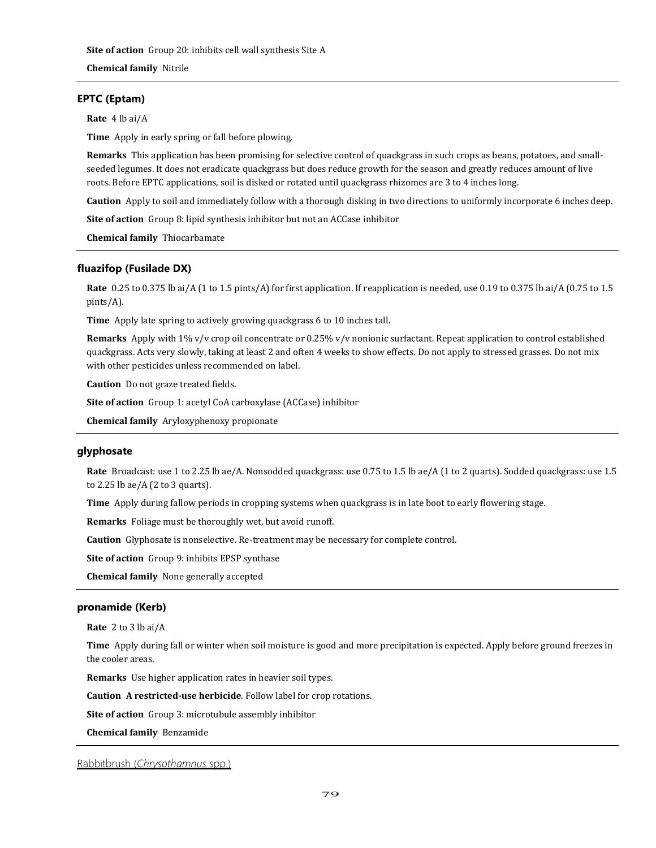# **EPTC (Eptam)**

**Rate** 4 lb ai/A

**Time** Apply in early spring or fall before plowing.

**Remarks** This application has been promising for selective control of quackgrass in such crops as beans, potatoes, and smallseeded legumes. It does not eradicate quackgrass but does reduce growth for the season and greatly reduces amount of live roots. Before EPTC applications, soil is disked or rotated until quackgrass rhizomes are 3 to 4 inches long.

**Caution** Apply to soil and immediately follow with a thorough disking in two directions to uniformly incorporate 6 inches deep.

**Site of action** Group 8: lipid synthesis inhibitor but not an ACCase inhibitor

**Chemical family** Thiocarbamate

# **fluazifop (Fusilade DX)**

**Rate** 0.25 to 0.375 lb ai/A (1 to 1.5 pints/A) for first application. If reapplication is needed, use 0.19 to 0.375 lb ai/A (0.75 to 1.5 pints/A).

**Time** Apply late spring to actively growing quackgrass 6 to 10 inches tall.

**Remarks** Apply with 1% v/v crop oil concentrate or 0.25% v/v nonionic surfactant. Repeat application to control established quackgrass. Acts very slowly, taking at least 2 and often 4 weeks to show effects. Do not apply to stressed grasses. Do not mix with other pesticides unless recommended on label.

**Caution** Do not graze treated fields.

**Site of action** Group 1: acetyl CoA carboxylase (ACCase) inhibitor

**Chemical family** Aryloxyphenoxy propionate

# **glyphosate**

**Rate** Broadcast: use 1 to 2.25 lb ae/A. Nonsodded quackgrass: use 0.75 to 1.5 lb ae/A (1 to 2 quarts). Sodded quackgrass: use 1.5 to 2.25 lb ae/ $A$  (2 to 3 quarts).

**Time** Apply during fallow periods in cropping systems when quackgrass is in late boot to early flowering stage.

**Remarks** Foliage must be thoroughly wet, but avoid runoff.

**Caution** Glyphosate is nonselective. Re-treatment may be necessary for complete control.

**Site of action** Group 9: inhibits EPSP synthase

**Chemical family** None generally accepted

# **pronamide (Kerb)**

**Rate** 2 to 3 lb ai/A

**Time** Apply during fall or winter when soil moisture is good and more precipitation is expected. Apply before ground freezes in the cooler areas.

**Remarks** Use higher application rates in heavier soil types.

**Caution A restricted-use herbicide**. Follow label for crop rotations.

**Site of action** Group 3: microtubule assembly inhibitor

**Chemical family** Benzamide

### Rabbitbrush (*Chrysothamnus* spp.)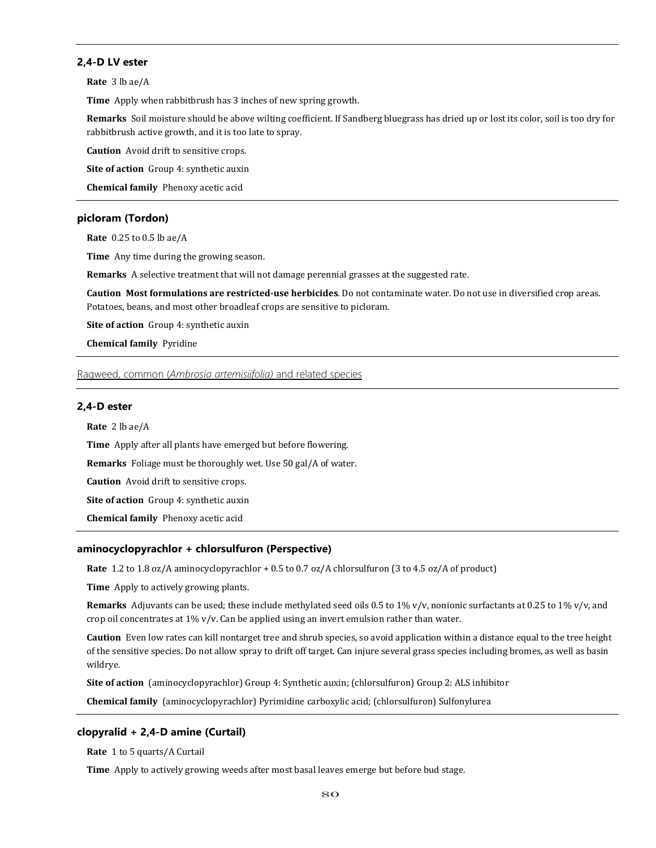## **2,4-D LV ester**

**Rate** 3 lb ae/A

**Time** Apply when rabbitbrush has 3 inches of new spring growth.

**Remarks** Soil moisture should be above wilting coefficient. If Sandberg bluegrass has dried up or lost its color, soil is too dry for rabbitbrush active growth, and it is too late to spray.

**Caution** Avoid drift to sensitive crops.

**Site of action** Group 4: synthetic auxin

**Chemical family** Phenoxy acetic acid

# **picloram (Tordon)**

**Rate** 0.25 to 0.5 lb ae/A

**Time** Any time during the growing season.

**Remarks** A selective treatment that will not damage perennial grasses at the suggested rate.

**Caution Most formulations are restricted-use herbicides**. Do not contaminate water. Do not use in diversified crop areas. Potatoes, beans, and most other broadleaf crops are sensitive to picloram.

**Site of action** Group 4: synthetic auxin

**Chemical family** Pyridine

Ragweed, common (*Ambrosia artemisiifolia)* and related species

### **2,4-D ester**

**Rate** 2 lb ae/A

**Time** Apply after all plants have emerged but before flowering.

**Remarks** Foliage must be thoroughly wet. Use 50 gal/A of water.

**Caution** Avoid drift to sensitive crops.

**Site of action** Group 4: synthetic auxin

**Chemical family** Phenoxy acetic acid

# **aminocyclopyrachlor + chlorsulfuron (Perspective)**

**Rate** 1.2 to 1.8 oz/A aminocyclopyrachlor + 0.5 to 0.7 oz/A chlorsulfuron (3 to 4.5 oz/A of product)

**Time** Apply to actively growing plants.

**Remarks** Adjuvants can be used; these include methylated seed oils 0.5 to 1% v/v, nonionic surfactants at 0.25 to 1% v/v, and crop oil concentrates at 1% v/v. Can be applied using an invert emulsion rather than water.

**Caution** Even low rates can kill nontarget tree and shrub species, so avoid application within a distance equal to the tree height of the sensitive species. Do not allow spray to drift off target. Can injure several grass species including bromes, as well as basin wildrye.

**Site of action** (aminocyclopyrachlor) Group 4: Synthetic auxin; (chlorsulfuron) Group 2: ALS inhibitor

**Chemical family** (aminocyclopyrachlor) Pyrimidine carboxylic acid; (chlorsulfuron) Sulfonylurea

### **clopyralid + 2,4-D amine (Curtail)**

**Rate** 1 to 5 quarts/A Curtail

**Time** Apply to actively growing weeds after most basal leaves emerge but before bud stage.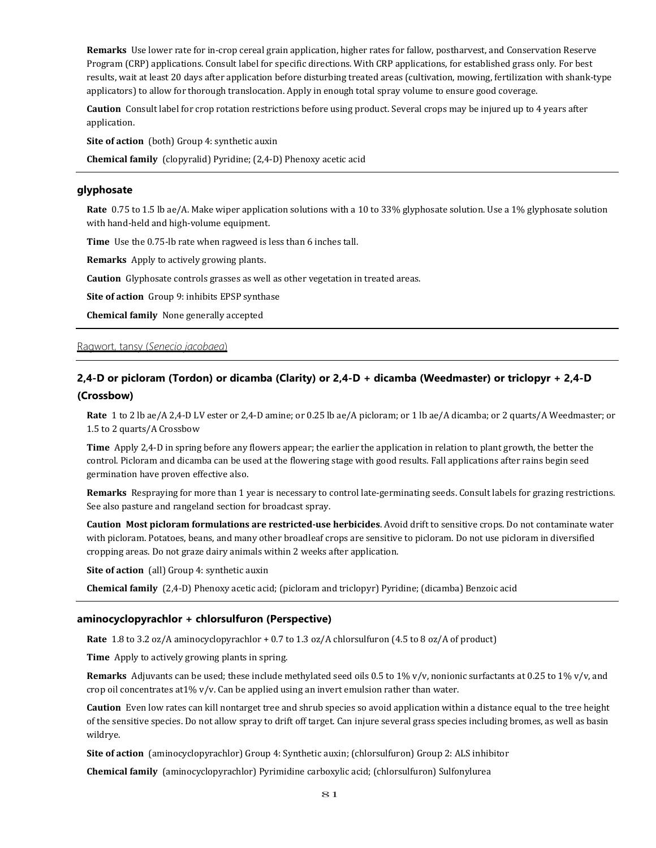**Remarks** Use lower rate for in-crop cereal grain application, higher rates for fallow, postharvest, and Conservation Reserve Program (CRP) applications. Consult label for specific directions. With CRP applications, for established grass only. For best results, wait at least 20 days after application before disturbing treated areas (cultivation, mowing, fertilization with shank-type applicators) to allow for thorough translocation. Apply in enough total spray volume to ensure good coverage.

**Caution** Consult label for crop rotation restrictions before using product. Several crops may be injured up to 4 years after application.

**Site of action** (both) Group 4: synthetic auxin

**Chemical family** (clopyralid) Pyridine; (2,4-D) Phenoxy acetic acid

# **glyphosate**

**Rate** 0.75 to 1.5 lb ae/A. Make wiper application solutions with a 10 to 33% glyphosate solution. Use a 1% glyphosate solution with hand-held and high-volume equipment.

**Time** Use the 0.75-lb rate when ragweed is less than 6 inches tall.

**Remarks** Apply to actively growing plants.

**Caution** Glyphosate controls grasses as well as other vegetation in treated areas.

**Site of action** Group 9: inhibits EPSP synthase

**Chemical family** None generally accepted

# Ragwort, tansy (*Senecio jacobaea*)

# **2,4-D or picloram (Tordon) or dicamba (Clarity) or 2,4-D + dicamba (Weedmaster) or triclopyr + 2,4-D (Crossbow)**

**Rate** 1 to 2 lb ae/A 2,4-D LV ester or 2,4-D amine; or 0.25 lb ae/A picloram; or 1 lb ae/A dicamba; or 2 quarts/A Weedmaster; or 1.5 to 2 quarts/A Crossbow

**Time** Apply 2,4-D in spring before any flowers appear; the earlier the application in relation to plant growth, the better the control. Picloram and dicamba can be used at the flowering stage with good results. Fall applications after rains begin seed germination have proven effective also.

**Remarks** Respraying for more than 1 year is necessary to control late-germinating seeds. Consult labels for grazing restrictions. See also pasture and rangeland section for broadcast spray.

**Caution Most picloram formulations are restricted-use herbicides**. Avoid drift to sensitive crops. Do not contaminate water with picloram. Potatoes, beans, and many other broadleaf crops are sensitive to picloram. Do not use picloram in diversified cropping areas. Do not graze dairy animals within 2 weeks after application.

**Site of action** (all) Group 4: synthetic auxin

**Chemical family** (2,4-D) Phenoxy acetic acid; (picloram and triclopyr) Pyridine; (dicamba) Benzoic acid

### **aminocyclopyrachlor + chlorsulfuron (Perspective)**

**Rate** 1.8 to 3.2 oz/A aminocyclopyrachlor + 0.7 to 1.3 oz/A chlorsulfuron (4.5 to 8 oz/A of product)

**Time** Apply to actively growing plants in spring.

**Remarks** Adjuvants can be used; these include methylated seed oils 0.5 to 1% v/v, nonionic surfactants at 0.25 to 1% v/v, and crop oil concentrates at  $1\%$  v/v. Can be applied using an invert emulsion rather than water.

**Caution** Even low rates can kill nontarget tree and shrub species so avoid application within a distance equal to the tree height of the sensitive species. Do not allow spray to drift off target. Can injure several grass species including bromes, as well as basin wildrye.

**Site of action** (aminocyclopyrachlor) Group 4: Synthetic auxin; (chlorsulfuron) Group 2: ALS inhibitor

**Chemical family** (aminocyclopyrachlor) Pyrimidine carboxylic acid; (chlorsulfuron) Sulfonylurea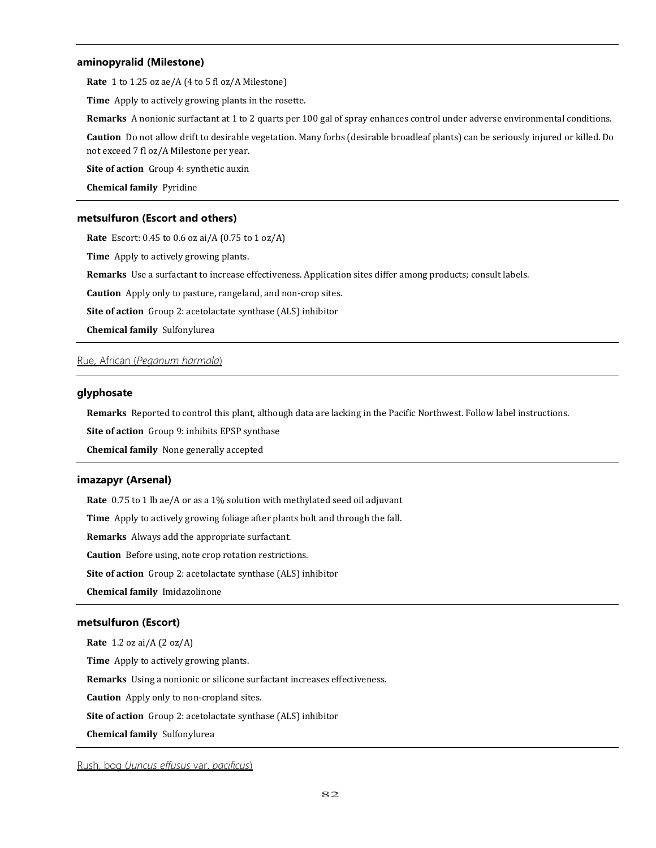### **aminopyralid (Milestone)**

**Rate** 1 to 1.25 oz ae/A (4 to 5 fl oz/A Milestone)

**Time** Apply to actively growing plants in the rosette.

**Remarks** A nonionic surfactant at 1 to 2 quarts per 100 gal of spray enhances control under adverse environmental conditions.

**Caution** Do not allow drift to desirable vegetation. Many forbs (desirable broadleaf plants) can be seriously injured or killed. Do not exceed 7 fl oz/A Milestone per year.

**Site of action** Group 4: synthetic auxin

**Chemical family** Pyridine

## **metsulfuron (Escort and others)**

**Rate** Escort: 0.45 to 0.6 oz ai/A (0.75 to 1 oz/A)

**Time** Apply to actively growing plants.

**Remarks** Use a surfactant to increase effectiveness. Application sites differ among products; consult labels.

**Caution** Apply only to pasture, rangeland, and non-crop sites.

**Site of action** Group 2: acetolactate synthase (ALS) inhibitor

**Chemical family** Sulfonylurea

# Rue, African (*Peganum harmala*)

# **glyphosate**

**Remarks** Reported to control this plant, although data are lacking in the Pacific Northwest. Follow label instructions.

**Site of action** Group 9: inhibits EPSP synthase

**Chemical family** None generally accepted

### **imazapyr (Arsenal)**

**Rate** 0.75 to 1 lb ae/A or as a 1% solution with methylated seed oil adjuvant

**Time** Apply to actively growing foliage after plants bolt and through the fall.

**Remarks** Always add the appropriate surfactant.

**Caution** Before using, note crop rotation restrictions.

**Site of action** Group 2: acetolactate synthase (ALS) inhibitor

**Chemical family** Imidazolinone

### **metsulfuron (Escort)**

**Rate** 1.2 oz ai/A (2 oz/A)

**Time** Apply to actively growing plants.

**Remarks** Using a nonionic or silicone surfactant increases effectiveness.

**Caution** Apply only to non-cropland sites.

**Site of action** Group 2: acetolactate synthase (ALS) inhibitor

**Chemical family** Sulfonylurea

# Rush, bog (*Juncus effusus* var. *pacificus*)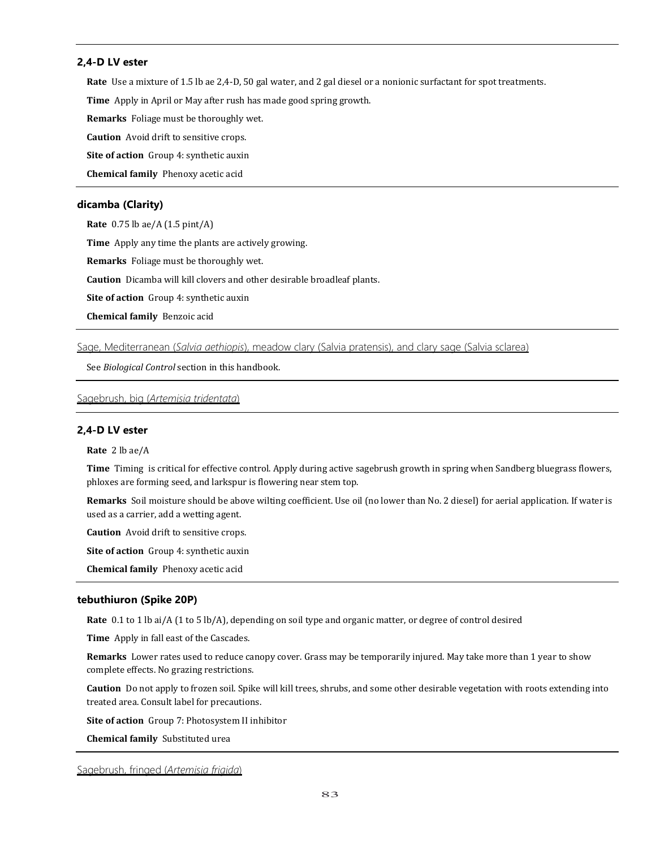# **2,4-D LV ester**

**Rate** Use a mixture of 1.5 lb ae 2,4-D, 50 gal water, and 2 gal diesel or a nonionic surfactant for spot treatments.

**Time** Apply in April or May after rush has made good spring growth.

**Remarks** Foliage must be thoroughly wet.

**Caution** Avoid drift to sensitive crops.

**Site of action** Group 4: synthetic auxin

**Chemical family** Phenoxy acetic acid

# **dicamba (Clarity)**

**Rate** 0.75 lb ae/A (1.5 pint/A)

**Time** Apply any time the plants are actively growing.

**Remarks** Foliage must be thoroughly wet.

**Caution** Dicamba will kill clovers and other desirable broadleaf plants.

**Site of action** Group 4: synthetic auxin

**Chemical family** Benzoic acid

Sage, Mediterranean (*Salvia aethiopis*), meadow clary (Salvia pratensis), and clary sage (Salvia sclarea)

See *Biological Control* section in this handbook.

Sagebrush, big (*Artemisia tridentata*)

# **2,4-D LV ester**

**Rate** 2 lb ae/A

**Time** Timing is critical for effective control. Apply during active sagebrush growth in spring when Sandberg bluegrass flowers, phloxes are forming seed, and larkspur is flowering near stem top.

**Remarks** Soil moisture should be above wilting coefficient. Use oil (no lower than No. 2 diesel) for aerial application. If water is used as a carrier, add a wetting agent.

**Caution** Avoid drift to sensitive crops.

**Site of action** Group 4: synthetic auxin

**Chemical family** Phenoxy acetic acid

# **tebuthiuron (Spike 20P)**

**Rate** 0.1 to 1 lb ai/A (1 to 5 lb/A), depending on soil type and organic matter, or degree of control desired

**Time** Apply in fall east of the Cascades.

**Remarks** Lower rates used to reduce canopy cover. Grass may be temporarily injured. May take more than 1 year to show complete effects. No grazing restrictions.

**Caution** Do not apply to frozen soil. Spike will kill trees, shrubs, and some other desirable vegetation with roots extending into treated area. Consult label for precautions.

**Site of action** Group 7: Photosystem II inhibitor

**Chemical family** Substituted urea

Sagebrush, fringed (*Artemisia frigida*)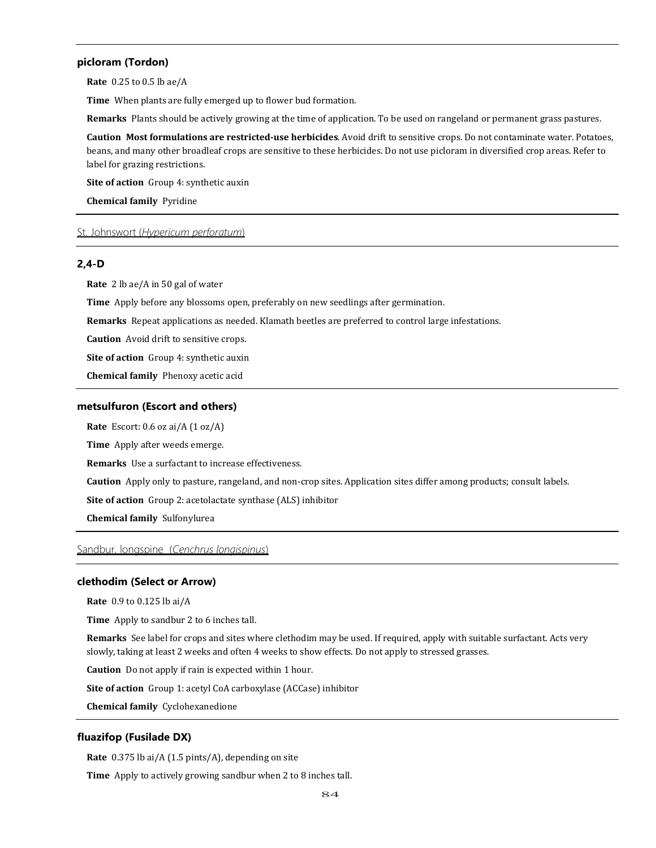## **picloram (Tordon)**

**Rate** 0.25 to 0.5 lb ae/A

**Time** When plants are fully emerged up to flower bud formation.

**Remarks** Plants should be actively growing at the time of application. To be used on rangeland or permanent grass pastures.

**Caution Most formulations are restricted-use herbicides**. Avoid drift to sensitive crops. Do not contaminate water. Potatoes, beans, and many other broadleaf crops are sensitive to these herbicides. Do not use picloram in diversified crop areas. Refer to label for grazing restrictions.

**Site of action** Group 4: synthetic auxin

**Chemical family** Pyridine

## St. Johnswort (*Hypericum perforatum*)

# **2,4-D**

**Rate** 2 lb ae/A in 50 gal of water

**Time** Apply before any blossoms open, preferably on new seedlings after germination.

**Remarks** Repeat applications as needed. Klamath beetles are preferred to control large infestations.

**Caution** Avoid drift to sensitive crops.

**Site of action** Group 4: synthetic auxin

**Chemical family** Phenoxy acetic acid

### **metsulfuron (Escort and others)**

**Rate** Escort: 0.6 oz ai/A (1 oz/A)

**Time** Apply after weeds emerge.

**Remarks** Use a surfactant to increase effectiveness.

**Caution** Apply only to pasture, rangeland, and non-crop sites. Application sites differ among products; consult labels.

**Site of action** Group 2: acetolactate synthase (ALS) inhibitor

**Chemical family** Sulfonylurea

# Sandbur, longspine (*Cenchrus longispinus*)

### **clethodim (Select or Arrow)**

**Rate** 0.9 to 0.125 lb ai/A

**Time** Apply to sandbur 2 to 6 inches tall.

**Remarks** See label for crops and sites where clethodim may be used. If required, apply with suitable surfactant. Acts very slowly, taking at least 2 weeks and often 4 weeks to show effects. Do not apply to stressed grasses.

**Caution** Do not apply if rain is expected within 1 hour.

**Site of action** Group 1: acetyl CoA carboxylase (ACCase) inhibitor

**Chemical family** Cyclohexanedione

#### **fluazifop (Fusilade DX)**

**Rate** 0.375 lb ai/A (1.5 pints/A), depending on site

**Time** Apply to actively growing sandbur when 2 to 8 inches tall.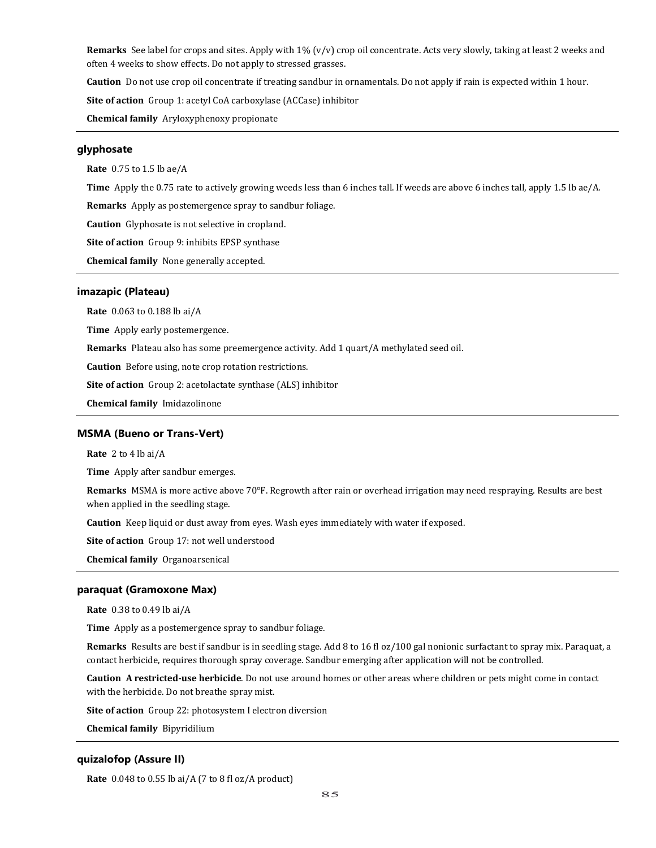**Remarks** See label for crops and sites. Apply with 1% (v/v) crop oil concentrate. Acts very slowly, taking at least 2 weeks and often 4 weeks to show effects. Do not apply to stressed grasses.

**Caution** Do not use crop oil concentrate if treating sandbur in ornamentals. Do not apply if rain is expected within 1 hour.

**Site of action** Group 1: acetyl CoA carboxylase (ACCase) inhibitor

**Chemical family** Aryloxyphenoxy propionate

# **glyphosate**

**Rate** 0.75 to 1.5 lb ae/A

**Time** Apply the 0.75 rate to actively growing weeds less than 6 inches tall. If weeds are above 6 inches tall, apply 1.5 lb ae/A.

**Remarks** Apply as postemergence spray to sandbur foliage.

**Caution** Glyphosate is not selective in cropland.

**Site of action** Group 9: inhibits EPSP synthase

**Chemical family** None generally accepted.

### **imazapic (Plateau)**

**Rate** 0.063 to 0.188 lb ai/A

**Time** Apply early postemergence.

**Remarks** Plateau also has some preemergence activity. Add 1 quart/A methylated seed oil.

**Caution** Before using, note crop rotation restrictions.

**Site of action** Group 2: acetolactate synthase (ALS) inhibitor

**Chemical family** Imidazolinone

#### **MSMA (Bueno or Trans-Vert)**

**Rate** 2 to 4 lb ai/A

**Time** Apply after sandbur emerges.

**Remarks** MSMA is more active above 70°F. Regrowth after rain or overhead irrigation may need respraying. Results are best when applied in the seedling stage.

**Caution** Keep liquid or dust away from eyes. Wash eyes immediately with water if exposed.

**Site of action** Group 17: not well understood

**Chemical family** Organoarsenical

#### **paraquat (Gramoxone Max)**

**Rate** 0.38 to 0.49 lb ai/A

**Time** Apply as a postemergence spray to sandbur foliage.

**Remarks** Results are best if sandbur is in seedling stage. Add 8 to 16 fl oz/100 gal nonionic surfactant to spray mix. Paraquat, a contact herbicide, requires thorough spray coverage. Sandbur emerging after application will not be controlled.

**Caution A restricted-use herbicide**. Do not use around homes or other areas where children or pets might come in contact with the herbicide. Do not breathe spray mist.

**Site of action** Group 22: photosystem I electron diversion

**Chemical family** Bipyridilium

# **quizalofop (Assure II)**

**Rate** 0.048 to 0.55 lb ai/A (7 to 8 fl oz/A product)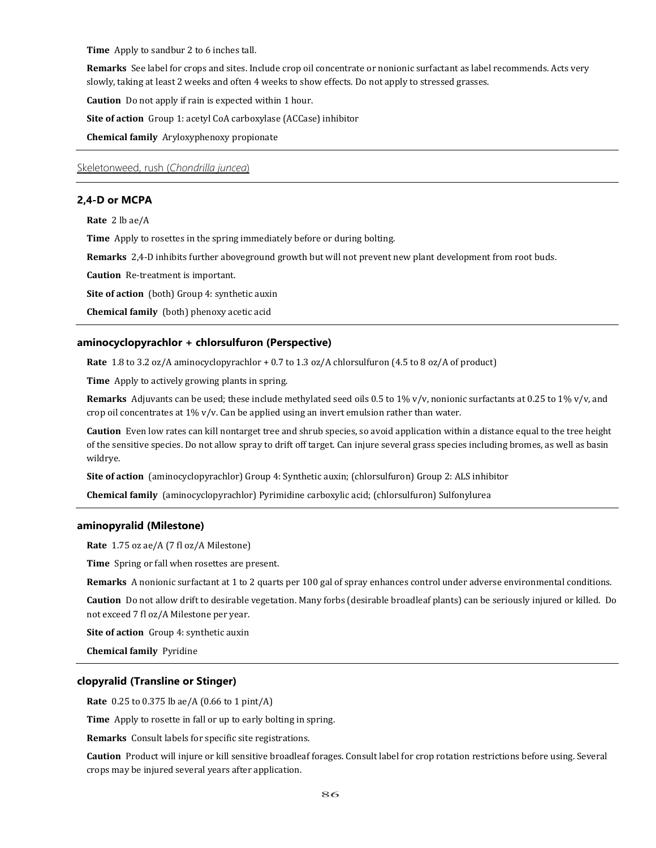**Time** Apply to sandbur 2 to 6 inches tall.

**Remarks** See label for crops and sites. Include crop oil concentrate or nonionic surfactant as label recommends. Acts very slowly, taking at least 2 weeks and often 4 weeks to show effects. Do not apply to stressed grasses.

**Caution** Do not apply if rain is expected within 1 hour.

**Site of action** Group 1: acetyl CoA carboxylase (ACCase) inhibitor

**Chemical family** Aryloxyphenoxy propionate

Skeletonweed, rush (*Chondrilla juncea*)

### **2,4-D or MCPA**

**Rate** 2 lb ae/A

**Time** Apply to rosettes in the spring immediately before or during bolting.

**Remarks** 2,4-D inhibits further aboveground growth but will not prevent new plant development from root buds.

**Caution** Re-treatment is important.

**Site of action** (both) Group 4: synthetic auxin

**Chemical family** (both) phenoxy acetic acid

### **aminocyclopyrachlor + chlorsulfuron (Perspective)**

**Rate** 1.8 to 3.2 oz/A aminocyclopyrachlor + 0.7 to 1.3 oz/A chlorsulfuron (4.5 to 8 oz/A of product)

**Time** Apply to actively growing plants in spring.

**Remarks** Adjuvants can be used; these include methylated seed oils 0.5 to 1% v/v, nonionic surfactants at 0.25 to 1% v/v, and crop oil concentrates at 1% v/v. Can be applied using an invert emulsion rather than water.

**Caution** Even low rates can kill nontarget tree and shrub species, so avoid application within a distance equal to the tree height of the sensitive species. Do not allow spray to drift off target. Can injure several grass species including bromes, as well as basin wildrye.

**Site of action** (aminocyclopyrachlor) Group 4: Synthetic auxin; (chlorsulfuron) Group 2: ALS inhibitor

**Chemical family** (aminocyclopyrachlor) Pyrimidine carboxylic acid; (chlorsulfuron) Sulfonylurea

### **aminopyralid (Milestone)**

**Rate** 1.75 oz ae/A (7 fl oz/A Milestone)

**Time** Spring or fall when rosettes are present.

**Remarks** A nonionic surfactant at 1 to 2 quarts per 100 gal of spray enhances control under adverse environmental conditions.

**Caution** Do not allow drift to desirable vegetation. Many forbs (desirable broadleaf plants) can be seriously injured or killed. Do not exceed 7 fl oz/A Milestone per year.

**Site of action** Group 4: synthetic auxin

**Chemical family** Pyridine

#### **clopyralid (Transline or Stinger)**

**Rate** 0.25 to 0.375 lb ae/A (0.66 to 1 pint/A)

**Time** Apply to rosette in fall or up to early bolting in spring.

**Remarks** Consult labels for specific site registrations.

**Caution** Product will injure or kill sensitive broadleaf forages. Consult label for crop rotation restrictions before using. Several crops may be injured several years after application.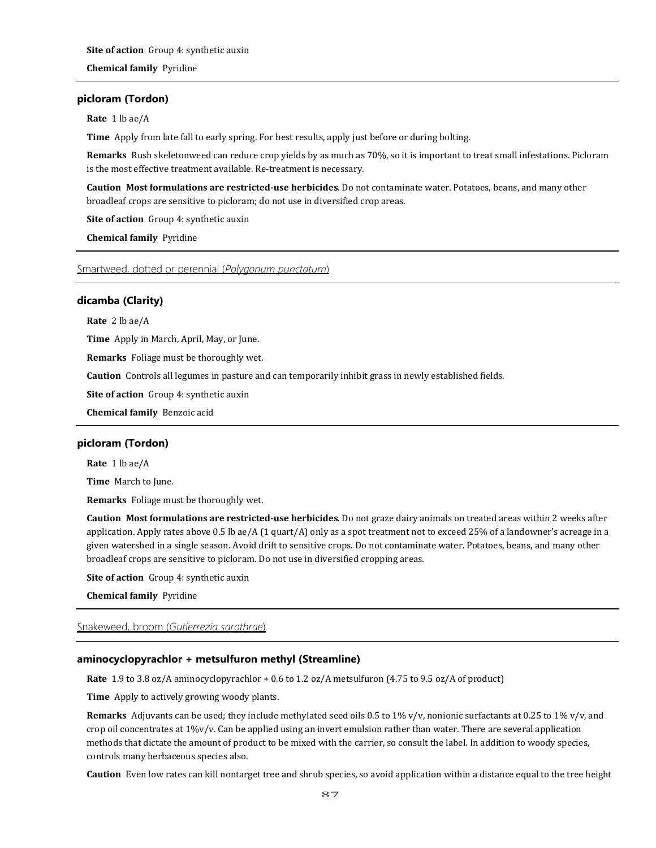# **picloram (Tordon)**

**Rate** 1 lb ae/A

**Time** Apply from late fall to early spring. For best results, apply just before or during bolting.

**Remarks** Rush skeletonweed can reduce crop yields by as much as 70%, so it is important to treat small infestations. Picloram is the most effective treatment available. Re-treatment is necessary.

**Caution Most formulations are restricted-use herbicides**. Do not contaminate water. Potatoes, beans, and many other broadleaf crops are sensitive to picloram; do not use in diversified crop areas.

**Site of action** Group 4: synthetic auxin

**Chemical family** Pyridine

# Smartweed, dotted or perennial (*Polygonum punctatum*)

# **dicamba (Clarity)**

**Rate** 2 lb ae/A

**Time** Apply in March, April, May, or June.

**Remarks** Foliage must be thoroughly wet.

**Caution** Controls all legumes in pasture and can temporarily inhibit grass in newly established fields.

**Site of action** Group 4: synthetic auxin

**Chemical family** Benzoic acid

### **picloram (Tordon)**

**Rate** 1 lb ae/A

**Time** March to June.

**Remarks** Foliage must be thoroughly wet.

**Caution Most formulations are restricted-use herbicides**. Do not graze dairy animals on treated areas within 2 weeks after application. Apply rates above 0.5 lb ae/A (1 quart/A) only as a spot treatment not to exceed 25% of a landowner's acreage in a given watershed in a single season. Avoid drift to sensitive crops. Do not contaminate water. Potatoes, beans, and many other broadleaf crops are sensitive to picloram. Do not use in diversified cropping areas.

**Site of action** Group 4: synthetic auxin

**Chemical family** Pyridine

### Snakeweed, broom (*Gutierrezia sarothrae*)

# **aminocyclopyrachlor + metsulfuron methyl (Streamline)**

**Rate** 1.9 to 3.8 oz/A aminocyclopyrachlor + 0.6 to 1.2 oz/A metsulfuron (4.75 to 9.5 oz/A of product)

**Time** Apply to actively growing woody plants.

**Remarks** Adjuvants can be used; they include methylated seed oils 0.5 to 1% v/v, nonionic surfactants at 0.25 to 1% v/v, and crop oil concentrates at 1%v/v. Can be applied using an invert emulsion rather than water. There are several application methods that dictate the amount of product to be mixed with the carrier, so consult the label. In addition to woody species, controls many herbaceous species also.

**Caution** Even low rates can kill nontarget tree and shrub species, so avoid application within a distance equal to the tree height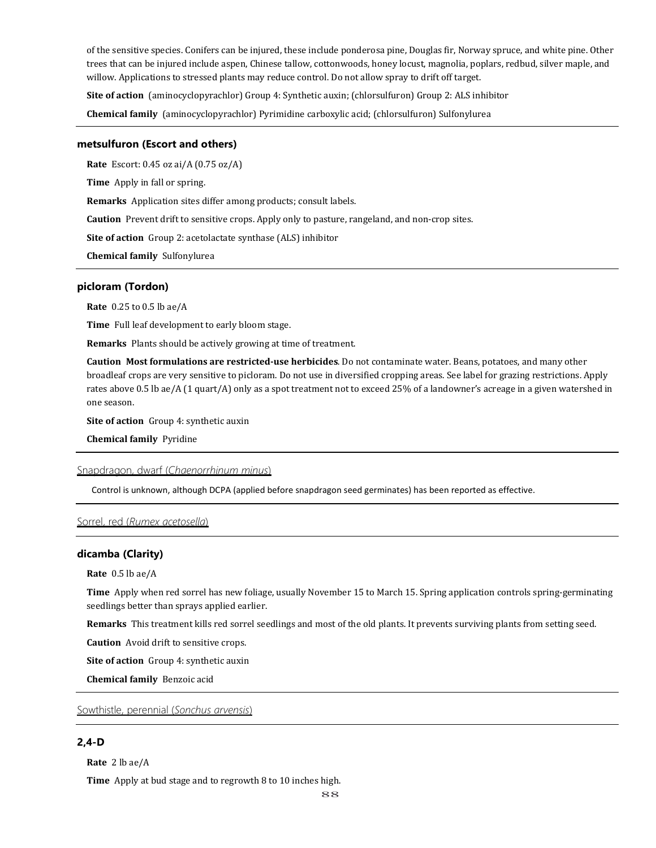of the sensitive species. Conifers can be injured, these include ponderosa pine, Douglas fir, Norway spruce, and white pine. Other trees that can be injured include aspen, Chinese tallow, cottonwoods, honey locust, magnolia, poplars, redbud, silver maple, and willow. Applications to stressed plants may reduce control. Do not allow spray to drift off target.

**Site of action** (aminocyclopyrachlor) Group 4: Synthetic auxin; (chlorsulfuron) Group 2: ALS inhibitor

**Chemical family** (aminocyclopyrachlor) Pyrimidine carboxylic acid; (chlorsulfuron) Sulfonylurea

### **metsulfuron (Escort and others)**

**Rate** Escort: 0.45 oz ai/A (0.75 oz/A)

**Time** Apply in fall or spring.

**Remarks** Application sites differ among products; consult labels.

**Caution** Prevent drift to sensitive crops. Apply only to pasture, rangeland, and non-crop sites.

**Site of action** Group 2: acetolactate synthase (ALS) inhibitor

**Chemical family** Sulfonylurea

# **picloram (Tordon)**

**Rate** 0.25 to 0.5 lb ae/A

**Time** Full leaf development to early bloom stage.

**Remarks** Plants should be actively growing at time of treatment.

**Caution Most formulations are restricted-use herbicides**. Do not contaminate water. Beans, potatoes, and many other broadleaf crops are very sensitive to picloram. Do not use in diversified cropping areas. See label for grazing restrictions. Apply rates above 0.5 lb ae/A (1 quart/A) only as a spot treatment not to exceed 25% of a landowner's acreage in a given watershed in one season.

**Site of action** Group 4: synthetic auxin

**Chemical family** Pyridine

## Snapdragon, dwarf (*Chaenorrhinum minus*)

Control is unknown, although DCPA (applied before snapdragon seed germinates) has been reported as effective.

### Sorrel, red (*Rumex acetosella*)

# **dicamba (Clarity)**

**Rate** 0.5 lb ae/A

**Time** Apply when red sorrel has new foliage, usually November 15 to March 15. Spring application controls spring-germinating seedlings better than sprays applied earlier.

**Remarks** This treatment kills red sorrel seedlings and most of the old plants. It prevents surviving plants from setting seed.

**Caution** Avoid drift to sensitive crops.

**Site of action** Group 4: synthetic auxin

**Chemical family** Benzoic acid

Sowthistle, perennial (*Sonchus arvensis*)

# **2,4-D**

**Rate** 2 lb ae/A

**Time** Apply at bud stage and to regrowth 8 to 10 inches high.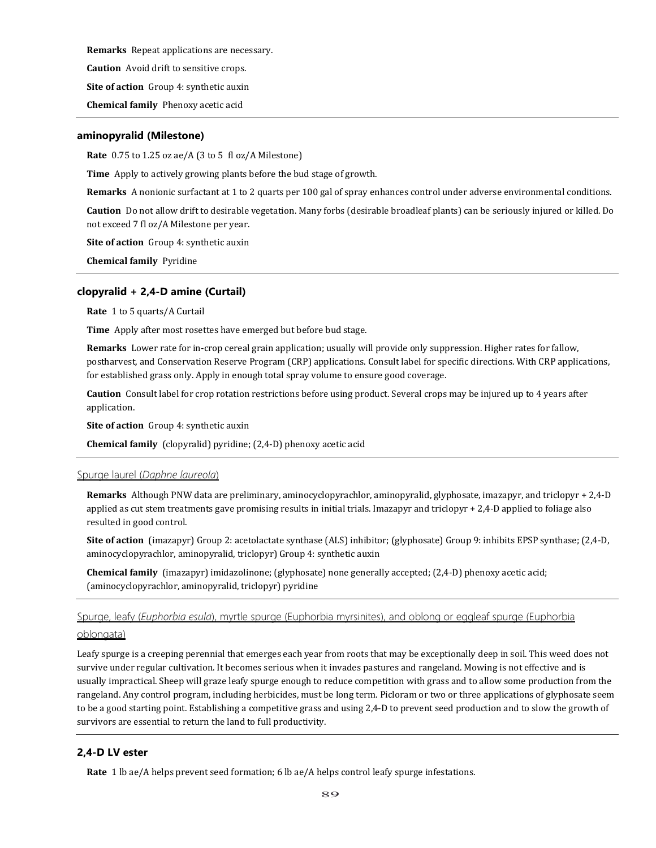**Remarks** Repeat applications are necessary.

**Caution** Avoid drift to sensitive crops.

**Site of action** Group 4: synthetic auxin

**Chemical family** Phenoxy acetic acid

### **aminopyralid (Milestone)**

**Rate** 0.75 to 1.25 oz ae/A (3 to 5 fl oz/A Milestone)

**Time** Apply to actively growing plants before the bud stage of growth.

**Remarks** A nonionic surfactant at 1 to 2 quarts per 100 gal of spray enhances control under adverse environmental conditions.

**Caution** Do not allow drift to desirable vegetation. Many forbs (desirable broadleaf plants) can be seriously injured or killed. Do not exceed 7 fl oz/A Milestone per year.

**Site of action** Group 4: synthetic auxin

**Chemical family** Pyridine

## **clopyralid + 2,4-D amine (Curtail)**

**Rate** 1 to 5 quarts/A Curtail

**Time** Apply after most rosettes have emerged but before bud stage.

**Remarks** Lower rate for in-crop cereal grain application; usually will provide only suppression. Higher rates for fallow, postharvest, and Conservation Reserve Program (CRP) applications. Consult label for specific directions. With CRP applications, for established grass only. Apply in enough total spray volume to ensure good coverage.

**Caution** Consult label for crop rotation restrictions before using product. Several crops may be injured up to 4 years after application.

**Site of action** Group 4: synthetic auxin

**Chemical family** (clopyralid) pyridine; (2,4-D) phenoxy acetic acid

### Spurge laurel (*Daphne laureola*)

**Remarks** Although PNW data are preliminary, aminocyclopyrachlor, aminopyralid, glyphosate, imazapyr, and triclopyr + 2,4-D applied as cut stem treatments gave promising results in initial trials. Imazapyr and triclopyr + 2,4-D applied to foliage also resulted in good control.

**Site of action** (imazapyr) Group 2: acetolactate synthase (ALS) inhibitor; (glyphosate) Group 9: inhibits EPSP synthase; (2,4-D, aminocyclopyrachlor, aminopyralid, triclopyr) Group 4: synthetic auxin

**Chemical family** (imazapyr) imidazolinone; (glyphosate) none generally accepted; (2,4-D) phenoxy acetic acid; (aminocyclopyrachlor, aminopyralid, triclopyr) pyridine

Spurge, leafy (*Euphorbia esula*), myrtle spurge (Euphorbia myrsinites), and oblong or eggleaf spurge (Euphorbia

### oblongata)

Leafy spurge is a creeping perennial that emerges each year from roots that may be exceptionally deep in soil. This weed does not survive under regular cultivation. It becomes serious when it invades pastures and rangeland. Mowing is not effective and is usually impractical. Sheep will graze leafy spurge enough to reduce competition with grass and to allow some production from the rangeland. Any control program, including herbicides, must be long term. Picloram or two or three applications of glyphosate seem to be a good starting point. Establishing a competitive grass and using 2,4-D to prevent seed production and to slow the growth of survivors are essential to return the land to full productivity.

# **2,4-D LV ester**

**Rate** 1 lb ae/A helps prevent seed formation; 6 lb ae/A helps control leafy spurge infestations.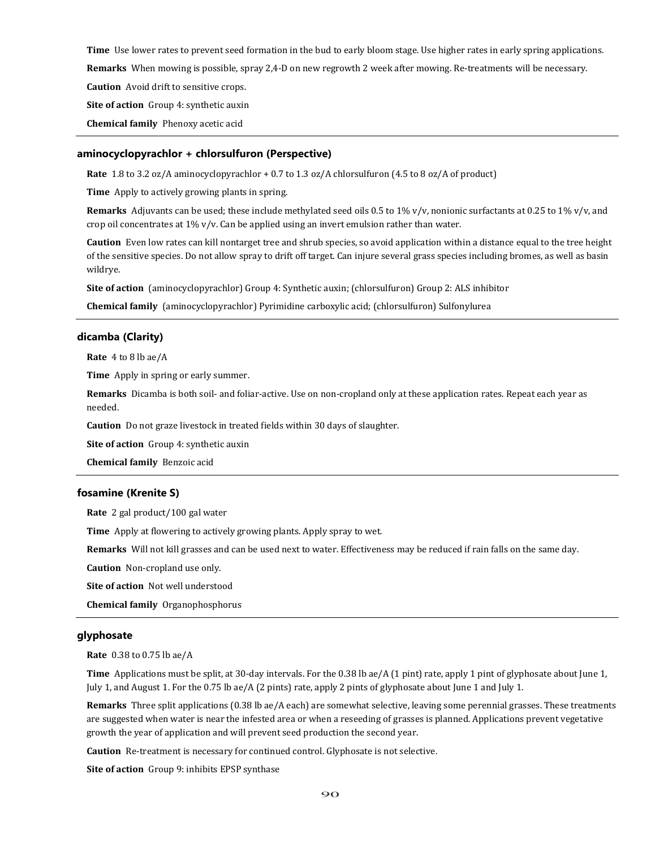**Time** Use lower rates to prevent seed formation in the bud to early bloom stage. Use higher rates in early spring applications.

**Remarks** When mowing is possible, spray 2,4-D on new regrowth 2 week after mowing. Re-treatments will be necessary.

**Caution** Avoid drift to sensitive crops.

**Site of action** Group 4: synthetic auxin

**Chemical family** Phenoxy acetic acid

#### **aminocyclopyrachlor + chlorsulfuron (Perspective)**

**Rate** 1.8 to 3.2 oz/A aminocyclopyrachlor + 0.7 to 1.3 oz/A chlorsulfuron (4.5 to 8 oz/A of product)

**Time** Apply to actively growing plants in spring.

**Remarks** Adjuvants can be used; these include methylated seed oils 0.5 to 1% v/v, nonionic surfactants at 0.25 to 1% v/v, and crop oil concentrates at 1% v/v. Can be applied using an invert emulsion rather than water.

**Caution** Even low rates can kill nontarget tree and shrub species, so avoid application within a distance equal to the tree height of the sensitive species. Do not allow spray to drift off target. Can injure several grass species including bromes, as well as basin wildrye.

**Site of action** (aminocyclopyrachlor) Group 4: Synthetic auxin; (chlorsulfuron) Group 2: ALS inhibitor

**Chemical family** (aminocyclopyrachlor) Pyrimidine carboxylic acid; (chlorsulfuron) Sulfonylurea

### **dicamba (Clarity)**

**Rate** 4 to 8 lb ae/A

**Time** Apply in spring or early summer.

**Remarks** Dicamba is both soil- and foliar-active. Use on non-cropland only at these application rates. Repeat each year as needed.

**Caution** Do not graze livestock in treated fields within 30 days of slaughter.

**Site of action** Group 4: synthetic auxin

**Chemical family** Benzoic acid

### **fosamine (Krenite S)**

**Rate** 2 gal product/100 gal water

**Time** Apply at flowering to actively growing plants. Apply spray to wet.

**Remarks** Will not kill grasses and can be used next to water. Effectiveness may be reduced if rain falls on the same day.

**Caution** Non-cropland use only.

**Site of action** Not well understood

**Chemical family** Organophosphorus

# **glyphosate**

**Rate** 0.38 to 0.75 lb ae/A

**Time** Applications must be split, at 30-day intervals. For the 0.38 lb ae/A (1 pint) rate, apply 1 pint of glyphosate about June 1, July 1, and August 1. For the 0.75 lb ae/A (2 pints) rate, apply 2 pints of glyphosate about June 1 and July 1.

**Remarks** Three split applications (0.38 lb ae/A each) are somewhat selective, leaving some perennial grasses. These treatments are suggested when water is near the infested area or when a reseeding of grasses is planned. Applications prevent vegetative growth the year of application and will prevent seed production the second year.

**Caution** Re-treatment is necessary for continued control. Glyphosate is not selective.

**Site of action** Group 9: inhibits EPSP synthase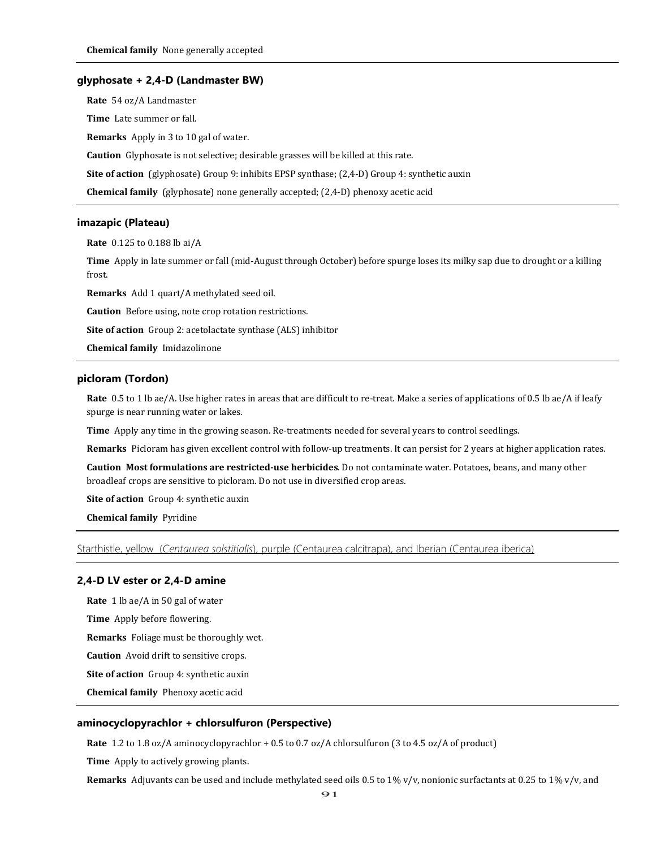#### **glyphosate + 2,4-D (Landmaster BW)**

**Rate** 54 oz/A Landmaster **Time** Late summer or fall. **Remarks** Apply in 3 to 10 gal of water.

**Caution** Glyphosate is not selective; desirable grasses will be killed at this rate.

**Site of action** (glyphosate) Group 9: inhibits EPSP synthase; (2,4-D) Group 4: synthetic auxin

**Chemical family** (glyphosate) none generally accepted; (2,4-D) phenoxy acetic acid

#### **imazapic (Plateau)**

**Rate** 0.125 to 0.188 lb ai/A

**Time** Apply in late summer or fall (mid-August through October) before spurge loses its milky sap due to drought or a killing frost.

**Remarks** Add 1 quart/A methylated seed oil.

**Caution** Before using, note crop rotation restrictions.

**Site of action** Group 2: acetolactate synthase (ALS) inhibitor

**Chemical family** Imidazolinone

## **picloram (Tordon)**

**Rate** 0.5 to 1 lb ae/A. Use higher rates in areas that are difficult to re-treat. Make a series of applications of 0.5 lb ae/A if leafy spurge is near running water or lakes.

**Time** Apply any time in the growing season. Re-treatments needed for several years to control seedlings.

**Remarks** Picloram has given excellent control with follow-up treatments. It can persist for 2 years at higher application rates.

**Caution Most formulations are restricted-use herbicides**. Do not contaminate water. Potatoes, beans, and many other broadleaf crops are sensitive to picloram. Do not use in diversified crop areas.

**Site of action** Group 4: synthetic auxin

**Chemical family** Pyridine

Starthistle, yellow (*Centaurea solstitialis*), purple (Centaurea calcitrapa), and Iberian (Centaurea iberica)

### **2,4-D LV ester or 2,4-D amine**

**Rate** 1 lb ae/A in 50 gal of water **Time** Apply before flowering. **Remarks** Foliage must be thoroughly wet. **Caution** Avoid drift to sensitive crops. **Site of action** Group 4: synthetic auxin

**Chemical family** Phenoxy acetic acid

# **aminocyclopyrachlor + chlorsulfuron (Perspective)**

**Rate** 1.2 to 1.8 oz/A aminocyclopyrachlor + 0.5 to 0.7 oz/A chlorsulfuron (3 to 4.5 oz/A of product)

**Time** Apply to actively growing plants.

**Remarks** Adjuvants can be used and include methylated seed oils 0.5 to 1% v/v, nonionic surfactants at 0.25 to 1% v/v, and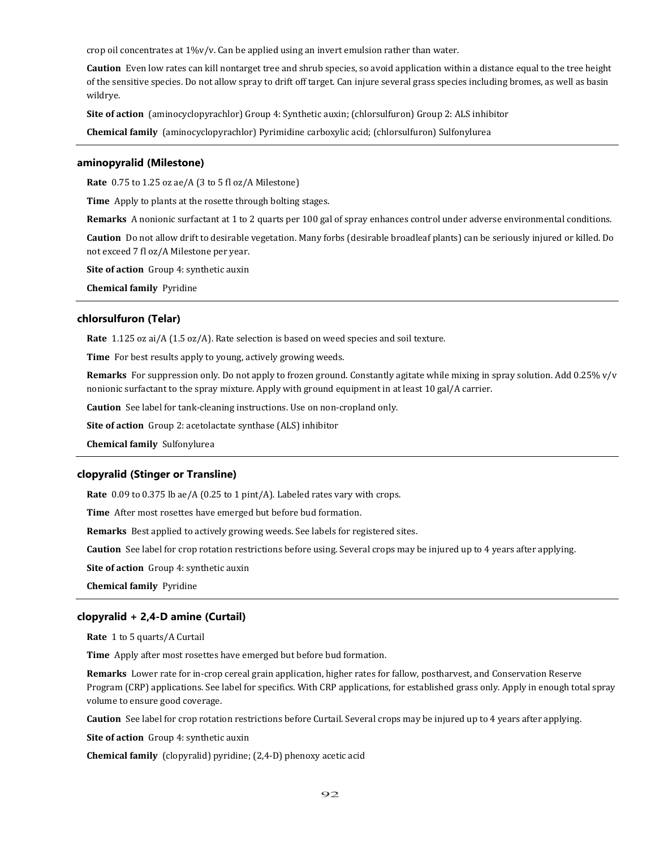crop oil concentrates at 1%v/v. Can be applied using an invert emulsion rather than water.

**Caution** Even low rates can kill nontarget tree and shrub species, so avoid application within a distance equal to the tree height of the sensitive species. Do not allow spray to drift off target. Can injure several grass species including bromes, as well as basin wildrye.

**Site of action** (aminocyclopyrachlor) Group 4: Synthetic auxin; (chlorsulfuron) Group 2: ALS inhibitor

**Chemical family** (aminocyclopyrachlor) Pyrimidine carboxylic acid; (chlorsulfuron) Sulfonylurea

### **aminopyralid (Milestone)**

**Rate** 0.75 to 1.25 oz ae/A (3 to 5 fl oz/A Milestone)

**Time** Apply to plants at the rosette through bolting stages.

**Remarks** A nonionic surfactant at 1 to 2 quarts per 100 gal of spray enhances control under adverse environmental conditions.

**Caution** Do not allow drift to desirable vegetation. Many forbs (desirable broadleaf plants) can be seriously injured or killed. Do not exceed 7 fl oz/A Milestone per year.

**Site of action** Group 4: synthetic auxin

**Chemical family** Pyridine

#### **chlorsulfuron (Telar)**

**Rate** 1.125 oz ai/A (1.5 oz/A). Rate selection is based on weed species and soil texture.

**Time** For best results apply to young, actively growing weeds.

**Remarks** For suppression only. Do not apply to frozen ground. Constantly agitate while mixing in spray solution. Add 0.25% v/v nonionic surfactant to the spray mixture. Apply with ground equipment in at least 10 gal/A carrier.

**Caution** See label for tank-cleaning instructions. Use on non-cropland only.

**Site of action** Group 2: acetolactate synthase (ALS) inhibitor

**Chemical family** Sulfonylurea

### **clopyralid (Stinger or Transline)**

**Rate** 0.09 to 0.375 lb ae/A (0.25 to 1 pint/A). Labeled rates vary with crops.

**Time** After most rosettes have emerged but before bud formation.

**Remarks** Best applied to actively growing weeds. See labels for registered sites.

**Caution** See label for crop rotation restrictions before using. Several crops may be injured up to 4 years after applying.

**Site of action** Group 4: synthetic auxin

**Chemical family** Pyridine

# **clopyralid + 2,4-D amine (Curtail)**

**Rate** 1 to 5 quarts/A Curtail

**Time** Apply after most rosettes have emerged but before bud formation.

**Remarks** Lower rate for in-crop cereal grain application, higher rates for fallow, postharvest, and Conservation Reserve Program (CRP) applications. See label for specifics. With CRP applications, for established grass only. Apply in enough total spray volume to ensure good coverage.

**Caution** See label for crop rotation restrictions before Curtail. Several crops may be injured up to 4 years after applying.

**Site of action** Group 4: synthetic auxin

**Chemical family** (clopyralid) pyridine; (2,4-D) phenoxy acetic acid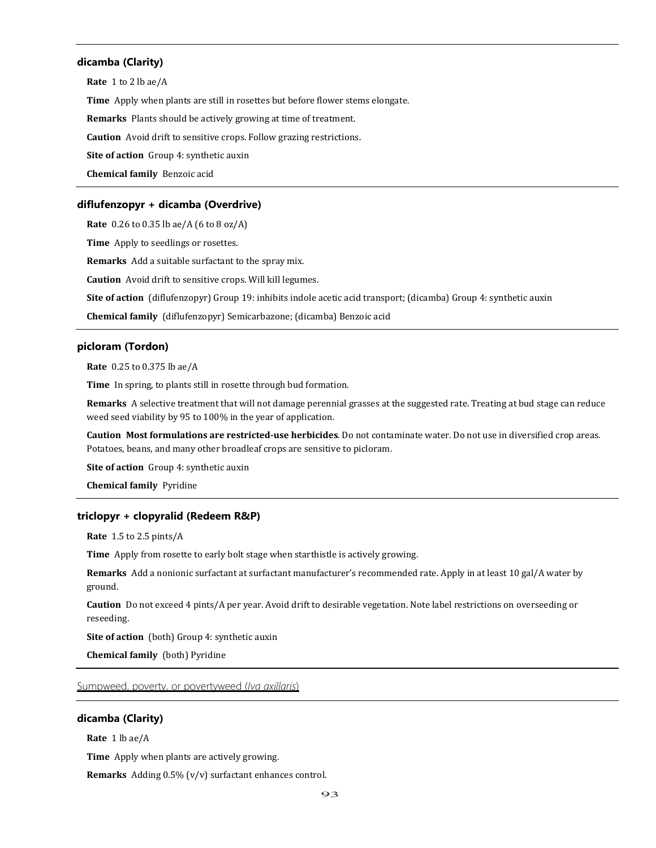# **dicamba (Clarity)**

**Rate** 1 to 2 lb ae/A

**Time** Apply when plants are still in rosettes but before flower stems elongate.

**Remarks** Plants should be actively growing at time of treatment.

**Caution** Avoid drift to sensitive crops. Follow grazing restrictions.

**Site of action** Group 4: synthetic auxin

**Chemical family** Benzoic acid

### **diflufenzopyr + dicamba (Overdrive)**

**Rate** 0.26 to 0.35 lb ae/A (6 to 8 oz/A)

**Time** Apply to seedlings or rosettes.

**Remarks** Add a suitable surfactant to the spray mix.

**Caution** Avoid drift to sensitive crops. Will kill legumes.

**Site of action** (diflufenzopyr) Group 19: inhibits indole acetic acid transport; (dicamba) Group 4: synthetic auxin

**Chemical family** (diflufenzopyr) Semicarbazone; (dicamba) Benzoic acid

## **picloram (Tordon)**

**Rate** 0.25 to 0.375 lb ae/A

**Time** In spring, to plants still in rosette through bud formation.

**Remarks** A selective treatment that will not damage perennial grasses at the suggested rate. Treating at bud stage can reduce weed seed viability by 95 to 100% in the year of application.

**Caution Most formulations are restricted-use herbicides**. Do not contaminate water. Do not use in diversified crop areas. Potatoes, beans, and many other broadleaf crops are sensitive to picloram.

**Site of action** Group 4: synthetic auxin

**Chemical family** Pyridine

# **triclopyr + clopyralid (Redeem R&P)**

**Rate** 1.5 to 2.5 pints/A

**Time** Apply from rosette to early bolt stage when starthistle is actively growing.

**Remarks** Add a nonionic surfactant at surfactant manufacturer's recommended rate. Apply in at least 10 gal/A water by ground.

**Caution** Do not exceed 4 pints/A per year. Avoid drift to desirable vegetation. Note label restrictions on overseeding or reseeding.

**Site of action** (both) Group 4: synthetic auxin

**Chemical family** (both) Pyridine

# Sumpweed, poverty, or povertyweed (*Iva axillaris*)

# **dicamba (Clarity)**

**Rate** 1 lb ae/A

**Time** Apply when plants are actively growing.

**Remarks** Adding 0.5% (v/v) surfactant enhances control.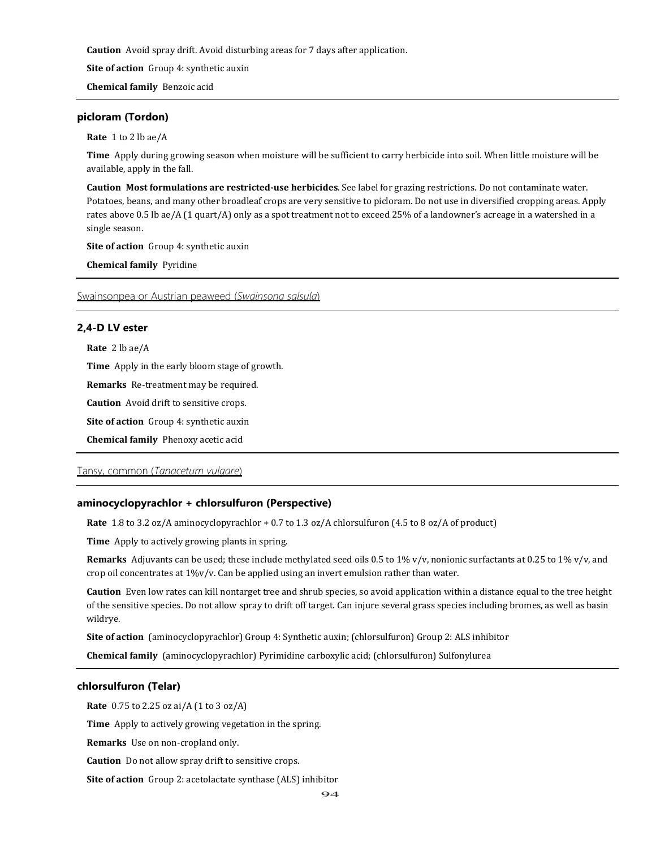**Caution** Avoid spray drift. Avoid disturbing areas for 7 days after application.

**Site of action** Group 4: synthetic auxin

**Chemical family** Benzoic acid

### **picloram (Tordon)**

**Rate** 1 to 2 lb ae/A

**Time** Apply during growing season when moisture will be sufficient to carry herbicide into soil. When little moisture will be available, apply in the fall.

**Caution Most formulations are restricted-use herbicides**. See label for grazing restrictions. Do not contaminate water. Potatoes, beans, and many other broadleaf crops are very sensitive to picloram. Do not use in diversified cropping areas. Apply rates above 0.5 lb ae/A (1 quart/A) only as a spot treatment not to exceed 25% of a landowner's acreage in a watershed in a single season.

**Site of action** Group 4: synthetic auxin

**Chemical family** Pyridine

Swainsonpea or Austrian peaweed (*Swainsona salsula*)

### **2,4-D LV ester**

**Rate** 2 lb ae/A

**Time** Apply in the early bloom stage of growth.

**Remarks** Re-treatment may be required.

**Caution** Avoid drift to sensitive crops.

**Site of action** Group 4: synthetic auxin

**Chemical family** Phenoxy acetic acid

# Tansy, common (*Tanacetum vulgare*)

### **aminocyclopyrachlor + chlorsulfuron (Perspective)**

**Rate** 1.8 to 3.2 oz/A aminocyclopyrachlor + 0.7 to 1.3 oz/A chlorsulfuron (4.5 to 8 oz/A of product)

**Time** Apply to actively growing plants in spring.

**Remarks** Adjuvants can be used; these include methylated seed oils 0.5 to 1% v/v, nonionic surfactants at 0.25 to 1% v/v, and crop oil concentrates at 1%v/v. Can be applied using an invert emulsion rather than water.

**Caution** Even low rates can kill nontarget tree and shrub species, so avoid application within a distance equal to the tree height of the sensitive species. Do not allow spray to drift off target. Can injure several grass species including bromes, as well as basin wildrye.

**Site of action** (aminocyclopyrachlor) Group 4: Synthetic auxin; (chlorsulfuron) Group 2: ALS inhibitor

**Chemical family** (aminocyclopyrachlor) Pyrimidine carboxylic acid; (chlorsulfuron) Sulfonylurea

# **chlorsulfuron (Telar)**

**Rate** 0.75 to 2.25 oz ai/A (1 to 3 oz/A)

**Time** Apply to actively growing vegetation in the spring.

**Remarks** Use on non-cropland only.

**Caution** Do not allow spray drift to sensitive crops.

**Site of action** Group 2: acetolactate synthase (ALS) inhibitor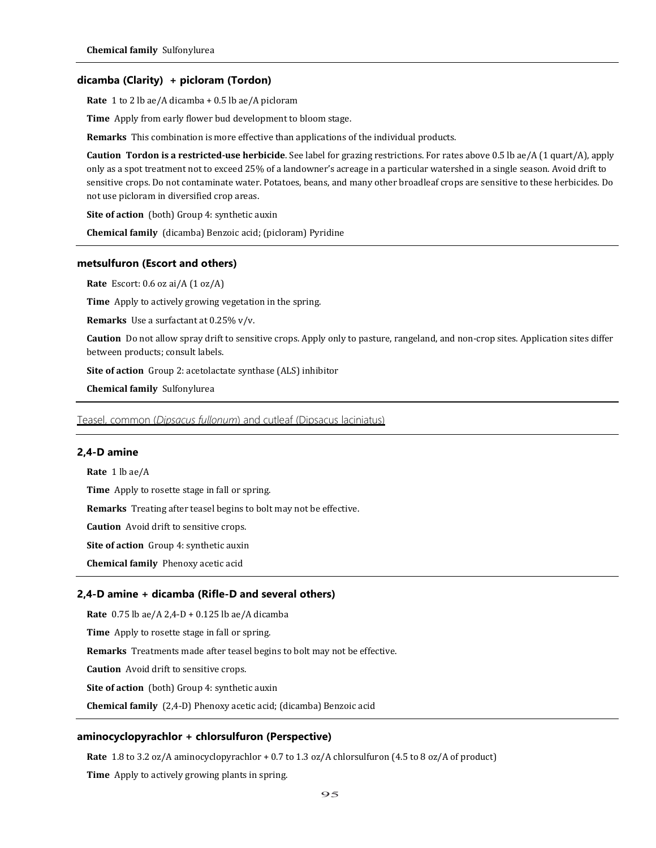### **dicamba (Clarity) + picloram (Tordon)**

**Rate** 1 to 2 lb ae/A dicamba + 0.5 lb ae/A picloram

**Time** Apply from early flower bud development to bloom stage.

**Remarks** This combination is more effective than applications of the individual products.

**Caution Tordon is a restricted-use herbicide**. See label for grazing restrictions. For rates above 0.5 lb ae/A (1 quart/A), apply only as a spot treatment not to exceed 25% of a landowner's acreage in a particular watershed in a single season. Avoid drift to sensitive crops. Do not contaminate water. Potatoes, beans, and many other broadleaf crops are sensitive to these herbicides. Do not use picloram in diversified crop areas.

**Site of action** (both) Group 4: synthetic auxin

**Chemical family** (dicamba) Benzoic acid; (picloram) Pyridine

# **metsulfuron (Escort and others)**

**Rate** Escort: 0.6 oz ai/A (1 oz/A)

**Time** Apply to actively growing vegetation in the spring.

**Remarks** Use a surfactant at 0.25% v/v.

**Caution** Do not allow spray drift to sensitive crops. Apply only to pasture, rangeland, and non-crop sites. Application sites differ between products; consult labels.

**Site of action** Group 2: acetolactate synthase (ALS) inhibitor

**Chemical family** Sulfonylurea

Teasel, common (*Dipsacus fullonum*) and cutleaf (Dipsacus laciniatus)

# **2,4-D amine**

**Rate** 1 lb ae/A **Time** Apply to rosette stage in fall or spring. **Remarks** Treating after teasel begins to bolt may not be effective. **Caution** Avoid drift to sensitive crops. **Site of action** Group 4: synthetic auxin **Chemical family** Phenoxy acetic acid

# **2,4-D amine + dicamba (Rifle-D and several others)**

**Rate** 0.75 lb ae/A 2,4-D + 0.125 lb ae/A dicamba

**Time** Apply to rosette stage in fall or spring.

**Remarks** Treatments made after teasel begins to bolt may not be effective.

**Caution** Avoid drift to sensitive crops.

**Site of action** (both) Group 4: synthetic auxin

**Chemical family** (2,4-D) Phenoxy acetic acid; (dicamba) Benzoic acid

### **aminocyclopyrachlor + chlorsulfuron (Perspective)**

**Rate** 1.8 to 3.2 oz/A aminocyclopyrachlor + 0.7 to 1.3 oz/A chlorsulfuron (4.5 to 8 oz/A of product)

**Time** Apply to actively growing plants in spring.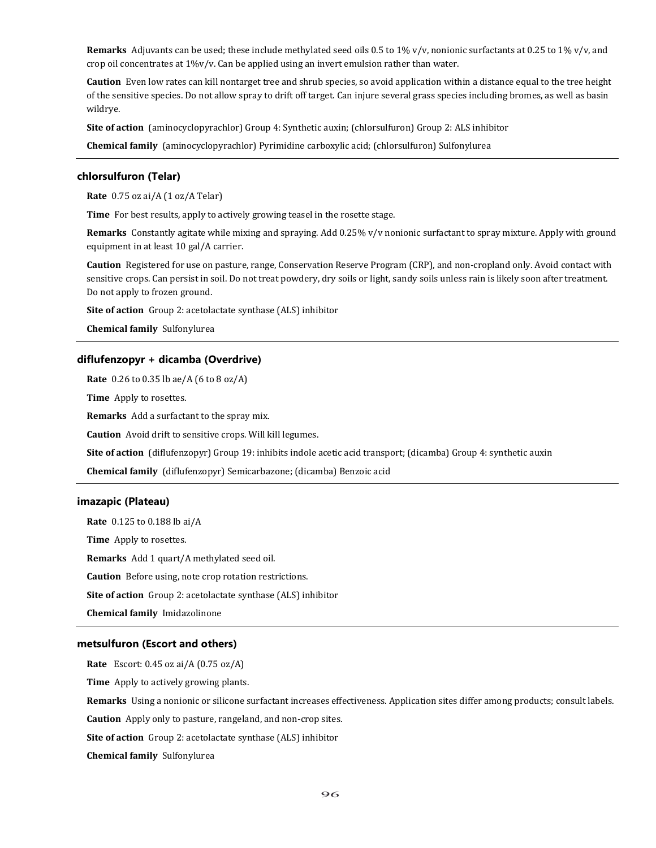**Remarks** Adjuvants can be used; these include methylated seed oils 0.5 to 1% v/v, nonionic surfactants at 0.25 to 1% v/v, and crop oil concentrates at 1%v/v. Can be applied using an invert emulsion rather than water.

**Caution** Even low rates can kill nontarget tree and shrub species, so avoid application within a distance equal to the tree height of the sensitive species. Do not allow spray to drift off target. Can injure several grass species including bromes, as well as basin wildrye.

**Site of action** (aminocyclopyrachlor) Group 4: Synthetic auxin; (chlorsulfuron) Group 2: ALS inhibitor

**Chemical family** (aminocyclopyrachlor) Pyrimidine carboxylic acid; (chlorsulfuron) Sulfonylurea

# **chlorsulfuron (Telar)**

**Rate** 0.75 oz ai/A (1 oz/A Telar)

**Time** For best results, apply to actively growing teasel in the rosette stage.

**Remarks** Constantly agitate while mixing and spraying. Add 0.25% v/v nonionic surfactant to spray mixture. Apply with ground equipment in at least 10 gal/A carrier.

**Caution** Registered for use on pasture, range, Conservation Reserve Program (CRP), and non-cropland only. Avoid contact with sensitive crops. Can persist in soil. Do not treat powdery, dry soils or light, sandy soils unless rain is likely soon after treatment. Do not apply to frozen ground.

**Site of action** Group 2: acetolactate synthase (ALS) inhibitor

**Chemical family** Sulfonylurea

# **diflufenzopyr + dicamba (Overdrive)**

**Rate** 0.26 to 0.35 lb ae/A (6 to 8 oz/A)

**Time** Apply to rosettes.

**Remarks** Add a surfactant to the spray mix.

**Caution** Avoid drift to sensitive crops. Will kill legumes.

**Site of action** (diflufenzopyr) Group 19: inhibits indole acetic acid transport; (dicamba) Group 4: synthetic auxin

**Chemical family** (diflufenzopyr) Semicarbazone; (dicamba) Benzoic acid

# **imazapic (Plateau)**

**Rate** 0.125 to 0.188 lb ai/A

**Time** Apply to rosettes.

**Remarks** Add 1 quart/A methylated seed oil.

**Caution** Before using, note crop rotation restrictions.

**Site of action** Group 2: acetolactate synthase (ALS) inhibitor

**Chemical family** Imidazolinone

#### **metsulfuron (Escort and others)**

**Rate** Escort: 0.45 oz ai/A (0.75 oz/A)

**Time** Apply to actively growing plants.

**Remarks** Using a nonionic or silicone surfactant increases effectiveness. Application sites differ among products; consult labels.

**Caution** Apply only to pasture, rangeland, and non-crop sites.

**Site of action** Group 2: acetolactate synthase (ALS) inhibitor

**Chemical family** Sulfonylurea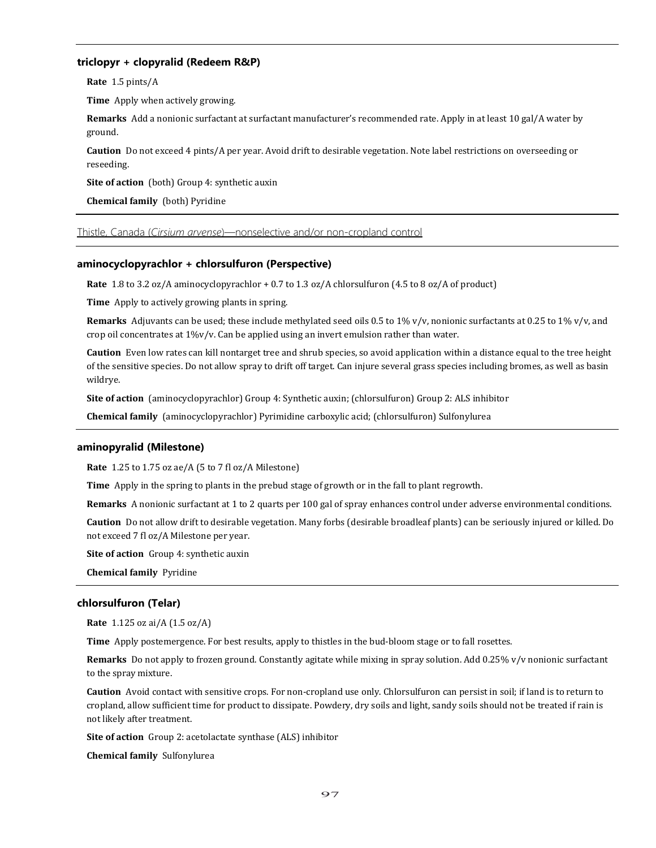# **triclopyr + clopyralid (Redeem R&P)**

**Rate** 1.5 pints/A

**Time** Apply when actively growing.

**Remarks** Add a nonionic surfactant at surfactant manufacturer's recommended rate. Apply in at least 10 gal/A water by ground.

**Caution** Do not exceed 4 pints/A per year. Avoid drift to desirable vegetation. Note label restrictions on overseeding or reseeding.

**Site of action** (both) Group 4: synthetic auxin

**Chemical family** (both) Pyridine

Thistle, Canada (*Cirsium arvense*)—nonselective and/or non-cropland control

# **aminocyclopyrachlor + chlorsulfuron (Perspective)**

**Rate** 1.8 to 3.2 oz/A aminocyclopyrachlor + 0.7 to 1.3 oz/A chlorsulfuron (4.5 to 8 oz/A of product)

**Time** Apply to actively growing plants in spring.

**Remarks** Adjuvants can be used; these include methylated seed oils 0.5 to 1% v/v, nonionic surfactants at 0.25 to 1% v/v, and crop oil concentrates at 1%v/v. Can be applied using an invert emulsion rather than water.

**Caution** Even low rates can kill nontarget tree and shrub species, so avoid application within a distance equal to the tree height of the sensitive species. Do not allow spray to drift off target. Can injure several grass species including bromes, as well as basin wildrye.

**Site of action** (aminocyclopyrachlor) Group 4: Synthetic auxin; (chlorsulfuron) Group 2: ALS inhibitor

**Chemical family** (aminocyclopyrachlor) Pyrimidine carboxylic acid; (chlorsulfuron) Sulfonylurea

# **aminopyralid (Milestone)**

**Rate** 1.25 to 1.75 oz ae/A (5 to 7 fl oz/A Milestone)

**Time** Apply in the spring to plants in the prebud stage of growth or in the fall to plant regrowth.

**Remarks** A nonionic surfactant at 1 to 2 quarts per 100 gal of spray enhances control under adverse environmental conditions.

**Caution** Do not allow drift to desirable vegetation. Many forbs (desirable broadleaf plants) can be seriously injured or killed. Do not exceed 7 fl oz/A Milestone per year.

**Site of action** Group 4: synthetic auxin

**Chemical family** Pyridine

# **chlorsulfuron (Telar)**

**Rate** 1.125 oz ai/A (1.5 oz/A)

**Time** Apply postemergence. For best results, apply to thistles in the bud-bloom stage or to fall rosettes.

**Remarks** Do not apply to frozen ground. Constantly agitate while mixing in spray solution. Add 0.25% v/v nonionic surfactant to the spray mixture.

**Caution** Avoid contact with sensitive crops. For non-cropland use only. Chlorsulfuron can persist in soil; if land is to return to cropland, allow sufficient time for product to dissipate. Powdery, dry soils and light, sandy soils should not be treated if rain is not likely after treatment.

**Site of action** Group 2: acetolactate synthase (ALS) inhibitor

**Chemical family** Sulfonylurea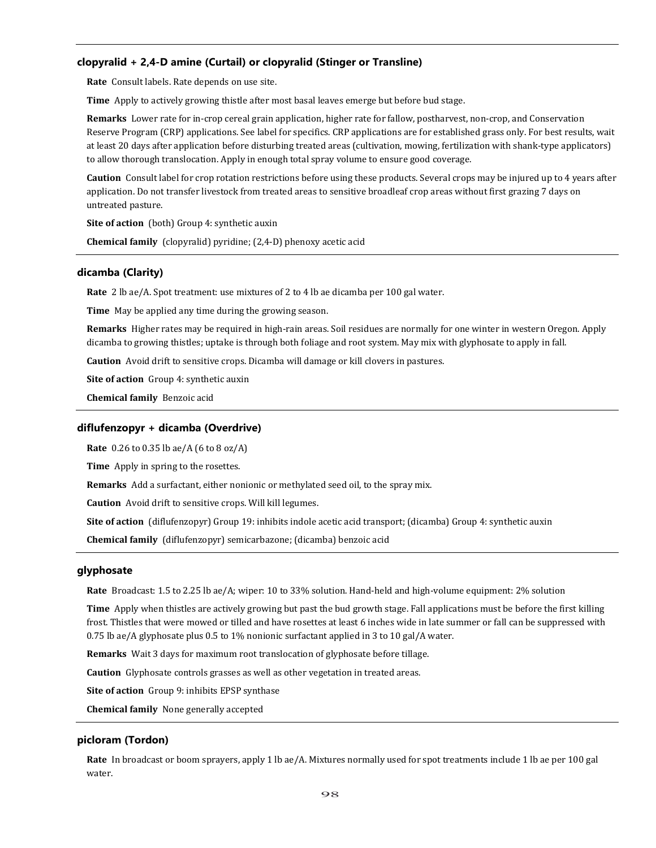# **clopyralid + 2,4-D amine (Curtail) or clopyralid (Stinger or Transline)**

**Rate** Consult labels. Rate depends on use site.

**Time** Apply to actively growing thistle after most basal leaves emerge but before bud stage.

**Remarks** Lower rate for in-crop cereal grain application, higher rate for fallow, postharvest, non-crop, and Conservation Reserve Program (CRP) applications. See label for specifics. CRP applications are for established grass only. For best results, wait at least 20 days after application before disturbing treated areas (cultivation, mowing, fertilization with shank-type applicators) to allow thorough translocation. Apply in enough total spray volume to ensure good coverage.

**Caution** Consult label for crop rotation restrictions before using these products. Several crops may be injured up to 4 years after application. Do not transfer livestock from treated areas to sensitive broadleaf crop areas without first grazing 7 days on untreated pasture.

**Site of action** (both) Group 4: synthetic auxin

**Chemical family** (clopyralid) pyridine; (2,4-D) phenoxy acetic acid

## **dicamba (Clarity)**

**Rate** 2 lb ae/A. Spot treatment: use mixtures of 2 to 4 lb ae dicamba per 100 gal water.

**Time** May be applied any time during the growing season.

**Remarks** Higher rates may be required in high-rain areas. Soil residues are normally for one winter in western Oregon. Apply dicamba to growing thistles; uptake is through both foliage and root system. May mix with glyphosate to apply in fall.

**Caution** Avoid drift to sensitive crops. Dicamba will damage or kill clovers in pastures.

**Site of action** Group 4: synthetic auxin

**Chemical family** Benzoic acid

# **diflufenzopyr + dicamba (Overdrive)**

**Rate** 0.26 to 0.35 lb ae/A (6 to 8 oz/A)

**Time** Apply in spring to the rosettes.

**Remarks** Add a surfactant, either nonionic or methylated seed oil, to the spray mix.

**Caution** Avoid drift to sensitive crops. Will kill legumes.

**Site of action** (diflufenzopyr) Group 19: inhibits indole acetic acid transport; (dicamba) Group 4: synthetic auxin

**Chemical family** (diflufenzopyr) semicarbazone; (dicamba) benzoic acid

# **glyphosate**

**Rate** Broadcast: 1.5 to 2.25 lb ae/A; wiper: 10 to 33% solution. Hand-held and high-volume equipment: 2% solution

**Time** Apply when thistles are actively growing but past the bud growth stage. Fall applications must be before the first killing frost. Thistles that were mowed or tilled and have rosettes at least 6 inches wide in late summer or fall can be suppressed with 0.75 lb ae/A glyphosate plus 0.5 to 1% nonionic surfactant applied in 3 to 10 gal/A water.

**Remarks** Wait 3 days for maximum root translocation of glyphosate before tillage.

**Caution** Glyphosate controls grasses as well as other vegetation in treated areas.

**Site of action** Group 9: inhibits EPSP synthase

**Chemical family** None generally accepted

### **picloram (Tordon)**

**Rate** In broadcast or boom sprayers, apply 1 lb ae/A. Mixtures normally used for spot treatments include 1 lb ae per 100 gal water.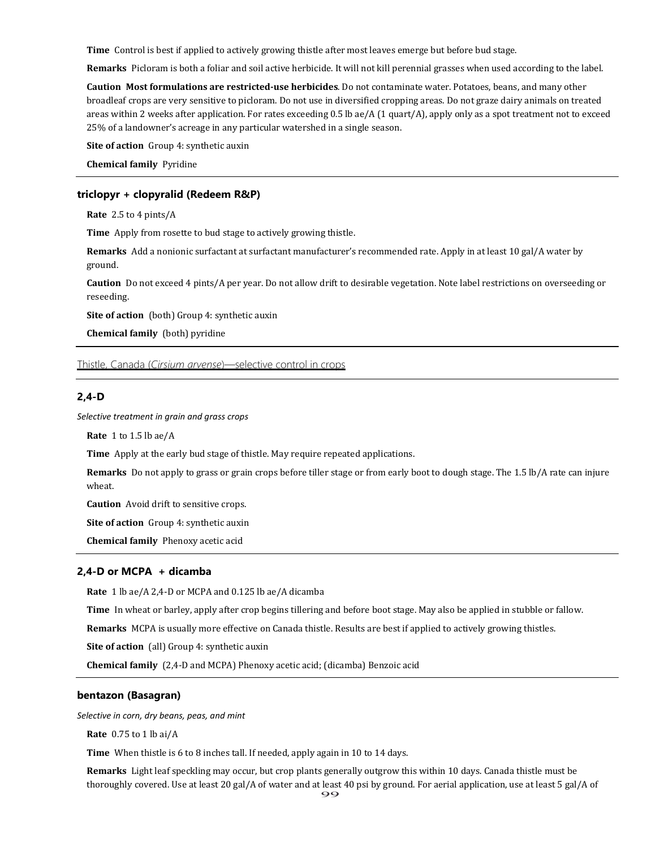**Time** Control is best if applied to actively growing thistle after most leaves emerge but before bud stage.

**Remarks** Picloram is both a foliar and soil active herbicide. It will not kill perennial grasses when used according to the label.

**Caution Most formulations are restricted-use herbicides**. Do not contaminate water. Potatoes, beans, and many other broadleaf crops are very sensitive to picloram. Do not use in diversified cropping areas. Do not graze dairy animals on treated areas within 2 weeks after application. For rates exceeding 0.5 lb ae/A (1 quart/A), apply only as a spot treatment not to exceed 25% of a landowner's acreage in any particular watershed in a single season.

**Site of action** Group 4: synthetic auxin

**Chemical family** Pyridine

### **triclopyr + clopyralid (Redeem R&P)**

**Rate** 2.5 to 4 pints/A

**Time** Apply from rosette to bud stage to actively growing thistle.

**Remarks** Add a nonionic surfactant at surfactant manufacturer's recommended rate. Apply in at least 10 gal/A water by ground.

**Caution** Do not exceed 4 pints/A per year. Do not allow drift to desirable vegetation. Note label restrictions on overseeding or reseeding.

**Site of action** (both) Group 4: synthetic auxin

**Chemical family** (both) pyridine

Thistle, Canada (*Cirsium arvense*)—selective control in crops

# **2,4-D**

*Selective treatment in grain and grass crops*

**Rate** 1 to 1.5 lb ae/A

**Time** Apply at the early bud stage of thistle. May require repeated applications.

Remarks Do not apply to grass or grain crops before tiller stage or from early boot to dough stage. The 1.5 lb/A rate can injure wheat.

**Caution** Avoid drift to sensitive crops.

**Site of action** Group 4: synthetic auxin

**Chemical family** Phenoxy acetic acid

# **2,4-D or MCPA + dicamba**

**Rate** 1 lb ae/A 2,4-D or MCPA and 0.125 lb ae/A dicamba

**Time** In wheat or barley, apply after crop begins tillering and before boot stage. May also be applied in stubble or fallow.

**Remarks** MCPA is usually more effective on Canada thistle. Results are best if applied to actively growing thistles.

**Site of action** (all) Group 4: synthetic auxin

**Chemical family** (2,4-D and MCPA) Phenoxy acetic acid; (dicamba) Benzoic acid

## **bentazon (Basagran)**

*Selective in corn, dry beans, peas, and mint*

**Rate** 0.75 to 1 lb ai/A

**Time** When thistle is 6 to 8 inches tall. If needed, apply again in 10 to 14 days.

**Remarks** Light leaf speckling may occur, but crop plants generally outgrow this within 10 days. Canada thistle must be thoroughly covered. Use at least 20 gal/A of water and at least 40 psi by ground. For aerial application, use at least 5 gal/A of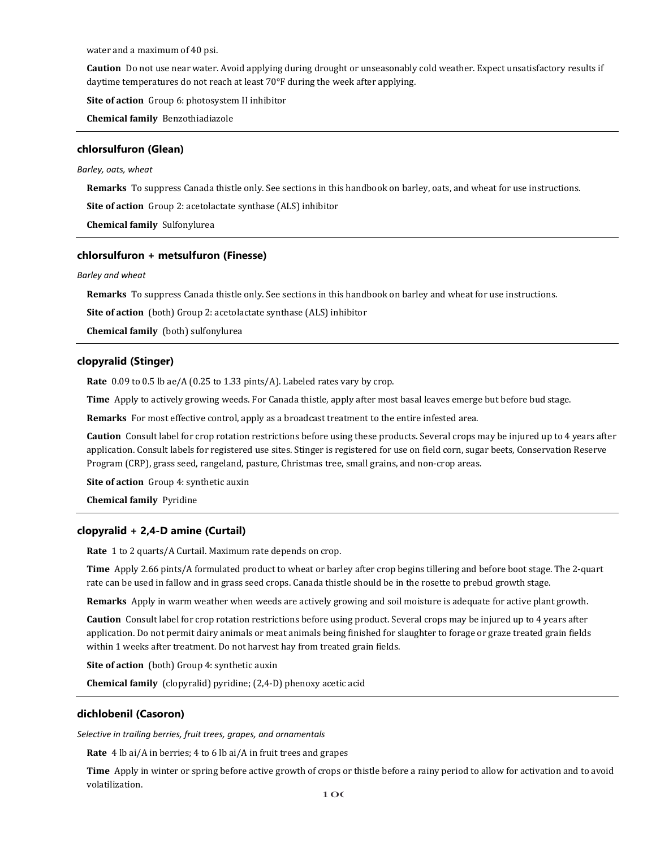water and a maximum of 40 psi.

**Caution** Do not use near water. Avoid applying during drought or unseasonably cold weather. Expect unsatisfactory results if daytime temperatures do not reach at least 70°F during the week after applying.

**Site of action** Group 6: photosystem II inhibitor

**Chemical family** Benzothiadiazole

#### **chlorsulfuron (Glean)**

### *Barley, oats, wheat*

**Remarks** To suppress Canada thistle only. See sections in this handbook on barley, oats, and wheat for use instructions.

**Site of action** Group 2: acetolactate synthase (ALS) inhibitor

**Chemical family** Sulfonylurea

### **chlorsulfuron + metsulfuron (Finesse)**

#### *Barley and wheat*

**Remarks** To suppress Canada thistle only. See sections in this handbook on barley and wheat for use instructions.

**Site of action** (both) Group 2: acetolactate synthase (ALS) inhibitor

**Chemical family** (both) sulfonylurea

### **clopyralid (Stinger)**

**Rate** 0.09 to 0.5 lb ae/A (0.25 to 1.33 pints/A). Labeled rates vary by crop.

**Time** Apply to actively growing weeds. For Canada thistle, apply after most basal leaves emerge but before bud stage.

**Remarks** For most effective control, apply as a broadcast treatment to the entire infested area.

**Caution** Consult label for crop rotation restrictions before using these products. Several crops may be injured up to 4 years after application. Consult labels for registered use sites. Stinger is registered for use on field corn, sugar beets, Conservation Reserve Program (CRP), grass seed, rangeland, pasture, Christmas tree, small grains, and non-crop areas.

**Site of action** Group 4: synthetic auxin

**Chemical family** Pyridine

### **clopyralid + 2,4-D amine (Curtail)**

**Rate** 1 to 2 quarts/A Curtail. Maximum rate depends on crop.

**Time** Apply 2.66 pints/A formulated product to wheat or barley after crop begins tillering and before boot stage. The 2-quart rate can be used in fallow and in grass seed crops. Canada thistle should be in the rosette to prebud growth stage.

**Remarks** Apply in warm weather when weeds are actively growing and soil moisture is adequate for active plant growth.

**Caution** Consult label for crop rotation restrictions before using product. Several crops may be injured up to 4 years after application. Do not permit dairy animals or meat animals being finished for slaughter to forage or graze treated grain fields within 1 weeks after treatment. Do not harvest hay from treated grain fields.

**Site of action** (both) Group 4: synthetic auxin

**Chemical family** (clopyralid) pyridine; (2,4-D) phenoxy acetic acid

#### **dichlobenil (Casoron)**

*Selective in trailing berries, fruit trees, grapes, and ornamentals*

**Rate** 4 lb ai/A in berries; 4 to 6 lb ai/A in fruit trees and grapes

**Time** Apply in winter or spring before active growth of crops or thistle before a rainy period to allow for activation and to avoid volatilization.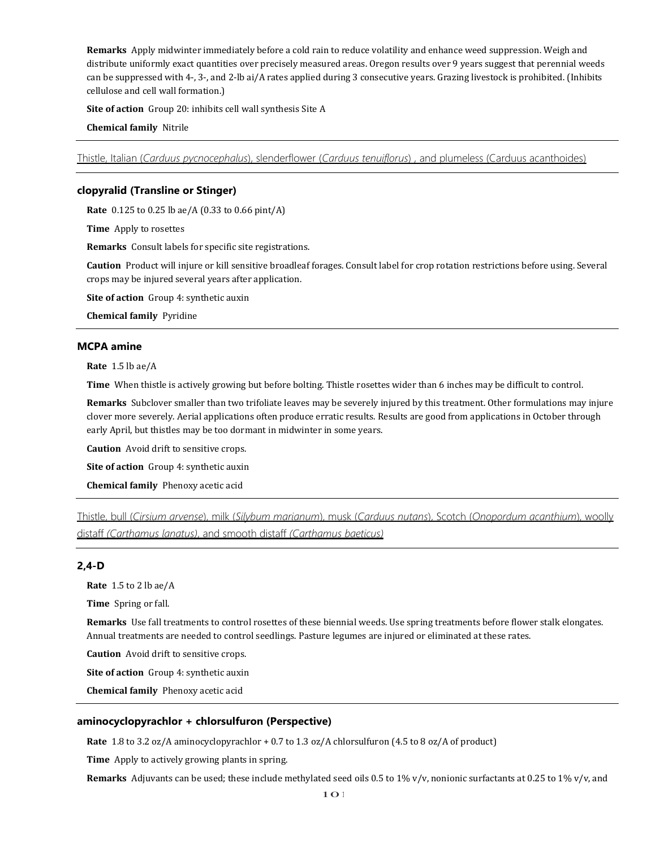**Remarks** Apply midwinter immediately before a cold rain to reduce volatility and enhance weed suppression. Weigh and distribute uniformly exact quantities over precisely measured areas. Oregon results over 9 years suggest that perennial weeds can be suppressed with 4-, 3-, and 2-lb ai/A rates applied during 3 consecutive years. Grazing livestock is prohibited. (Inhibits cellulose and cell wall formation.)

**Site of action** Group 20: inhibits cell wall synthesis Site A

**Chemical family** Nitrile

Thistle, Italian (*Carduus pycnocephalus*), slenderflower (*Carduus tenuiflorus*) , and plumeless (Carduus acanthoides)

# **clopyralid (Transline or Stinger)**

**Rate** 0.125 to 0.25 lb ae/A (0.33 to 0.66 pint/A)

**Time** Apply to rosettes

**Remarks** Consult labels for specific site registrations.

**Caution** Product will injure or kill sensitive broadleaf forages. Consult label for crop rotation restrictions before using. Several crops may be injured several years after application.

**Site of action** Group 4: synthetic auxin

**Chemical family** Pyridine

# **MCPA amine**

**Rate** 1.5 lb ae/A

**Time** When thistle is actively growing but before bolting. Thistle rosettes wider than 6 inches may be difficult to control.

**Remarks** Subclover smaller than two trifoliate leaves may be severely injured by this treatment. Other formulations may injure clover more severely. Aerial applications often produce erratic results. Results are good from applications in October through early April, but thistles may be too dormant in midwinter in some years.

**Caution** Avoid drift to sensitive crops.

**Site of action** Group 4: synthetic auxin

**Chemical family** Phenoxy acetic acid

Thistle, bull (*Cirsium arvense*), milk (*Silybum marianum*), musk (*Carduus nutans*), Scotch (*Onopordum acanthium*), woolly distaff *(Carthamus lanatus)*, and smooth distaff *(Carthamus baeticus)*

# **2,4-D**

**Rate** 1.5 to 2 lb ae/A

**Time** Spring or fall.

**Remarks** Use fall treatments to control rosettes of these biennial weeds. Use spring treatments before flower stalk elongates. Annual treatments are needed to control seedlings. Pasture legumes are injured or eliminated at these rates.

**Caution** Avoid drift to sensitive crops.

**Site of action** Group 4: synthetic auxin

**Chemical family** Phenoxy acetic acid

## **aminocyclopyrachlor + chlorsulfuron (Perspective)**

**Rate** 1.8 to 3.2 oz/A aminocyclopyrachlor + 0.7 to 1.3 oz/A chlorsulfuron (4.5 to 8 oz/A of product)

**Time** Apply to actively growing plants in spring.

**Remarks** Adjuvants can be used; these include methylated seed oils 0.5 to 1% v/v, nonionic surfactants at 0.25 to 1% v/v, and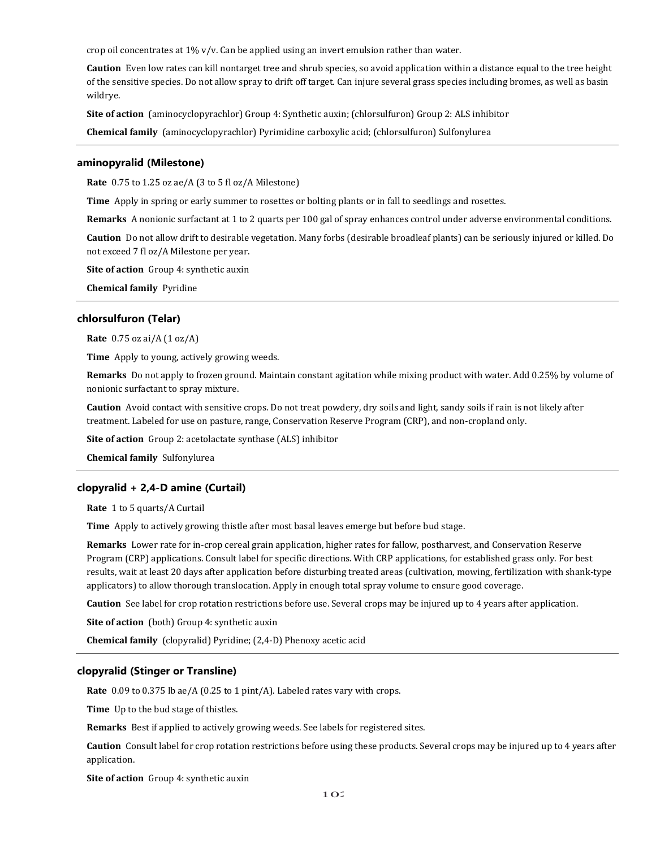crop oil concentrates at 1% v/v. Can be applied using an invert emulsion rather than water.

**Caution** Even low rates can kill nontarget tree and shrub species, so avoid application within a distance equal to the tree height of the sensitive species. Do not allow spray to drift off target. Can injure several grass species including bromes, as well as basin wildrye.

**Site of action** (aminocyclopyrachlor) Group 4: Synthetic auxin; (chlorsulfuron) Group 2: ALS inhibitor

**Chemical family** (aminocyclopyrachlor) Pyrimidine carboxylic acid; (chlorsulfuron) Sulfonylurea

### **aminopyralid (Milestone)**

**Rate** 0.75 to 1.25 oz ae/A (3 to 5 fl oz/A Milestone)

**Time** Apply in spring or early summer to rosettes or bolting plants or in fall to seedlings and rosettes.

**Remarks** A nonionic surfactant at 1 to 2 quarts per 100 gal of spray enhances control under adverse environmental conditions.

**Caution** Do not allow drift to desirable vegetation. Many forbs (desirable broadleaf plants) can be seriously injured or killed. Do not exceed 7 fl oz/A Milestone per year.

**Site of action** Group 4: synthetic auxin

**Chemical family** Pyridine

### **chlorsulfuron (Telar)**

**Rate** 0.75 oz ai/A (1 oz/A)

**Time** Apply to young, actively growing weeds.

**Remarks** Do not apply to frozen ground. Maintain constant agitation while mixing product with water. Add 0.25% by volume of nonionic surfactant to spray mixture.

**Caution** Avoid contact with sensitive crops. Do not treat powdery, dry soils and light, sandy soils if rain is not likely after treatment. Labeled for use on pasture, range, Conservation Reserve Program (CRP), and non-cropland only.

**Site of action** Group 2: acetolactate synthase (ALS) inhibitor

**Chemical family** Sulfonylurea

# **clopyralid + 2,4-D amine (Curtail)**

**Rate** 1 to 5 quarts/A Curtail

**Time** Apply to actively growing thistle after most basal leaves emerge but before bud stage.

**Remarks** Lower rate for in-crop cereal grain application, higher rates for fallow, postharvest, and Conservation Reserve Program (CRP) applications. Consult label for specific directions. With CRP applications, for established grass only. For best results, wait at least 20 days after application before disturbing treated areas (cultivation, mowing, fertilization with shank-type applicators) to allow thorough translocation. Apply in enough total spray volume to ensure good coverage.

**Caution** See label for crop rotation restrictions before use. Several crops may be injured up to 4 years after application.

**Site of action** (both) Group 4: synthetic auxin

**Chemical family** (clopyralid) Pyridine; (2,4-D) Phenoxy acetic acid

## **clopyralid (Stinger or Transline)**

**Rate** 0.09 to 0.375 lb ae/A (0.25 to 1 pint/A). Labeled rates vary with crops.

**Time** Up to the bud stage of thistles.

**Remarks** Best if applied to actively growing weeds. See labels for registered sites.

**Caution** Consult label for crop rotation restrictions before using these products. Several crops may be injured up to 4 years after application.

**Site of action** Group 4: synthetic auxin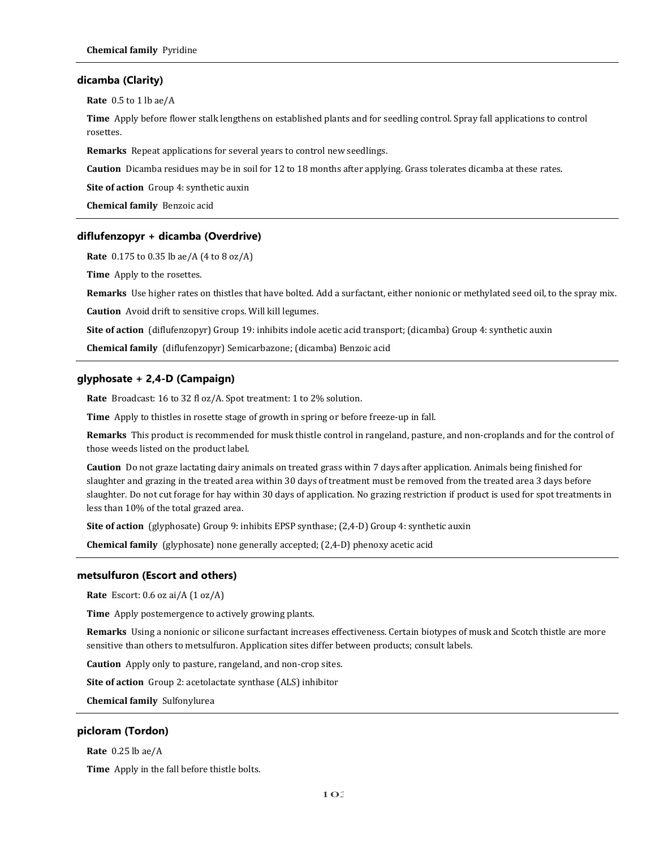### **dicamba (Clarity)**

**Rate** 0.5 to 1 lb ae/A

**Time** Apply before flower stalk lengthens on established plants and for seedling control. Spray fall applications to control rosettes.

**Remarks** Repeat applications for several years to control new seedlings.

**Caution** Dicamba residues may be in soil for 12 to 18 months after applying. Grass tolerates dicamba at these rates.

**Site of action** Group 4: synthetic auxin

**Chemical family** Benzoic acid

### **diflufenzopyr + dicamba (Overdrive)**

**Rate** 0.175 to 0.35 lb ae/A (4 to 8 oz/A)

**Time** Apply to the rosettes.

**Remarks** Use higher rates on thistles that have bolted. Add a surfactant, either nonionic or methylated seed oil, to the spray mix.

**Caution** Avoid drift to sensitive crops. Will kill legumes.

**Site of action** (diflufenzopyr) Group 19: inhibits indole acetic acid transport; (dicamba) Group 4: synthetic auxin

**Chemical family** (diflufenzopyr) Semicarbazone; (dicamba) Benzoic acid

# **glyphosate + 2,4-D (Campaign)**

**Rate** Broadcast: 16 to 32 fl oz/A. Spot treatment: 1 to 2% solution.

**Time** Apply to thistles in rosette stage of growth in spring or before freeze-up in fall.

**Remarks** This product is recommended for musk thistle control in rangeland, pasture, and non-croplands and for the control of those weeds listed on the product label.

**Caution** Do not graze lactating dairy animals on treated grass within 7 days after application. Animals being finished for slaughter and grazing in the treated area within 30 days of treatment must be removed from the treated area 3 days before slaughter. Do not cut forage for hay within 30 days of application. No grazing restriction if product is used for spot treatments in less than 10% of the total grazed area.

**Site of action** (glyphosate) Group 9: inhibits EPSP synthase; (2,4-D) Group 4: synthetic auxin

**Chemical family** (glyphosate) none generally accepted; (2,4-D) phenoxy acetic acid

#### **metsulfuron (Escort and others)**

**Rate** Escort: 0.6 oz ai/A (1 oz/A)

**Time** Apply postemergence to actively growing plants.

**Remarks** Using a nonionic or silicone surfactant increases effectiveness. Certain biotypes of musk and Scotch thistle are more sensitive than others to metsulfuron. Application sites differ between products; consult labels.

**Caution** Apply only to pasture, rangeland, and non-crop sites.

**Site of action** Group 2: acetolactate synthase (ALS) inhibitor

**Chemical family** Sulfonylurea

### **picloram (Tordon)**

**Rate** 0.25 lb ae/A

**Time** Apply in the fall before thistle bolts.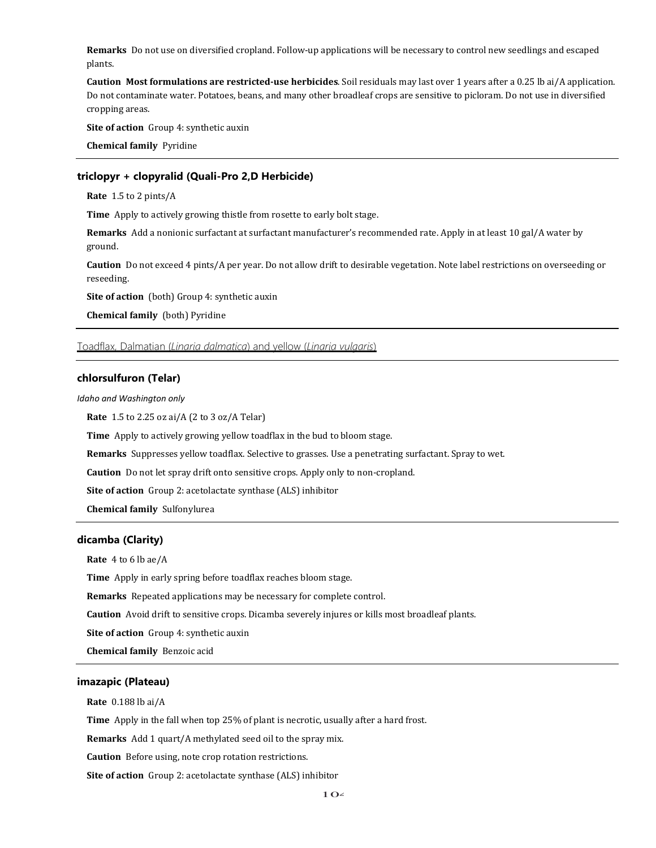**Remarks** Do not use on diversified cropland. Follow-up applications will be necessary to control new seedlings and escaped plants.

**Caution Most formulations are restricted-use herbicides**. Soil residuals may last over 1 years after a 0.25 lb ai/A application. Do not contaminate water. Potatoes, beans, and many other broadleaf crops are sensitive to picloram. Do not use in diversified cropping areas.

**Site of action** Group 4: synthetic auxin

**Chemical family** Pyridine

# **triclopyr + clopyralid (Quali-Pro 2,D Herbicide)**

**Rate** 1.5 to 2 pints/A

**Time** Apply to actively growing thistle from rosette to early bolt stage.

**Remarks** Add a nonionic surfactant at surfactant manufacturer's recommended rate. Apply in at least 10 gal/A water by ground.

**Caution** Do not exceed 4 pints/A per year. Do not allow drift to desirable vegetation. Note label restrictions on overseeding or reseeding.

**Site of action** (both) Group 4: synthetic auxin

**Chemical family** (both) Pyridine

Toadflax, Dalmatian (*Linaria dalmatica*) and yellow (*Linaria vulgaris*)

### **chlorsulfuron (Telar)**

*Idaho and Washington only*

**Rate** 1.5 to 2.25 oz ai/A (2 to 3 oz/A Telar)

**Time** Apply to actively growing yellow toadflax in the bud to bloom stage.

**Remarks** Suppresses yellow toadflax. Selective to grasses. Use a penetrating surfactant. Spray to wet.

**Caution** Do not let spray drift onto sensitive crops. Apply only to non-cropland.

**Site of action** Group 2: acetolactate synthase (ALS) inhibitor

**Chemical family** Sulfonylurea

# **dicamba (Clarity)**

**Rate** 4 to 6 lb ae/A

**Time** Apply in early spring before toadflax reaches bloom stage.

**Remarks** Repeated applications may be necessary for complete control.

**Caution** Avoid drift to sensitive crops. Dicamba severely injures or kills most broadleaf plants.

**Site of action** Group 4: synthetic auxin

**Chemical family** Benzoic acid

# **imazapic (Plateau)**

**Rate** 0.188 lb ai/A

**Time** Apply in the fall when top 25% of plant is necrotic, usually after a hard frost.

**Remarks** Add 1 quart/A methylated seed oil to the spray mix.

**Caution** Before using, note crop rotation restrictions.

**Site of action** Group 2: acetolactate synthase (ALS) inhibitor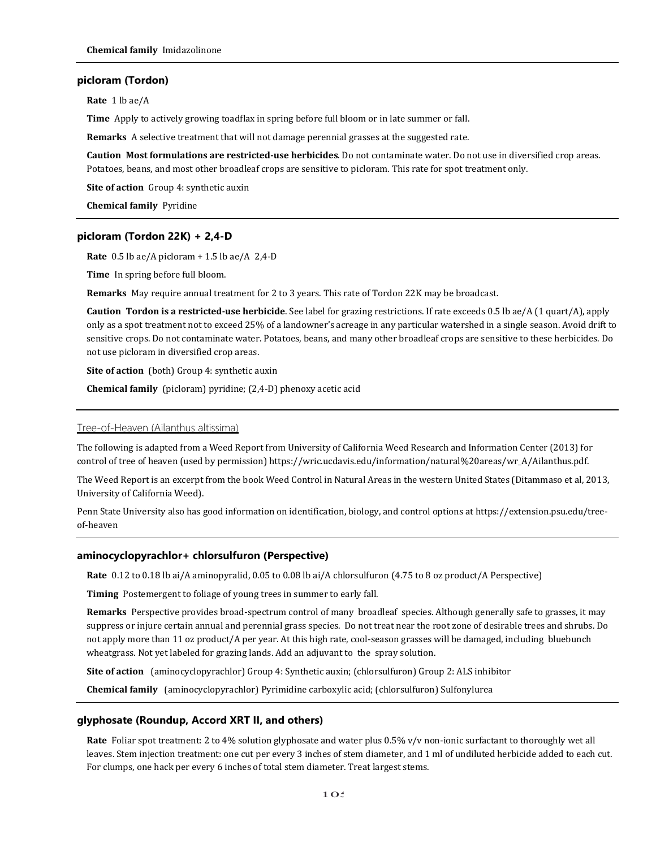# **picloram (Tordon)**

**Rate** 1 lb ae/A

**Time** Apply to actively growing toadflax in spring before full bloom or in late summer or fall.

**Remarks** A selective treatment that will not damage perennial grasses at the suggested rate.

**Caution Most formulations are restricted-use herbicides**. Do not contaminate water. Do not use in diversified crop areas. Potatoes, beans, and most other broadleaf crops are sensitive to picloram. This rate for spot treatment only.

**Site of action** Group 4: synthetic auxin

**Chemical family** Pyridine

# **picloram (Tordon 22K) + 2,4-D**

**Rate** 0.5 lb ae/A picloram + 1.5 lb ae/A 2,4-D

**Time** In spring before full bloom.

**Remarks** May require annual treatment for 2 to 3 years. This rate of Tordon 22K may be broadcast.

**Caution Tordon is a restricted-use herbicide**. See label for grazing restrictions. If rate exceeds 0.5 lb ae/A (1 quart/A), apply only as a spot treatment not to exceed 25% of a landowner's acreage in any particular watershed in a single season. Avoid drift to sensitive crops. Do not contaminate water. Potatoes, beans, and many other broadleaf crops are sensitive to these herbicides. Do not use picloram in diversified crop areas.

**Site of action** (both) Group 4: synthetic auxin

**Chemical family** (picloram) pyridine; (2,4-D) phenoxy acetic acid

#### Tree-of-Heaven (Ailanthus altissima)

The following is adapted from a Weed Report from University of California Weed Research and Information Center (2013) for control of tree of heaven (used by permission) [https://wric.ucdavis.edu/information/natural%20areas/wr\\_A/Ailanthus.pdf.](https://wric.ucdavis.edu/information/natural%20areas/wr_A/Ailanthus.pdf) 

The Weed Report is an excerpt from the book Weed Control in Natural Areas in the western United States (Ditammaso et al, 2013, University of California Weed).

Penn State University also has good information on identification, biology, and control options at https://extension.psu.edu/treeof-heaven

# **aminocyclopyrachlor+ chlorsulfuron (Perspective)**

**Rate** 0.12 to 0.18 lb ai/A aminopyralid, 0.05 to 0.08 lb ai/A chlorsulfuron (4.75 to 8 oz product/A Perspective)

**Timing** Postemergent to foliage of young trees in summer to early fall.

**Remarks** Perspective provides broad-spectrum control of many broadleaf species. Although generally safe to grasses, it may suppress or injure certain annual and perennial grass species. Do not treat near the root zone of desirable trees and shrubs. Do not apply more than 11 oz product/A per year. At this high rate, cool-season grasses will be damaged, including bluebunch wheatgrass. Not yet labeled for grazing lands. Add an adjuvant to the spray solution.

**Site of action** (aminocyclopyrachlor) Group 4: Synthetic auxin; (chlorsulfuron) Group 2: ALS inhibitor

**Chemical family** (aminocyclopyrachlor) Pyrimidine carboxylic acid; (chlorsulfuron) Sulfonylurea

### **glyphosate (Roundup, Accord XRT II, and others)**

**Rate** Foliar spot treatment: 2 to 4% solution glyphosate and water plus 0.5% v/v non-ionic surfactant to thoroughly wet all leaves. Stem injection treatment: one cut per every 3 inches of stem diameter, and 1 ml of undiluted herbicide added to each cut. For clumps, one hack per every 6 inches of total stem diameter. Treat largest stems.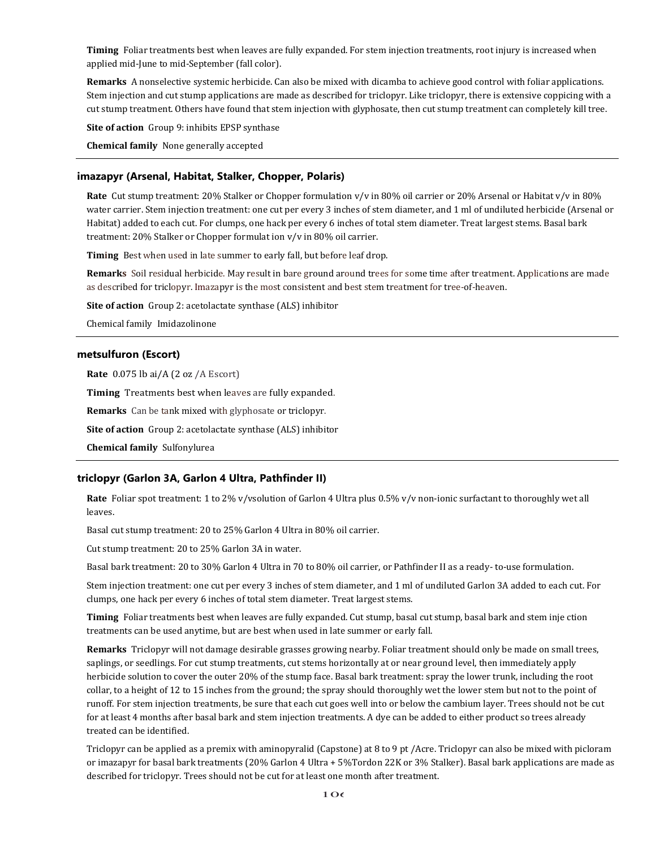**Timing** Foliar treatments best when leaves are fully expanded. For stem injection treatments, root injury is increased when applied mid-June to mid-September (fall color).

**Remarks** A nonselective systemic herbicide. Can also be mixed with dicamba to achieve good control with foliar applications. Stem injection and cut stump applications are made as described for triclopyr. Like triclopyr, there is extensive coppicing with a cut stump treatment. Others have found that stem injection with glyphosate, then cut stump treatment can completely kill tree.

**Site of action** Group 9: inhibits EPSP synthase

**Chemical family** None generally accepted

# **imazapyr (Arsenal, Habitat, Stalker, Chopper, Polaris)**

**Rate** Cut stump treatment: 20% Stalker or Chopper formulation v/v in 80% oil carrier or 20% Arsenal or Habitat v/v in 80% water carrier. Stem injection treatment: one cut per every 3 inches of stem diameter, and 1 ml of undiluted herbicide (Arsenal or Habitat) added to each cut. For clumps, one hack per every 6 inches of total stem diameter. Treat largest stems. Basal bark treatment: 20% Stalker or Chopper formulat ion v/v in 80% oil carrier.

**Timing** Best when used in late summer to early fall, but before leaf drop.

**Remarks** Soil residual herbicide. May result in bare ground around trees for some time after treatment. Applications are made as described for triclopyr. Imazapyr is the most consistent and best stem treatment for tree-of-heaven.

**Site of action** Group 2: acetolactate synthase (ALS) inhibitor

Chemical family Imidazolinone

# **metsulfuron (Escort)**

**Rate** 0.075 lb ai/A (2 oz /A Escort)

**Timing** Treatments best when leaves are fully expanded.

**Remarks** Can be tank mixed with glyphosate or triclopyr.

**Site of action** Group 2: acetolactate synthase (ALS) inhibitor

**Chemical family** Sulfonylurea

# **triclopyr (Garlon 3A, Garlon 4 Ultra, Pathfinder II)**

**Rate** Foliar spot treatment: 1 to 2% v/vsolution of Garlon 4 Ultra plus 0.5% v/v non-ionic surfactant to thoroughly wet all leaves.

Basal cut stump treatment: 20 to 25% Garlon 4 Ultra in 80% oil carrier.

Cut stump treatment: 20 to 25% Garlon 3A in water.

Basal bark treatment: 20 to 30% Garlon 4 Ultra in 70 to 80% oil carrier, or Pathfinder II as a ready- to-use formulation.

Stem injection treatment: one cut per every 3 inches of stem diameter, and 1 ml of undiluted Garlon 3A added to each cut. For clumps, one hack per every 6 inches of total stem diameter. Treat largest stems.

Timing Foliar treatments best when leaves are fully expanded. Cut stump, basal cut stump, basal bark and stem inje ction treatments can be used anytime, but are best when used in late summer or early fall.

**Remarks** Triclopyr will not damage desirable grasses growing nearby. Foliar treatment should only be made on small trees, saplings, or seedlings. For cut stump treatments, cut stems horizontally at or near ground level, then immediately apply herbicide solution to cover the outer 20% of the stump face. Basal bark treatment: spray the lower trunk, including the root collar, to a height of 12 to 15 inches from the ground; the spray should thoroughly wet the lower stem but not to the point of runoff. For stem injection treatments, be sure that each cut goes well into or below the cambium layer. Trees should not be cut for at least 4 months after basal bark and stem injection treatments. A dye can be added to either product so trees already treated can be identified.

Triclopyr can be applied as a premix with aminopyralid (Capstone) at 8 to 9 pt /Acre. Triclopyr can also be mixed with picloram or imazapyr for basal bark treatments (20% Garlon 4 Ultra + 5%Tordon 22K or 3% Stalker). Basal bark applications are made as described for triclopyr. Trees should not be cut for at least one month after treatment.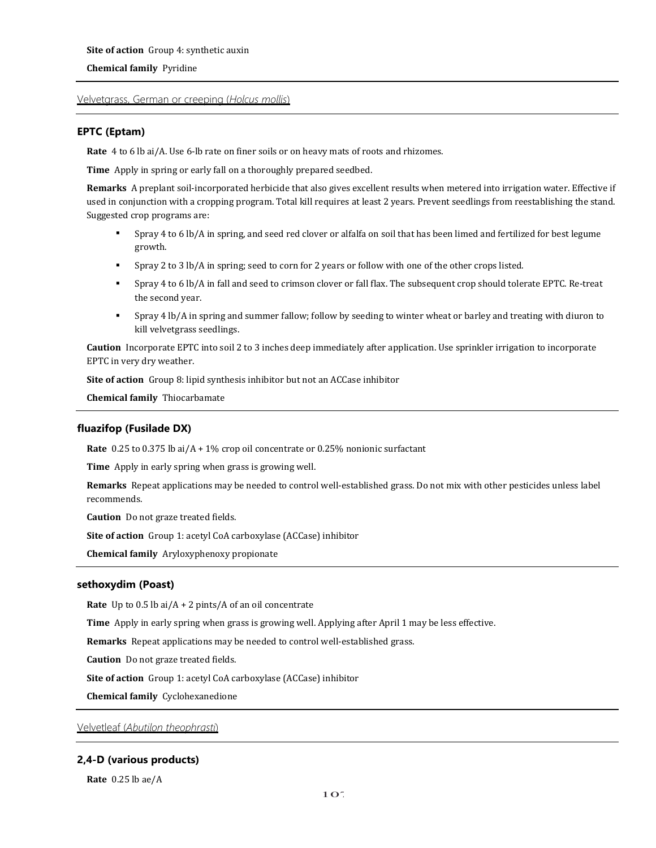# **Chemical family** Pyridine

# Velvetgrass, German or creeping (*Holcus mollis*)

# **EPTC (Eptam)**

**Rate** 4 to 6 lb ai/A. Use 6-lb rate on finer soils or on heavy mats of roots and rhizomes.

**Time** Apply in spring or early fall on a thoroughly prepared seedbed.

**Remarks** A preplant soil-incorporated herbicide that also gives excellent results when metered into irrigation water. Effective if used in conjunction with a cropping program. Total kill requires at least 2 years. Prevent seedlings from reestablishing the stand. Suggested crop programs are:

- Spray 4 to 6 lb/A in spring, and seed red clover or alfalfa on soil that has been limed and fertilized for best legume growth.
- Spray 2 to 3 lb/A in spring; seed to corn for 2 years or follow with one of the other crops listed.
- Spray 4 to 6 lb/A in fall and seed to crimson clover or fall flax. The subsequent crop should tolerate EPTC. Re-treat the second year.
- Spray 4 lb/A in spring and summer fallow; follow by seeding to winter wheat or barley and treating with diuron to kill velvetgrass seedlings.

**Caution** Incorporate EPTC into soil 2 to 3 inches deep immediately after application. Use sprinkler irrigation to incorporate EPTC in very dry weather.

**Site of action** Group 8: lipid synthesis inhibitor but not an ACCase inhibitor

**Chemical family** Thiocarbamate

# **fluazifop (Fusilade DX)**

**Rate** 0.25 to 0.375 lb ai/A + 1% crop oil concentrate or 0.25% nonionic surfactant

**Time** Apply in early spring when grass is growing well.

**Remarks** Repeat applications may be needed to control well-established grass. Do not mix with other pesticides unless label recommends.

**Caution** Do not graze treated fields.

**Site of action** Group 1: acetyl CoA carboxylase (ACCase) inhibitor

**Chemical family** Aryloxyphenoxy propionate

# **sethoxydim (Poast)**

**Rate** Up to 0.5 lb ai/A + 2 pints/A of an oil concentrate

**Time** Apply in early spring when grass is growing well. Applying after April 1 may be less effective.

**Remarks** Repeat applications may be needed to control well-established grass.

**Caution** Do not graze treated fields.

**Site of action** Group 1: acetyl CoA carboxylase (ACCase) inhibitor

**Chemical family** Cyclohexanedione

Velvetleaf (*Abutilon theophrasti*)

# **2,4-D (various products)**

**Rate** 0.25 lb ae/A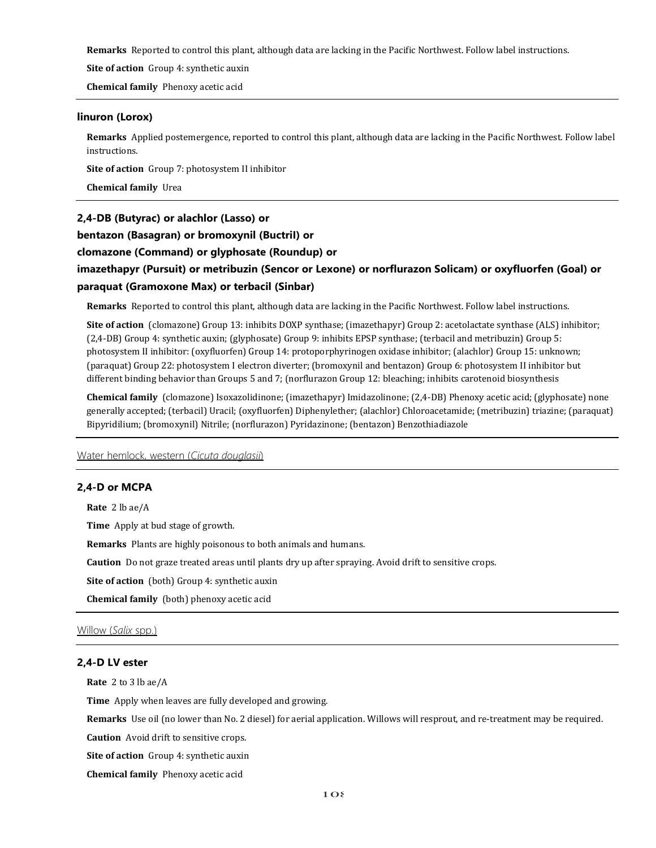**Remarks** Reported to control this plant, although data are lacking in the Pacific Northwest. Follow label instructions.

**Site of action** Group 4: synthetic auxin

**Chemical family** Phenoxy acetic acid

## **linuron (Lorox)**

**Remarks** Applied postemergence, reported to control this plant, although data are lacking in the Pacific Northwest. Follow label instructions.

**Site of action** Group 7: photosystem II inhibitor

**Chemical family** Urea

# **2,4-DB (Butyrac) or alachlor (Lasso) or**

**bentazon (Basagran) or bromoxynil (BuctriI) or**

# **clomazone (Command) or glyphosate (Roundup) or**

# **imazethapyr (Pursuit) or metribuzin (Sencor or Lexone) or norflurazon Solicam) or oxyfluorfen (Goal) or paraquat (Gramoxone Max) or terbacil (Sinbar)**

**Remarks** Reported to control this plant, although data are lacking in the Pacific Northwest. Follow label instructions.

**Site of action** (clomazone) Group 13: inhibits DOXP synthase; (imazethapyr) Group 2: acetolactate synthase (ALS) inhibitor; (2,4-DB) Group 4: synthetic auxin; (glyphosate) Group 9: inhibits EPSP synthase; (terbacil and metribuzin) Group 5: photosystem II inhibitor: (oxyfluorfen) Group 14: protoporphyrinogen oxidase inhibitor; (alachlor) Group 15: unknown; (paraquat) Group 22: photosystem I electron diverter; (bromoxynil and bentazon) Group 6: photosystem II inhibitor but different binding behavior than Groups 5 and 7; (norflurazon Group 12: bleaching; inhibits carotenoid biosynthesis

**Chemical family** (clomazone) Isoxazolidinone; (imazethapyr) Imidazolinone; (2,4-DB) Phenoxy acetic acid; (glyphosate) none generally accepted; (terbacil) Uracil; (oxyfluorfen) Diphenylether; (alachlor) Chloroacetamide; (metribuzin) triazine; (paraquat) Bipyridilium; (bromoxynil) Nitrile; (norflurazon) Pyridazinone; (bentazon) Benzothiadiazole

Water hemlock, western (*Cicuta douglasii*)

# **2,4-D or MCPA**

**Rate** 2 lb ae/A

**Time** Apply at bud stage of growth.

**Remarks** Plants are highly poisonous to both animals and humans.

**Caution** Do not graze treated areas until plants dry up after spraying. Avoid drift to sensitive crops.

**Site of action** (both) Group 4: synthetic auxin

**Chemical family** (both) phenoxy acetic acid

# Willow (*Salix* spp.)

# **2,4-D LV ester**

**Rate** 2 to 3 lb ae/A

**Time** Apply when leaves are fully developed and growing.

**Remarks** Use oil (no lower than No. 2 diesel) for aerial application. Willows will resprout, and re-treatment may be required.

**Caution** Avoid drift to sensitive crops.

**Site of action** Group 4: synthetic auxin

**Chemical family** Phenoxy acetic acid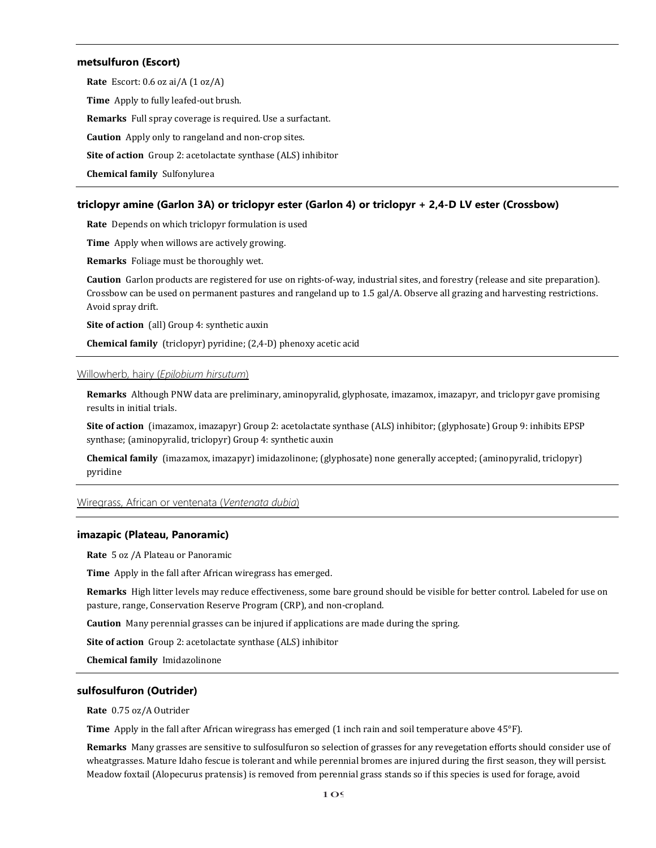## **metsulfuron (Escort)**

**Rate** Escort: 0.6 oz ai/A (1 oz/A) **Time** Apply to fully leafed-out brush. **Remarks** Full spray coverage is required. Use a surfactant. **Caution** Apply only to rangeland and non-crop sites. **Site of action** Group 2: acetolactate synthase (ALS) inhibitor **Chemical family** Sulfonylurea

### **triclopyr amine (Garlon 3A) or triclopyr ester (Garlon 4) or triclopyr + 2,4-D LV ester (Crossbow)**

**Rate** Depends on which triclopyr formulation is used

**Time** Apply when willows are actively growing.

**Remarks** Foliage must be thoroughly wet.

**Caution** Garlon products are registered for use on rights-of-way, industrial sites, and forestry (release and site preparation). Crossbow can be used on permanent pastures and rangeland up to 1.5 gal/A. Observe all grazing and harvesting restrictions. Avoid spray drift.

**Site of action** (all) Group 4: synthetic auxin

**Chemical family** (triclopyr) pyridine; (2,4-D) phenoxy acetic acid

### Willowherb, hairy (*Epilobium hirsutum*)

**Remarks** Although PNW data are preliminary, aminopyralid, glyphosate, imazamox, imazapyr, and triclopyr gave promising results in initial trials.

**Site of action** (imazamox, imazapyr) Group 2: acetolactate synthase (ALS) inhibitor; (glyphosate) Group 9: inhibits EPSP synthase; (aminopyralid, triclopyr) Group 4: synthetic auxin

**Chemical family** (imazamox, imazapyr) imidazolinone; (glyphosate) none generally accepted; (aminopyralid, triclopyr) pyridine

Wiregrass, African or ventenata (*Ventenata dubia*)

# **imazapic (Plateau, Panoramic)**

**Rate** 5 oz /A Plateau or Panoramic

**Time** Apply in the fall after African wiregrass has emerged.

**Remarks** High litter levels may reduce effectiveness, some bare ground should be visible for better control. Labeled for use on pasture, range, Conservation Reserve Program (CRP), and non-cropland.

**Caution** Many perennial grasses can be injured if applications are made during the spring.

**Site of action** Group 2: acetolactate synthase (ALS) inhibitor

**Chemical family** Imidazolinone

### **sulfosulfuron (Outrider)**

**Rate** 0.75 oz/A Outrider

**Time** Apply in the fall after African wiregrass has emerged (1 inch rain and soil temperature above 45°F).

**Remarks** Many grasses are sensitive to sulfosulfuron so selection of grasses for any revegetation efforts should consider use of wheatgrasses. Mature Idaho fescue is tolerant and while perennial bromes are injured during the first season, they will persist. Meadow foxtail (Alopecurus pratensis) is removed from perennial grass stands so if this species is used for forage, avoid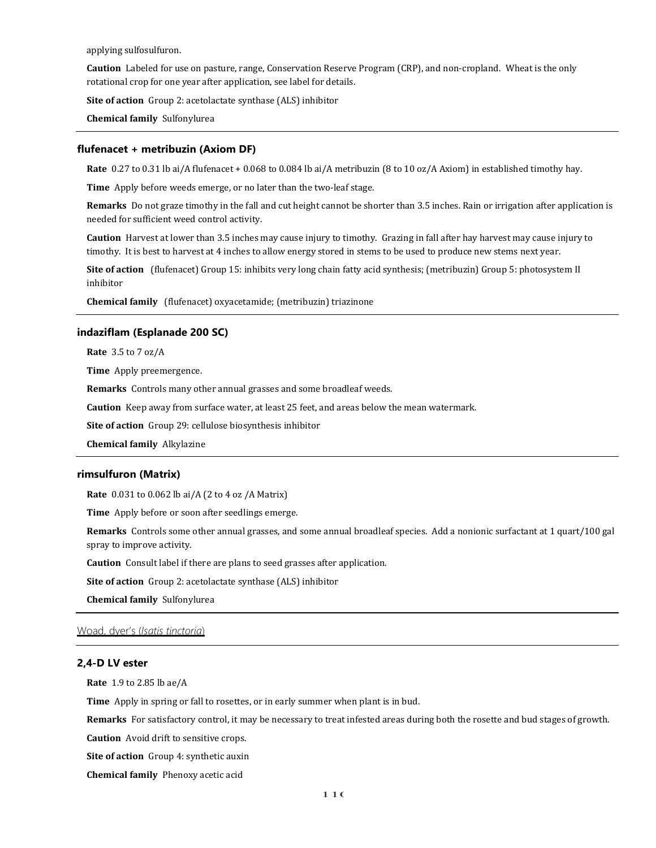applying sulfosulfuron.

**Caution** Labeled for use on pasture, range, Conservation Reserve Program (CRP), and non-cropland. Wheat is the only rotational crop for one year after application, see label for details.

**Site of action** Group 2: acetolactate synthase (ALS) inhibitor

**Chemical family** Sulfonylurea

#### **flufenacet + metribuzin (Axiom DF)**

**Rate** 0.27 to 0.31 lb ai/A flufenacet + 0.068 to 0.084 lb ai/A metribuzin (8 to 10 oz/A Axiom) in established timothy hay.

**Time** Apply before weeds emerge, or no later than the two-leaf stage.

**Remarks** Do not graze timothy in the fall and cut height cannot be shorter than 3.5 inches. Rain or irrigation after application is needed for sufficient weed control activity.

**Caution** Harvest at lower than 3.5 inches may cause injury to timothy. Grazing in fall after hay harvest may cause injury to timothy. It is best to harvest at 4 inches to allow energy stored in stems to be used to produce new stems next year.

**Site of action** (flufenacet) Group 15: inhibits very long chain fatty acid synthesis; (metribuzin) Group 5: photosystem II inhibitor

**Chemical family** (flufenacet) oxyacetamide; (metribuzin) triazinone

## **indaziflam (Esplanade 200 SC)**

**Rate** 3.5 to 7 oz/A

**Time** Apply preemergence.

**Remarks** Controls many other annual grasses and some broadleaf weeds.

**Caution** Keep away from surface water, at least 25 feet, and areas below the mean watermark.

**Site of action** Group 29: cellulose biosynthesis inhibitor

**Chemical family** Alkylazine

### **rimsulfuron (Matrix)**

**Rate** 0.031 to 0.062 lb ai/A (2 to 4 oz /A Matrix)

**Time** Apply before or soon after seedlings emerge.

**Remarks** Controls some other annual grasses, and some annual broadleaf species. Add a nonionic surfactant at 1 quart/100 gal spray to improve activity.

**Caution** Consult label if there are plans to seed grasses after application.

**Site of action** Group 2: acetolactate synthase (ALS) inhibitor

**Chemical family** Sulfonylurea

# Woad, dyer's (*Isatis tinctoria*)

# **2,4-D LV ester**

**Rate** 1.9 to 2.85 lb ae/A

**Time** Apply in spring or fall to rosettes, or in early summer when plant is in bud.

**Remarks** For satisfactory control, it may be necessary to treat infested areas during both the rosette and bud stages of growth.

**Caution** Avoid drift to sensitive crops.

**Site of action** Group 4: synthetic auxin

**Chemical family** Phenoxy acetic acid